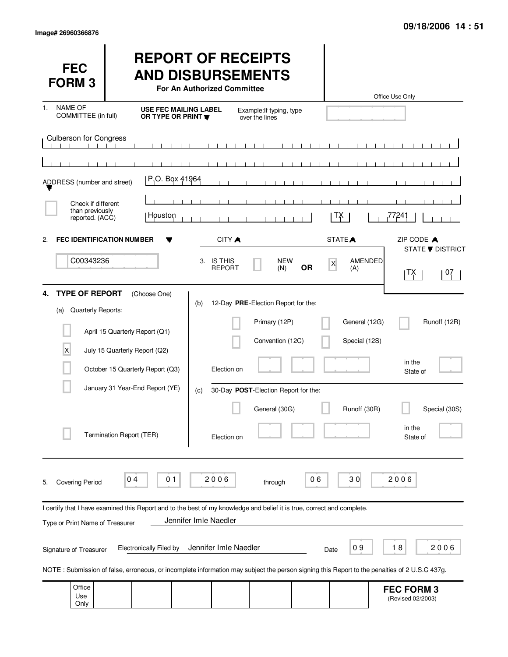Only

| <b>FEC</b><br><b>FORM3</b>                                    |                                                                                                                         | <b>REPORT OF RECEIPTS</b><br><b>AND DISBURSEMENTS</b><br>For An Authorized Committee |                                                                          |                                | Office Use Only                                                                                                                              |
|---------------------------------------------------------------|-------------------------------------------------------------------------------------------------------------------------|--------------------------------------------------------------------------------------|--------------------------------------------------------------------------|--------------------------------|----------------------------------------------------------------------------------------------------------------------------------------------|
| <b>NAME OF</b><br>1.<br>COMMITTEE (in full)                   | OR TYPE OR PRINT                                                                                                        | <b>USE FEC MAILING LABEL</b>                                                         | Example: If typing, type<br>over the lines                               |                                |                                                                                                                                              |
| <b>Culberson for Congress</b><br>ADDRESS (number and street)  | P.O. Box 41964                                                                                                          |                                                                                      | $\mathbf{1}$<br>$\blacksquare$<br>$\mathbf{I}$                           |                                |                                                                                                                                              |
| Check if different<br>than previously<br>reported. (ACC)      | ∣ Houston                                                                                                               |                                                                                      | $\blacksquare$                                                           | TΧ                             | 77241                                                                                                                                        |
| <b>FEC IDENTIFICATION NUMBER</b><br>2.<br>C00343236           |                                                                                                                         | CITY A<br>3. IS THIS<br><b>REPORT</b>                                                | <b>NEW</b><br><b>OR</b><br>(N)                                           | STATE <sup>A</sup><br>X<br>(A) | ZIP CODE A<br><b>STATE ▼ DISTRICT</b><br><b>AMENDED</b><br>TX<br>07                                                                          |
| <b>TYPE OF REPORT</b><br>4.<br>Quarterly Reports:<br>(a)<br>X | (Choose One)<br>April 15 Quarterly Report (Q1)<br>July 15 Quarterly Report (Q2)                                         | (b)                                                                                  | 12-Day PRE-Election Report for the:<br>Primary (12P)<br>Convention (12C) | General (12G)<br>Special (12S) | Runoff (12R)                                                                                                                                 |
|                                                               | October 15 Quarterly Report (Q3)<br>January 31 Year-End Report (YE)                                                     | Election on<br>(c)                                                                   | 30-Day POST-Election Report for the:<br>General (30G)                    | Runoff (30R)                   | in the<br>State of<br>Special (30S)                                                                                                          |
|                                                               | Termination Report (TER)                                                                                                | Election on                                                                          |                                                                          |                                | in the<br>State of                                                                                                                           |
| <b>Covering Period</b><br>5.                                  | 01<br>04                                                                                                                | 2006                                                                                 | through                                                                  | 30<br>06                       | 2006                                                                                                                                         |
| Type or Print Name of Treasurer                               | I certify that I have examined this Report and to the best of my knowledge and belief it is true, correct and complete. | Jennifer Imle Naedler                                                                |                                                                          |                                |                                                                                                                                              |
| Signature of Treasurer                                        | <b>Electronically Filed by</b>                                                                                          | Jennifer Imle Naedler                                                                |                                                                          | 09<br>Date                     | 18<br>2006                                                                                                                                   |
|                                                               |                                                                                                                         |                                                                                      |                                                                          |                                | NOTE: Submission of false, erroneous, or incomplete information may subject the person signing this Report to the penalties of 2 U.S.C 437g. |
| Office<br>Use                                                 |                                                                                                                         |                                                                                      |                                                                          |                                | <b>FEC FORM 3</b><br>(Revised 02/2003)                                                                                                       |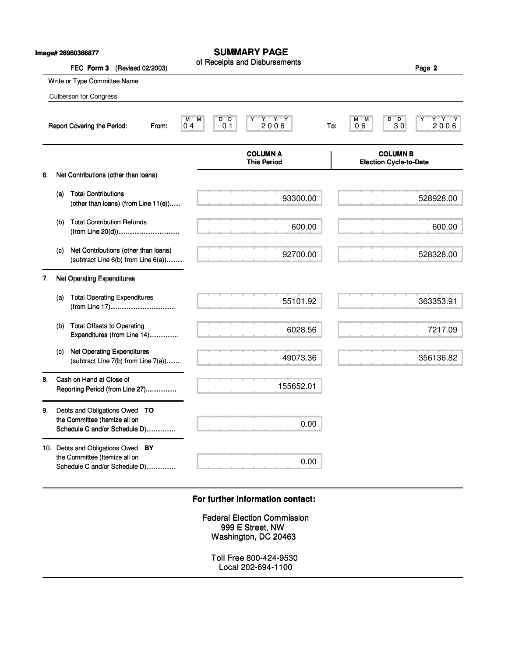|    |     | Image# 26960366877<br>FEC Form 3<br>(Revised 02/2003)                                               | <b>SUMMARY PAGE</b><br>of Receipts and Disbursements                             | Page 2                                                      |
|----|-----|-----------------------------------------------------------------------------------------------------|----------------------------------------------------------------------------------|-------------------------------------------------------------|
|    |     | Write or Type Committee Name                                                                        |                                                                                  |                                                             |
|    |     | <b>Culberson for Congress</b>                                                                       |                                                                                  |                                                             |
|    |     | Report Covering the Period:<br>From:                                                                | $Y - Y - Y$<br>M<br>$D^{\ast}D$<br>м<br>2006<br>0 <sub>1</sub><br>0 <sub>4</sub> | $Y^+Y^-Y$<br>D<br>м<br>'М<br>™D.<br>30<br>2006<br>06<br>To: |
|    |     |                                                                                                     | <b>COLUMN A</b><br><b>This Period</b>                                            | <b>COLUMN B</b><br><b>Election Cycle-to-Date</b>            |
| 6. |     | Net Contributions (other than loans)                                                                |                                                                                  |                                                             |
|    | (a) | <b>Total Contributions</b><br>(other than loans) (from Line 11(e))                                  | 93300.00                                                                         | 528928.00                                                   |
|    | (b) | <b>Total Contribution Refunds</b>                                                                   | 600.00                                                                           | 600.00                                                      |
|    | (c) | Net Contributions (other than loans)<br>(subtract Line 6(b) from Line 6(a))                         | 92700.00                                                                         | 528328.00                                                   |
| 7. |     | <b>Net Operating Expenditures</b>                                                                   |                                                                                  |                                                             |
|    | (a) | <b>Total Operating Expenditures</b>                                                                 | 55101.92                                                                         | 363353.91                                                   |
|    | (b) | <b>Total Offsets to Operating</b><br>Expenditures (from Line 14)                                    | 6028.56                                                                          | 7217.09                                                     |
|    | (c) | <b>Net Operating Expenditures</b><br>(subtract Line 7(b) from Line 7(a))                            | 49073.36                                                                         | 356136.82                                                   |
| 8. |     | Cash on Hand at Close of<br>Reporting Period (from Line 27)                                         | 155652.01                                                                        |                                                             |
| 9. |     | Debts and Obligations Owed TO<br>the Committee (Itemize all on<br>Schedule C and/or Schedule D)     | 0.00                                                                             |                                                             |
|    |     | 10. Debts and Obligations Owed BY<br>the Committee (Itemize all on<br>Schedule C and/or Schedule D) | 0.00                                                                             |                                                             |
|    |     |                                                                                                     |                                                                                  |                                                             |
|    |     |                                                                                                     | For further information contact:                                                 |                                                             |
|    |     |                                                                                                     | <b>Federal Election Commission</b><br>999 E Street, NW<br>Washington, DC 20463   |                                                             |
|    |     |                                                                                                     | Toll Free 800-424-9530<br>Local 202-694-1100                                     |                                                             |

## **For further information contact: For further information contact:**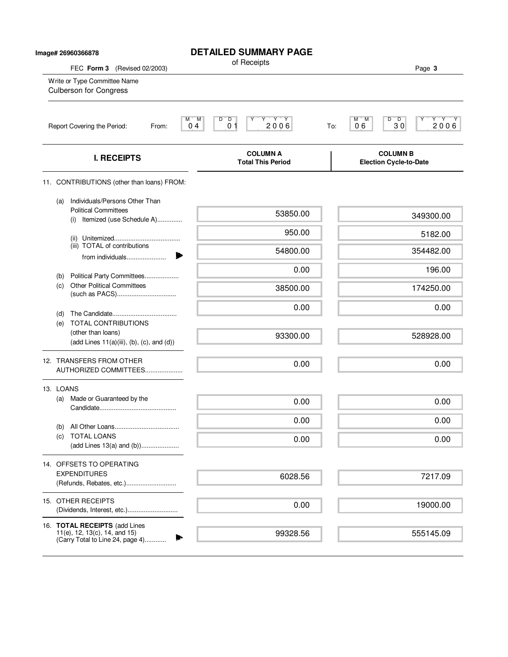| lmage# 26960366878 |            |                                                                                                    | <b>DETAILED SUMMARY PAGE</b><br>of Receipts                                     |                                                                   |
|--------------------|------------|----------------------------------------------------------------------------------------------------|---------------------------------------------------------------------------------|-------------------------------------------------------------------|
|                    |            | FEC Form 3 (Revised 02/2003)<br>Write or Type Committee Name<br><b>Culberson for Congress</b>      |                                                                                 | Page 3                                                            |
|                    |            | Report Covering the Period:<br>From:                                                               | M<br>$Y - Y + Y$<br>M,<br>$D^{\prime}$ $D$<br>Υ<br>2006<br>0 <sub>1</sub><br>04 | Y'Y'Y<br>$D^{\bullet}$ $D$<br>M T<br>M<br>2006<br>06<br>30<br>To: |
|                    |            | <b>I. RECEIPTS</b>                                                                                 | <b>COLUMN A</b><br><b>Total This Period</b>                                     | <b>COLUMN B</b><br><b>Election Cycle-to-Date</b>                  |
|                    |            | 11. CONTRIBUTIONS (other than loans) FROM:                                                         |                                                                                 |                                                                   |
|                    | (a)        | Individuals/Persons Other Than<br><b>Political Committees</b><br>Itemized (use Schedule A)<br>(i)  | 53850.00                                                                        | 349300.00                                                         |
|                    |            |                                                                                                    | 950.00                                                                          | 5182.00                                                           |
|                    |            | (iii) TOTAL of contributions<br>from individuals                                                   | 54800.00                                                                        | 354482.00                                                         |
|                    | (b)        | Political Party Committees                                                                         | 0.00                                                                            | 196.00                                                            |
|                    | (c)        | <b>Other Political Committees</b>                                                                  | 38500.00                                                                        | 174250.00                                                         |
|                    | (d)<br>(e) | TOTAL CONTRIBUTIONS                                                                                | 0.00                                                                            | 0.00                                                              |
|                    |            | (other than loans)<br>$(add Lines 11(a)(iii), (b), (c), and (d))$                                  | 93300.00                                                                        | 528928.00                                                         |
|                    |            | 12. TRANSFERS FROM OTHER<br>AUTHORIZED COMMITTEES                                                  | 0.00                                                                            | 0.00                                                              |
|                    | 13. LOANS  |                                                                                                    |                                                                                 |                                                                   |
|                    | (a)        | Made or Guaranteed by the                                                                          | 0.00                                                                            | 0.00                                                              |
|                    |            |                                                                                                    | 0.00                                                                            | 0.00                                                              |
|                    | (b)<br>(c) | <b>TOTAL LOANS</b><br>(add Lines 13(a) and (b))                                                    | 0.00                                                                            | 0.00                                                              |
|                    |            | 14. OFFSETS TO OPERATING                                                                           |                                                                                 |                                                                   |
|                    |            | <b>EXPENDITURES</b><br>(Refunds, Rebates, etc.)                                                    | 6028.56                                                                         | 7217.09                                                           |
|                    |            | 15. OTHER RECEIPTS<br>(Dividends, Interest, etc.)                                                  | 0.00                                                                            | 19000.00                                                          |
|                    |            | 16. TOTAL RECEIPTS (add Lines<br>11(e), 12, 13(c), 14, and 15)<br>(Carry Total to Line 24, page 4) | 99328.56                                                                        | 555145.09                                                         |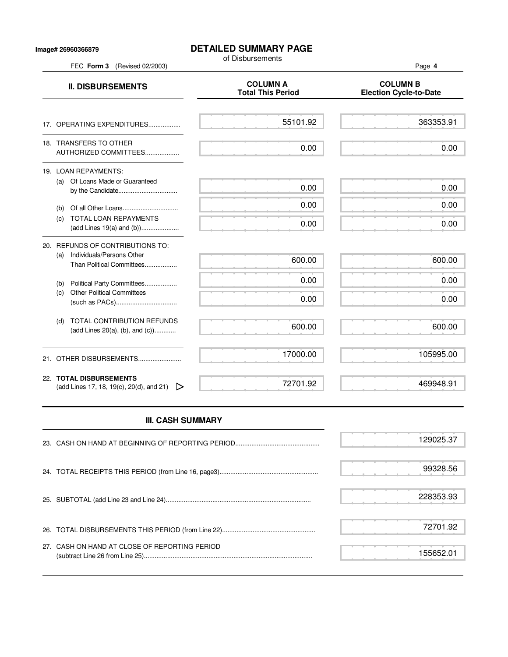## **Image# 26960366879**

## **DETAILED SUMMARY PAGE**

of Disbursements

**II. DISBURSEMENTS**<br>Total This Period Figures and COLUMN B<br>Election Cycle-to **Election Cycle-to-Date** 17. OPERATING EXPENDITURES.................. 18. TRANSFERS TO OTHER AUTHORIZED COMMITTEES................... 19. LOAN REPAYMENTS: (a) Of Loans Made or Guaranteed by the Candidate................................. (b) Of all Other Loans............................... (c) TOTAL LOAN REPAYMENTS (add Lines 19(a) and (b))..................... 55101.92 0.00 0.00 0.00 0.00

| 20. REFUNDS OF CONTRIBUTIONS TO:<br>Individuals/Persons Other<br>(a)<br>Than Political Committees | 600.00   | 600.00    |
|---------------------------------------------------------------------------------------------------|----------|-----------|
| Political Party Committees<br>(b)                                                                 | 0.00     | 0.00      |
| <b>Other Political Committees</b><br>(C)                                                          | 0.00     | 0.00      |
| TOTAL CONTRIBUTION REFUNDS<br>(d)<br>(add Lines $20(a)$ , (b), and (c))                           | 600.00   | 600.00    |
| 21. OTHER DISBURSEMENTS                                                                           | 17000.00 | 105995.00 |
| 22. TOTAL DISBURSEMENTS<br>(add Lines 17, 18, 19(c), 20(d), and 21) $\triangleright$              | 72701.92 | 469948.91 |

## **III. CASH SUMMARY**

|                                               | 129025.37 |
|-----------------------------------------------|-----------|
|                                               | 99328.56  |
|                                               | 228353.93 |
|                                               | 72701.92  |
| 27. CASH ON HAND AT CLOSE OF REPORTING PERIOD | 155652.01 |

FEC **Form 3** (Revised 02/2003) Page **4**

363353.91

0.00

0.00

0.00

0.00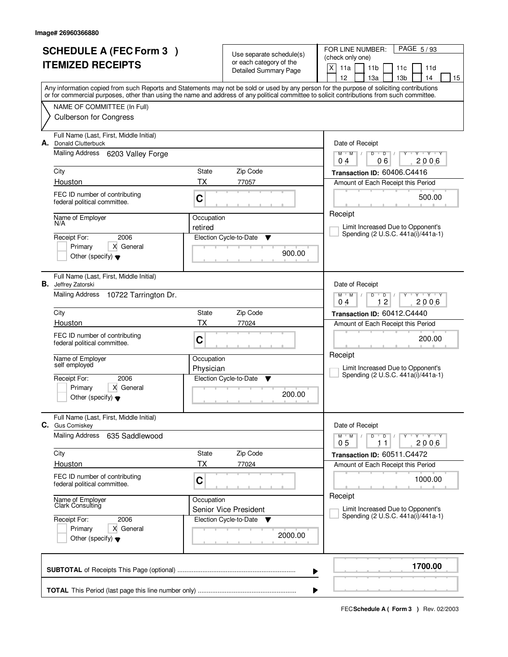| <b>SCHEDULE A (FEC Form 3)</b><br><b>ITEMIZED RECEIPTS</b> |                                                                       |                         | Use separate schedule(s)<br>or each category of the<br>Detailed Summary Page | PAGE 5/93<br>FOR LINE NUMBER:<br>(check only one)<br>$\times$<br>11a<br>11 <sub>b</sub><br>11d<br>11c<br>13 <sub>b</sub><br>12<br>13a<br>14<br>15                                                                                                                                       |
|------------------------------------------------------------|-----------------------------------------------------------------------|-------------------------|------------------------------------------------------------------------------|-----------------------------------------------------------------------------------------------------------------------------------------------------------------------------------------------------------------------------------------------------------------------------------------|
|                                                            |                                                                       |                         |                                                                              | Any information copied from such Reports and Statements may not be sold or used by any person for the purpose of soliciting contributions<br>or for commercial purposes, other than using the name and address of any political committee to solicit contributions from such committee. |
|                                                            | NAME OF COMMITTEE (In Full)<br><b>Culberson for Congress</b>          |                         |                                                                              |                                                                                                                                                                                                                                                                                         |
| А.                                                         | Full Name (Last, First, Middle Initial)<br><b>Donald Clutterbuck</b>  |                         |                                                                              | Date of Receipt                                                                                                                                                                                                                                                                         |
|                                                            | Mailing Address 6203 Valley Forge                                     |                         |                                                                              | $Y + Y + Y$<br>$M$ $M$ /<br>$D$ $D$ $1$<br>Y<br>06<br>2006<br>04                                                                                                                                                                                                                        |
|                                                            | City<br>Houston                                                       | State<br><b>TX</b>      | Zip Code<br>77057                                                            | Transaction ID: 60406.C4416<br>Amount of Each Receipt this Period                                                                                                                                                                                                                       |
|                                                            | FEC ID number of contributing<br>federal political committee.         | C                       |                                                                              | 500.00                                                                                                                                                                                                                                                                                  |
|                                                            | Name of Employer<br>N/A                                               | Occupation              |                                                                              | Receipt                                                                                                                                                                                                                                                                                 |
|                                                            | 2006<br>Receipt For:                                                  | retired                 | Election Cycle-to-Date<br>▼                                                  | Limit Increased Due to Opponent's<br>Spending (2 U.S.C. 441a(i)/441a-1)                                                                                                                                                                                                                 |
|                                                            | X General<br>Primary<br>Other (specify) $\blacktriangledown$          |                         | 900.00                                                                       |                                                                                                                                                                                                                                                                                         |
|                                                            | Full Name (Last, First, Middle Initial)<br><b>B.</b> Jeffrey Zatorski |                         |                                                                              | Date of Receipt                                                                                                                                                                                                                                                                         |
|                                                            | Mailing Address<br>10722 Tarrington Dr.                               |                         |                                                                              | $M$ $M$ /<br>$Y - Y - Y$<br>D<br>D<br>12<br>2006<br>04                                                                                                                                                                                                                                  |
|                                                            | City                                                                  | State                   | Zip Code                                                                     | Transaction ID: 60412.C4440                                                                                                                                                                                                                                                             |
|                                                            | Houston                                                               | TX                      | 77024                                                                        | Amount of Each Receipt this Period                                                                                                                                                                                                                                                      |
|                                                            | FEC ID number of contributing<br>federal political committee.         | C                       |                                                                              | 200.00<br>Receipt                                                                                                                                                                                                                                                                       |
|                                                            | Name of Employer<br>self employed                                     | Occupation<br>Physician |                                                                              | Limit Increased Due to Opponent's                                                                                                                                                                                                                                                       |
|                                                            | 2006<br>Receipt For:                                                  |                         | Election Cycle-to-Date<br>▼                                                  | Spending (2 U.S.C. 441a(i)/441a-1)                                                                                                                                                                                                                                                      |
|                                                            | Primary<br>X General<br>Other (specify) $\blacktriangledown$          |                         | 200.00                                                                       |                                                                                                                                                                                                                                                                                         |
|                                                            | Full Name (Last, First, Middle Initial)<br>C. Gus Comiskey            |                         |                                                                              | Date of Receipt                                                                                                                                                                                                                                                                         |
|                                                            | <b>Mailing Address</b><br>635 Saddlewood                              |                         |                                                                              | $M$ $M$ $/$<br>$D$ $D$<br>$Y \rightarrow Y \rightarrow Y$<br>0 <sub>5</sub><br>2006<br>11                                                                                                                                                                                               |
|                                                            | City                                                                  | State                   | Zip Code                                                                     | Transaction ID: 60511.C4472                                                                                                                                                                                                                                                             |
|                                                            | Houston                                                               | ТX                      | 77024                                                                        | Amount of Each Receipt this Period                                                                                                                                                                                                                                                      |
|                                                            | FEC ID number of contributing<br>federal political committee.         | C                       |                                                                              | 1000.00<br>Receipt                                                                                                                                                                                                                                                                      |
|                                                            | Name of Employer<br>Clark Consulting                                  | Occupation              | Senior Vice President                                                        | Limit Increased Due to Opponent's                                                                                                                                                                                                                                                       |
|                                                            | Receipt For:<br>2006<br>X General<br>Primary                          |                         | Election Cycle-to-Date<br>v                                                  | Spending (2 U.S.C. 441a(i)/441a-1)                                                                                                                                                                                                                                                      |
|                                                            | Other (specify) $\blacktriangledown$                                  |                         | 2000.00                                                                      |                                                                                                                                                                                                                                                                                         |
|                                                            |                                                                       |                         |                                                                              | 1700.00<br>▶                                                                                                                                                                                                                                                                            |
|                                                            |                                                                       |                         |                                                                              |                                                                                                                                                                                                                                                                                         |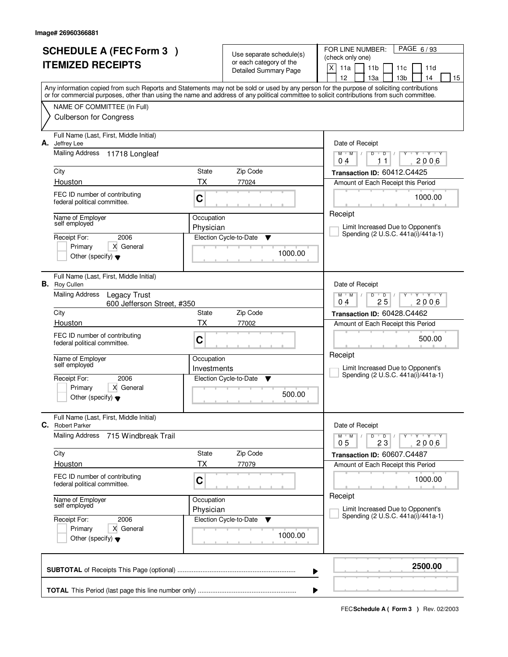| <b>SCHEDULE A (FEC Form 3)</b><br><b>ITEMIZED RECEIPTS</b> |                                                                                                                           |                           | Use separate schedule(s)<br>or each category of the<br><b>Detailed Summary Page</b> | PAGE 6/93<br>FOR LINE NUMBER:<br>(check only one)<br>X<br>11a<br>11 <sub>b</sub><br>11d<br>11c<br>12<br>13a<br>13 <sub>b</sub><br>14<br>15                                                                                                                                              |
|------------------------------------------------------------|---------------------------------------------------------------------------------------------------------------------------|---------------------------|-------------------------------------------------------------------------------------|-----------------------------------------------------------------------------------------------------------------------------------------------------------------------------------------------------------------------------------------------------------------------------------------|
|                                                            |                                                                                                                           |                           |                                                                                     | Any information copied from such Reports and Statements may not be sold or used by any person for the purpose of soliciting contributions<br>or for commercial purposes, other than using the name and address of any political committee to solicit contributions from such committee. |
|                                                            | NAME OF COMMITTEE (In Full)<br><b>Culberson for Congress</b>                                                              |                           |                                                                                     |                                                                                                                                                                                                                                                                                         |
| А.                                                         | Full Name (Last, First, Middle Initial)<br>Jeffrey Lee<br><b>Mailing Address</b><br>11718 Longleaf                        |                           |                                                                                     | Date of Receipt<br>$M$ $M$ /<br>$Y + Y + Y$<br>D<br>$\overline{D}$<br>2006<br>04<br>11                                                                                                                                                                                                  |
|                                                            | City                                                                                                                      | State                     | Zip Code                                                                            | Transaction ID: 60412.C4425                                                                                                                                                                                                                                                             |
|                                                            | Houston<br>FEC ID number of contributing<br>federal political committee.                                                  | <b>TX</b><br>C            | 77024                                                                               | Amount of Each Receipt this Period<br>1000.00                                                                                                                                                                                                                                           |
|                                                            | Name of Employer<br>self employed<br>Receipt For:<br>2006<br>X General<br>Primary<br>Other (specify) $\blacktriangledown$ | Occupation<br>Physician   | Election Cycle-to-Date<br>v<br>1000.00                                              | Receipt<br>Limit Increased Due to Opponent's<br>Spending (2 U.S.C. 441a(i)/441a-1)                                                                                                                                                                                                      |
|                                                            | Full Name (Last, First, Middle Initial)<br><b>B.</b> Roy Cullen                                                           |                           |                                                                                     | Date of Receipt                                                                                                                                                                                                                                                                         |
|                                                            | <b>Mailing Address</b><br>Legacy Trust<br>600 Jefferson Street, #350                                                      |                           |                                                                                     | $M$ $M$ /<br>D<br>$\overline{D}$<br>Y Y Y Y<br>25<br>2006<br>04                                                                                                                                                                                                                         |
|                                                            | City<br>State                                                                                                             |                           | Zip Code                                                                            | Transaction ID: 60428.C4462                                                                                                                                                                                                                                                             |
|                                                            | Houston<br>FEC ID number of contributing<br>federal political committee.                                                  | TX<br>C                   | 77002                                                                               | Amount of Each Receipt this Period<br>500.00                                                                                                                                                                                                                                            |
|                                                            | Name of Employer<br>self employed<br>2006<br>Receipt For:<br>Primary<br>X General<br>Other (specify) $\blacktriangledown$ | Occupation<br>Investments | Election Cycle-to-Date<br>▼<br>500.00                                               | Receipt<br>Limit Increased Due to Opponent's<br>Spending (2 U.S.C. 441a(i)/441a-1)                                                                                                                                                                                                      |
| C.                                                         | Full Name (Last, First, Middle Initial)<br><b>Robert Parker</b>                                                           |                           |                                                                                     | Date of Receipt                                                                                                                                                                                                                                                                         |
|                                                            | Mailing Address<br>715 Windbreak Trail                                                                                    |                           |                                                                                     | $Y - Y - Y - Y$<br>$M$ $M$ /<br>D<br>$\overline{D}$<br>0 <sub>5</sub><br>23<br>2006                                                                                                                                                                                                     |
|                                                            | City                                                                                                                      | State                     | Zip Code                                                                            | Transaction ID: 60607.C4487                                                                                                                                                                                                                                                             |
|                                                            | Houston<br>FEC ID number of contributing<br>federal political committee.                                                  | TX<br>C                   | 77079                                                                               | Amount of Each Receipt this Period<br>1000.00                                                                                                                                                                                                                                           |
|                                                            | Name of Employer<br>self employed                                                                                         | Occupation<br>Physician   |                                                                                     | Receipt<br>Limit Increased Due to Opponent's                                                                                                                                                                                                                                            |
|                                                            | 2006<br>Receipt For:<br>Primary<br>X General<br>Other (specify) $\blacktriangledown$                                      |                           | Election Cycle-to-Date<br>v<br>1000.00                                              | Spending (2 U.S.C. 441a(i)/441a-1)                                                                                                                                                                                                                                                      |
|                                                            |                                                                                                                           |                           | ▶                                                                                   | 2500.00                                                                                                                                                                                                                                                                                 |
|                                                            |                                                                                                                           |                           | ▶                                                                                   |                                                                                                                                                                                                                                                                                         |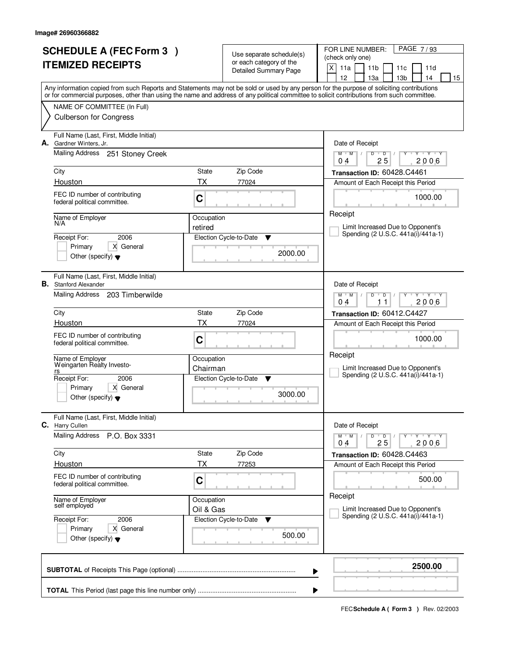| <b>SCHEDULE A (FEC Form 3)</b><br><b>ITEMIZED RECEIPTS</b> |                                                                         |            | Use separate schedule(s)<br>or each category of the | PAGE 7/93<br>FOR LINE NUMBER:<br>(check only one)<br>$\times$<br>11a<br>11 <sub>b</sub><br>11d<br>11c                                                                                                                                                                                   |
|------------------------------------------------------------|-------------------------------------------------------------------------|------------|-----------------------------------------------------|-----------------------------------------------------------------------------------------------------------------------------------------------------------------------------------------------------------------------------------------------------------------------------------------|
|                                                            |                                                                         |            | Detailed Summary Page                               | 12<br>13a<br>13 <sub>b</sub><br>14<br>15                                                                                                                                                                                                                                                |
|                                                            |                                                                         |            |                                                     | Any information copied from such Reports and Statements may not be sold or used by any person for the purpose of soliciting contributions<br>or for commercial purposes, other than using the name and address of any political committee to solicit contributions from such committee. |
|                                                            | NAME OF COMMITTEE (In Full)                                             |            |                                                     |                                                                                                                                                                                                                                                                                         |
|                                                            | <b>Culberson for Congress</b>                                           |            |                                                     |                                                                                                                                                                                                                                                                                         |
|                                                            | Full Name (Last, First, Middle Initial)<br>A. Gardner Winters, Jr.      |            |                                                     | Date of Receipt                                                                                                                                                                                                                                                                         |
|                                                            | Mailing Address 251 Stoney Creek                                        |            |                                                     | $M$ $M$ /<br>$D$ $D$ $I$<br>Y Y Y Y<br>Y<br>25<br>2006<br>04                                                                                                                                                                                                                            |
|                                                            | City                                                                    | State      | Zip Code                                            | Transaction ID: 60428.C4461                                                                                                                                                                                                                                                             |
|                                                            | Houston                                                                 | <b>TX</b>  | 77024                                               | Amount of Each Receipt this Period                                                                                                                                                                                                                                                      |
|                                                            | FEC ID number of contributing<br>federal political committee.           | C          |                                                     | 1000.00                                                                                                                                                                                                                                                                                 |
|                                                            | Name of Employer<br>N/A                                                 | Occupation |                                                     | Receipt                                                                                                                                                                                                                                                                                 |
|                                                            | 2006<br>Receipt For:                                                    | retired    | Election Cycle-to-Date<br>▼                         | Limit Increased Due to Opponent's<br>Spending (2 U.S.C. 441a(i)/441a-1)                                                                                                                                                                                                                 |
|                                                            | Primary<br>X General                                                    |            |                                                     |                                                                                                                                                                                                                                                                                         |
|                                                            | Other (specify) $\blacktriangledown$                                    |            | 2000.00                                             |                                                                                                                                                                                                                                                                                         |
|                                                            | Full Name (Last, First, Middle Initial)<br><b>B.</b> Stanford Alexander |            |                                                     | Date of Receipt                                                                                                                                                                                                                                                                         |
|                                                            | Mailing Address 203 Timberwilde                                         |            |                                                     | $M$ $M$ /<br>$Y - Y - Y$<br>D<br>D<br>2006<br>04<br>11                                                                                                                                                                                                                                  |
|                                                            | City                                                                    | State      | Zip Code                                            | Transaction ID: 60412.C4427                                                                                                                                                                                                                                                             |
|                                                            | Houston                                                                 | TX         | 77024                                               | Amount of Each Receipt this Period                                                                                                                                                                                                                                                      |
|                                                            | FEC ID number of contributing<br>federal political committee.           | C          |                                                     | 1000.00                                                                                                                                                                                                                                                                                 |
|                                                            | Name of Employer<br>Weingarten Realty Investo-                          | Occupation |                                                     | Receipt                                                                                                                                                                                                                                                                                 |
|                                                            | rs                                                                      | Chairman   |                                                     | Limit Increased Due to Opponent's<br>Spending (2 U.S.C. 441a(i)/441a-1)                                                                                                                                                                                                                 |
|                                                            | Receipt For:<br>2006<br>Primary<br>X General                            |            | Election Cycle-to-Date<br><b>V</b>                  |                                                                                                                                                                                                                                                                                         |
|                                                            | Other (specify) $\blacktriangledown$                                    |            | 3000.00                                             |                                                                                                                                                                                                                                                                                         |
| С.                                                         | Full Name (Last, First, Middle Initial)<br><b>Harry Cullen</b>          |            |                                                     | Date of Receipt                                                                                                                                                                                                                                                                         |
|                                                            | <b>Mailing Address</b><br>P.O. Box 3331                                 |            |                                                     | $M$ $M$ $/$<br>$D$ $D$<br>$Y \rightarrow Y \rightarrow Y$<br>0 <sub>4</sub><br>25<br>2006                                                                                                                                                                                               |
|                                                            | City                                                                    | State      | Zip Code                                            | Transaction ID: 60428.C4463                                                                                                                                                                                                                                                             |
|                                                            | Houston                                                                 | ТX         | 77253                                               | Amount of Each Receipt this Period                                                                                                                                                                                                                                                      |
|                                                            | FEC ID number of contributing<br>federal political committee.           | C          |                                                     | 500.00                                                                                                                                                                                                                                                                                  |
|                                                            | Name of Employer<br>self employed                                       | Occupation |                                                     | Receipt<br>Limit Increased Due to Opponent's                                                                                                                                                                                                                                            |
|                                                            | Receipt For:<br>2006                                                    | Oil & Gas  | Election Cycle-to-Date<br>v                         | Spending (2 U.S.C. 441a(i)/441a-1)                                                                                                                                                                                                                                                      |
|                                                            | X General<br>Primary<br>Other (specify) $\blacktriangledown$            |            | 500.00                                              |                                                                                                                                                                                                                                                                                         |
|                                                            |                                                                         |            |                                                     | 2500.00<br>▶                                                                                                                                                                                                                                                                            |
|                                                            |                                                                         |            |                                                     | ▶                                                                                                                                                                                                                                                                                       |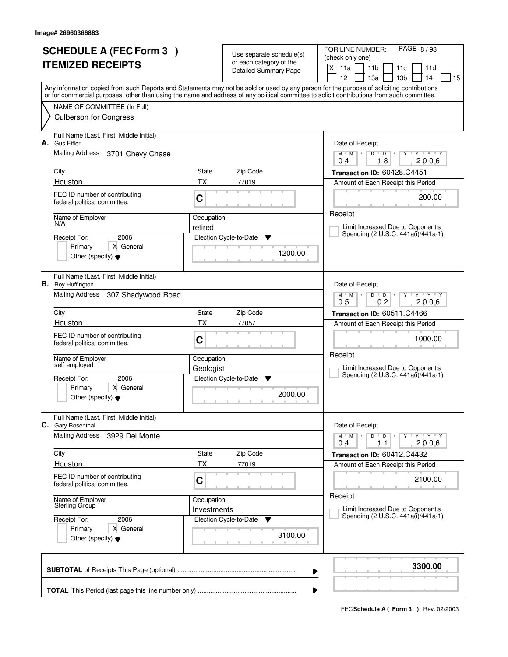| <b>SCHEDULE A (FEC Form 3)</b><br><b>ITEMIZED RECEIPTS</b> |                                                                                                                                            |             | Use separate schedule(s)<br>or each category of the<br><b>Detailed Summary Page</b> | FOR LINE NUMBER:<br>PAGE 8/93<br>(check only one)<br>X<br>11a<br>11 <sub>b</sub><br>11c<br>11d                                            |
|------------------------------------------------------------|--------------------------------------------------------------------------------------------------------------------------------------------|-------------|-------------------------------------------------------------------------------------|-------------------------------------------------------------------------------------------------------------------------------------------|
|                                                            |                                                                                                                                            |             |                                                                                     | 12<br>13 <sub>b</sub><br>13a<br>14<br>15                                                                                                  |
|                                                            | or for commercial purposes, other than using the name and address of any political committee to solicit contributions from such committee. |             |                                                                                     | Any information copied from such Reports and Statements may not be sold or used by any person for the purpose of soliciting contributions |
|                                                            | NAME OF COMMITTEE (In Full)                                                                                                                |             |                                                                                     |                                                                                                                                           |
|                                                            | <b>Culberson for Congress</b>                                                                                                              |             |                                                                                     |                                                                                                                                           |
| А.                                                         | Full Name (Last, First, Middle Initial)<br><b>Gus Eifler</b>                                                                               |             |                                                                                     | Date of Receipt                                                                                                                           |
|                                                            | <b>Mailing Address</b><br>3701 Chevy Chase                                                                                                 |             |                                                                                     | Y Y Y Y<br>$M$ $M$ /<br>D<br>$\overline{D}$<br>18<br>2006<br>0 <sub>4</sub>                                                               |
|                                                            | City                                                                                                                                       | State       | Zip Code                                                                            | Transaction ID: 60428.C4451                                                                                                               |
|                                                            | Houston                                                                                                                                    | ТX          | 77019                                                                               | Amount of Each Receipt this Period                                                                                                        |
|                                                            | FEC ID number of contributing<br>federal political committee.                                                                              | C           |                                                                                     | 200.00                                                                                                                                    |
|                                                            | Name of Employer<br>N/A                                                                                                                    | Occupation  |                                                                                     | Receipt                                                                                                                                   |
|                                                            |                                                                                                                                            | retired     |                                                                                     | Limit Increased Due to Opponent's<br>Spending (2 U.S.C. 441a(i)/441a-1)                                                                   |
|                                                            | 2006<br>Receipt For:<br>X General<br>Primary                                                                                               |             | Election Cycle-to-Date<br>▼                                                         |                                                                                                                                           |
|                                                            | Other (specify) $\blacktriangledown$                                                                                                       |             | 1200.00                                                                             |                                                                                                                                           |
|                                                            | Full Name (Last, First, Middle Initial)<br><b>B.</b> Roy Huffington                                                                        |             |                                                                                     | Date of Receipt                                                                                                                           |
|                                                            | <b>Mailing Address</b><br>307 Shadywood Road                                                                                               |             |                                                                                     | $M$ $M$ /<br>$\mathbf{Y} \mathbf{Y}$<br>D<br>$\overline{D}$<br>02<br>0 <sub>5</sub><br>2006                                               |
|                                                            | City                                                                                                                                       | State       | Zip Code                                                                            | Transaction ID: 60511.C4466                                                                                                               |
|                                                            | Houston                                                                                                                                    | ТX          | 77057                                                                               | Amount of Each Receipt this Period                                                                                                        |
|                                                            | FEC ID number of contributing<br>federal political committee.                                                                              | C           |                                                                                     | 1000.00                                                                                                                                   |
|                                                            | Name of Employer<br>self employed                                                                                                          | Occupation  |                                                                                     | Receipt                                                                                                                                   |
|                                                            | 2006<br>Receipt For:                                                                                                                       | Geologist   |                                                                                     | Limit Increased Due to Opponent's<br>Spending (2 U.S.C. 441a(i)/441a-1)                                                                   |
|                                                            | Primary<br>X General                                                                                                                       |             | Election Cycle-to-Date<br>v                                                         |                                                                                                                                           |
|                                                            | Other (specify) $\blacktriangledown$                                                                                                       |             | 2000.00                                                                             |                                                                                                                                           |
|                                                            | Full Name (Last, First, Middle Initial)<br>C. Gary Rosenthal                                                                               |             |                                                                                     | Date of Receipt                                                                                                                           |
|                                                            | <b>Mailing Address</b><br>3929 Del Monte                                                                                                   |             |                                                                                     | $D$ $D$<br>$M$ $M$ $/$<br>$Y + Y + Y$<br>$\prime$<br>2006<br>04<br>11                                                                     |
|                                                            | City                                                                                                                                       | State       | Zip Code                                                                            | Transaction ID: 60412.C4432                                                                                                               |
|                                                            | Houston                                                                                                                                    | ТX          | 77019                                                                               | Amount of Each Receipt this Period                                                                                                        |
|                                                            | FEC ID number of contributing<br>federal political committee.                                                                              | C           |                                                                                     | 2100.00                                                                                                                                   |
|                                                            | Name of Employer<br>Sterling Group                                                                                                         | Occupation  |                                                                                     | Receipt                                                                                                                                   |
|                                                            |                                                                                                                                            | Investments |                                                                                     | Limit Increased Due to Opponent's<br>Spending (2 U.S.C. 441a(i)/441a-1)                                                                   |
|                                                            | Receipt For:<br>2006<br>Primary<br>X General                                                                                               |             | Election Cycle-to-Date<br>v                                                         |                                                                                                                                           |
|                                                            | Other (specify) $\blacktriangledown$                                                                                                       |             | 3100.00                                                                             |                                                                                                                                           |
|                                                            |                                                                                                                                            |             |                                                                                     | 3300.00<br>▶                                                                                                                              |
|                                                            |                                                                                                                                            |             |                                                                                     |                                                                                                                                           |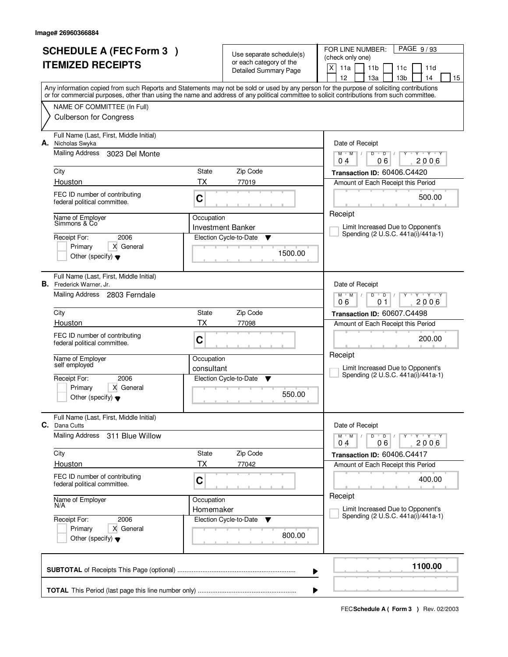|    | <b>SCHEDULE A (FEC Form 3)</b>                                             |            | Use separate schedule(s)                                | FOR LINE NUMBER:<br>PAGE 9/93<br>(check only one)                                                                                                                                                                                                                                       |
|----|----------------------------------------------------------------------------|------------|---------------------------------------------------------|-----------------------------------------------------------------------------------------------------------------------------------------------------------------------------------------------------------------------------------------------------------------------------------------|
|    | <b>ITEMIZED RECEIPTS</b>                                                   |            | or each category of the<br><b>Detailed Summary Page</b> | X<br>11a<br>11 <sub>b</sub><br>11c<br>11d<br>12<br>13 <sub>b</sub><br>13a<br>14<br>15                                                                                                                                                                                                   |
|    |                                                                            |            |                                                         | Any information copied from such Reports and Statements may not be sold or used by any person for the purpose of soliciting contributions<br>or for commercial purposes, other than using the name and address of any political committee to solicit contributions from such committee. |
|    | NAME OF COMMITTEE (In Full)                                                |            |                                                         |                                                                                                                                                                                                                                                                                         |
|    | <b>Culberson for Congress</b>                                              |            |                                                         |                                                                                                                                                                                                                                                                                         |
| А. | Full Name (Last, First, Middle Initial)<br>Nicholas Swyka                  |            |                                                         | Date of Receipt                                                                                                                                                                                                                                                                         |
|    | <b>Mailing Address</b><br>3023 Del Monte                                   |            |                                                         | $\overline{D}$<br>Y Y Y Y<br>$M$ $M$ /<br>D<br>06<br>2006<br>0 <sub>4</sub>                                                                                                                                                                                                             |
|    | City                                                                       | State      | Zip Code                                                | Transaction ID: 60406.C4420                                                                                                                                                                                                                                                             |
|    | Houston                                                                    | ТX         | 77019                                                   | Amount of Each Receipt this Period                                                                                                                                                                                                                                                      |
|    | FEC ID number of contributing<br>federal political committee.              | C          |                                                         | 500.00                                                                                                                                                                                                                                                                                  |
|    | Name of Employer<br>Simmons & Co                                           | Occupation |                                                         | Receipt                                                                                                                                                                                                                                                                                 |
|    | 2006<br>Receipt For:                                                       |            | <b>Investment Banker</b><br>Election Cycle-to-Date<br>▼ | Limit Increased Due to Opponent's<br>Spending (2 U.S.C. 441a(i)/441a-1)                                                                                                                                                                                                                 |
|    | X General<br>Primary                                                       |            |                                                         |                                                                                                                                                                                                                                                                                         |
|    | Other (specify) $\blacktriangledown$                                       |            | 1500.00                                                 |                                                                                                                                                                                                                                                                                         |
|    | Full Name (Last, First, Middle Initial)<br><b>B.</b> Frederick Warner, Jr. |            |                                                         | Date of Receipt                                                                                                                                                                                                                                                                         |
|    | Mailing Address 2803 Ferndale                                              |            |                                                         | $M$ $M$ /<br>$\mathbf{Y}$ $\mathbf{Y}$<br>D<br>$\overline{D}$<br>2006<br>06<br>01                                                                                                                                                                                                       |
|    | City                                                                       | State      | Zip Code                                                | Transaction ID: 60607.C4498                                                                                                                                                                                                                                                             |
|    | Houston                                                                    | ТX         | 77098                                                   | Amount of Each Receipt this Period                                                                                                                                                                                                                                                      |
|    | FEC ID number of contributing<br>federal political committee.              | C          |                                                         | 200.00                                                                                                                                                                                                                                                                                  |
|    | Name of Employer<br>self employed                                          | Occupation |                                                         | Receipt                                                                                                                                                                                                                                                                                 |
|    | Receipt For:<br>2006                                                       | consultant | Election Cycle-to-Date<br>v                             | Limit Increased Due to Opponent's<br>Spending (2 U.S.C. 441a(i)/441a-1)                                                                                                                                                                                                                 |
|    | Primary<br>X General                                                       |            |                                                         |                                                                                                                                                                                                                                                                                         |
|    | Other (specify) $\blacktriangledown$                                       |            | 550.00                                                  |                                                                                                                                                                                                                                                                                         |
|    | Full Name (Last, First, Middle Initial)<br><b>C.</b> Dana Cutts            |            |                                                         | Date of Receipt                                                                                                                                                                                                                                                                         |
|    | Mailing Address<br>311 Blue Willow                                         |            |                                                         | $D$ $D$<br>$M$ $M$ /<br>$Y + Y + Y$<br>2006<br>04<br>06                                                                                                                                                                                                                                 |
|    | City                                                                       | State      | Zip Code                                                | Transaction ID: 60406.C4417                                                                                                                                                                                                                                                             |
|    | Houston                                                                    | ТX         | 77042                                                   | Amount of Each Receipt this Period                                                                                                                                                                                                                                                      |
|    | FEC ID number of contributing<br>federal political committee.              | C          |                                                         | 400.00                                                                                                                                                                                                                                                                                  |
|    | Name of Employer<br>N/A                                                    | Occupation |                                                         | Receipt                                                                                                                                                                                                                                                                                 |
|    | 2006<br>Receipt For:                                                       | Homemaker  | Election Cycle-to-Date<br>v                             | Limit Increased Due to Opponent's<br>Spending (2 U.S.C. 441a(i)/441a-1)                                                                                                                                                                                                                 |
|    | Primary<br>X General<br>Other (specify) $\blacktriangledown$               |            | 800.00                                                  |                                                                                                                                                                                                                                                                                         |
|    |                                                                            |            |                                                         | 1100.00<br>▶                                                                                                                                                                                                                                                                            |
|    |                                                                            |            |                                                         |                                                                                                                                                                                                                                                                                         |
|    |                                                                            |            |                                                         |                                                                                                                                                                                                                                                                                         |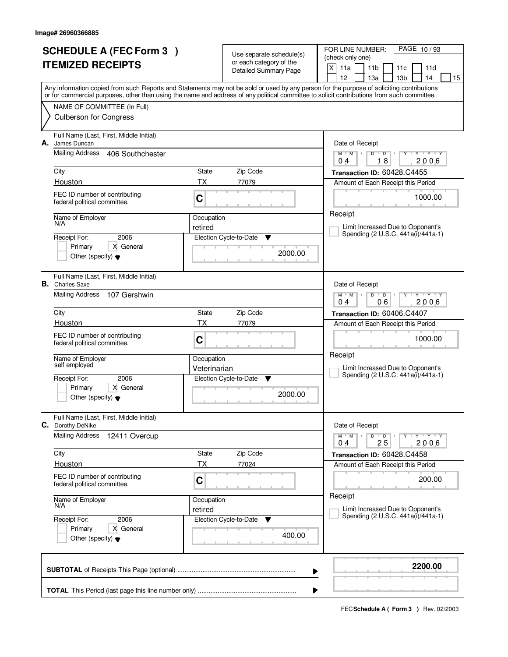| <b>SCHEDULE A (FEC Form 3)</b><br><b>ITEMIZED RECEIPTS</b>                                                                                                                                                                                                                                                                                              |                                                       | Use separate schedule(s)<br>or each category of the<br><b>Detailed Summary Page</b> | PAGE 10/93<br>FOR LINE NUMBER:<br>(check only one)<br>X<br>11a<br>11 <sub>b</sub><br>11c<br>11d<br>12<br>13a<br>13 <sub>b</sub><br>14<br>15                                                                                                                               |
|---------------------------------------------------------------------------------------------------------------------------------------------------------------------------------------------------------------------------------------------------------------------------------------------------------------------------------------------------------|-------------------------------------------------------|-------------------------------------------------------------------------------------|---------------------------------------------------------------------------------------------------------------------------------------------------------------------------------------------------------------------------------------------------------------------------|
| Any information copied from such Reports and Statements may not be sold or used by any person for the purpose of soliciting contributions<br>or for commercial purposes, other than using the name and address of any political committee to solicit contributions from such committee.<br>NAME OF COMMITTEE (In Full)<br><b>Culberson for Congress</b> |                                                       |                                                                                     |                                                                                                                                                                                                                                                                           |
| Full Name (Last, First, Middle Initial)<br>James Duncan<br>А.<br>Mailing Address<br>406 Southchester<br>City<br>Houston<br>FEC ID number of contributing<br>federal political committee.<br>Name of Employer<br>N/A<br>2006<br>Receipt For:<br>Primary<br>X General<br>Other (specify) $\blacktriangledown$                                             | State<br><b>TX</b><br>C<br>Occupation<br>retired      | Zip Code<br>77079<br>Election Cycle-to-Date<br>Y<br>2000.00                         | Date of Receipt<br>$\mathsf D$<br>$Y - Y - Y$<br>$M$ <sup>U</sup><br>$M$ /<br>D<br>18<br>2006<br>04<br>Transaction ID: 60428.C4455<br>Amount of Each Receipt this Period<br>1000.00<br>Receipt<br>Limit Increased Due to Opponent's<br>Spending (2 U.S.C. 441a(i)/441a-1) |
| Full Name (Last, First, Middle Initial)<br><b>B.</b> Charles Saxe<br><b>Mailing Address</b><br>107 Gershwin<br>City<br>Houston<br>FEC ID number of contributing<br>federal political committee.<br>Name of Employer<br>self employed<br>Receipt For:<br>2006<br>Primary<br>X General<br>Other (specify) $\blacktriangledown$                            | State<br><b>TX</b><br>C<br>Occupation<br>Veterinarian | Zip Code<br>77079<br>Election Cycle-to-Date<br>v<br>2000.00                         | Date of Receipt<br>$M$ $M$ /<br>D<br>$\overline{D}$<br>Y Y Y Y<br>06<br>2006<br>04<br>Transaction ID: 60406.C4407<br>Amount of Each Receipt this Period<br>1000.00<br>Receipt<br>Limit Increased Due to Opponent's<br>Spending (2 U.S.C. 441a(i)/441a-1)                  |
| Full Name (Last, First, Middle Initial)<br>С.<br>Dorothy DeNike<br><b>Mailing Address</b><br>12411 Overcup<br>City<br>Houston<br>FEC ID number of contributing<br>federal political committee.<br>Name of Employer<br>N/A<br>Receipt For:<br>2006<br>Primary<br>X General<br>Other (specify) $\blacktriangledown$                                       | State<br>ТX<br>C<br>Occupation<br>retired             | Zip Code<br>77024<br>Election Cycle-to-Date<br><b>V</b><br>400.00                   | Date of Receipt<br>$M^{\prime}$ M $\rightarrow$ M<br>$D$ $D$ $/$<br>Y TY TY TY<br>25<br>2006<br>04<br>Transaction ID: 60428.C4458<br>Amount of Each Receipt this Period<br>200.00<br>Receipt<br>Limit Increased Due to Opponent's<br>Spending (2 U.S.C. 441a(i)/441a-1)   |
|                                                                                                                                                                                                                                                                                                                                                         |                                                       |                                                                                     | 2200.00<br>▶                                                                                                                                                                                                                                                              |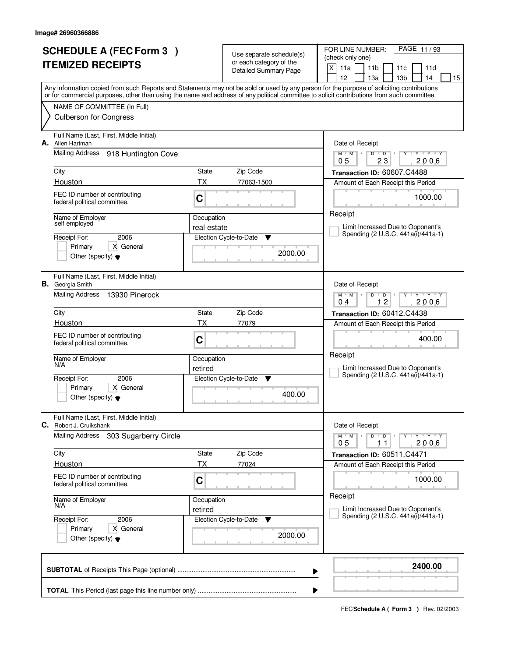| <b>SCHEDULE A (FEC Form 3)</b><br><b>ITEMIZED RECEIPTS</b>                                                                                                                                                                                                                              |             | Use separate schedule(s)<br>or each category of the | PAGE 11/93<br>FOR LINE NUMBER:<br>(check only one)                                    |
|-----------------------------------------------------------------------------------------------------------------------------------------------------------------------------------------------------------------------------------------------------------------------------------------|-------------|-----------------------------------------------------|---------------------------------------------------------------------------------------|
|                                                                                                                                                                                                                                                                                         |             | Detailed Summary Page                               | X<br>11a<br>11 <sub>b</sub><br>11d<br>11c<br>12<br>13 <sub>b</sub><br>13a<br>14<br>15 |
| Any information copied from such Reports and Statements may not be sold or used by any person for the purpose of soliciting contributions<br>or for commercial purposes, other than using the name and address of any political committee to solicit contributions from such committee. |             |                                                     |                                                                                       |
| NAME OF COMMITTEE (In Full)                                                                                                                                                                                                                                                             |             |                                                     |                                                                                       |
| <b>Culberson for Congress</b>                                                                                                                                                                                                                                                           |             |                                                     |                                                                                       |
| Full Name (Last, First, Middle Initial)<br>А.<br>Allen Hartman                                                                                                                                                                                                                          |             |                                                     | Date of Receipt                                                                       |
| Mailing Address<br>918 Huntington Cove                                                                                                                                                                                                                                                  |             |                                                     | $Y + Y + Y$<br>$M$ $M$<br>$\sqrt{ }$<br>D<br>$\overline{D}$<br>23<br>2006<br>05       |
| City                                                                                                                                                                                                                                                                                    | State       | Zip Code                                            | Transaction ID: 60607.C4488                                                           |
| Houston                                                                                                                                                                                                                                                                                 | <b>TX</b>   | 77063-1500                                          | Amount of Each Receipt this Period                                                    |
| FEC ID number of contributing<br>federal political committee.                                                                                                                                                                                                                           | C           |                                                     | 1000.00                                                                               |
| Name of Employer<br>self employed                                                                                                                                                                                                                                                       | Occupation  |                                                     | Receipt<br>Limit Increased Due to Opponent's                                          |
| 2006<br>Receipt For:                                                                                                                                                                                                                                                                    | real estate | Election Cycle-to-Date<br>Y                         | Spending (2 U.S.C. 441a(i)/441a-1)                                                    |
| X General<br>Primary                                                                                                                                                                                                                                                                    |             | 2000.00                                             |                                                                                       |
| Other (specify) $\blacktriangledown$                                                                                                                                                                                                                                                    |             |                                                     |                                                                                       |
| Full Name (Last, First, Middle Initial)<br><b>B.</b> Georgia Smith                                                                                                                                                                                                                      |             |                                                     | Date of Receipt                                                                       |
| <b>Mailing Address</b><br>13930 Pinerock                                                                                                                                                                                                                                                |             |                                                     | $Y$ $Y$ $Y$<br>$M$ $M$ /<br>D<br>$\overline{D}$<br>12<br>2006<br>04                   |
| City                                                                                                                                                                                                                                                                                    | State       | Zip Code                                            | Transaction ID: 60412.C4438                                                           |
| Houston                                                                                                                                                                                                                                                                                 | TX          | 77079                                               | Amount of Each Receipt this Period                                                    |
| FEC ID number of contributing<br>federal political committee.                                                                                                                                                                                                                           | C           |                                                     | 400.00                                                                                |
| Name of Employer<br>N/A                                                                                                                                                                                                                                                                 | Occupation  |                                                     | Receipt                                                                               |
| Receipt For:<br>2006                                                                                                                                                                                                                                                                    | retired     | Election Cycle-to-Date<br>- V                       | Limit Increased Due to Opponent's<br>Spending (2 U.S.C. 441a(i)/441a-1)               |
| Primary<br>X General                                                                                                                                                                                                                                                                    |             |                                                     |                                                                                       |
| Other (specify) $\blacktriangledown$                                                                                                                                                                                                                                                    |             | 400.00                                              |                                                                                       |
| Full Name (Last, First, Middle Initial)<br><b>C.</b> Robert J. Cruikshank                                                                                                                                                                                                               |             |                                                     | Date of Receipt                                                                       |
| <b>Mailing Address</b><br>303 Sugarberry Circle                                                                                                                                                                                                                                         |             |                                                     | $M$ $M$ /<br>D<br>$\overline{D}$<br>$Y + Y + Y$<br>2006<br>05<br>11                   |
| City                                                                                                                                                                                                                                                                                    | State       | Zip Code                                            | Transaction ID: 60511.C4471                                                           |
| Houston                                                                                                                                                                                                                                                                                 | ТX          | 77024                                               | Amount of Each Receipt this Period                                                    |
| FEC ID number of contributing<br>federal political committee.                                                                                                                                                                                                                           | C           |                                                     | 1000.00                                                                               |
| Name of Employer<br>N/A                                                                                                                                                                                                                                                                 | Occupation  |                                                     | Receipt                                                                               |
| 2006<br>Receipt For:                                                                                                                                                                                                                                                                    | retired     | Election Cycle-to-Date<br>v                         | Limit Increased Due to Opponent's<br>Spending (2 U.S.C. 441a(i)/441a-1)               |
| Primary<br>X General<br>Other (specify) $\blacktriangledown$                                                                                                                                                                                                                            |             | 2000.00                                             |                                                                                       |
|                                                                                                                                                                                                                                                                                         |             |                                                     | 2400.00<br>▶                                                                          |
|                                                                                                                                                                                                                                                                                         |             |                                                     |                                                                                       |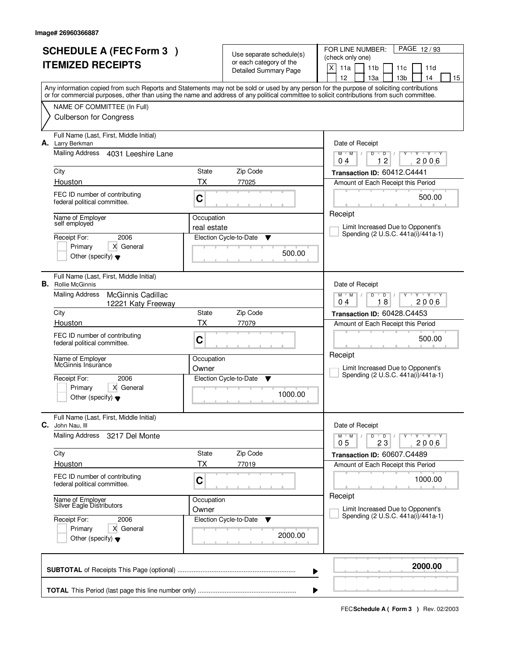|    | <b>SCHEDULE A (FEC Form 3)</b><br><b>ITEMIZED RECEIPTS</b>                                                                                                                                                                                                                              |             | Use separate schedule(s)<br>or each category of the<br><b>Detailed Summary Page</b> | PAGE 12/93<br>FOR LINE NUMBER:<br>(check only one)<br>X<br>11a<br>11 <sub>b</sub><br>11d<br>11c<br>12<br>13a<br>13 <sub>b</sub><br>14<br>15 |
|----|-----------------------------------------------------------------------------------------------------------------------------------------------------------------------------------------------------------------------------------------------------------------------------------------|-------------|-------------------------------------------------------------------------------------|---------------------------------------------------------------------------------------------------------------------------------------------|
|    | Any information copied from such Reports and Statements may not be sold or used by any person for the purpose of soliciting contributions<br>or for commercial purposes, other than using the name and address of any political committee to solicit contributions from such committee. |             |                                                                                     |                                                                                                                                             |
|    | NAME OF COMMITTEE (In Full)                                                                                                                                                                                                                                                             |             |                                                                                     |                                                                                                                                             |
|    | <b>Culberson for Congress</b>                                                                                                                                                                                                                                                           |             |                                                                                     |                                                                                                                                             |
| А. | Full Name (Last, First, Middle Initial)<br>Larry Berkman                                                                                                                                                                                                                                |             |                                                                                     | Date of Receipt                                                                                                                             |
|    | Mailing Address<br>4031 Leeshire Lane                                                                                                                                                                                                                                                   |             |                                                                                     | $\mathsf D$<br>$\overline{Y}$ $\overline{Y}$<br>$M$ <sup>U</sup><br>$M$ /<br>D<br>Y<br>12<br>2006<br>04                                     |
|    | City                                                                                                                                                                                                                                                                                    | State       | Zip Code                                                                            | Transaction ID: 60412.C4441                                                                                                                 |
|    | Houston                                                                                                                                                                                                                                                                                 | <b>TX</b>   | 77025                                                                               | Amount of Each Receipt this Period                                                                                                          |
|    | FEC ID number of contributing<br>federal political committee.                                                                                                                                                                                                                           | C           |                                                                                     | 500.00                                                                                                                                      |
|    | Name of Employer<br>self employed                                                                                                                                                                                                                                                       | Occupation  |                                                                                     | Receipt                                                                                                                                     |
|    |                                                                                                                                                                                                                                                                                         | real estate |                                                                                     | Limit Increased Due to Opponent's<br>Spending (2 U.S.C. 441a(i)/441a-1)                                                                     |
|    | 2006<br>Receipt For:<br>Primary<br>X General                                                                                                                                                                                                                                            |             | Election Cycle-to-Date<br>▼                                                         |                                                                                                                                             |
|    | Other (specify) $\blacktriangledown$                                                                                                                                                                                                                                                    |             | 500.00                                                                              |                                                                                                                                             |
|    | Full Name (Last, First, Middle Initial)<br><b>B.</b> Rollie McGinnis                                                                                                                                                                                                                    |             |                                                                                     | Date of Receipt                                                                                                                             |
|    | <b>Mailing Address</b><br>McGinnis Cadillac<br>12221 Katy Freeway                                                                                                                                                                                                                       |             |                                                                                     | $M$ $M$ /<br>D<br>$\overline{D}$<br>$\mathbf{Y} \mathbf{Y}$<br>18<br>2006<br>04                                                             |
|    | City                                                                                                                                                                                                                                                                                    | State       | Zip Code                                                                            | Transaction ID: 60428.C4453                                                                                                                 |
|    | Houston                                                                                                                                                                                                                                                                                 | <b>TX</b>   | 77079                                                                               | Amount of Each Receipt this Period                                                                                                          |
|    | FEC ID number of contributing<br>federal political committee.                                                                                                                                                                                                                           | C           |                                                                                     | 500.00                                                                                                                                      |
|    | Name of Employer<br>McGinnis Insurance                                                                                                                                                                                                                                                  | Occupation  |                                                                                     | Receipt                                                                                                                                     |
|    | 2006                                                                                                                                                                                                                                                                                    | Owner       |                                                                                     | Limit Increased Due to Opponent's<br>Spending (2 U.S.C. 441a(i)/441a-1)                                                                     |
|    | Receipt For:<br>Primary<br>X General                                                                                                                                                                                                                                                    |             | Election Cycle-to-Date<br>▼                                                         |                                                                                                                                             |
|    | Other (specify) $\blacktriangledown$                                                                                                                                                                                                                                                    |             | 1000.00                                                                             |                                                                                                                                             |
| С. | Full Name (Last, First, Middle Initial)<br>John Nau, Ill                                                                                                                                                                                                                                |             |                                                                                     | Date of Receipt                                                                                                                             |
|    | <b>Mailing Address</b><br>3217 Del Monte                                                                                                                                                                                                                                                |             |                                                                                     | $M^{\prime}$ M $\rightarrow$ M<br>$D$ $D$ $/$<br>Y TY TY TY<br>0 <sub>5</sub><br>23<br>2006                                                 |
|    | City                                                                                                                                                                                                                                                                                    | State       | Zip Code                                                                            | Transaction ID: 60607.C4489                                                                                                                 |
|    | Houston                                                                                                                                                                                                                                                                                 | ТX          | 77019                                                                               | Amount of Each Receipt this Period                                                                                                          |
|    | FEC ID number of contributing<br>federal political committee.                                                                                                                                                                                                                           | C           |                                                                                     | 1000.00                                                                                                                                     |
|    | Name of Employer<br>Silver Eagle Distributors                                                                                                                                                                                                                                           | Occupation  |                                                                                     | Receipt                                                                                                                                     |
|    |                                                                                                                                                                                                                                                                                         | Owner       |                                                                                     | Limit Increased Due to Opponent's<br>Spending (2 U.S.C. 441a(i)/441a-1)                                                                     |
|    | Receipt For:<br>2006<br>Primary<br>X General                                                                                                                                                                                                                                            |             | Election Cycle-to-Date<br>v                                                         |                                                                                                                                             |
|    | Other (specify) $\blacktriangledown$                                                                                                                                                                                                                                                    |             | 2000.00                                                                             |                                                                                                                                             |
|    |                                                                                                                                                                                                                                                                                         |             |                                                                                     | 2000.00<br>▶                                                                                                                                |
|    |                                                                                                                                                                                                                                                                                         |             |                                                                                     |                                                                                                                                             |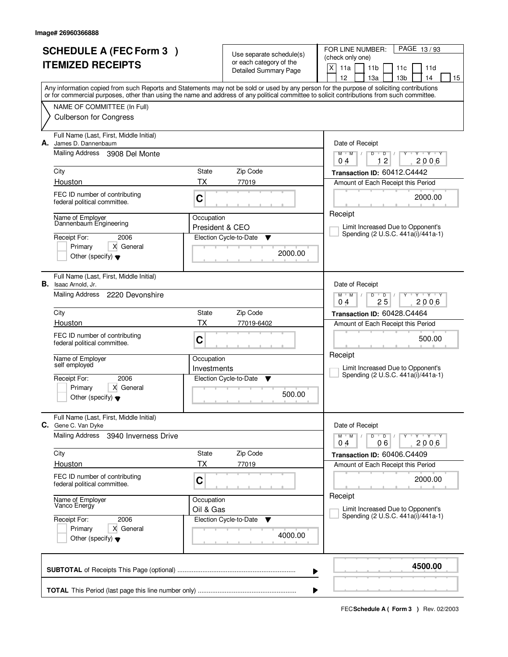|                          | <b>SCHEDULE A (FEC Form 3)</b>                                         |                 | Use separate schedule(s)                                | PAGE 13/93<br>FOR LINE NUMBER:<br>(check only one)                                                                                                                                    |  |  |  |
|--------------------------|------------------------------------------------------------------------|-----------------|---------------------------------------------------------|---------------------------------------------------------------------------------------------------------------------------------------------------------------------------------------|--|--|--|
| <b>ITEMIZED RECEIPTS</b> |                                                                        |                 | or each category of the<br><b>Detailed Summary Page</b> | X<br>11a<br>11 <sub>b</sub><br>11d<br>11c                                                                                                                                             |  |  |  |
|                          |                                                                        |                 |                                                         | 12<br>13a<br>13 <sub>b</sub><br>14<br>15<br>Any information copied from such Reports and Statements may not be sold or used by any person for the purpose of soliciting contributions |  |  |  |
|                          |                                                                        |                 |                                                         | or for commercial purposes, other than using the name and address of any political committee to solicit contributions from such committee.                                            |  |  |  |
|                          | NAME OF COMMITTEE (In Full)<br><b>Culberson for Congress</b>           |                 |                                                         |                                                                                                                                                                                       |  |  |  |
| А.                       | Full Name (Last, First, Middle Initial)<br>James D. Dannenbaum         |                 |                                                         | Date of Receipt                                                                                                                                                                       |  |  |  |
|                          | Mailing Address 3908 Del Monte                                         |                 |                                                         | $\mathbf{y}$ $\mathbf{y}$ $\mathbf{y}$ $\mathbf{y}$<br>$M$ $M$<br>$D$ $D$ $I$<br>Y<br>12<br>2006<br>0 <sub>4</sub>                                                                    |  |  |  |
|                          | City                                                                   | State           | Zip Code                                                | Transaction ID: 60412.C4442                                                                                                                                                           |  |  |  |
|                          | Houston                                                                | ТX              | 77019                                                   | Amount of Each Receipt this Period                                                                                                                                                    |  |  |  |
|                          | FEC ID number of contributing<br>federal political committee.          | C               |                                                         | 2000.00                                                                                                                                                                               |  |  |  |
|                          | Name of Employer                                                       | Occupation      |                                                         | Receipt                                                                                                                                                                               |  |  |  |
|                          | Dannenbaum Engineering                                                 | President & CEO |                                                         | Limit Increased Due to Opponent's<br>Spending (2 U.S.C. 441a(i)/441a-1)                                                                                                               |  |  |  |
|                          | Receipt For:<br>2006<br>Primary<br>X General                           |                 | Election Cycle-to-Date<br>▼                             |                                                                                                                                                                                       |  |  |  |
|                          | Other (specify) $\blacktriangledown$                                   |                 | 2000.00                                                 |                                                                                                                                                                                       |  |  |  |
|                          | Full Name (Last, First, Middle Initial)<br><b>B.</b> Isaac Arnold, Jr. |                 |                                                         | Date of Receipt                                                                                                                                                                       |  |  |  |
|                          | Mailing Address 2220 Devonshire                                        |                 |                                                         | $M$ $M$ /<br>$Y \cup Y$<br>D<br>$\overline{D}$<br>25<br>2006<br>04                                                                                                                    |  |  |  |
|                          | City                                                                   | <b>State</b>    | Zip Code                                                | Transaction ID: 60428.C4464                                                                                                                                                           |  |  |  |
|                          | Houston                                                                | ТX              | 77019-6402                                              | Amount of Each Receipt this Period                                                                                                                                                    |  |  |  |
|                          | FEC ID number of contributing<br>federal political committee.          | C               |                                                         | 500.00                                                                                                                                                                                |  |  |  |
|                          | Name of Employer                                                       | Occupation      |                                                         | Receipt                                                                                                                                                                               |  |  |  |
|                          | self employed                                                          | Investments     |                                                         | Limit Increased Due to Opponent's<br>Spending (2 U.S.C. 441a(i)/441a-1)                                                                                                               |  |  |  |
|                          | Receipt For:<br>2006<br>X General<br>Primary                           |                 | Election Cycle-to-Date<br>▼                             |                                                                                                                                                                                       |  |  |  |
|                          | Other (specify) $\blacktriangledown$                                   |                 | 500.00                                                  |                                                                                                                                                                                       |  |  |  |
|                          | Full Name (Last, First, Middle Initial)<br>C. Gene C. Van Dyke         |                 |                                                         | Date of Receipt                                                                                                                                                                       |  |  |  |
|                          | <b>Mailing Address</b><br>3940 Inverness Drive                         |                 |                                                         | $D$ $D$ $/$<br>$M$ $M$ $/$<br>$Y - Y - Y$<br>Y<br>2006<br>04<br>06                                                                                                                    |  |  |  |
|                          | City                                                                   | State           | Zip Code                                                | Transaction ID: 60406.C4409                                                                                                                                                           |  |  |  |
|                          | Houston                                                                | ТX              | 77019                                                   | Amount of Each Receipt this Period                                                                                                                                                    |  |  |  |
|                          | FEC ID number of contributing<br>federal political committee.          | C               |                                                         | 2000.00                                                                                                                                                                               |  |  |  |
|                          | Name of Employer<br>Vanco Energy                                       | Occupation      |                                                         | Receipt                                                                                                                                                                               |  |  |  |
|                          | Receipt For:<br>2006                                                   | Oil & Gas       | Election Cycle-to-Date<br>v                             | Limit Increased Due to Opponent's<br>Spending (2 U.S.C. 441a(i)/441a-1)                                                                                                               |  |  |  |
|                          | Primary<br>X General<br>Other (specify) $\blacktriangledown$           |                 | 4000.00                                                 |                                                                                                                                                                                       |  |  |  |
|                          |                                                                        |                 |                                                         |                                                                                                                                                                                       |  |  |  |
|                          |                                                                        |                 |                                                         | 4500.00<br>▶                                                                                                                                                                          |  |  |  |
|                          |                                                                        |                 |                                                         |                                                                                                                                                                                       |  |  |  |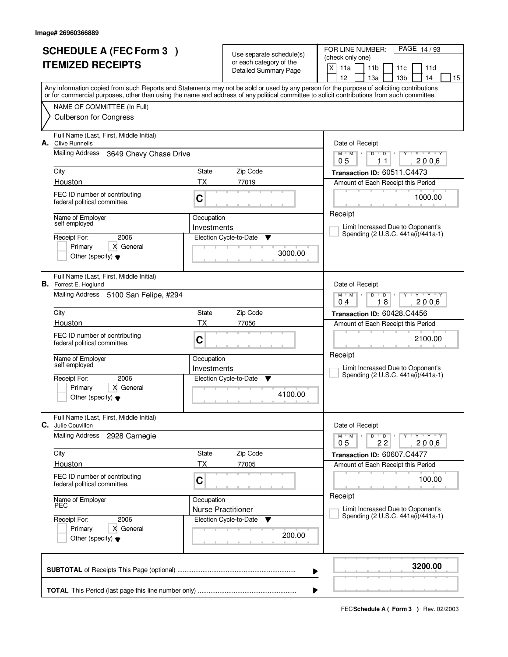|    | <b>SCHEDULE A (FEC Form 3)</b>                                          |                               | Use separate schedule(s)                                | FOR LINE NUMBER:<br>PAGE 14/93<br>(check only one)                                                                                                                                                                                                                                      |
|----|-------------------------------------------------------------------------|-------------------------------|---------------------------------------------------------|-----------------------------------------------------------------------------------------------------------------------------------------------------------------------------------------------------------------------------------------------------------------------------------------|
|    | <b>ITEMIZED RECEIPTS</b>                                                |                               | or each category of the<br><b>Detailed Summary Page</b> | X<br>11a<br>11 <sub>b</sub><br>11d<br>11c<br>12<br>13 <sub>b</sub><br>13a<br>14<br>15                                                                                                                                                                                                   |
|    |                                                                         |                               |                                                         | Any information copied from such Reports and Statements may not be sold or used by any person for the purpose of soliciting contributions<br>or for commercial purposes, other than using the name and address of any political committee to solicit contributions from such committee. |
|    | NAME OF COMMITTEE (In Full)                                             |                               |                                                         |                                                                                                                                                                                                                                                                                         |
|    | <b>Culberson for Congress</b>                                           |                               |                                                         |                                                                                                                                                                                                                                                                                         |
| А. | Full Name (Last, First, Middle Initial)<br><b>Clive Runnells</b>        |                               |                                                         | Date of Receipt                                                                                                                                                                                                                                                                         |
|    | Mailing Address<br>3649 Chevy Chase Drive                               |                               |                                                         | $Y - Y - Y$<br>$M$ $M$ /<br>D<br>D<br>2006<br>05<br>11                                                                                                                                                                                                                                  |
|    | City                                                                    | State                         | Zip Code                                                | Transaction ID: 60511.C4473                                                                                                                                                                                                                                                             |
|    | Houston                                                                 | <b>TX</b>                     | 77019                                                   | Amount of Each Receipt this Period                                                                                                                                                                                                                                                      |
|    | FEC ID number of contributing<br>federal political committee.           | C                             |                                                         | 1000.00                                                                                                                                                                                                                                                                                 |
|    | Name of Employer<br>self employed                                       | Occupation<br>Investments     |                                                         | Receipt<br>Limit Increased Due to Opponent's                                                                                                                                                                                                                                            |
|    | 2006<br>Receipt For:                                                    |                               | Election Cycle-to-Date<br>Y                             | Spending (2 U.S.C. 441a(i)/441a-1)                                                                                                                                                                                                                                                      |
|    | X General<br>Primary<br>Other (specify) $\blacktriangledown$            |                               | 3000.00                                                 |                                                                                                                                                                                                                                                                                         |
|    |                                                                         |                               |                                                         |                                                                                                                                                                                                                                                                                         |
|    | Full Name (Last, First, Middle Initial)<br><b>B.</b> Forrest E. Hoglund |                               |                                                         | Date of Receipt                                                                                                                                                                                                                                                                         |
|    | Mailing Address 5100 San Felipe, #294                                   |                               |                                                         | $Y$ $Y$ $Y$<br>$M$ $M$ /<br>D<br>$\overline{D}$<br>18<br>2006<br>04                                                                                                                                                                                                                     |
|    | City                                                                    | State                         | Zip Code                                                | Transaction ID: 60428.C4456                                                                                                                                                                                                                                                             |
|    | Houston                                                                 | TX                            | 77056                                                   | Amount of Each Receipt this Period                                                                                                                                                                                                                                                      |
|    | FEC ID number of contributing<br>federal political committee.           | C                             |                                                         | 2100.00                                                                                                                                                                                                                                                                                 |
|    | Name of Employer                                                        | Occupation                    |                                                         | Receipt                                                                                                                                                                                                                                                                                 |
|    | self employed                                                           | Investments                   |                                                         | Limit Increased Due to Opponent's<br>Spending (2 U.S.C. 441a(i)/441a-1)                                                                                                                                                                                                                 |
|    | Receipt For:<br>2006                                                    | Election Cycle-to-Date<br>- V |                                                         |                                                                                                                                                                                                                                                                                         |
|    | Primary<br>X General<br>Other (specify) $\blacktriangledown$            |                               | 4100.00                                                 |                                                                                                                                                                                                                                                                                         |
| С. | Full Name (Last, First, Middle Initial)<br>Julie Couvillon              |                               |                                                         | Date of Receipt                                                                                                                                                                                                                                                                         |
|    | <b>Mailing Address</b><br>2928 Carnegie                                 |                               |                                                         | $M$ $M$ $/$<br>D<br>$Y + Y + Y$<br>$\overline{D}$<br>2006<br>05<br>22                                                                                                                                                                                                                   |
|    | City                                                                    | State                         | Zip Code                                                | Transaction ID: 60607.C4477                                                                                                                                                                                                                                                             |
|    | Houston                                                                 | ТX                            | 77005                                                   | Amount of Each Receipt this Period                                                                                                                                                                                                                                                      |
|    | FEC ID number of contributing<br>federal political committee.           | C                             |                                                         | 100.00                                                                                                                                                                                                                                                                                  |
|    | Name of Employer<br>PEC                                                 | Occupation                    |                                                         | Receipt                                                                                                                                                                                                                                                                                 |
|    | 2006<br>Receipt For:                                                    | <b>Nurse Practitioner</b>     | Election Cycle-to-Date<br>▼                             | Limit Increased Due to Opponent's<br>Spending (2 U.S.C. 441a(i)/441a-1)                                                                                                                                                                                                                 |
|    | Primary<br>X General<br>Other (specify) $\blacktriangledown$            |                               | 200.00                                                  |                                                                                                                                                                                                                                                                                         |
|    |                                                                         |                               |                                                         | 3200.00<br>▶                                                                                                                                                                                                                                                                            |
|    |                                                                         |                               |                                                         |                                                                                                                                                                                                                                                                                         |
|    |                                                                         |                               |                                                         |                                                                                                                                                                                                                                                                                         |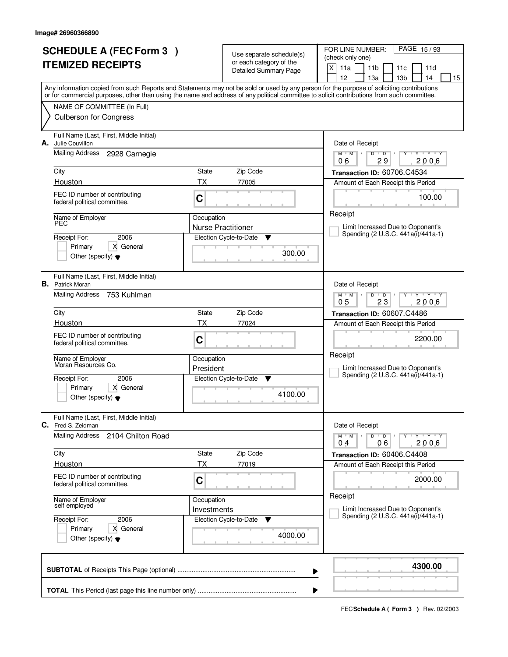|                          | <b>SCHEDULE A (FEC Form 3)</b>                                     |                                         | Use separate schedule(s)     | FOR LINE NUMBER:<br>PAGE 15/93                                                                                                             |
|--------------------------|--------------------------------------------------------------------|-----------------------------------------|------------------------------|--------------------------------------------------------------------------------------------------------------------------------------------|
| <b>ITEMIZED RECEIPTS</b> |                                                                    |                                         | or each category of the      | (check only one)                                                                                                                           |
|                          |                                                                    |                                         | <b>Detailed Summary Page</b> | X<br>11a<br>11 <sub>b</sub><br>11d<br>11c<br>12<br>13 <sub>b</sub><br>13a<br>14<br>15                                                      |
|                          |                                                                    |                                         |                              | Any information copied from such Reports and Statements may not be sold or used by any person for the purpose of soliciting contributions  |
|                          |                                                                    |                                         |                              | or for commercial purposes, other than using the name and address of any political committee to solicit contributions from such committee. |
|                          | NAME OF COMMITTEE (In Full)                                        |                                         |                              |                                                                                                                                            |
|                          | <b>Culberson for Congress</b>                                      |                                         |                              |                                                                                                                                            |
|                          | Full Name (Last, First, Middle Initial)                            |                                         |                              |                                                                                                                                            |
| А.                       | Julie Couvillon<br>Mailing Address<br>2928 Carnegie                |                                         |                              | Date of Receipt<br>$\overline{Y}$ $\overline{Y}$ $\overline{Y}$<br>$M$ <sup>U</sup><br>M<br>$\sqrt{2}$<br>D<br>$\overline{D}$<br>Y         |
|                          |                                                                    |                                         |                              | 29<br>2006<br>06                                                                                                                           |
|                          | City                                                               | State                                   | Zip Code                     | Transaction ID: 60706.C4534                                                                                                                |
|                          | Houston                                                            | ТX                                      | 77005                        | Amount of Each Receipt this Period                                                                                                         |
|                          | FEC ID number of contributing<br>federal political committee.      | C                                       |                              | 100.00                                                                                                                                     |
|                          |                                                                    |                                         |                              | Receipt                                                                                                                                    |
|                          | Name of Employer<br>PEC                                            | Occupation<br><b>Nurse Practitioner</b> |                              | Limit Increased Due to Opponent's                                                                                                          |
|                          | 2006<br>Receipt For:                                               |                                         | Election Cycle-to-Date<br>▼  | Spending (2 U.S.C. 441a(i)/441a-1)                                                                                                         |
|                          | X General<br>Primary                                               |                                         |                              |                                                                                                                                            |
|                          | Other (specify) $\blacktriangledown$                               |                                         | 300.00                       |                                                                                                                                            |
|                          |                                                                    |                                         |                              |                                                                                                                                            |
|                          | Full Name (Last, First, Middle Initial)<br><b>B.</b> Patrick Moran |                                         |                              | Date of Receipt                                                                                                                            |
|                          | Mailing Address<br>753 Kuhlman                                     |                                         |                              | $M$ $M$ /<br>$\overline{D}$<br>$\mathbf{Y} \mathbf{Y}$<br>D<br>Y                                                                           |
|                          |                                                                    |                                         |                              | 0 <sub>5</sub><br>23<br>2006                                                                                                               |
|                          | City<br>Houston                                                    | State<br>TX                             | Zip Code<br>77024            | Transaction ID: 60607.C4486                                                                                                                |
|                          |                                                                    |                                         |                              | Amount of Each Receipt this Period                                                                                                         |
|                          | FEC ID number of contributing<br>federal political committee.      | C                                       |                              | 2200.00                                                                                                                                    |
|                          | Name of Employer                                                   | Occupation                              |                              | Receipt                                                                                                                                    |
|                          | Moran Resources Co.                                                | President                               |                              | Limit Increased Due to Opponent's                                                                                                          |
|                          | Receipt For:<br>2006                                               |                                         | Election Cycle-to-Date<br>▼  | Spending (2 U.S.C. 441a(i)/441a-1)                                                                                                         |
|                          | Primary<br>X General                                               |                                         | 4100.00                      |                                                                                                                                            |
|                          | Other (specify) $\blacktriangledown$                               |                                         |                              |                                                                                                                                            |
|                          | Full Name (Last, First, Middle Initial)                            |                                         |                              |                                                                                                                                            |
| C.                       | Fred S. Zeidman                                                    |                                         |                              | Date of Receipt                                                                                                                            |
|                          | <b>Mailing Address</b><br>2104 Chilton Road                        |                                         |                              | $D$ $D$<br>$M$ $M$ $/$<br>$Y + Y + Y$<br>$\prime$<br>2006<br>04<br>06                                                                      |
|                          | City                                                               | State                                   | Zip Code                     | Transaction ID: 60406.C4408                                                                                                                |
|                          | Houston                                                            | ТX                                      | 77019                        | Amount of Each Receipt this Period                                                                                                         |
|                          | FEC ID number of contributing                                      | C                                       |                              | 2000.00                                                                                                                                    |
|                          | federal political committee.                                       |                                         |                              |                                                                                                                                            |
|                          | Name of Employer<br>self employed                                  | Occupation                              |                              | Receipt                                                                                                                                    |
|                          |                                                                    | Investments                             |                              | Limit Increased Due to Opponent's<br>Spending (2 U.S.C. 441a(i)/441a-1)                                                                    |
|                          | 2006<br>Receipt For:<br>Primary<br>X General                       |                                         | Election Cycle-to-Date<br>v  |                                                                                                                                            |
|                          | Other (specify) $\blacktriangledown$                               |                                         | 4000.00                      |                                                                                                                                            |
|                          |                                                                    |                                         |                              |                                                                                                                                            |
|                          |                                                                    |                                         |                              | 4300.00                                                                                                                                    |
|                          |                                                                    |                                         |                              | ▶                                                                                                                                          |
|                          |                                                                    |                                         |                              |                                                                                                                                            |
|                          |                                                                    |                                         |                              |                                                                                                                                            |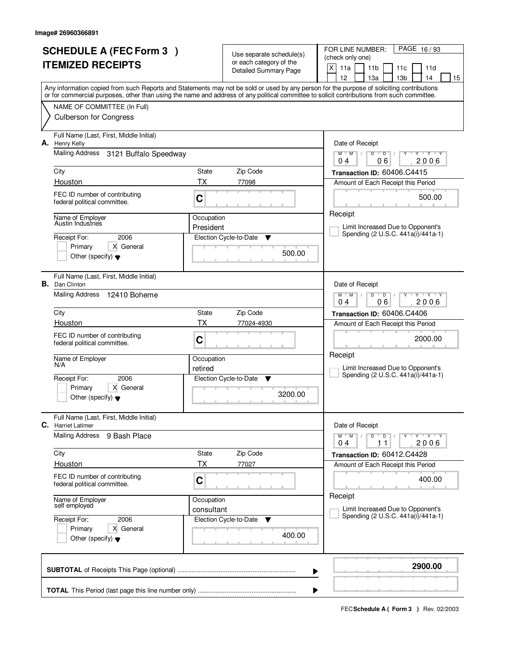| <b>SCHEDULE A (FEC Form 3)</b><br><b>ITEMIZED RECEIPTS</b> |                                                                   |                         | Use separate schedule(s)<br>or each category of the | FOR LINE NUMBER:<br>PAGE 16/93<br>(check only one)<br>X<br>11a<br>11 <sub>b</sub><br>11d<br>11c                                                                                                                                                                                         |  |  |  |
|------------------------------------------------------------|-------------------------------------------------------------------|-------------------------|-----------------------------------------------------|-----------------------------------------------------------------------------------------------------------------------------------------------------------------------------------------------------------------------------------------------------------------------------------------|--|--|--|
|                                                            |                                                                   |                         | Detailed Summary Page                               | 12<br>13 <sub>b</sub><br>13a<br>14<br>15                                                                                                                                                                                                                                                |  |  |  |
|                                                            |                                                                   |                         |                                                     | Any information copied from such Reports and Statements may not be sold or used by any person for the purpose of soliciting contributions<br>or for commercial purposes, other than using the name and address of any political committee to solicit contributions from such committee. |  |  |  |
|                                                            | NAME OF COMMITTEE (In Full)                                       |                         |                                                     |                                                                                                                                                                                                                                                                                         |  |  |  |
|                                                            | <b>Culberson for Congress</b>                                     |                         |                                                     |                                                                                                                                                                                                                                                                                         |  |  |  |
| А.                                                         | Full Name (Last, First, Middle Initial)<br><b>Henry Kelly</b>     |                         |                                                     | Date of Receipt                                                                                                                                                                                                                                                                         |  |  |  |
|                                                            | <b>Mailing Address</b><br>3121 Buffalo Speedway                   |                         |                                                     | $Y + Y + Y$<br>$M$ $M$ /<br>D<br>$\overline{D}$<br>06<br>2006<br>04                                                                                                                                                                                                                     |  |  |  |
|                                                            | City                                                              | State                   | Zip Code                                            | Transaction ID: 60406.C4415                                                                                                                                                                                                                                                             |  |  |  |
|                                                            | Houston                                                           | <b>TX</b>               | 77098                                               | Amount of Each Receipt this Period                                                                                                                                                                                                                                                      |  |  |  |
|                                                            | FEC ID number of contributing<br>federal political committee.     | C                       |                                                     | 500.00                                                                                                                                                                                                                                                                                  |  |  |  |
|                                                            | Name of Employer<br>Austin Industries                             | Occupation<br>President |                                                     | Receipt<br>Limit Increased Due to Opponent's                                                                                                                                                                                                                                            |  |  |  |
|                                                            | Receipt For:<br>2006                                              |                         | Election Cycle-to-Date<br>Y                         | Spending (2 U.S.C. 441a(i)/441a-1)                                                                                                                                                                                                                                                      |  |  |  |
|                                                            | X General<br>Primary                                              |                         |                                                     |                                                                                                                                                                                                                                                                                         |  |  |  |
|                                                            | Other (specify) $\blacktriangledown$                              |                         | 500.00                                              |                                                                                                                                                                                                                                                                                         |  |  |  |
|                                                            | Full Name (Last, First, Middle Initial)<br><b>B.</b> Dan Clinton  |                         |                                                     | Date of Receipt                                                                                                                                                                                                                                                                         |  |  |  |
|                                                            | Mailing Address<br>12410 Boheme                                   |                         |                                                     | $Y$ $Y$ $Y$<br>$M$ $M$ /<br>D<br>$\overline{D}$<br>06<br>2006<br>04                                                                                                                                                                                                                     |  |  |  |
|                                                            | City                                                              | State                   | Zip Code                                            | Transaction ID: 60406.C4406                                                                                                                                                                                                                                                             |  |  |  |
|                                                            | Houston                                                           | TX                      | 77024-4930                                          | Amount of Each Receipt this Period                                                                                                                                                                                                                                                      |  |  |  |
|                                                            | FEC ID number of contributing<br>federal political committee.     | C                       |                                                     | 2000.00                                                                                                                                                                                                                                                                                 |  |  |  |
|                                                            | Name of Employer<br>N/A                                           | Occupation              |                                                     | Receipt                                                                                                                                                                                                                                                                                 |  |  |  |
|                                                            | Receipt For:<br>2006                                              | retired                 | Election Cycle-to-Date<br>- V                       | Limit Increased Due to Opponent's<br>Spending (2 U.S.C. 441a(i)/441a-1)                                                                                                                                                                                                                 |  |  |  |
|                                                            | Primary<br>X General                                              |                         |                                                     |                                                                                                                                                                                                                                                                                         |  |  |  |
|                                                            | Other (specify) $\blacktriangledown$                              |                         | 3200.00                                             |                                                                                                                                                                                                                                                                                         |  |  |  |
| С.                                                         | Full Name (Last, First, Middle Initial)<br><b>Harriet Latimer</b> |                         |                                                     | Date of Receipt                                                                                                                                                                                                                                                                         |  |  |  |
|                                                            | Mailing Address<br>9 Bash Place                                   |                         |                                                     | $M$ $M$ $M$<br>D<br>$\overline{D}$<br>$Y + Y + Y$<br>2006<br>04<br>11                                                                                                                                                                                                                   |  |  |  |
|                                                            | City                                                              | State                   | Zip Code                                            | Transaction ID: 60412.C4428                                                                                                                                                                                                                                                             |  |  |  |
|                                                            | Houston                                                           | ТX                      | 77027                                               | Amount of Each Receipt this Period                                                                                                                                                                                                                                                      |  |  |  |
|                                                            | FEC ID number of contributing<br>federal political committee.     | C                       |                                                     | 400.00                                                                                                                                                                                                                                                                                  |  |  |  |
|                                                            | Name of Employer<br>self employed                                 | Occupation              |                                                     | Receipt                                                                                                                                                                                                                                                                                 |  |  |  |
|                                                            | Receipt For:<br>2006                                              | consultant              | Election Cycle-to-Date<br>v                         | Limit Increased Due to Opponent's<br>Spending (2 U.S.C. 441a(i)/441a-1)                                                                                                                                                                                                                 |  |  |  |
|                                                            | Primary<br>X General                                              |                         |                                                     |                                                                                                                                                                                                                                                                                         |  |  |  |
|                                                            | Other (specify) $\blacktriangledown$                              |                         | 400.00                                              |                                                                                                                                                                                                                                                                                         |  |  |  |
|                                                            |                                                                   |                         |                                                     | 2900.00<br>▶                                                                                                                                                                                                                                                                            |  |  |  |
|                                                            |                                                                   |                         |                                                     |                                                                                                                                                                                                                                                                                         |  |  |  |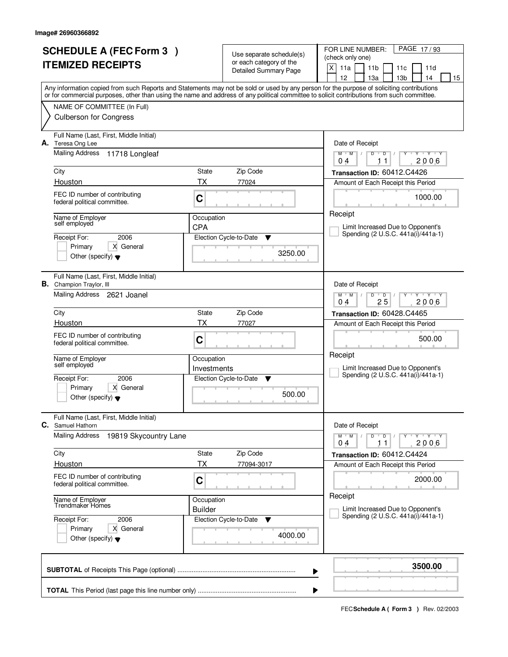| <b>SCHEDULE A (FEC Form 3)</b>                                                                                                                                                                                                                                                          |                |                                                     | FOR LINE NUMBER:<br>PAGE 17/93                                          |  |  |
|-----------------------------------------------------------------------------------------------------------------------------------------------------------------------------------------------------------------------------------------------------------------------------------------|----------------|-----------------------------------------------------|-------------------------------------------------------------------------|--|--|
|                                                                                                                                                                                                                                                                                         |                | Use separate schedule(s)<br>or each category of the | (check only one)                                                        |  |  |
| <b>ITEMIZED RECEIPTS</b>                                                                                                                                                                                                                                                                |                | <b>Detailed Summary Page</b>                        | X<br>11a<br>11 <sub>b</sub><br>11d<br>11c                               |  |  |
|                                                                                                                                                                                                                                                                                         |                |                                                     | 12<br>13 <sub>b</sub><br>13a<br>14<br>15                                |  |  |
| Any information copied from such Reports and Statements may not be sold or used by any person for the purpose of soliciting contributions<br>or for commercial purposes, other than using the name and address of any political committee to solicit contributions from such committee. |                |                                                     |                                                                         |  |  |
|                                                                                                                                                                                                                                                                                         |                |                                                     |                                                                         |  |  |
| NAME OF COMMITTEE (In Full)                                                                                                                                                                                                                                                             |                |                                                     |                                                                         |  |  |
| <b>Culberson for Congress</b>                                                                                                                                                                                                                                                           |                |                                                     |                                                                         |  |  |
| Full Name (Last, First, Middle Initial)                                                                                                                                                                                                                                                 |                |                                                     |                                                                         |  |  |
| А.<br>Teresa Ong Lee                                                                                                                                                                                                                                                                    |                |                                                     | Date of Receipt                                                         |  |  |
| <b>Mailing Address</b><br>11718 Longleaf                                                                                                                                                                                                                                                |                |                                                     | $Y - Y - Y$<br>$M$ $M$ /<br>D<br>$\overline{D}$<br>2006<br>04<br>11     |  |  |
| City                                                                                                                                                                                                                                                                                    | State          | Zip Code                                            |                                                                         |  |  |
| Houston                                                                                                                                                                                                                                                                                 | <b>TX</b>      | 77024                                               | Transaction ID: 60412.C4426                                             |  |  |
|                                                                                                                                                                                                                                                                                         |                |                                                     | Amount of Each Receipt this Period                                      |  |  |
| FEC ID number of contributing<br>federal political committee.                                                                                                                                                                                                                           | C              |                                                     | 1000.00                                                                 |  |  |
|                                                                                                                                                                                                                                                                                         |                |                                                     | Receipt                                                                 |  |  |
| Name of Employer<br>self employed                                                                                                                                                                                                                                                       | Occupation     |                                                     |                                                                         |  |  |
|                                                                                                                                                                                                                                                                                         | <b>CPA</b>     |                                                     | Limit Increased Due to Opponent's<br>Spending (2 U.S.C. 441a(i)/441a-1) |  |  |
| 2006<br>Receipt For:<br>X General                                                                                                                                                                                                                                                       |                | Election Cycle-to-Date<br>Y                         |                                                                         |  |  |
| Primary<br>Other (specify) $\blacktriangledown$                                                                                                                                                                                                                                         |                | 3250.00                                             |                                                                         |  |  |
|                                                                                                                                                                                                                                                                                         |                |                                                     |                                                                         |  |  |
| Full Name (Last, First, Middle Initial)                                                                                                                                                                                                                                                 |                |                                                     |                                                                         |  |  |
| <b>B.</b> Champion Traylor, III                                                                                                                                                                                                                                                         |                |                                                     | Date of Receipt                                                         |  |  |
| Mailing Address 2621 Joanel                                                                                                                                                                                                                                                             |                |                                                     | $Y$ $Y$ $Y$<br>$M$ $M$ /<br>D<br>$\overline{D}$                         |  |  |
|                                                                                                                                                                                                                                                                                         |                |                                                     | 25<br>2006<br>04                                                        |  |  |
| City                                                                                                                                                                                                                                                                                    | State          | Zip Code                                            | Transaction ID: 60428.C4465                                             |  |  |
| Houston                                                                                                                                                                                                                                                                                 | TX             | 77027                                               | Amount of Each Receipt this Period                                      |  |  |
| FEC ID number of contributing<br>federal political committee.                                                                                                                                                                                                                           | C              |                                                     | 500.00                                                                  |  |  |
|                                                                                                                                                                                                                                                                                         |                |                                                     |                                                                         |  |  |
| Name of Employer<br>self employed                                                                                                                                                                                                                                                       | Occupation     |                                                     | Receipt                                                                 |  |  |
|                                                                                                                                                                                                                                                                                         | Investments    |                                                     | Limit Increased Due to Opponent's<br>Spending (2 U.S.C. 441a(i)/441a-1) |  |  |
| Receipt For:<br>2006                                                                                                                                                                                                                                                                    |                | Election Cycle-to-Date<br>- V                       |                                                                         |  |  |
| Primary<br>X General<br>Other (specify) $\blacktriangledown$                                                                                                                                                                                                                            |                | 500.00                                              |                                                                         |  |  |
|                                                                                                                                                                                                                                                                                         |                |                                                     |                                                                         |  |  |
| Full Name (Last, First, Middle Initial)                                                                                                                                                                                                                                                 |                |                                                     |                                                                         |  |  |
| С.<br>Samuel Hathorn                                                                                                                                                                                                                                                                    |                |                                                     | Date of Receipt                                                         |  |  |
| <b>Mailing Address</b><br>19819 Skycountry Lane                                                                                                                                                                                                                                         |                |                                                     | $M$ $M$ $M$<br>D<br>$\overline{D}$<br>$Y + Y + Y$                       |  |  |
|                                                                                                                                                                                                                                                                                         |                |                                                     | 2006<br>04<br>11                                                        |  |  |
| City                                                                                                                                                                                                                                                                                    | State          | Zip Code                                            | Transaction ID: 60412.C4424                                             |  |  |
| Houston                                                                                                                                                                                                                                                                                 | ТX             | 77094-3017                                          | Amount of Each Receipt this Period                                      |  |  |
| FEC ID number of contributing<br>federal political committee.                                                                                                                                                                                                                           | C              |                                                     | 2000.00                                                                 |  |  |
|                                                                                                                                                                                                                                                                                         |                |                                                     |                                                                         |  |  |
| Name of Employer<br>Trendmaker Homes                                                                                                                                                                                                                                                    | Occupation     |                                                     | Receipt                                                                 |  |  |
|                                                                                                                                                                                                                                                                                         | <b>Builder</b> |                                                     | Limit Increased Due to Opponent's<br>Spending (2 U.S.C. 441a(i)/441a-1) |  |  |
| Receipt For:<br>2006                                                                                                                                                                                                                                                                    |                | Election Cycle-to-Date<br>v                         |                                                                         |  |  |
| Primary<br>X General                                                                                                                                                                                                                                                                    |                | 4000.00                                             |                                                                         |  |  |
| Other (specify) $\blacktriangledown$                                                                                                                                                                                                                                                    |                |                                                     |                                                                         |  |  |
|                                                                                                                                                                                                                                                                                         |                |                                                     |                                                                         |  |  |
|                                                                                                                                                                                                                                                                                         |                |                                                     | 3500.00                                                                 |  |  |
|                                                                                                                                                                                                                                                                                         |                |                                                     | ▶                                                                       |  |  |
|                                                                                                                                                                                                                                                                                         |                |                                                     |                                                                         |  |  |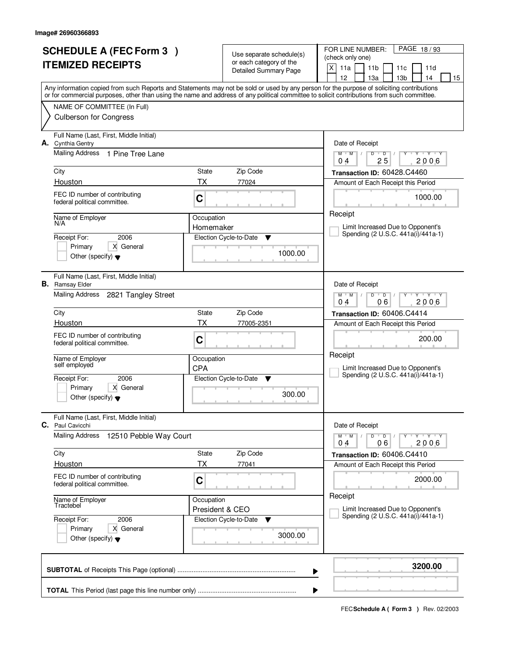|                          | <b>SCHEDULE A (FEC Form 3)</b>                                    |                 |                                                     | FOR LINE NUMBER:<br>PAGE 18/93                                                                                                                                                        |  |  |
|--------------------------|-------------------------------------------------------------------|-----------------|-----------------------------------------------------|---------------------------------------------------------------------------------------------------------------------------------------------------------------------------------------|--|--|
| <b>ITEMIZED RECEIPTS</b> |                                                                   |                 | Use separate schedule(s)<br>or each category of the | (check only one)                                                                                                                                                                      |  |  |
|                          |                                                                   |                 | Detailed Summary Page                               | X<br>11a<br>11 <sub>b</sub><br>11d<br>11c                                                                                                                                             |  |  |
|                          |                                                                   |                 |                                                     | 12<br>13 <sub>b</sub><br>13a<br>14<br>15<br>Any information copied from such Reports and Statements may not be sold or used by any person for the purpose of soliciting contributions |  |  |
|                          |                                                                   |                 |                                                     | or for commercial purposes, other than using the name and address of any political committee to solicit contributions from such committee.                                            |  |  |
|                          | NAME OF COMMITTEE (In Full)                                       |                 |                                                     |                                                                                                                                                                                       |  |  |
|                          | <b>Culberson for Congress</b>                                     |                 |                                                     |                                                                                                                                                                                       |  |  |
|                          | Full Name (Last, First, Middle Initial)<br>A. Cynthia Gentry      |                 |                                                     | Date of Receipt                                                                                                                                                                       |  |  |
|                          | Mailing Address<br>1 Pine Tree Lane                               |                 |                                                     | $Y + Y + Y$<br>$M$ $M$ /<br>D<br>$\overline{D}$<br>25<br>2006<br>04                                                                                                                   |  |  |
|                          | City                                                              | State           | Zip Code                                            | Transaction ID: 60428.C4460                                                                                                                                                           |  |  |
|                          | Houston                                                           | <b>TX</b>       | 77024                                               | Amount of Each Receipt this Period                                                                                                                                                    |  |  |
|                          | FEC ID number of contributing<br>federal political committee.     | C               |                                                     | 1000.00                                                                                                                                                                               |  |  |
|                          | Name of Employer                                                  | Occupation      |                                                     | Receipt                                                                                                                                                                               |  |  |
|                          | N/A                                                               | Homemaker       |                                                     | Limit Increased Due to Opponent's<br>Spending (2 U.S.C. 441a(i)/441a-1)                                                                                                               |  |  |
|                          | 2006<br>Receipt For:                                              |                 | Election Cycle-to-Date<br>Y                         |                                                                                                                                                                                       |  |  |
|                          | X General<br>Primary<br>Other (specify) $\blacktriangledown$      |                 | 1000.00                                             |                                                                                                                                                                                       |  |  |
|                          |                                                                   |                 |                                                     |                                                                                                                                                                                       |  |  |
|                          | Full Name (Last, First, Middle Initial)<br><b>B.</b> Ramsay Elder |                 |                                                     | Date of Receipt                                                                                                                                                                       |  |  |
|                          | Mailing Address<br>2821 Tangley Street                            |                 |                                                     | $Y$ $Y$ $Y$<br>$M$ $M$ /<br>D<br>$\overline{D}$<br>06<br>2006<br>04                                                                                                                   |  |  |
|                          | City                                                              | State           | Zip Code                                            | Transaction ID: 60406.C4414                                                                                                                                                           |  |  |
|                          | Houston                                                           | TX              | 77005-2351                                          | Amount of Each Receipt this Period                                                                                                                                                    |  |  |
|                          | FEC ID number of contributing                                     |                 |                                                     |                                                                                                                                                                                       |  |  |
|                          | federal political committee.                                      | C               |                                                     | 200.00                                                                                                                                                                                |  |  |
|                          | Name of Employer                                                  | Occupation      |                                                     | Receipt                                                                                                                                                                               |  |  |
|                          | self employed                                                     | <b>CPA</b>      |                                                     | Limit Increased Due to Opponent's                                                                                                                                                     |  |  |
|                          | Receipt For:<br>2006                                              |                 | Election Cycle-to-Date<br>- V                       | Spending (2 U.S.C. 441a(i)/441a-1)                                                                                                                                                    |  |  |
|                          | Primary<br>X General                                              |                 |                                                     |                                                                                                                                                                                       |  |  |
|                          | Other (specify) $\blacktriangledown$                              |                 | 300.00                                              |                                                                                                                                                                                       |  |  |
|                          | Full Name (Last, First, Middle Initial)<br>C. Paul Cavicchi       |                 |                                                     | Date of Receipt                                                                                                                                                                       |  |  |
|                          | Mailing Address<br>12510 Pebble Way Court                         |                 |                                                     | $M$ $M$ $M$<br>D<br>$\overline{D}$<br>$Y + Y + Y$<br>06<br>2006<br>04                                                                                                                 |  |  |
|                          | City                                                              | State           | Zip Code                                            | Transaction ID: 60406.C4410                                                                                                                                                           |  |  |
|                          | Houston                                                           | ТX              | 77041                                               | Amount of Each Receipt this Period                                                                                                                                                    |  |  |
|                          | FEC ID number of contributing                                     | C               |                                                     | 2000.00                                                                                                                                                                               |  |  |
|                          | federal political committee.                                      |                 |                                                     |                                                                                                                                                                                       |  |  |
|                          | Name of Employer<br>Tractebel                                     | Occupation      |                                                     | Receipt                                                                                                                                                                               |  |  |
|                          |                                                                   | President & CEO |                                                     | Limit Increased Due to Opponent's<br>Spending (2 U.S.C. 441a(i)/441a-1)                                                                                                               |  |  |
|                          | 2006<br>Receipt For:<br>Primary<br>X General                      |                 | Election Cycle-to-Date<br>v                         |                                                                                                                                                                                       |  |  |
|                          | Other (specify) $\blacktriangledown$                              |                 | 3000.00                                             |                                                                                                                                                                                       |  |  |
|                          |                                                                   |                 |                                                     | 3200.00                                                                                                                                                                               |  |  |
|                          |                                                                   |                 |                                                     | ▶                                                                                                                                                                                     |  |  |
|                          |                                                                   |                 |                                                     |                                                                                                                                                                                       |  |  |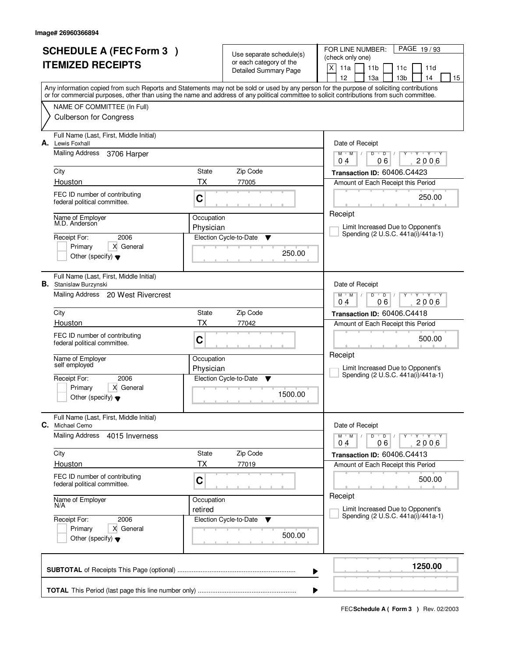| <b>SCHEDULE A (FEC Form 3)</b><br><b>ITEMIZED RECEIPTS</b> |                                                                                    |                         | Use separate schedule(s)<br>or each category of the<br><b>Detailed Summary Page</b> | PAGE 19/93<br>FOR LINE NUMBER:<br>(check only one)<br>X<br>11a<br>11 <sub>b</sub><br>11d<br>11c                                                                                                                                                                                                                                     |
|------------------------------------------------------------|------------------------------------------------------------------------------------|-------------------------|-------------------------------------------------------------------------------------|-------------------------------------------------------------------------------------------------------------------------------------------------------------------------------------------------------------------------------------------------------------------------------------------------------------------------------------|
|                                                            |                                                                                    |                         |                                                                                     | 12<br>13a<br>13 <sub>b</sub><br>14<br>15<br>Any information copied from such Reports and Statements may not be sold or used by any person for the purpose of soliciting contributions<br>or for commercial purposes, other than using the name and address of any political committee to solicit contributions from such committee. |
|                                                            | NAME OF COMMITTEE (In Full)<br><b>Culberson for Congress</b>                       |                         |                                                                                     |                                                                                                                                                                                                                                                                                                                                     |
| А.                                                         | Full Name (Last, First, Middle Initial)<br>Lewis Foxhall<br><b>Mailing Address</b> |                         |                                                                                     | Date of Receipt<br>$Y + Y + Y$                                                                                                                                                                                                                                                                                                      |
|                                                            | 3706 Harper<br>City                                                                | State                   | Zip Code                                                                            | $D$ $D$ $I$<br>$M$ $M$ /<br>Y<br>06<br>2006<br>0 <sub>4</sub><br>Transaction ID: 60406.C4423                                                                                                                                                                                                                                        |
|                                                            | Houston                                                                            | <b>TX</b>               | 77005                                                                               | Amount of Each Receipt this Period                                                                                                                                                                                                                                                                                                  |
|                                                            | FEC ID number of contributing<br>federal political committee.                      | C                       |                                                                                     | 250.00                                                                                                                                                                                                                                                                                                                              |
|                                                            | Name of Employer<br>M.D. Anderson                                                  | Occupation<br>Physician |                                                                                     | Receipt<br>Limit Increased Due to Opponent's                                                                                                                                                                                                                                                                                        |
|                                                            | 2006<br>Receipt For:                                                               |                         | Election Cycle-to-Date<br>▼                                                         | Spending (2 U.S.C. 441a(i)/441a-1)                                                                                                                                                                                                                                                                                                  |
|                                                            | Primary<br>X General<br>Other (specify) $\blacktriangledown$                       |                         | 250.00                                                                              |                                                                                                                                                                                                                                                                                                                                     |
|                                                            | Full Name (Last, First, Middle Initial)<br><b>B.</b> Stanislaw Burzynski           |                         |                                                                                     | Date of Receipt                                                                                                                                                                                                                                                                                                                     |
|                                                            | Mailing Address 20 West Rivercrest                                                 |                         |                                                                                     | <b>TY TY</b><br>$M$ $M$ /<br>D<br>$\overline{D}$<br>06<br>2006<br>04                                                                                                                                                                                                                                                                |
|                                                            | City                                                                               | State                   | Zip Code                                                                            | Transaction ID: 60406.C4418                                                                                                                                                                                                                                                                                                         |
|                                                            | Houston                                                                            | TX                      | 77042                                                                               | Amount of Each Receipt this Period                                                                                                                                                                                                                                                                                                  |
|                                                            | FEC ID number of contributing<br>federal political committee.                      | C                       |                                                                                     | 500.00<br>Receipt                                                                                                                                                                                                                                                                                                                   |
|                                                            | Name of Employer<br>self employed                                                  | Occupation<br>Physician |                                                                                     | Limit Increased Due to Opponent's                                                                                                                                                                                                                                                                                                   |
|                                                            | 2006<br>Receipt For:                                                               |                         | Election Cycle-to-Date<br>▼                                                         | Spending (2 U.S.C. 441a(i)/441a-1)                                                                                                                                                                                                                                                                                                  |
|                                                            | X General<br>Primary<br>Other (specify) $\blacktriangledown$                       |                         | 1500.00                                                                             |                                                                                                                                                                                                                                                                                                                                     |
| C.                                                         | Full Name (Last, First, Middle Initial)<br>Michael Cemo                            |                         |                                                                                     | Date of Receipt                                                                                                                                                                                                                                                                                                                     |
|                                                            | <b>Mailing Address</b><br>4015 Inverness                                           |                         |                                                                                     | $D$ $D$ $/$<br>$M$ $M$ /<br>Y Y Y Y<br>Υ<br>06<br>2006<br>04                                                                                                                                                                                                                                                                        |
|                                                            | City                                                                               | State                   | Zip Code                                                                            | Transaction ID: 60406.C4413                                                                                                                                                                                                                                                                                                         |
|                                                            | Houston                                                                            | ТX                      | 77019                                                                               | Amount of Each Receipt this Period                                                                                                                                                                                                                                                                                                  |
|                                                            | FEC ID number of contributing<br>federal political committee.                      | C                       |                                                                                     | 500.00<br>Receipt                                                                                                                                                                                                                                                                                                                   |
|                                                            | Name of Employer<br>N/A                                                            | Occupation<br>retired   |                                                                                     | Limit Increased Due to Opponent's                                                                                                                                                                                                                                                                                                   |
|                                                            | Receipt For:<br>2006                                                               |                         | Election Cycle-to-Date<br>v                                                         | Spending (2 U.S.C. 441a(i)/441a-1)                                                                                                                                                                                                                                                                                                  |
|                                                            | X General<br>Primary<br>Other (specify) $\blacktriangledown$                       |                         | 500.00                                                                              |                                                                                                                                                                                                                                                                                                                                     |
|                                                            |                                                                                    |                         |                                                                                     | 1250.00<br>▶                                                                                                                                                                                                                                                                                                                        |
|                                                            |                                                                                    |                         |                                                                                     |                                                                                                                                                                                                                                                                                                                                     |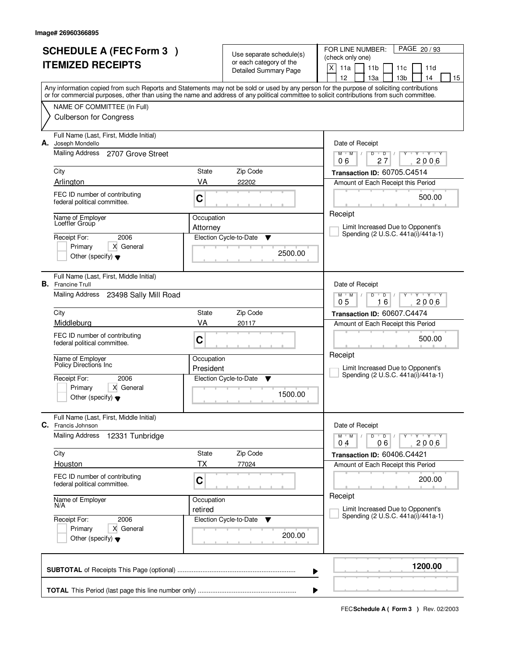| <b>SCHEDULE A (FEC Form 3)</b><br><b>ITEMIZED RECEIPTS</b>                                      |                                                                                                                                                                                                                                                                                                                                                |                                             | Use separate schedule(s)<br>or each category of the<br>Detailed Summary Page | PAGE 20 / 93<br>FOR LINE NUMBER:<br>(check only one)<br>$\times$<br>11a<br>11 <sub>b</sub><br>11d<br>11c<br>12<br>13a<br>13 <sub>b</sub><br>14<br>15                                                                                                                                    |
|-------------------------------------------------------------------------------------------------|------------------------------------------------------------------------------------------------------------------------------------------------------------------------------------------------------------------------------------------------------------------------------------------------------------------------------------------------|---------------------------------------------|------------------------------------------------------------------------------|-----------------------------------------------------------------------------------------------------------------------------------------------------------------------------------------------------------------------------------------------------------------------------------------|
|                                                                                                 | NAME OF COMMITTEE (In Full)<br><b>Culberson for Congress</b>                                                                                                                                                                                                                                                                                   |                                             |                                                                              | Any information copied from such Reports and Statements may not be sold or used by any person for the purpose of soliciting contributions<br>or for commercial purposes, other than using the name and address of any political committee to solicit contributions from such committee. |
| Joseph Mondello<br>А.<br>Mailing Address<br>City<br>Arlington<br>Loeffler Group<br>Receipt For: | Full Name (Last, First, Middle Initial)<br>2707 Grove Street<br>FEC ID number of contributing<br>federal political committee.<br>Name of Employer<br>2006                                                                                                                                                                                      | State<br>VA<br>C<br>Occupation<br>Attorney  | Zip Code<br>22202<br>Election Cycle-to-Date<br>▼                             | Date of Receipt<br>$M$ $M$ /<br>D<br>$\overline{D}$<br>Y Y Y Y<br>Ÿ<br>$\sqrt{ }$<br>27<br>2006<br>06<br>Transaction ID: 60705.C4514<br>Amount of Each Receipt this Period<br>500.00<br>Receipt<br>Limit Increased Due to Opponent's<br>Spending (2 U.S.C. 441a(i)/441a-1)              |
| <b>B.</b> Francine Trull<br>City<br>Middleburg<br>Receipt For:                                  | Primary<br>X General<br>Other (specify) $\blacktriangledown$<br>Full Name (Last, First, Middle Initial)<br>Mailing Address 23498 Sally Mill Road<br>FEC ID number of contributing<br>federal political committee.<br>Name of Employer<br><b>Policy Directions Inc.</b><br>2006<br>Primary<br>X General<br>Other (specify) $\blacktriangledown$ | State<br>VA<br>C<br>Occupation<br>President | 2500.00<br>Zip Code<br>20117<br>Election Cycle-to-Date<br>▼<br>1500.00       | Date of Receipt<br>$Y - Y - Y$<br>$M$ $M$ /<br>D<br>D<br>16<br>0 <sub>5</sub><br>2006<br>Transaction ID: 60607.C4474<br>Amount of Each Receipt this Period<br>500.00<br>Receipt<br>Limit Increased Due to Opponent's<br>Spending (2 U.S.C. 441a(i)/441a-1)                              |
| С.<br>Francis Johnson<br><b>Mailing Address</b><br>City<br>Houston<br>Receipt For:              | Full Name (Last, First, Middle Initial)<br>12331 Tunbridge<br>FEC ID number of contributing<br>federal political committee.<br>Name of Employer<br>N/A<br>2006<br>X General<br>Primary<br>Other (specify) $\blacktriangledown$                                                                                                                 | State<br>ТX<br>C<br>Occupation<br>retired   | Zip Code<br>77024<br>Election Cycle-to-Date<br>v<br>200.00                   | Date of Receipt<br>$D$ $D$<br>$M$ $M$ $/$<br>$Y \rightarrow Y \rightarrow Y$<br>0 <sub>4</sub><br>2006<br>06<br>Transaction ID: 60406.C4421<br>Amount of Each Receipt this Period<br>200.00<br>Receipt<br>Limit Increased Due to Opponent's<br>Spending (2 U.S.C. 441a(i)/441a-1)       |
|                                                                                                 |                                                                                                                                                                                                                                                                                                                                                |                                             |                                                                              | 1200.00<br>▶<br>₽                                                                                                                                                                                                                                                                       |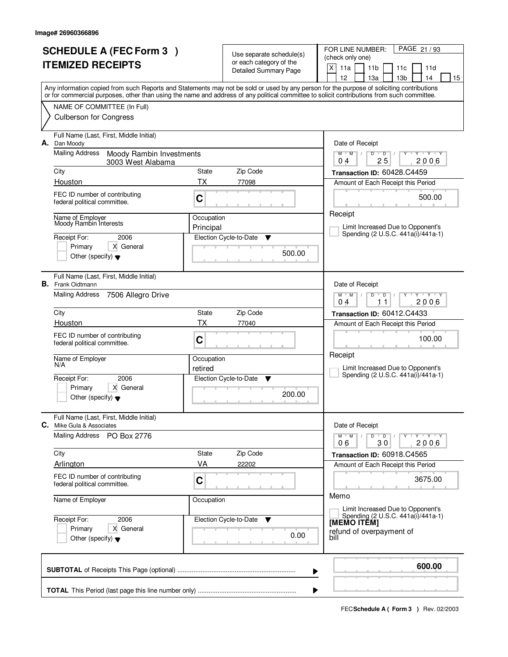| <b>SCHEDULE A (FEC Form 3)</b><br><b>ITEMIZED RECEIPTS</b> |                                                                                                                                            |            | Use separate schedule(s)<br>or each category of the<br>Detailed Summary Page | PAGE 21/93<br>FOR LINE NUMBER:<br>(check only one)<br>$\times$<br>11a<br>11 <sub>b</sub><br>11d<br>11c<br>12<br>13a<br>13 <sub>b</sub><br>14<br>15 |
|------------------------------------------------------------|--------------------------------------------------------------------------------------------------------------------------------------------|------------|------------------------------------------------------------------------------|----------------------------------------------------------------------------------------------------------------------------------------------------|
|                                                            | or for commercial purposes, other than using the name and address of any political committee to solicit contributions from such committee. |            |                                                                              | Any information copied from such Reports and Statements may not be sold or used by any person for the purpose of soliciting contributions          |
|                                                            | NAME OF COMMITTEE (In Full)                                                                                                                |            |                                                                              |                                                                                                                                                    |
|                                                            | <b>Culberson for Congress</b>                                                                                                              |            |                                                                              |                                                                                                                                                    |
| А.                                                         | Full Name (Last, First, Middle Initial)<br>Dan Moody                                                                                       |            |                                                                              | Date of Receipt                                                                                                                                    |
|                                                            | <b>Mailing Address</b><br>Moody Rambin Investments<br>3003 West Alabama                                                                    |            |                                                                              | $M$ $M$ /<br>$\mathsf D$<br>$\overline{D}$<br>Y Y Y Y<br>Ÿ<br>25<br>2006<br>04                                                                     |
|                                                            | City                                                                                                                                       | State      | Zip Code                                                                     | Transaction ID: 60428.C4459                                                                                                                        |
|                                                            | Houston                                                                                                                                    | <b>TX</b>  | 77098                                                                        | Amount of Each Receipt this Period                                                                                                                 |
|                                                            | FEC ID number of contributing<br>federal political committee.                                                                              | C          |                                                                              | 500.00                                                                                                                                             |
|                                                            | Name of Employer                                                                                                                           | Occupation |                                                                              | Receipt                                                                                                                                            |
|                                                            | Moody Rambin Interests                                                                                                                     | Principal  |                                                                              | Limit Increased Due to Opponent's<br>Spending (2 U.S.C. 441a(i)/441a-1)                                                                            |
|                                                            | Receipt For:<br>2006                                                                                                                       |            | Election Cycle-to-Date<br>▼                                                  |                                                                                                                                                    |
|                                                            | Primary<br>X General<br>Other (specify) $\blacktriangledown$                                                                               |            | 500.00                                                                       |                                                                                                                                                    |
|                                                            | Full Name (Last, First, Middle Initial)<br><b>B.</b> Frank Oidtmann                                                                        |            |                                                                              | Date of Receipt                                                                                                                                    |
|                                                            | Mailing Address<br>7506 Allegro Drive                                                                                                      |            |                                                                              | $M$ $M$ /<br>$Y - Y - Y$<br>D<br>D<br>2006<br>04<br>11                                                                                             |
|                                                            | City                                                                                                                                       | State      | Zip Code                                                                     | Transaction ID: 60412.C4433                                                                                                                        |
|                                                            | Houston                                                                                                                                    | TX         | 77040                                                                        | Amount of Each Receipt this Period                                                                                                                 |
|                                                            | FEC ID number of contributing<br>federal political committee.                                                                              | C          |                                                                              | 100.00                                                                                                                                             |
|                                                            | Name of Employer<br>N/A                                                                                                                    | Occupation |                                                                              | Receipt                                                                                                                                            |
|                                                            |                                                                                                                                            | retired    |                                                                              | Limit Increased Due to Opponent's<br>Spending (2 U.S.C. 441a(i)/441a-1)                                                                            |
|                                                            | Receipt For:<br>2006<br>Primary<br>X General<br>Other (specify) $\blacktriangledown$                                                       |            | Election Cycle-to-Date<br><b>V</b><br>200.00                                 |                                                                                                                                                    |
| C.                                                         | Full Name (Last, First, Middle Initial)<br>Mike Gula & Associates                                                                          |            |                                                                              | Date of Receipt                                                                                                                                    |
|                                                            | Mailing Address<br>PO Box 2776                                                                                                             |            |                                                                              | $M-M$ /<br>$D$ $D$ $I$<br>$Y \dashv Y \dashv Y$<br>2006<br>30<br>06                                                                                |
|                                                            | City                                                                                                                                       | State      | Zip Code                                                                     | Transaction ID: 60918.C4565                                                                                                                        |
|                                                            | Arlington                                                                                                                                  | VA         | 22202                                                                        | Amount of Each Receipt this Period                                                                                                                 |
|                                                            | FEC ID number of contributing<br>federal political committee.                                                                              | C          |                                                                              | 3675.00                                                                                                                                            |
|                                                            | Name of Employer                                                                                                                           | Occupation |                                                                              | Memo<br>Limit Increased Due to Opponent's                                                                                                          |
|                                                            | Receipt For:<br>2006                                                                                                                       |            | Election Cycle-to-Date<br><b>V</b>                                           | Spending (2 U.S.C. 441a(i)/441a-1)<br>[MEMO ITÊM]                                                                                                  |
|                                                            | X General<br>Primary<br>Other (specify) $\blacktriangledown$                                                                               |            | 0.00                                                                         | refund of overpayment of<br>bill                                                                                                                   |
|                                                            |                                                                                                                                            |            |                                                                              | 600.00<br>▶                                                                                                                                        |
|                                                            |                                                                                                                                            |            | ▶                                                                            |                                                                                                                                                    |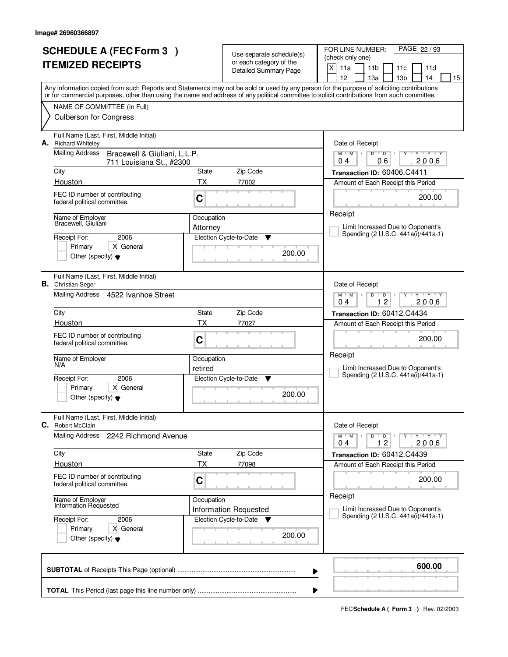|    | <b>SCHEDULE A (FEC Form 3)</b><br><b>ITEMIZED RECEIPTS</b><br>Any information copied from such Reports and Statements may not be sold or used by any person for the purpose of soliciting contributions |            | Use separate schedule(s)<br>or each category of the<br><b>Detailed Summary Page</b> | PAGE 22/93<br>FOR LINE NUMBER:<br>(check only one)<br>X<br>11a<br>11 <sub>b</sub><br>11c<br>11d<br>12<br>13a<br>13 <sub>b</sub><br>14<br>15 |
|----|---------------------------------------------------------------------------------------------------------------------------------------------------------------------------------------------------------|------------|-------------------------------------------------------------------------------------|---------------------------------------------------------------------------------------------------------------------------------------------|
|    | or for commercial purposes, other than using the name and address of any political committee to solicit contributions from such committee.                                                              |            |                                                                                     |                                                                                                                                             |
|    | NAME OF COMMITTEE (In Full)<br><b>Culberson for Congress</b>                                                                                                                                            |            |                                                                                     |                                                                                                                                             |
| А. | Full Name (Last, First, Middle Initial)<br><b>Richard Whiteley</b>                                                                                                                                      |            |                                                                                     | Date of Receipt                                                                                                                             |
|    | Mailing Address<br>Bracewell & Giuliani, L.L.P.<br>711 Louisiana St., #2300                                                                                                                             |            |                                                                                     | $\overline{D}$<br>$Y - Y - Y$<br>$M$ <sup>U</sup><br>$M$ /<br>$D$ <sup>U</sup><br>06<br>2006<br>04                                          |
|    | City                                                                                                                                                                                                    | State      | Zip Code                                                                            | Transaction ID: 60406.C4411                                                                                                                 |
|    | Houston                                                                                                                                                                                                 | <b>TX</b>  | 77002                                                                               | Amount of Each Receipt this Period                                                                                                          |
|    | FEC ID number of contributing<br>federal political committee.                                                                                                                                           | C          |                                                                                     | 200.00                                                                                                                                      |
|    | Name of Employer<br>Bracewell, Giuliani                                                                                                                                                                 | Occupation |                                                                                     | Receipt<br>Limit Increased Due to Opponent's                                                                                                |
|    | 2006<br>Receipt For:                                                                                                                                                                                    | Attorney   | Election Cycle-to-Date<br>▼                                                         | Spending (2 U.S.C. 441a(i)/441a-1)                                                                                                          |
|    | Primary<br>X General<br>Other (specify) $\blacktriangledown$                                                                                                                                            |            | 200.00                                                                              |                                                                                                                                             |
|    | Full Name (Last, First, Middle Initial)<br><b>B.</b> Christian Seger                                                                                                                                    |            |                                                                                     | Date of Receipt                                                                                                                             |
|    | Mailing Address<br>4522 Ivanhoe Street                                                                                                                                                                  |            |                                                                                     | $M$ $M$ /<br>D<br>D<br>$\mathbf{Y} \mathbf{Y}$<br>12<br>2006<br>04                                                                          |
|    | City                                                                                                                                                                                                    | State      | Zip Code                                                                            | Transaction ID: 60412.C4434                                                                                                                 |
|    | Houston                                                                                                                                                                                                 | <b>TX</b>  | 77027                                                                               | Amount of Each Receipt this Period                                                                                                          |
|    | FEC ID number of contributing<br>federal political committee.                                                                                                                                           | C          |                                                                                     | 200.00                                                                                                                                      |
|    | Name of Employer<br>N/A                                                                                                                                                                                 | Occupation |                                                                                     | Receipt                                                                                                                                     |
|    | Receipt For:<br>2006                                                                                                                                                                                    | retired    | Election Cycle-to-Date<br>▼                                                         | Limit Increased Due to Opponent's<br>Spending (2 U.S.C. 441a(i)/441a-1)                                                                     |
|    | Primary<br>X General<br>Other (specify) $\blacktriangledown$                                                                                                                                            |            | 200.00                                                                              |                                                                                                                                             |
| C. | Full Name (Last, First, Middle Initial)<br><b>Robert McClain</b>                                                                                                                                        |            |                                                                                     | Date of Receipt                                                                                                                             |
|    | <b>Mailing Address</b><br>2242 Richmond Avenue                                                                                                                                                          |            |                                                                                     | $D$ $D$ $/$<br>Y FY FY FY<br>$M$ $M$ $/$<br>12<br>2006<br>04                                                                                |
|    | City                                                                                                                                                                                                    | State      | Zip Code                                                                            | Transaction ID: 60412.C4439                                                                                                                 |
|    | Houston                                                                                                                                                                                                 | ТX         | 77098                                                                               | Amount of Each Receipt this Period                                                                                                          |
|    | FEC ID number of contributing<br>federal political committee.                                                                                                                                           | C          |                                                                                     | 200.00<br>Receipt                                                                                                                           |
|    | Name of Employer<br>Information Requested                                                                                                                                                               | Occupation | Information Requested                                                               | Limit Increased Due to Opponent's                                                                                                           |
|    | Receipt For:<br>2006                                                                                                                                                                                    |            | Election Cycle-to-Date ▼                                                            | Spending (2 U.S.C. 441a(i)/441a-1)                                                                                                          |
|    | X General<br>Primary<br>Other (specify) $\blacktriangledown$                                                                                                                                            |            | 200.00                                                                              |                                                                                                                                             |
|    |                                                                                                                                                                                                         |            |                                                                                     | 600.00<br>▶                                                                                                                                 |
|    |                                                                                                                                                                                                         |            |                                                                                     |                                                                                                                                             |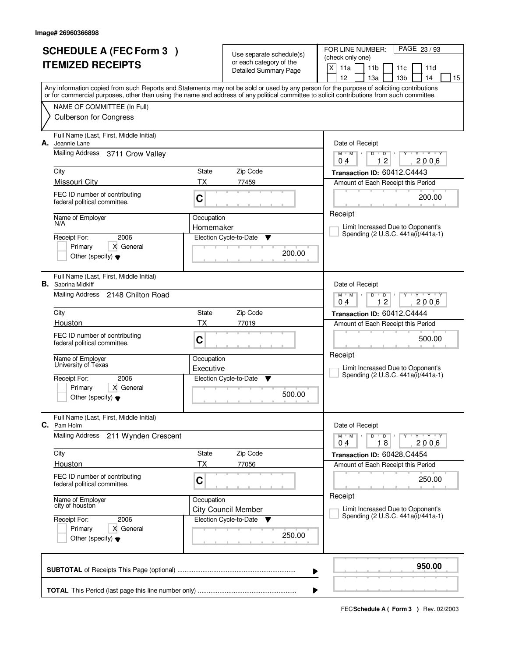|                          | <b>SCHEDULE A (FEC Form 3)</b>                                       |            | Use separate schedule(s)                                  | FOR LINE NUMBER:<br>PAGE 23/93<br>(check only one)                                                                                                                                                                                                                                      |  |  |  |
|--------------------------|----------------------------------------------------------------------|------------|-----------------------------------------------------------|-----------------------------------------------------------------------------------------------------------------------------------------------------------------------------------------------------------------------------------------------------------------------------------------|--|--|--|
| <b>ITEMIZED RECEIPTS</b> |                                                                      |            | or each category of the<br><b>Detailed Summary Page</b>   | X<br>11a<br>11 <sub>b</sub><br>11d<br>11c                                                                                                                                                                                                                                               |  |  |  |
|                          |                                                                      |            |                                                           | 12<br>13 <sub>b</sub><br>13a<br>14<br>15                                                                                                                                                                                                                                                |  |  |  |
|                          |                                                                      |            |                                                           | Any information copied from such Reports and Statements may not be sold or used by any person for the purpose of soliciting contributions<br>or for commercial purposes, other than using the name and address of any political committee to solicit contributions from such committee. |  |  |  |
|                          | NAME OF COMMITTEE (In Full)                                          |            |                                                           |                                                                                                                                                                                                                                                                                         |  |  |  |
|                          | <b>Culberson for Congress</b>                                        |            |                                                           |                                                                                                                                                                                                                                                                                         |  |  |  |
| А.                       | Full Name (Last, First, Middle Initial)<br>Jeannie Lane              |            |                                                           | Date of Receipt                                                                                                                                                                                                                                                                         |  |  |  |
|                          | Mailing Address<br>3711 Crow Valley                                  |            |                                                           | D<br>$\mathsf D$<br>$Y + Y + Y$<br>$M$ $M$ /<br>12<br>2006<br>0.4                                                                                                                                                                                                                       |  |  |  |
|                          | City                                                                 | State      | Zip Code                                                  | Transaction ID: 60412.C4443                                                                                                                                                                                                                                                             |  |  |  |
|                          | Missouri City                                                        | ТX         | 77459                                                     | Amount of Each Receipt this Period                                                                                                                                                                                                                                                      |  |  |  |
|                          | FEC ID number of contributing<br>federal political committee.        | C          |                                                           | 200.00                                                                                                                                                                                                                                                                                  |  |  |  |
|                          | Name of Employer<br>N/A                                              | Occupation |                                                           | Receipt                                                                                                                                                                                                                                                                                 |  |  |  |
|                          | 2006<br>Receipt For:                                                 | Homemaker  | Election Cycle-to-Date                                    | Limit Increased Due to Opponent's<br>Spending (2 U.S.C. 441a(i)/441a-1)                                                                                                                                                                                                                 |  |  |  |
|                          | X General<br>Primary                                                 |            | ▼                                                         |                                                                                                                                                                                                                                                                                         |  |  |  |
|                          | Other (specify) $\blacktriangledown$                                 |            | 200.00                                                    |                                                                                                                                                                                                                                                                                         |  |  |  |
|                          | Full Name (Last, First, Middle Initial)<br><b>B.</b> Sabrina Midkiff |            |                                                           | Date of Receipt                                                                                                                                                                                                                                                                         |  |  |  |
|                          | Mailing Address<br>2148 Chilton Road                                 |            |                                                           | $Y$ $Y$ $Y$<br>$M$ $M$ /<br>D<br>$\overline{D}$<br>12<br>2006<br>04                                                                                                                                                                                                                     |  |  |  |
|                          | City                                                                 | State      | Zip Code                                                  | Transaction ID: 60412.C4444                                                                                                                                                                                                                                                             |  |  |  |
|                          | Houston                                                              | ТX         | 77019                                                     | Amount of Each Receipt this Period                                                                                                                                                                                                                                                      |  |  |  |
|                          | FEC ID number of contributing<br>federal political committee.        | C          |                                                           | 500.00                                                                                                                                                                                                                                                                                  |  |  |  |
|                          | Name of Employer<br>University of Texas                              | Occupation |                                                           | Receipt                                                                                                                                                                                                                                                                                 |  |  |  |
|                          | Receipt For:<br>2006                                                 | Executive  | Election Cycle-to-Date<br>v                               | Limit Increased Due to Opponent's<br>Spending (2 U.S.C. 441a(i)/441a-1)                                                                                                                                                                                                                 |  |  |  |
|                          | Primary<br>X General                                                 |            |                                                           |                                                                                                                                                                                                                                                                                         |  |  |  |
|                          | Other (specify) $\blacktriangledown$                                 |            | 500.00                                                    |                                                                                                                                                                                                                                                                                         |  |  |  |
| C.                       | Full Name (Last, First, Middle Initial)<br>Pam Holm                  |            |                                                           | Date of Receipt                                                                                                                                                                                                                                                                         |  |  |  |
|                          | Mailing Address<br>211 Wynden Crescent                               |            |                                                           | $M$ $M$ $/$<br>D<br>$\overline{D}$<br>$Y + Y + Y$<br>18<br>2006<br>04                                                                                                                                                                                                                   |  |  |  |
|                          | City                                                                 | State      | Zip Code                                                  | Transaction ID: 60428.C4454                                                                                                                                                                                                                                                             |  |  |  |
|                          | Houston                                                              | ТX         | 77056                                                     | Amount of Each Receipt this Period                                                                                                                                                                                                                                                      |  |  |  |
|                          | FEC ID number of contributing<br>federal political committee.        | C          |                                                           | 250.00                                                                                                                                                                                                                                                                                  |  |  |  |
|                          | Name of Employer<br>city of houston                                  | Occupation |                                                           | Receipt                                                                                                                                                                                                                                                                                 |  |  |  |
|                          | 2006<br>Receipt For:                                                 |            | <b>City Council Member</b><br>Election Cycle-to-Date<br>v | Limit Increased Due to Opponent's<br>Spending (2 U.S.C. 441a(i)/441a-1)                                                                                                                                                                                                                 |  |  |  |
|                          | Primary<br>X General<br>Other (specify) $\blacktriangledown$         |            | 250.00                                                    |                                                                                                                                                                                                                                                                                         |  |  |  |
|                          |                                                                      |            |                                                           |                                                                                                                                                                                                                                                                                         |  |  |  |
|                          |                                                                      |            |                                                           | 950.00<br>▶                                                                                                                                                                                                                                                                             |  |  |  |
|                          |                                                                      |            |                                                           |                                                                                                                                                                                                                                                                                         |  |  |  |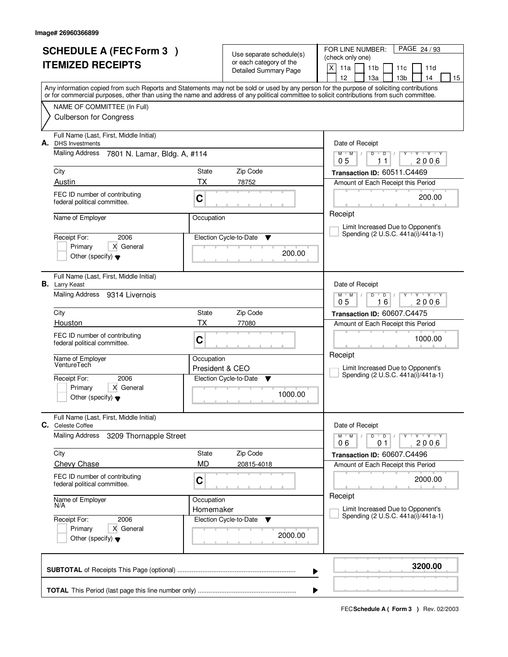| <b>SCHEDULE A (FEC Form 3)</b><br><b>ITEMIZED RECEIPTS</b> |                                                                                                                                                                                                                                                                                         |                 | Use separate schedule(s)<br>or each category of the<br><b>Detailed Summary Page</b> | PAGE 24/93<br>FOR LINE NUMBER:<br>(check only one)<br>X<br>11a<br>11 <sub>b</sub><br>11c<br>11d |
|------------------------------------------------------------|-----------------------------------------------------------------------------------------------------------------------------------------------------------------------------------------------------------------------------------------------------------------------------------------|-----------------|-------------------------------------------------------------------------------------|-------------------------------------------------------------------------------------------------|
|                                                            | Any information copied from such Reports and Statements may not be sold or used by any person for the purpose of soliciting contributions<br>or for commercial purposes, other than using the name and address of any political committee to solicit contributions from such committee. |                 |                                                                                     | 12<br>13a<br>13 <sub>b</sub><br>14<br>15                                                        |
|                                                            | NAME OF COMMITTEE (In Full)                                                                                                                                                                                                                                                             |                 |                                                                                     |                                                                                                 |
|                                                            | <b>Culberson for Congress</b>                                                                                                                                                                                                                                                           |                 |                                                                                     |                                                                                                 |
| А.                                                         | Full Name (Last, First, Middle Initial)<br><b>DHS</b> Investments                                                                                                                                                                                                                       |                 |                                                                                     | Date of Receipt                                                                                 |
|                                                            | <b>Mailing Address</b><br>7801 N. Lamar, Bldg. A, #114                                                                                                                                                                                                                                  |                 |                                                                                     | Y Y Y Y Y Y<br>$M$ $M$ /<br>$D$ $D$ $I$<br>2006<br>05<br>11                                     |
|                                                            | City                                                                                                                                                                                                                                                                                    | State           | Zip Code                                                                            | Transaction ID: 60511.C4469                                                                     |
|                                                            | Austin                                                                                                                                                                                                                                                                                  | <b>TX</b>       | 78752                                                                               | Amount of Each Receipt this Period                                                              |
|                                                            | FEC ID number of contributing<br>federal political committee.                                                                                                                                                                                                                           |                 |                                                                                     | 200.00                                                                                          |
|                                                            | Name of Employer                                                                                                                                                                                                                                                                        |                 | Occupation                                                                          | Receipt                                                                                         |
|                                                            | 2006<br>Receipt For:                                                                                                                                                                                                                                                                    |                 | Election Cycle-to-Date<br>▼                                                         | Limit Increased Due to Opponent's<br>Spending (2 U.S.C. 441a(i)/441a-1)                         |
|                                                            | X General<br>Primary<br>Other (specify) $\blacktriangledown$                                                                                                                                                                                                                            |                 | 200.00                                                                              |                                                                                                 |
|                                                            | Full Name (Last, First, Middle Initial)<br><b>B.</b> Larry Keast                                                                                                                                                                                                                        |                 |                                                                                     | Date of Receipt                                                                                 |
|                                                            | Mailing Address 9314 Livernois                                                                                                                                                                                                                                                          |                 |                                                                                     | <b>TAY TAY</b><br>$M$ $M$ /<br>$\overline{D}$<br>D<br>16<br>2006<br>05                          |
|                                                            | City                                                                                                                                                                                                                                                                                    | State           | Zip Code                                                                            | Transaction ID: 60607.C4475                                                                     |
|                                                            | Houston                                                                                                                                                                                                                                                                                 | <b>TX</b>       | 77080                                                                               | Amount of Each Receipt this Period                                                              |
|                                                            | FEC ID number of contributing<br>federal political committee.                                                                                                                                                                                                                           | C               |                                                                                     | 1000.00                                                                                         |
|                                                            | Name of Employer<br>VentureTech                                                                                                                                                                                                                                                         | Occupation      |                                                                                     | Receipt                                                                                         |
|                                                            |                                                                                                                                                                                                                                                                                         | President & CEO |                                                                                     | Limit Increased Due to Opponent's<br>Spending (2 U.S.C. 441a(i)/441a-1)                         |
|                                                            | 2006<br>Receipt For:<br>X General<br>Primary                                                                                                                                                                                                                                            |                 | Election Cycle-to-Date<br>▼                                                         |                                                                                                 |
|                                                            | Other (specify) $\blacktriangledown$                                                                                                                                                                                                                                                    |                 | 1000.00                                                                             |                                                                                                 |
| С.                                                         | Full Name (Last, First, Middle Initial)<br>Celeste Coffee                                                                                                                                                                                                                               |                 |                                                                                     | Date of Receipt                                                                                 |
|                                                            | <b>Mailing Address</b><br>3209 Thornapple Street                                                                                                                                                                                                                                        |                 |                                                                                     | $D$ $D$ $/$<br>$M$ $M$ /<br>Y Y Y Y<br>Υ<br>2006<br>06<br>01                                    |
|                                                            | City                                                                                                                                                                                                                                                                                    | State           | Zip Code                                                                            | Transaction ID: 60607.C4496                                                                     |
|                                                            | <b>Chevy Chase</b>                                                                                                                                                                                                                                                                      | MD              | 20815-4018                                                                          | Amount of Each Receipt this Period                                                              |
|                                                            | FEC ID number of contributing<br>federal political committee.                                                                                                                                                                                                                           | C               |                                                                                     | 2000.00                                                                                         |
|                                                            | Name of Employer<br>N/A                                                                                                                                                                                                                                                                 | Occupation      |                                                                                     | Receipt                                                                                         |
|                                                            | Receipt For:<br>2006                                                                                                                                                                                                                                                                    |                 | Homemaker<br>Election Cycle-to-Date<br>v                                            | Limit Increased Due to Opponent's<br>Spending (2 U.S.C. 441a(i)/441a-1)                         |
|                                                            | X General<br>Primary<br>Other (specify) $\blacktriangledown$                                                                                                                                                                                                                            |                 | 2000.00                                                                             |                                                                                                 |
|                                                            |                                                                                                                                                                                                                                                                                         |                 |                                                                                     | 3200.00<br>▶                                                                                    |
|                                                            |                                                                                                                                                                                                                                                                                         |                 |                                                                                     |                                                                                                 |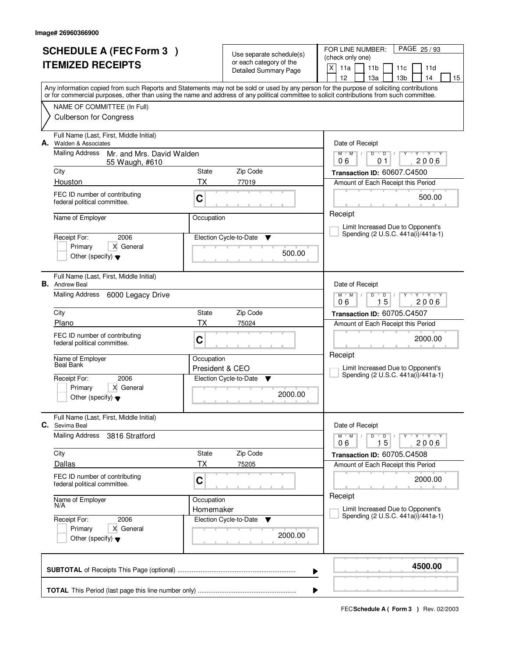| <b>SCHEDULE A (FEC Form 3)</b><br><b>ITEMIZED RECEIPTS</b> |                                                                                      |                               | Use separate schedule(s)<br>or each category of the<br><b>Detailed Summary Page</b> | PAGE 25/93<br>FOR LINE NUMBER:<br>(check only one)<br>X<br>11a<br>11 <sub>b</sub><br>11c<br>11d                                                                                                                                                                                                                                     |  |
|------------------------------------------------------------|--------------------------------------------------------------------------------------|-------------------------------|-------------------------------------------------------------------------------------|-------------------------------------------------------------------------------------------------------------------------------------------------------------------------------------------------------------------------------------------------------------------------------------------------------------------------------------|--|
|                                                            |                                                                                      |                               |                                                                                     | 13 <sub>b</sub><br>12<br>13a<br>14<br>15<br>Any information copied from such Reports and Statements may not be sold or used by any person for the purpose of soliciting contributions<br>or for commercial purposes, other than using the name and address of any political committee to solicit contributions from such committee. |  |
|                                                            | NAME OF COMMITTEE (In Full)<br><b>Culberson for Congress</b>                         |                               |                                                                                     |                                                                                                                                                                                                                                                                                                                                     |  |
| А.                                                         | Full Name (Last, First, Middle Initial)<br>Walden & Associates                       |                               |                                                                                     | Date of Receipt                                                                                                                                                                                                                                                                                                                     |  |
|                                                            | <b>Mailing Address</b><br>Mr. and Mrs. David Walden<br>55 Waugh, #610                |                               |                                                                                     | $Y + Y + Y$<br>$M$ $M$<br>$D$ $D$ $/$<br>Y<br>2006<br>06<br>01                                                                                                                                                                                                                                                                      |  |
|                                                            | City                                                                                 | State                         | Zip Code                                                                            | Transaction ID: 60607.C4500                                                                                                                                                                                                                                                                                                         |  |
|                                                            | Houston<br>FEC ID number of contributing<br>federal political committee.             | ТX<br>C                       | 77019                                                                               | Amount of Each Receipt this Period<br>500.00                                                                                                                                                                                                                                                                                        |  |
|                                                            | Name of Employer                                                                     | Occupation                    |                                                                                     | Receipt                                                                                                                                                                                                                                                                                                                             |  |
|                                                            |                                                                                      |                               |                                                                                     | Limit Increased Due to Opponent's                                                                                                                                                                                                                                                                                                   |  |
|                                                            | Receipt For:<br>2006<br>X General<br>Primary                                         |                               | Election Cycle-to-Date<br>▼                                                         | Spending (2 U.S.C. 441a(i)/441a-1)                                                                                                                                                                                                                                                                                                  |  |
|                                                            | Other (specify) $\blacktriangledown$                                                 |                               | 500.00                                                                              |                                                                                                                                                                                                                                                                                                                                     |  |
|                                                            | Full Name (Last, First, Middle Initial)<br><b>B.</b> Andrew Beal                     |                               |                                                                                     | Date of Receipt                                                                                                                                                                                                                                                                                                                     |  |
|                                                            | Mailing Address<br>6000 Legacy Drive                                                 |                               |                                                                                     | <b>TY TY</b><br>$M$ M<br>D<br>$\overline{D}$<br>15<br>2006<br>06                                                                                                                                                                                                                                                                    |  |
|                                                            | City                                                                                 | Zip Code<br>State             |                                                                                     |                                                                                                                                                                                                                                                                                                                                     |  |
|                                                            | Plano                                                                                | ТX                            | 75024                                                                               | Amount of Each Receipt this Period                                                                                                                                                                                                                                                                                                  |  |
|                                                            | FEC ID number of contributing<br>federal political committee.                        | C                             |                                                                                     | 2000.00<br>Receipt                                                                                                                                                                                                                                                                                                                  |  |
|                                                            | Name of Employer<br><b>Beal Bank</b>                                                 | Occupation<br>President & CEO |                                                                                     | Limit Increased Due to Opponent's                                                                                                                                                                                                                                                                                                   |  |
|                                                            | 2006<br>Receipt For:                                                                 |                               | Election Cycle-to-Date<br>▼                                                         | Spending (2 U.S.C. 441a(i)/441a-1)                                                                                                                                                                                                                                                                                                  |  |
|                                                            | X General<br>Primary<br>Other (specify) $\blacktriangledown$                         |                               | 2000.00                                                                             |                                                                                                                                                                                                                                                                                                                                     |  |
| С.                                                         | Full Name (Last, First, Middle Initial)<br>Sevima Beal                               |                               |                                                                                     | Date of Receipt                                                                                                                                                                                                                                                                                                                     |  |
|                                                            | <b>Mailing Address</b><br>3816 Stratford                                             |                               |                                                                                     | D<br>$M$ <sup><math>+</math></sup><br>$M$ /<br>$\overline{D}$<br>$Y + Y + Y$<br>Y<br>15<br>2006<br>06                                                                                                                                                                                                                               |  |
|                                                            | City                                                                                 | State                         | Zip Code                                                                            | Transaction ID: 60705.C4508                                                                                                                                                                                                                                                                                                         |  |
|                                                            | Dallas                                                                               | ТX                            | 75205                                                                               | Amount of Each Receipt this Period                                                                                                                                                                                                                                                                                                  |  |
|                                                            | FEC ID number of contributing<br>federal political committee.                        | C                             |                                                                                     | 2000.00                                                                                                                                                                                                                                                                                                                             |  |
|                                                            | Name of Employer<br>N/A                                                              | Occupation<br>Homemaker       |                                                                                     | Receipt<br>Limit Increased Due to Opponent's                                                                                                                                                                                                                                                                                        |  |
|                                                            | Receipt For:<br>2006<br>X General<br>Primary<br>Other (specify) $\blacktriangledown$ |                               | Election Cycle-to-Date<br>v<br>2000.00                                              | Spending (2 U.S.C. 441a(i)/441a-1)                                                                                                                                                                                                                                                                                                  |  |
|                                                            |                                                                                      |                               |                                                                                     | 4500.00<br>▶                                                                                                                                                                                                                                                                                                                        |  |
|                                                            |                                                                                      |                               |                                                                                     |                                                                                                                                                                                                                                                                                                                                     |  |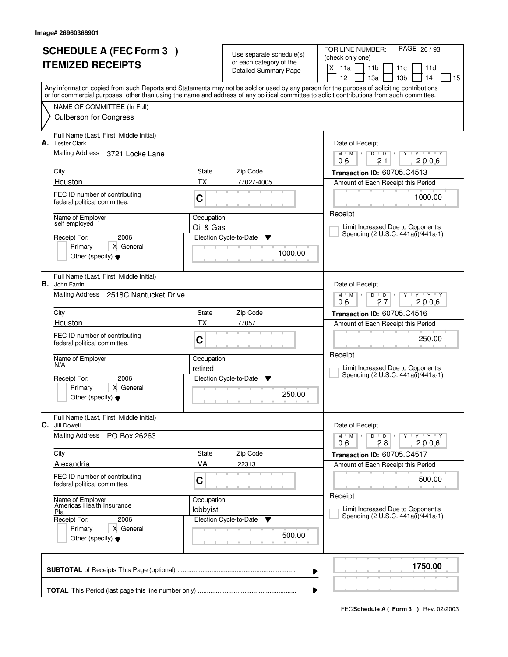| <b>SCHEDULE A (FEC Form 3)</b>                                                                                                             |            | Use separate schedule(s)     | FOR LINE NUMBER:<br>PAGE 26/93                                                        |
|--------------------------------------------------------------------------------------------------------------------------------------------|------------|------------------------------|---------------------------------------------------------------------------------------|
| <b>ITEMIZED RECEIPTS</b>                                                                                                                   |            | or each category of the      | (check only one)                                                                      |
|                                                                                                                                            |            | <b>Detailed Summary Page</b> | X<br>11a<br>11 <sub>b</sub><br>11c<br>11d<br>12<br>13 <sub>b</sub><br>13a<br>14<br>15 |
| Any information copied from such Reports and Statements may not be sold or used by any person for the purpose of soliciting contributions  |            |                              |                                                                                       |
| or for commercial purposes, other than using the name and address of any political committee to solicit contributions from such committee. |            |                              |                                                                                       |
| NAME OF COMMITTEE (In Full)                                                                                                                |            |                              |                                                                                       |
| <b>Culberson for Congress</b>                                                                                                              |            |                              |                                                                                       |
| Full Name (Last, First, Middle Initial)<br>А.<br><b>Lester Clark</b>                                                                       |            |                              | Date of Receipt                                                                       |
| Mailing Address<br>3721 Locke Lane                                                                                                         |            |                              | $Y + Y + Y$<br>$M$ $M$ /<br>D<br>$\overline{D}$<br>Y<br>$\perp$<br>06<br>21<br>2006   |
| City                                                                                                                                       | State      | Zip Code                     | Transaction ID: 60705.C4513                                                           |
| Houston                                                                                                                                    | ТX         | 77027-4005                   | Amount of Each Receipt this Period                                                    |
| FEC ID number of contributing<br>federal political committee.                                                                              | C          |                              | 1000.00                                                                               |
| Name of Employer                                                                                                                           | Occupation |                              | Receipt                                                                               |
| self employed                                                                                                                              | Oil & Gas  |                              | Limit Increased Due to Opponent's                                                     |
| 2006<br>Receipt For:                                                                                                                       |            | Election Cycle-to-Date<br>Y  | Spending (2 U.S.C. 441a(i)/441a-1)                                                    |
| X General<br>Primary<br>Other (specify) $\blacktriangledown$                                                                               |            | 1000.00                      |                                                                                       |
| Full Name (Last, First, Middle Initial)<br>В.<br>John Farrin                                                                               |            |                              | Date of Receipt                                                                       |
| Mailing Address 2518C Nantucket Drive                                                                                                      |            |                              | $M$ $M$ /<br><b>TEXT TY</b><br>D<br>$\overline{D}$<br>27<br>2006<br>06                |
| City                                                                                                                                       | State      | Zip Code                     | Transaction ID: 60705.C4516                                                           |
| Houston                                                                                                                                    | ТX         | 77057                        | Amount of Each Receipt this Period                                                    |
| FEC ID number of contributing<br>federal political committee.                                                                              | C          |                              | 250.00                                                                                |
| Name of Employer                                                                                                                           | Occupation |                              | Receipt                                                                               |
| N/A                                                                                                                                        | retired    |                              | Limit Increased Due to Opponent's                                                     |
| 2006<br>Receipt For:                                                                                                                       |            | Election Cycle-to-Date<br>v  | Spending (2 U.S.C. 441a(i)/441a-1)                                                    |
| Primary<br>X General<br>Other (specify) $\blacktriangledown$                                                                               |            | 250.00                       |                                                                                       |
| Full Name (Last, First, Middle Initial)<br>С.<br>Jill Dowell                                                                               |            |                              | Date of Receipt                                                                       |
| Mailing Address<br>PO Box 26263                                                                                                            |            |                              | D<br>$M$ $M$ $/$<br>$\overline{D}$ /<br>$Y + Y + Y$<br>2006<br>06<br>28               |
| City                                                                                                                                       | State      | Zip Code                     | Transaction ID: 60705.C4517                                                           |
| Alexandria                                                                                                                                 | VA         | 22313                        | Amount of Each Receipt this Period                                                    |
| FEC ID number of contributing<br>federal political committee.                                                                              | C          |                              | 500.00                                                                                |
| Name of Employer<br>Americas Health Insurance                                                                                              | Occupation |                              | Receipt                                                                               |
| Pla                                                                                                                                        | lobbyist   |                              | Limit Increased Due to Opponent's<br>Spending (2 U.S.C. 441a(i)/441a-1)               |
| Receipt For:<br>2006                                                                                                                       |            | Election Cycle-to-Date<br>v  |                                                                                       |
| Primary<br>X General<br>Other (specify) $\blacktriangledown$                                                                               |            | 500.00                       |                                                                                       |
|                                                                                                                                            |            |                              | 1750.00<br>▶                                                                          |
|                                                                                                                                            |            |                              | ▶                                                                                     |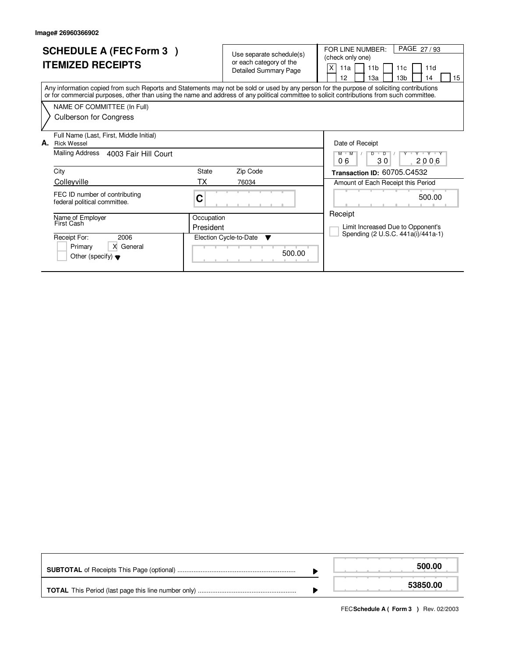|    | <b>SCHEDULE A (FEC Form 3)</b><br><b>ITEMIZED RECEIPTS</b>                                                                                                                                                                                                                              |            | Use separate schedule(s)<br>or each category of the<br><b>Detailed Summary Page</b> | PAGE 27/93<br>FOR LINE NUMBER:<br>(check only one)<br>X<br>11 <sub>b</sub><br>11a<br>11 <sub>c</sub><br>11d<br>12<br>13 <sub>b</sub><br>13a<br>14<br>15 |
|----|-----------------------------------------------------------------------------------------------------------------------------------------------------------------------------------------------------------------------------------------------------------------------------------------|------------|-------------------------------------------------------------------------------------|---------------------------------------------------------------------------------------------------------------------------------------------------------|
|    | Any information copied from such Reports and Statements may not be sold or used by any person for the purpose of soliciting contributions<br>or for commercial purposes, other than using the name and address of any political committee to solicit contributions from such committee. |            |                                                                                     |                                                                                                                                                         |
|    | NAME OF COMMITTEE (In Full)                                                                                                                                                                                                                                                             |            |                                                                                     |                                                                                                                                                         |
|    | <b>Culberson for Congress</b>                                                                                                                                                                                                                                                           |            |                                                                                     |                                                                                                                                                         |
| А. | Full Name (Last, First, Middle Initial)<br><b>Rick Wessel</b>                                                                                                                                                                                                                           |            |                                                                                     | Date of Receipt                                                                                                                                         |
|    | <b>Mailing Address</b><br>4003 Fair Hill Court                                                                                                                                                                                                                                          |            |                                                                                     | $M$ $M$<br>$\overline{D}$<br>$\overline{D}$<br>$V$ $V$ $V$<br>Y Y<br>06<br>30<br>2006                                                                   |
|    | City                                                                                                                                                                                                                                                                                    | State      | Zip Code                                                                            | Transaction ID: 60705.C4532                                                                                                                             |
|    | Colleyville                                                                                                                                                                                                                                                                             | ТX         | 76034                                                                               | Amount of Each Receipt this Period                                                                                                                      |
|    | FEC ID number of contributing<br>federal political committee.                                                                                                                                                                                                                           | С          |                                                                                     | 500.00                                                                                                                                                  |
|    | Name of Employer<br>First Cash                                                                                                                                                                                                                                                          | Occupation |                                                                                     | Receipt                                                                                                                                                 |
|    |                                                                                                                                                                                                                                                                                         | President  |                                                                                     | Limit Increased Due to Opponent's                                                                                                                       |
|    | Receipt For:<br>2006                                                                                                                                                                                                                                                                    |            | Election Cycle-to-Date<br>▼                                                         | Spending (2 U.S.C. 441a(i)/441a-1)                                                                                                                      |
|    | Primary<br>X General<br>Other (specify) $\blacktriangledown$                                                                                                                                                                                                                            |            | 500.00                                                                              |                                                                                                                                                         |

|  | 500.00   |
|--|----------|
|  | 53850.00 |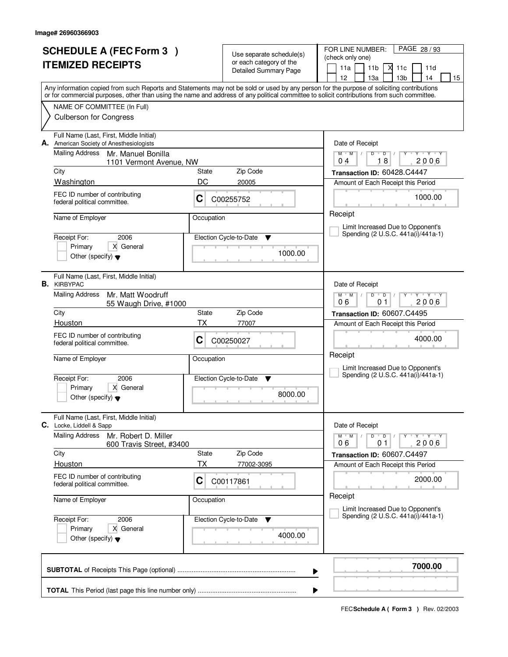| <b>SCHEDULE A (FEC Form 3)</b><br><b>ITEMIZED RECEIPTS</b> |                                                                                                                                            |            | Use separate schedule(s)<br>or each category of the<br><b>Detailed Summary Page</b> | PAGE 28 / 93<br>FOR LINE NUMBER:<br>(check only one)<br>11a<br>11 <sub>b</sub><br>Х<br>11c<br>11d<br>12<br>13 <sub>b</sub><br>13a<br>14<br>15 |  |
|------------------------------------------------------------|--------------------------------------------------------------------------------------------------------------------------------------------|------------|-------------------------------------------------------------------------------------|-----------------------------------------------------------------------------------------------------------------------------------------------|--|
|                                                            | or for commercial purposes, other than using the name and address of any political committee to solicit contributions from such committee. |            |                                                                                     | Any information copied from such Reports and Statements may not be sold or used by any person for the purpose of soliciting contributions     |  |
|                                                            | NAME OF COMMITTEE (In Full)<br><b>Culberson for Congress</b>                                                                               |            |                                                                                     |                                                                                                                                               |  |
| А.                                                         | Full Name (Last, First, Middle Initial)<br>American Society of Anesthesiologists                                                           |            |                                                                                     | Date of Receipt                                                                                                                               |  |
|                                                            | <b>Mailing Address</b><br>Mr. Manuel Bonilla<br>1101 Vermont Avenue, NW                                                                    |            |                                                                                     | $M$ $M$ /<br>$\overline{D}$<br>$Y - Y - Y - Y$<br>$D$ <sup>U</sup><br>Ÿ<br>$\perp$<br>18<br>2006<br>04                                        |  |
|                                                            | City                                                                                                                                       | State      | Zip Code                                                                            | Transaction ID: 60428.C4447                                                                                                                   |  |
|                                                            | Washington                                                                                                                                 | DC         | 20005                                                                               | Amount of Each Receipt this Period                                                                                                            |  |
|                                                            | FEC ID number of contributing<br>federal political committee.                                                                              | C          | C00255752                                                                           | 1000.00                                                                                                                                       |  |
|                                                            | Name of Employer                                                                                                                           | Occupation |                                                                                     | Receipt<br>Limit Increased Due to Opponent's                                                                                                  |  |
|                                                            | Receipt For:<br>2006                                                                                                                       |            | Election Cycle-to-Date<br>v                                                         | Spending (2 U.S.C. 441a(i)/441a-1)                                                                                                            |  |
|                                                            | X General<br>Primary<br>Other (specify) $\blacktriangledown$                                                                               |            | 1000.00                                                                             |                                                                                                                                               |  |
|                                                            | Full Name (Last, First, Middle Initial)<br><b>B.</b> KIRBYPAC                                                                              |            |                                                                                     | Date of Receipt                                                                                                                               |  |
|                                                            | <b>Mailing Address</b><br>Mr. Matt Woodruff<br>55 Waugh Drive, #1000                                                                       |            |                                                                                     | $Y + Y + Y$<br>$M$ $M$ $/$<br>D<br>$\overline{D}$<br>2006<br>06<br>01                                                                         |  |
|                                                            | City                                                                                                                                       | State      | Zip Code                                                                            | Transaction ID: 60607.C4495                                                                                                                   |  |
|                                                            | Houston                                                                                                                                    | ТX         | 77007                                                                               | Amount of Each Receipt this Period                                                                                                            |  |
|                                                            | FEC ID number of contributing<br>federal political committee.                                                                              | C          | C00250027                                                                           | 4000.00<br>Receipt                                                                                                                            |  |
|                                                            | Name of Employer                                                                                                                           | Occupation |                                                                                     | Limit Increased Due to Opponent's                                                                                                             |  |
|                                                            | Receipt For:<br>2006                                                                                                                       |            | Election Cycle-to-Date<br>▼                                                         | Spending (2 U.S.C. 441a(i)/441a-1)                                                                                                            |  |
|                                                            | Primary<br>X General<br>Other (specify) $\blacktriangledown$                                                                               |            | 8000.00                                                                             |                                                                                                                                               |  |
|                                                            | Full Name (Last, First, Middle Initial)<br>C. Locke, Liddell & Sapp                                                                        |            |                                                                                     | Date of Receipt                                                                                                                               |  |
|                                                            | <b>Mailing Address</b><br>Mr. Robert D. Miller<br>600 Travis Street, #3400                                                                 |            |                                                                                     | $D$ $D$ $/$<br>$Y$ $Y$ $Y$<br>$M$ $M$ /<br>2006<br>06<br>01                                                                                   |  |
|                                                            | City                                                                                                                                       | State      | Zip Code                                                                            | Transaction ID: 60607.C4497                                                                                                                   |  |
|                                                            | Houston                                                                                                                                    | ТX         | 77002-3095                                                                          | Amount of Each Receipt this Period                                                                                                            |  |
|                                                            | FEC ID number of contributing<br>federal political committee.                                                                              | C          | C00117861                                                                           | 2000.00                                                                                                                                       |  |
|                                                            | Name of Employer                                                                                                                           | Occupation |                                                                                     | Receipt<br>Limit Increased Due to Opponent's                                                                                                  |  |
|                                                            | Receipt For:<br>2006<br>Primary<br>X General<br>Other (specify) $\blacktriangledown$                                                       |            | Election Cycle-to-Date<br>v<br>4000.00                                              | Spending (2 U.S.C. 441a(i)/441a-1)                                                                                                            |  |
|                                                            |                                                                                                                                            |            |                                                                                     | 7000.00<br>▶                                                                                                                                  |  |
|                                                            | ▶                                                                                                                                          |            |                                                                                     |                                                                                                                                               |  |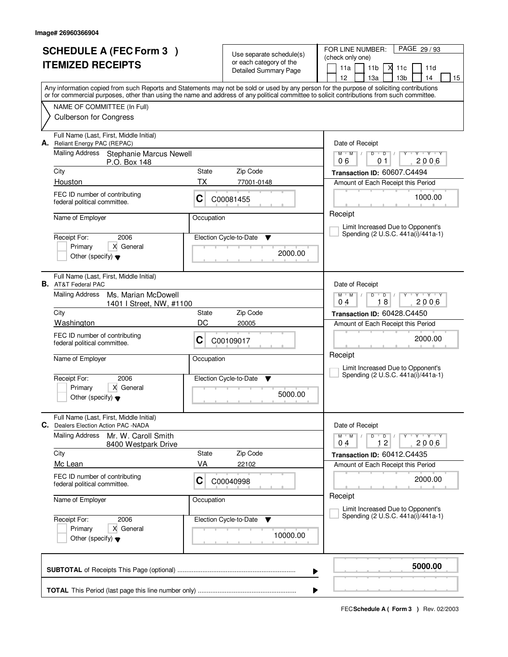|    | <b>SCHEDULE A (FEC Form 3)</b>                                                                                                             |                             |                                                     | FOR LINE NUMBER:<br>PAGE 29 / 93                                                                                                          |
|----|--------------------------------------------------------------------------------------------------------------------------------------------|-----------------------------|-----------------------------------------------------|-------------------------------------------------------------------------------------------------------------------------------------------|
|    | <b>ITEMIZED RECEIPTS</b>                                                                                                                   |                             | Use separate schedule(s)<br>or each category of the | (check only one)                                                                                                                          |
|    |                                                                                                                                            |                             | <b>Detailed Summary Page</b>                        | 11a<br>11 <sub>b</sub><br>М<br>11c<br>11d                                                                                                 |
|    |                                                                                                                                            |                             |                                                     | 12<br>13 <sub>b</sub><br>13a<br>14<br>15                                                                                                  |
|    | or for commercial purposes, other than using the name and address of any political committee to solicit contributions from such committee. |                             |                                                     | Any information copied from such Reports and Statements may not be sold or used by any person for the purpose of soliciting contributions |
|    | NAME OF COMMITTEE (In Full)                                                                                                                |                             |                                                     |                                                                                                                                           |
|    | <b>Culberson for Congress</b>                                                                                                              |                             |                                                     |                                                                                                                                           |
| А. | Full Name (Last, First, Middle Initial)<br>Reliant Energy PAC (REPAC)                                                                      |                             |                                                     | Date of Receipt                                                                                                                           |
|    | <b>Mailing Address</b><br><b>Stephanie Marcus Newell</b><br>P.O. Box 148                                                                   |                             |                                                     | $Y - Y - Y - Y$<br>$M$ $M$ /<br>$D$ $D$ $1$<br>Y<br>2006<br>06<br>01                                                                      |
|    | City                                                                                                                                       | State                       | Zip Code                                            | Transaction ID: 60607.C4494                                                                                                               |
|    | Houston                                                                                                                                    | ТX                          | 77001-0148                                          | Amount of Each Receipt this Period                                                                                                        |
|    | FEC ID number of contributing<br>federal political committee.                                                                              | C                           | C00081455                                           | 1000.00                                                                                                                                   |
|    | Name of Employer                                                                                                                           | Occupation                  |                                                     | Receipt                                                                                                                                   |
|    |                                                                                                                                            |                             |                                                     | Limit Increased Due to Opponent's<br>Spending (2 U.S.C. 441a(i)/441a-1)                                                                   |
|    | 2006<br>Receipt For:<br>X General<br>Primary                                                                                               |                             | Election Cycle-to-Date<br>v                         |                                                                                                                                           |
|    | Other (specify) $\blacktriangledown$                                                                                                       |                             | 2000.00                                             |                                                                                                                                           |
|    | Full Name (Last, First, Middle Initial)<br><b>B.</b> AT&T Federal PAC                                                                      |                             |                                                     | Date of Receipt                                                                                                                           |
|    | <b>Mailing Address</b><br>Ms. Marian McDowell<br>1401   Street, NW, #1100                                                                  |                             |                                                     | $M$ $M$ /<br>$\mathbf{Y} \mathbf{Y}$<br>D<br>$\overline{D}$<br>Y<br>18<br>2006<br>0 <sub>4</sub>                                          |
|    | City                                                                                                                                       | State                       | Zip Code                                            | Transaction ID: 60428.C4450                                                                                                               |
|    | Washington                                                                                                                                 | DC                          | 20005                                               | Amount of Each Receipt this Period                                                                                                        |
|    | FEC ID number of contributing<br>federal political committee.                                                                              | С                           | C00109017                                           | 2000.00                                                                                                                                   |
|    | Name of Employer                                                                                                                           | Occupation                  |                                                     | Receipt                                                                                                                                   |
|    | Receipt For:<br>2006                                                                                                                       | Election Cycle-to-Date<br>v |                                                     | Limit Increased Due to Opponent's<br>Spending (2 U.S.C. 441a(i)/441a-1)                                                                   |
|    | Primary<br>X General                                                                                                                       |                             |                                                     |                                                                                                                                           |
|    | Other (specify) $\blacktriangledown$                                                                                                       |                             | 5000.00                                             |                                                                                                                                           |
| С. | Full Name (Last, First, Middle Initial)<br>Dealers Election Action PAC -NADA                                                               |                             |                                                     | Date of Receipt                                                                                                                           |
|    | <b>Mailing Address</b><br>Mr. W. Caroll Smith<br>8400 Westpark Drive                                                                       |                             |                                                     | $M$ $M$ /<br>D<br>$\overline{D}$ /<br>$Y + Y + Y$<br>2006<br>12<br>04                                                                     |
|    | City                                                                                                                                       | <b>State</b>                | Zip Code                                            | Transaction ID: 60412.C4435                                                                                                               |
|    | Mc Lean                                                                                                                                    | VA                          | 22102                                               | Amount of Each Receipt this Period                                                                                                        |
|    | FEC ID number of contributing<br>federal political committee.                                                                              | C                           | C00040998                                           | 2000.00                                                                                                                                   |
|    | Name of Employer                                                                                                                           | Occupation                  |                                                     | Receipt<br>Limit Increased Due to Opponent's                                                                                              |
|    | 2006<br>Receipt For:                                                                                                                       |                             | Election Cycle-to-Date<br>v                         | Spending (2 U.S.C. 441a(i)/441a-1)                                                                                                        |
|    | Primary<br>X General<br>Other (specify) $\blacktriangledown$                                                                               |                             | 10000.00                                            |                                                                                                                                           |
|    |                                                                                                                                            |                             |                                                     | 5000.00<br>▶                                                                                                                              |
|    |                                                                                                                                            |                             |                                                     |                                                                                                                                           |
|    |                                                                                                                                            |                             |                                                     | ▶                                                                                                                                         |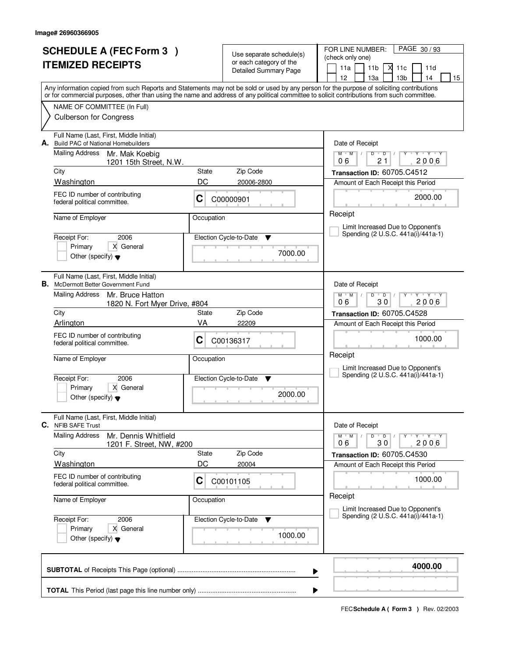| <b>SCHEDULE A (FEC Form 3)</b><br><b>ITEMIZED RECEIPTS</b> |                                                                                                                                                                                                                                                                                         |                             | Use separate schedule(s)<br>or each category of the<br>Detailed Summary Page | PAGE 30/93<br>FOR LINE NUMBER:<br>(check only one)<br>11a<br>11 <sub>b</sub><br>М<br>11c<br>11d |
|------------------------------------------------------------|-----------------------------------------------------------------------------------------------------------------------------------------------------------------------------------------------------------------------------------------------------------------------------------------|-----------------------------|------------------------------------------------------------------------------|-------------------------------------------------------------------------------------------------|
|                                                            | Any information copied from such Reports and Statements may not be sold or used by any person for the purpose of soliciting contributions<br>or for commercial purposes, other than using the name and address of any political committee to solicit contributions from such committee. |                             |                                                                              | 12<br>13 <sub>b</sub><br>13a<br>14<br>15                                                        |
|                                                            | NAME OF COMMITTEE (In Full)<br><b>Culberson for Congress</b>                                                                                                                                                                                                                            |                             |                                                                              |                                                                                                 |
|                                                            | Full Name (Last, First, Middle Initial)<br>A. Build PAC of National Homebuilders                                                                                                                                                                                                        |                             |                                                                              | Date of Receipt                                                                                 |
|                                                            | <b>Mailing Address</b><br>Mr. Mak Koebig<br>1201 15th Street, N.W.                                                                                                                                                                                                                      |                             |                                                                              | $M$ $M$<br>$D$ $D$<br>Y Y Y Y<br>Y<br>$\mathbb{L}$<br>2006<br>06<br>21                          |
|                                                            | City                                                                                                                                                                                                                                                                                    | State                       | Zip Code                                                                     | Transaction ID: 60705.C4512                                                                     |
|                                                            | Washington                                                                                                                                                                                                                                                                              | DC                          | 20006-2800                                                                   | Amount of Each Receipt this Period                                                              |
|                                                            | FEC ID number of contributing<br>federal political committee.                                                                                                                                                                                                                           | C                           | C00000901                                                                    | 2000.00                                                                                         |
|                                                            | Name of Employer                                                                                                                                                                                                                                                                        | Occupation                  |                                                                              | Receipt<br>Limit Increased Due to Opponent's                                                    |
|                                                            | Receipt For:<br>2006                                                                                                                                                                                                                                                                    |                             | Election Cycle-to-Date<br>v                                                  | Spending (2 U.S.C. 441a(i)/441a-1)                                                              |
|                                                            | X General<br>Primary<br>Other (specify) $\blacktriangledown$                                                                                                                                                                                                                            |                             | 7000.00                                                                      |                                                                                                 |
|                                                            | Full Name (Last, First, Middle Initial)<br><b>B.</b> McDermott Better Government Fund                                                                                                                                                                                                   |                             |                                                                              | Date of Receipt                                                                                 |
|                                                            | Mailing Address<br>Mr. Bruce Hatton<br>1820 N. Fort Myer Drive, #804                                                                                                                                                                                                                    |                             |                                                                              | $Y + Y + Y$<br>$M$ $M$ /<br>D<br>$\overline{D}$<br>30<br>2006<br>06                             |
|                                                            | City                                                                                                                                                                                                                                                                                    | State                       | Zip Code                                                                     | Transaction ID: 60705.C4528                                                                     |
|                                                            | Arlington                                                                                                                                                                                                                                                                               | VA                          | 22209                                                                        | Amount of Each Receipt this Period                                                              |
|                                                            | FEC ID number of contributing<br>federal political committee.                                                                                                                                                                                                                           | C                           | C00136317                                                                    | 1000.00                                                                                         |
|                                                            | Name of Employer                                                                                                                                                                                                                                                                        | Occupation                  |                                                                              | Receipt<br>Limit Increased Due to Opponent's                                                    |
|                                                            | Receipt For:<br>2006                                                                                                                                                                                                                                                                    | Election Cycle-to-Date<br>▼ |                                                                              | Spending (2 U.S.C. 441a(i)/441a-1)                                                              |
|                                                            | Primary<br>X General<br>Other (specify) $\blacktriangledown$                                                                                                                                                                                                                            |                             | 2000.00                                                                      |                                                                                                 |
| С.                                                         | Full Name (Last, First, Middle Initial)<br><b>NFIB SAFE Trust</b>                                                                                                                                                                                                                       |                             |                                                                              | Date of Receipt                                                                                 |
|                                                            | <b>Mailing Address</b><br>Mr. Dennis Whitfield<br>1201 F. Street, NW, #200                                                                                                                                                                                                              |                             |                                                                              | $M^+M^-$ /<br>$D$ $D$ $I$<br>$Y + Y + Y$<br>2006<br>06<br>30                                    |
|                                                            | City                                                                                                                                                                                                                                                                                    | State                       | Zip Code                                                                     | Transaction ID: 60705.C4530                                                                     |
|                                                            | Washington                                                                                                                                                                                                                                                                              | DC                          | 20004                                                                        | Amount of Each Receipt this Period                                                              |
|                                                            | FEC ID number of contributing<br>federal political committee.                                                                                                                                                                                                                           | C                           | C00101105                                                                    | 1000.00                                                                                         |
|                                                            | Name of Employer                                                                                                                                                                                                                                                                        |                             | Occupation                                                                   | Receipt<br>Limit Increased Due to Opponent's                                                    |
|                                                            | Receipt For:<br>2006                                                                                                                                                                                                                                                                    |                             | Election Cycle-to-Date<br>v                                                  | Spending (2 U.S.C. 441a(i)/441a-1)                                                              |
|                                                            | Primary<br>X General<br>Other (specify) $\blacktriangledown$                                                                                                                                                                                                                            |                             | 1000.00                                                                      |                                                                                                 |
|                                                            |                                                                                                                                                                                                                                                                                         |                             | ▶                                                                            | 4000.00                                                                                         |
|                                                            |                                                                                                                                                                                                                                                                                         |                             |                                                                              |                                                                                                 |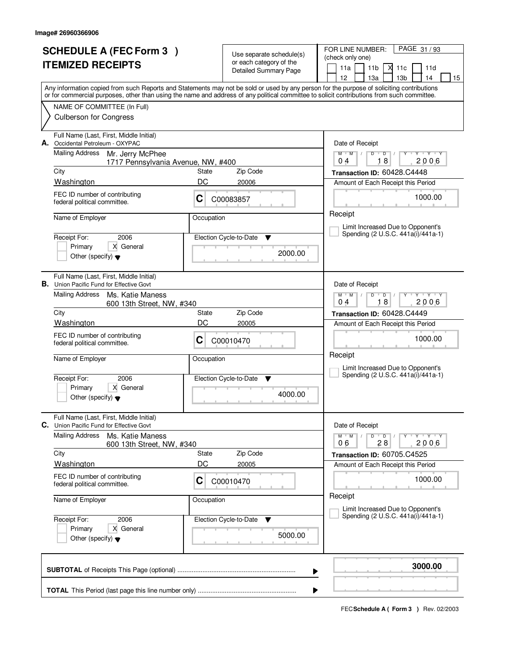| <b>SCHEDULE A (FEC Form 3)</b><br><b>ITEMIZED RECEIPTS</b> |                                                                                                                                            |                   | Use separate schedule(s)<br>or each category of the<br>Detailed Summary Page | PAGE 31/93<br>FOR LINE NUMBER:<br>(check only one)<br>11a<br>11 <sub>b</sub><br>М<br>11c<br>11d                                                                                       |  |  |
|------------------------------------------------------------|--------------------------------------------------------------------------------------------------------------------------------------------|-------------------|------------------------------------------------------------------------------|---------------------------------------------------------------------------------------------------------------------------------------------------------------------------------------|--|--|
|                                                            | or for commercial purposes, other than using the name and address of any political committee to solicit contributions from such committee. |                   |                                                                              | 12<br>13 <sub>b</sub><br>13a<br>14<br>15<br>Any information copied from such Reports and Statements may not be sold or used by any person for the purpose of soliciting contributions |  |  |
|                                                            | NAME OF COMMITTEE (In Full)<br><b>Culberson for Congress</b>                                                                               |                   |                                                                              |                                                                                                                                                                                       |  |  |
|                                                            | Full Name (Last, First, Middle Initial)<br>A. Occidental Petroleum - OXYPAC                                                                |                   |                                                                              | Date of Receipt                                                                                                                                                                       |  |  |
|                                                            | <b>Mailing Address</b><br>Mr. Jerry McPhee<br>1717 Pennsylvania Avenue, NW, #400                                                           |                   |                                                                              | $M$ $M$ /<br>$D$ $D$ $I$<br>Y Y Y Y<br>Y<br>18<br>2006<br>04                                                                                                                          |  |  |
|                                                            | City                                                                                                                                       | State             | Zip Code                                                                     | Transaction ID: 60428.C4448                                                                                                                                                           |  |  |
|                                                            | Washington                                                                                                                                 | DC                | 20006                                                                        | Amount of Each Receipt this Period                                                                                                                                                    |  |  |
|                                                            | FEC ID number of contributing<br>C<br>federal political committee.                                                                         |                   | C00083857                                                                    | 1000.00                                                                                                                                                                               |  |  |
|                                                            | Name of Employer                                                                                                                           | Occupation        |                                                                              | Receipt<br>Limit Increased Due to Opponent's                                                                                                                                          |  |  |
|                                                            | Receipt For:<br>2006<br>X General<br>Primary                                                                                               |                   | Election Cycle-to-Date<br>v                                                  | Spending (2 U.S.C. 441a(i)/441a-1)                                                                                                                                                    |  |  |
|                                                            | Other (specify) $\blacktriangledown$                                                                                                       |                   | 2000.00                                                                      |                                                                                                                                                                                       |  |  |
|                                                            | Full Name (Last, First, Middle Initial)<br><b>B.</b> Union Pacific Fund for Effective Govt                                                 |                   |                                                                              | Date of Receipt                                                                                                                                                                       |  |  |
|                                                            | Mailing Address<br>Ms. Katie Maness<br>600 13th Street, NW, #340                                                                           |                   |                                                                              | $Y + Y + Y$<br>$M$ $M$ $/$<br>D<br>$\overline{D}$<br>$\frac{1}{2}$<br>18<br>2006<br>04                                                                                                |  |  |
|                                                            | City                                                                                                                                       | Zip Code<br>State |                                                                              | Transaction ID: 60428.C4449                                                                                                                                                           |  |  |
|                                                            | Washington                                                                                                                                 | DC                | 20005                                                                        | Amount of Each Receipt this Period                                                                                                                                                    |  |  |
|                                                            | FEC ID number of contributing<br>federal political committee.                                                                              | C                 | C00010470                                                                    | 1000.00                                                                                                                                                                               |  |  |
|                                                            | Name of Employer                                                                                                                           | Occupation        |                                                                              | Receipt<br>Limit Increased Due to Opponent's                                                                                                                                          |  |  |
|                                                            | Receipt For:<br>2006                                                                                                                       |                   | Election Cycle-to-Date<br><b>V</b>                                           | Spending (2 U.S.C. 441a(i)/441a-1)                                                                                                                                                    |  |  |
|                                                            | Primary<br>X General<br>Other (specify) $\blacktriangledown$                                                                               |                   | 4000.00                                                                      |                                                                                                                                                                                       |  |  |
|                                                            | Full Name (Last, First, Middle Initial)<br>C. Union Pacific Fund for Effective Govt                                                        |                   |                                                                              | Date of Receipt                                                                                                                                                                       |  |  |
|                                                            | <b>Mailing Address</b><br>Ms. Katie Maness<br>600 13th Street, NW, #340                                                                    |                   |                                                                              | $D$ $D$ $I$<br>$Y - Y - Y$<br>$M$ $M$ $/$<br>2006<br>06<br>28                                                                                                                         |  |  |
|                                                            | City<br>Washington                                                                                                                         | State<br>DC       | Zip Code<br>20005                                                            | Transaction ID: 60705.C4525<br>Amount of Each Receipt this Period                                                                                                                     |  |  |
|                                                            | FEC ID number of contributing<br>federal political committee.                                                                              | C                 | C00010470                                                                    | 1000.00                                                                                                                                                                               |  |  |
|                                                            | Name of Employer<br>Occupation                                                                                                             |                   |                                                                              | Receipt<br>Limit Increased Due to Opponent's                                                                                                                                          |  |  |
|                                                            | 2006<br>Receipt For:<br>Primary<br>X General<br>Other (specify) $\blacktriangledown$                                                       |                   | Election Cycle-to-Date<br>v<br>5000.00                                       | Spending (2 U.S.C. 441a(i)/441a-1)                                                                                                                                                    |  |  |
|                                                            |                                                                                                                                            |                   |                                                                              | 3000.00<br>▶                                                                                                                                                                          |  |  |
|                                                            |                                                                                                                                            |                   |                                                                              |                                                                                                                                                                                       |  |  |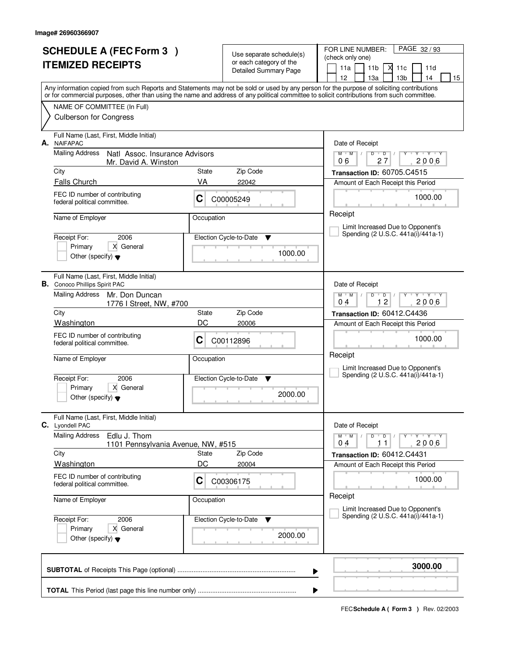|    | <b>SCHEDULE A (FEC Form 3)</b><br><b>ITEMIZED RECEIPTS</b>                                                                                                                                                                                                                              |                                    | Use separate schedule(s)<br>or each category of the<br><b>Detailed Summary Page</b> | PAGE 32/93<br>FOR LINE NUMBER:<br>(check only one)<br>11 <sub>b</sub><br>11a<br>м<br>11c<br>11d<br>12<br>13 <sub>b</sub><br>13a<br>14<br>15 |
|----|-----------------------------------------------------------------------------------------------------------------------------------------------------------------------------------------------------------------------------------------------------------------------------------------|------------------------------------|-------------------------------------------------------------------------------------|---------------------------------------------------------------------------------------------------------------------------------------------|
|    | Any information copied from such Reports and Statements may not be sold or used by any person for the purpose of soliciting contributions<br>or for commercial purposes, other than using the name and address of any political committee to solicit contributions from such committee. |                                    |                                                                                     |                                                                                                                                             |
|    | NAME OF COMMITTEE (In Full)<br><b>Culberson for Congress</b>                                                                                                                                                                                                                            |                                    |                                                                                     |                                                                                                                                             |
| А. | Full Name (Last, First, Middle Initial)<br><b>NAIFAPAC</b>                                                                                                                                                                                                                              |                                    |                                                                                     | Date of Receipt                                                                                                                             |
|    | <b>Mailing Address</b><br>Natl Assoc. Insurance Advisors<br>Mr. David A. Winston                                                                                                                                                                                                        |                                    |                                                                                     | $Y + Y + Y + Y$<br>$M$ $M$ /<br>$D$ $D$ $/$<br>27<br>2006<br>06                                                                             |
|    | City                                                                                                                                                                                                                                                                                    | State                              | Zip Code                                                                            | Transaction ID: 60705.C4515                                                                                                                 |
|    | <b>Falls Church</b><br>FEC ID number of contributing                                                                                                                                                                                                                                    | VA                                 | 22042                                                                               | Amount of Each Receipt this Period                                                                                                          |
|    | federal political committee.                                                                                                                                                                                                                                                            | С                                  | C00005249                                                                           | 1000.00                                                                                                                                     |
|    | Name of Employer                                                                                                                                                                                                                                                                        | Occupation                         |                                                                                     | Receipt                                                                                                                                     |
|    | 2006<br>Receipt For:                                                                                                                                                                                                                                                                    |                                    | Election Cycle-to-Date<br>▼                                                         | Limit Increased Due to Opponent's<br>Spending (2 U.S.C. 441a(i)/441a-1)                                                                     |
|    | X General<br>Primary<br>Other (specify) $\blacktriangledown$                                                                                                                                                                                                                            |                                    | 1000.00                                                                             |                                                                                                                                             |
|    | Full Name (Last, First, Middle Initial)<br><b>B.</b> Conoco Phillips Spirit PAC                                                                                                                                                                                                         |                                    |                                                                                     | Date of Receipt                                                                                                                             |
|    | <b>Mailing Address</b><br>Mr. Don Duncan<br>1776 I Street, NW, #700                                                                                                                                                                                                                     |                                    |                                                                                     | <b>TAY TAY</b><br>$M$ M<br>D<br>$\Box$<br>12<br>2006<br>04                                                                                  |
|    | City<br>Washington                                                                                                                                                                                                                                                                      | Zip Code<br>State<br>DC<br>20006   |                                                                                     | Transaction ID: 60412.C4436<br>Amount of Each Receipt this Period                                                                           |
|    | FEC ID number of contributing<br>federal political committee.                                                                                                                                                                                                                           | С                                  | C00112896                                                                           | 1000.00                                                                                                                                     |
|    | Name of Employer                                                                                                                                                                                                                                                                        | Occupation                         |                                                                                     | Receipt<br>Limit Increased Due to Opponent's                                                                                                |
|    | Receipt For:<br>2006                                                                                                                                                                                                                                                                    | Election Cycle-to-Date<br><b>V</b> |                                                                                     | Spending (2 U.S.C. 441a(i)/441a-1)                                                                                                          |
|    | Primary<br>X General<br>Other (specify) $\blacktriangledown$                                                                                                                                                                                                                            |                                    | 2000.00                                                                             |                                                                                                                                             |
|    | Full Name (Last, First, Middle Initial)<br>C. Lyondell PAC                                                                                                                                                                                                                              |                                    |                                                                                     | Date of Receipt                                                                                                                             |
|    | <b>Mailing Address</b><br>Edlu J. Thom<br>1101 Pennsylvania Avenue, NW, #515                                                                                                                                                                                                            |                                    |                                                                                     | $D$ $D$ $/$<br>$M$ $M$ /<br>Y<br>2006<br>04<br>11                                                                                           |
|    | City<br><b>Washington</b>                                                                                                                                                                                                                                                               | State<br>DC                        | Zip Code<br>20004                                                                   | Transaction ID: 60412.C4431<br>Amount of Each Receipt this Period                                                                           |
|    | FEC ID number of contributing<br>federal political committee.                                                                                                                                                                                                                           | C                                  | C00306175                                                                           | 1000.00                                                                                                                                     |
|    | Name of Employer                                                                                                                                                                                                                                                                        | Occupation                         |                                                                                     | Receipt                                                                                                                                     |
|    | Receipt For:<br>2006                                                                                                                                                                                                                                                                    |                                    | Election Cycle-to-Date<br>v                                                         | Limit Increased Due to Opponent's<br>Spending (2 U.S.C. 441a(i)/441a-1)                                                                     |
|    | Primary<br>X General<br>Other (specify) $\blacktriangledown$                                                                                                                                                                                                                            |                                    | 2000.00                                                                             |                                                                                                                                             |
|    |                                                                                                                                                                                                                                                                                         |                                    |                                                                                     | 3000.00<br>▶                                                                                                                                |
|    |                                                                                                                                                                                                                                                                                         |                                    |                                                                                     | ▶                                                                                                                                           |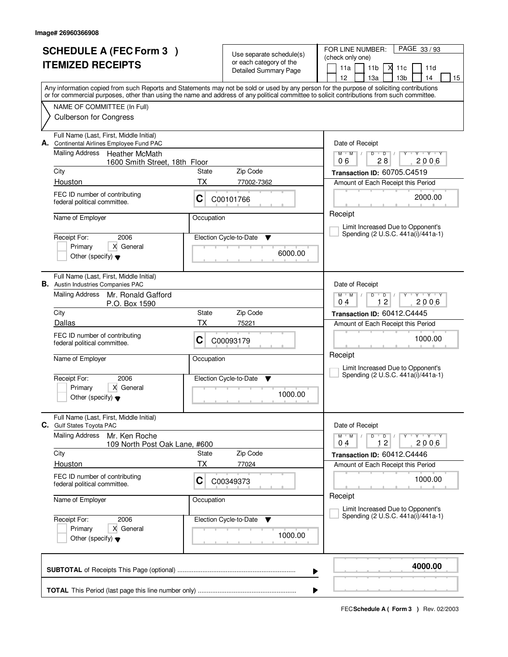| <b>SCHEDULE A (FEC Form 3)</b> |                                                                                                                                            |              | Use separate schedule(s)                                | PAGE 33/93<br>FOR LINE NUMBER:<br>(check only one)                                                                                        |
|--------------------------------|--------------------------------------------------------------------------------------------------------------------------------------------|--------------|---------------------------------------------------------|-------------------------------------------------------------------------------------------------------------------------------------------|
|                                | <b>ITEMIZED RECEIPTS</b>                                                                                                                   |              | or each category of the<br><b>Detailed Summary Page</b> | 11 <sub>b</sub><br>11a<br>Х<br>11c<br>11d<br>12<br>13 <sub>b</sub><br>13a<br>14<br>15                                                     |
|                                | or for commercial purposes, other than using the name and address of any political committee to solicit contributions from such committee. |              |                                                         | Any information copied from such Reports and Statements may not be sold or used by any person for the purpose of soliciting contributions |
|                                | NAME OF COMMITTEE (In Full)                                                                                                                |              |                                                         |                                                                                                                                           |
|                                | <b>Culberson for Congress</b>                                                                                                              |              |                                                         |                                                                                                                                           |
| А.                             | Full Name (Last, First, Middle Initial)<br>Continental Airlines Employee Fund PAC                                                          |              |                                                         | Date of Receipt                                                                                                                           |
|                                | <b>Mailing Address</b><br><b>Heather McMath</b><br>1600 Smith Street, 18th Floor                                                           |              |                                                         | $Y + Y + Y$<br>$M$ $M$ /<br>$D$ $D$<br>Y<br>$\mathbb{L}$<br>28<br>2006<br>06                                                              |
|                                | City                                                                                                                                       | State        | Zip Code                                                | Transaction ID: 60705.C4519                                                                                                               |
|                                | Houston                                                                                                                                    | TX           | 77002-7362                                              | Amount of Each Receipt this Period                                                                                                        |
|                                | FEC ID number of contributing<br>C<br>federal political committee.                                                                         |              | C00101766                                               | 2000.00                                                                                                                                   |
|                                | Name of Employer                                                                                                                           | Occupation   |                                                         | Receipt                                                                                                                                   |
|                                |                                                                                                                                            |              |                                                         | Limit Increased Due to Opponent's<br>Spending (2 U.S.C. 441a(i)/441a-1)                                                                   |
|                                | Receipt For:<br>2006<br>X General<br>Primary                                                                                               |              | Election Cycle-to-Date<br>▼                             |                                                                                                                                           |
|                                | Other (specify) $\blacktriangledown$                                                                                                       |              | 6000.00                                                 |                                                                                                                                           |
|                                | Full Name (Last, First, Middle Initial)<br><b>B.</b> Austin Industries Companies PAC                                                       |              |                                                         | Date of Receipt                                                                                                                           |
|                                | <b>Mailing Address</b><br>Mr. Ronald Gafford<br>P.O. Box 1590                                                                              |              |                                                         | $T - Y - T Y$<br>$M$ $M$ /<br>D<br>$\overline{D}$<br>12<br>2006<br>04                                                                     |
|                                | City                                                                                                                                       | <b>State</b> | Zip Code                                                | Transaction ID: 60412.C4445                                                                                                               |
|                                | Dallas                                                                                                                                     | <b>TX</b>    | 75221                                                   | Amount of Each Receipt this Period                                                                                                        |
|                                | FEC ID number of contributing<br>federal political committee.                                                                              | С            | C00093179                                               | 1000.00                                                                                                                                   |
|                                | Name of Employer                                                                                                                           | Occupation   |                                                         | Receipt<br>Limit Increased Due to Opponent's                                                                                              |
|                                | Receipt For:<br>2006                                                                                                                       |              | Election Cycle-to-Date<br>v                             | Spending (2 U.S.C. 441a(i)/441a-1)                                                                                                        |
|                                | Primary<br>X General<br>Other (specify) $\blacktriangledown$                                                                               |              | 1000.00                                                 |                                                                                                                                           |
|                                | Full Name (Last, First, Middle Initial)<br>C. Gulf States Toyota PAC                                                                       |              |                                                         | Date of Receipt                                                                                                                           |
|                                | <b>Mailing Address</b><br>Mr. Ken Roche<br>109 North Post Oak Lane, #600                                                                   |              |                                                         | $D$ $D$ $I$<br>$M$ $M$ /<br>$Y + Y + Y$<br>Y<br>12<br>2006<br>04                                                                          |
|                                | City                                                                                                                                       | State        | Zip Code                                                | Transaction ID: 60412.C4446                                                                                                               |
|                                | Houston                                                                                                                                    | ТX           | 77024                                                   | Amount of Each Receipt this Period                                                                                                        |
|                                | FEC ID number of contributing<br>federal political committee.                                                                              | C            | C00349373                                               | 1000.00                                                                                                                                   |
|                                | Name of Employer                                                                                                                           | Occupation   |                                                         | Receipt<br>Limit Increased Due to Opponent's                                                                                              |
|                                | Receipt For:<br>2006                                                                                                                       |              | Election Cycle-to-Date<br>v                             | Spending (2 U.S.C. 441a(i)/441a-1)                                                                                                        |
|                                | X General<br>Primary<br>Other (specify) $\blacktriangledown$                                                                               |              | 1000.00                                                 |                                                                                                                                           |
|                                |                                                                                                                                            |              |                                                         | 4000.00                                                                                                                                   |
|                                |                                                                                                                                            |              |                                                         | ▶                                                                                                                                         |
|                                |                                                                                                                                            |              |                                                         |                                                                                                                                           |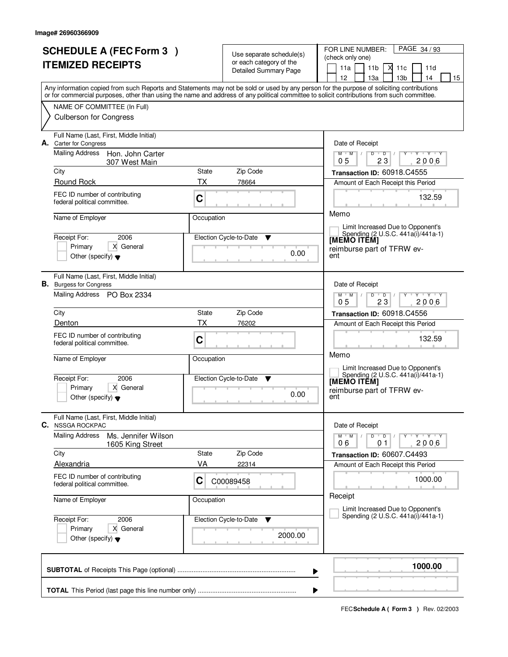| <b>SCHEDULE A (FEC Form 3)</b><br><b>ITEMIZED RECEIPTS</b> |                                                                           |            | Use separate schedule(s)<br>or each category of the<br><b>Detailed Summary Page</b> | PAGE 34/93<br>FOR LINE NUMBER:<br>(check only one)<br>X<br>11a<br>11 <sub>b</sub><br>11c<br>11d<br>12<br>13a<br>13 <sub>b</sub><br>14<br>15                                                                                                                                             |
|------------------------------------------------------------|---------------------------------------------------------------------------|------------|-------------------------------------------------------------------------------------|-----------------------------------------------------------------------------------------------------------------------------------------------------------------------------------------------------------------------------------------------------------------------------------------|
|                                                            |                                                                           |            |                                                                                     | Any information copied from such Reports and Statements may not be sold or used by any person for the purpose of soliciting contributions<br>or for commercial purposes, other than using the name and address of any political committee to solicit contributions from such committee. |
|                                                            | NAME OF COMMITTEE (In Full)                                               |            |                                                                                     |                                                                                                                                                                                                                                                                                         |
|                                                            | <b>Culberson for Congress</b>                                             |            |                                                                                     |                                                                                                                                                                                                                                                                                         |
|                                                            | Full Name (Last, First, Middle Initial)<br>A. Carter for Congress         |            |                                                                                     | Date of Receipt                                                                                                                                                                                                                                                                         |
|                                                            | Mailing Address<br>Hon. John Carter<br>307 West Main                      |            |                                                                                     | $Y + Y + Y$<br>$D$ $D$<br>$M$ <sup>U</sup><br>$M$ /<br>23<br>2006<br>0 <sub>5</sub>                                                                                                                                                                                                     |
|                                                            | City                                                                      | State      | Zip Code                                                                            | Transaction ID: 60918.C4555                                                                                                                                                                                                                                                             |
|                                                            | Round Rock                                                                | <b>TX</b>  | 78664                                                                               | Amount of Each Receipt this Period                                                                                                                                                                                                                                                      |
|                                                            | FEC ID number of contributing<br>federal political committee.             | C          |                                                                                     | 132.59                                                                                                                                                                                                                                                                                  |
|                                                            | Name of Employer                                                          | Occupation |                                                                                     | Memo                                                                                                                                                                                                                                                                                    |
|                                                            |                                                                           |            |                                                                                     | Limit Increased Due to Opponent's<br>Spending (2 U.S.C. 441a(i)/441a-1)                                                                                                                                                                                                                 |
|                                                            | Receipt For:<br>2006<br>Primary<br>X General                              |            | Election Cycle-to-Date<br>▼                                                         | [MEMO ITĒM]                                                                                                                                                                                                                                                                             |
|                                                            | Other (specify) $\blacktriangledown$                                      |            | 0.00                                                                                | reimburse part of TFRW ev-<br>ent                                                                                                                                                                                                                                                       |
|                                                            | Full Name (Last, First, Middle Initial)<br><b>B.</b> Burgess for Congress |            |                                                                                     | Date of Receipt                                                                                                                                                                                                                                                                         |
|                                                            | Mailing Address PO Box 2334                                               |            |                                                                                     | $M$ $M$ /<br>D<br>$\overline{D}$<br>Y Y Y Y<br>23<br>2006<br>05                                                                                                                                                                                                                         |
|                                                            | City                                                                      | State      | Zip Code                                                                            | Transaction ID: 60918.C4556                                                                                                                                                                                                                                                             |
|                                                            | Denton                                                                    | <b>TX</b>  | 76202                                                                               | Amount of Each Receipt this Period                                                                                                                                                                                                                                                      |
|                                                            | FEC ID number of contributing<br>federal political committee.             | C          |                                                                                     | 132.59                                                                                                                                                                                                                                                                                  |
|                                                            | Name of Employer                                                          | Occupation |                                                                                     | Memo<br>Limit Increased Due to Opponent's                                                                                                                                                                                                                                               |
|                                                            | Receipt For:<br>2006                                                      |            | Election Cycle-to-Date<br>▼                                                         | Spending (2 U.S.C. 441a(i)/441a-1)<br>[MEMO ITĔM]                                                                                                                                                                                                                                       |
|                                                            | Primary<br>X General<br>Other (specify) $\blacktriangledown$              |            | 0.00                                                                                | reimburse part of TFRW ev-<br>ent                                                                                                                                                                                                                                                       |
| C.                                                         | Full Name (Last, First, Middle Initial)<br><b>NSSGA ROCKPAC</b>           |            |                                                                                     | Date of Receipt                                                                                                                                                                                                                                                                         |
|                                                            | <b>Mailing Address</b><br>Ms. Jennifer Wilson<br>1605 King Street         |            |                                                                                     | $D$ $D$ $/$<br>$M$ $M$<br>Y FY FY FY<br>2006<br>06<br>01                                                                                                                                                                                                                                |
|                                                            | City                                                                      | State      | Zip Code                                                                            | Transaction ID: 60607.C4493                                                                                                                                                                                                                                                             |
|                                                            | Alexandria                                                                | VA         | 22314                                                                               | Amount of Each Receipt this Period                                                                                                                                                                                                                                                      |
|                                                            | FEC ID number of contributing<br>federal political committee.             | C          | C00089458                                                                           | 1000.00                                                                                                                                                                                                                                                                                 |
|                                                            | Name of Employer                                                          | Occupation |                                                                                     | Receipt<br>Limit Increased Due to Opponent's                                                                                                                                                                                                                                            |
|                                                            | Receipt For:<br>2006                                                      |            | Election Cycle-to-Date<br><b>V</b>                                                  | Spending (2 U.S.C. 441a(i)/441a-1)                                                                                                                                                                                                                                                      |
|                                                            | Primary<br>X General<br>Other (specify) $\blacktriangledown$              |            | 2000.00                                                                             |                                                                                                                                                                                                                                                                                         |
|                                                            |                                                                           |            |                                                                                     | 1000.00<br>▶                                                                                                                                                                                                                                                                            |
|                                                            |                                                                           |            |                                                                                     | ▶                                                                                                                                                                                                                                                                                       |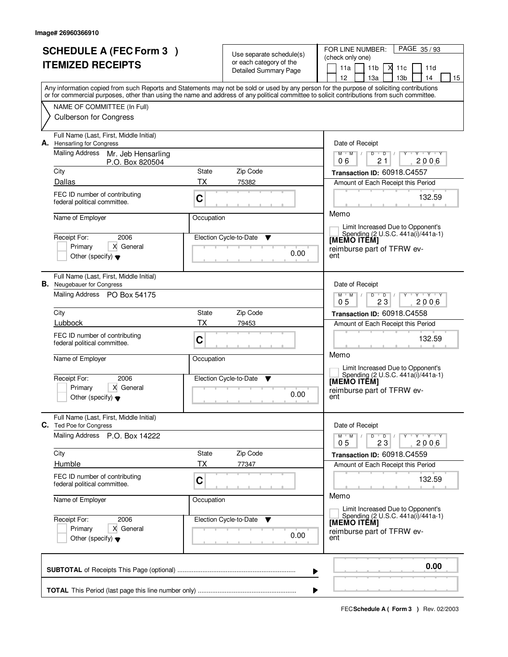| <b>SCHEDULE A (FEC Form 3)</b><br><b>ITEMIZED RECEIPTS</b>                           |                                                                  | Use separate schedule(s)<br>or each category of the<br><b>Detailed Summary Page</b> | PAGE 35/93<br>FOR LINE NUMBER:<br>(check only one)<br>М<br>11a<br>11 <sub>b</sub><br>11c<br>11d                                                                                                                                                                                                                                     |  |  |
|--------------------------------------------------------------------------------------|------------------------------------------------------------------|-------------------------------------------------------------------------------------|-------------------------------------------------------------------------------------------------------------------------------------------------------------------------------------------------------------------------------------------------------------------------------------------------------------------------------------|--|--|
|                                                                                      |                                                                  |                                                                                     | 12<br>13a<br>13 <sub>b</sub><br>14<br>15<br>Any information copied from such Reports and Statements may not be sold or used by any person for the purpose of soliciting contributions<br>or for commercial purposes, other than using the name and address of any political committee to solicit contributions from such committee. |  |  |
| NAME OF COMMITTEE (In Full)<br><b>Culberson for Congress</b>                         |                                                                  |                                                                                     |                                                                                                                                                                                                                                                                                                                                     |  |  |
| Full Name (Last, First, Middle Initial)<br>A. Hensarling for Congress                |                                                                  |                                                                                     | Date of Receipt<br>$V = V + V + V$<br>$M$ $M$<br>Y<br>$\perp$                                                                                                                                                                                                                                                                       |  |  |
| Mailing Address<br>Mr. Jeb Hensarling<br>P.O. Box 820504                             |                                                                  |                                                                                     | $D$ $D$<br>21<br>2006<br>06                                                                                                                                                                                                                                                                                                         |  |  |
| City<br>Dallas                                                                       | State<br>ТX                                                      | Zip Code                                                                            | Transaction ID: 60918.C4557                                                                                                                                                                                                                                                                                                         |  |  |
| FEC ID number of contributing<br>federal political committee.                        | $\mathbf C$                                                      | 75382<br>Amount of Each Receipt this Period<br>132.59                               |                                                                                                                                                                                                                                                                                                                                     |  |  |
| Name of Employer                                                                     | Occupation                                                       |                                                                                     | Memo                                                                                                                                                                                                                                                                                                                                |  |  |
| Receipt For:<br>2006                                                                 |                                                                  | Election Cycle-to-Date<br>▼                                                         | Limit Increased Due to Opponent's<br>Spending (2 U.S.C. 441a(i)/441a-1)<br>[MEMO ITĒM]                                                                                                                                                                                                                                              |  |  |
| Primary<br>X General<br>Other (specify) $\blacktriangledown$                         |                                                                  | 0.00                                                                                | reimburse part of TFRW ev-<br>ent                                                                                                                                                                                                                                                                                                   |  |  |
| Full Name (Last, First, Middle Initial)<br><b>B.</b> Neugebauer for Congress         |                                                                  |                                                                                     | Date of Receipt                                                                                                                                                                                                                                                                                                                     |  |  |
| Mailing Address PO Box 54175                                                         |                                                                  |                                                                                     | $M$ $M$ $/$<br>Y Y Y Y<br>D<br>$\overline{D}$<br>23<br>05<br>2006                                                                                                                                                                                                                                                                   |  |  |
| City                                                                                 | Transaction ID: 60918.C4558                                      |                                                                                     |                                                                                                                                                                                                                                                                                                                                     |  |  |
| Lubbock                                                                              | ТX                                                               | 79453                                                                               | Amount of Each Receipt this Period                                                                                                                                                                                                                                                                                                  |  |  |
| FEC ID number of contributing<br>federal political committee.                        | C                                                                | 132.59<br>Memo                                                                      |                                                                                                                                                                                                                                                                                                                                     |  |  |
| Name of Employer                                                                     | Occupation                                                       |                                                                                     | Limit Increased Due to Opponent's                                                                                                                                                                                                                                                                                                   |  |  |
| Receipt For:<br>2006<br>Primary<br>X General<br>Other (specify) $\blacktriangledown$ |                                                                  | Election Cycle-to-Date<br>▼<br>0.00                                                 | Spending (2 U.S.C. 441a(i)/441a-1)<br><b>IMEMO ITEM]</b><br>reimburse part of TFRW ev-<br>ent                                                                                                                                                                                                                                       |  |  |
| Full Name (Last, First, Middle Initial)<br>C. Ted Poe for Congress                   |                                                                  |                                                                                     | Date of Receipt                                                                                                                                                                                                                                                                                                                     |  |  |
| Mailing Address P.O. Box 14222                                                       | $D$ $D$ $/$<br>$M$ $M$ $M$ $I$<br>yuryuryury<br>05<br>23<br>2006 |                                                                                     |                                                                                                                                                                                                                                                                                                                                     |  |  |
| City                                                                                 | State                                                            | Zip Code                                                                            | Transaction ID: 60918.C4559                                                                                                                                                                                                                                                                                                         |  |  |
| Humble<br>FEC ID number of contributing                                              | ТX                                                               | 77347                                                                               | Amount of Each Receipt this Period                                                                                                                                                                                                                                                                                                  |  |  |
| federal political committee.                                                         | $\mathbf C$                                                      |                                                                                     | 132.59                                                                                                                                                                                                                                                                                                                              |  |  |
| Name of Employer                                                                     | Occupation                                                       |                                                                                     | Memo<br>Limit Increased Due to Opponent's                                                                                                                                                                                                                                                                                           |  |  |
| Receipt For:<br>2006<br>Primary<br>X General                                         |                                                                  | Election Cycle-to-Date ▼                                                            | Spending (2 U.S.C. 441a(i)/441a-1)<br>[MEMO ITEM]                                                                                                                                                                                                                                                                                   |  |  |
| Other (specify) $\blacktriangledown$                                                 |                                                                  | 0.00                                                                                | reimburse part of TFRW ev-<br>ent                                                                                                                                                                                                                                                                                                   |  |  |
|                                                                                      |                                                                  |                                                                                     | 0.00<br>▶                                                                                                                                                                                                                                                                                                                           |  |  |
|                                                                                      |                                                                  |                                                                                     |                                                                                                                                                                                                                                                                                                                                     |  |  |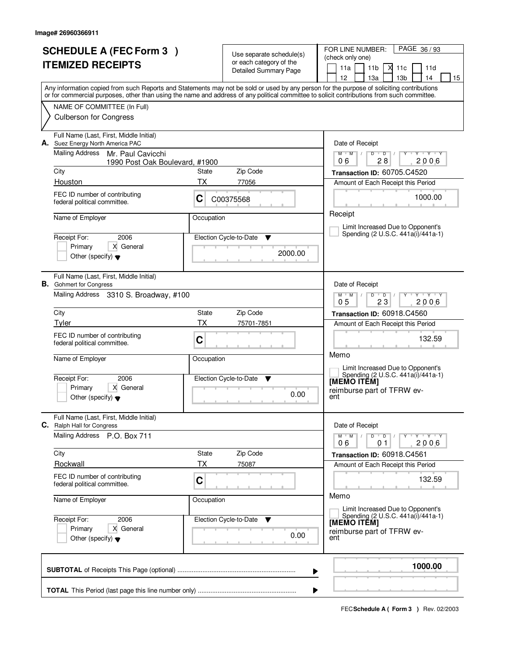| <b>SCHEDULE A (FEC Form 3)</b><br><b>ITEMIZED RECEIPTS</b>                                                                                                                                                                                                                              |                                                                               |                             | Use separate schedule(s)<br>or each category of the<br><b>Detailed Summary Page</b> | PAGE 36/93<br>FOR LINE NUMBER:<br>(check only one)<br>11a<br>11 <sub>b</sub><br>X<br>11c<br>11d<br>12<br>13a<br>13 <sub>b</sub><br>14<br>15 |  |  |  |
|-----------------------------------------------------------------------------------------------------------------------------------------------------------------------------------------------------------------------------------------------------------------------------------------|-------------------------------------------------------------------------------|-----------------------------|-------------------------------------------------------------------------------------|---------------------------------------------------------------------------------------------------------------------------------------------|--|--|--|
| Any information copied from such Reports and Statements may not be sold or used by any person for the purpose of soliciting contributions<br>or for commercial purposes, other than using the name and address of any political committee to solicit contributions from such committee. |                                                                               |                             |                                                                                     |                                                                                                                                             |  |  |  |
|                                                                                                                                                                                                                                                                                         | NAME OF COMMITTEE (In Full)<br><b>Culberson for Congress</b>                  |                             |                                                                                     |                                                                                                                                             |  |  |  |
|                                                                                                                                                                                                                                                                                         | Full Name (Last, First, Middle Initial)<br>A. Suez Energy North America PAC   |                             |                                                                                     | Date of Receipt                                                                                                                             |  |  |  |
|                                                                                                                                                                                                                                                                                         | <b>Mailing Address</b><br>Mr. Paul Cavicchi<br>1990 Post Oak Boulevard, #1900 |                             |                                                                                     | $M$ $M$<br>$D$ $D$<br>$Y - Y - Y - Y$<br>$\prime$<br>2006<br>06<br>28                                                                       |  |  |  |
|                                                                                                                                                                                                                                                                                         | City                                                                          | State                       | Zip Code                                                                            | Transaction ID: 60705.C4520                                                                                                                 |  |  |  |
|                                                                                                                                                                                                                                                                                         | Houston                                                                       | <b>TX</b>                   | 77056                                                                               | Amount of Each Receipt this Period                                                                                                          |  |  |  |
|                                                                                                                                                                                                                                                                                         | FEC ID number of contributing<br>federal political committee.                 | C                           | C00375568                                                                           | 1000.00                                                                                                                                     |  |  |  |
|                                                                                                                                                                                                                                                                                         | Name of Employer                                                              | Occupation                  |                                                                                     | Receipt                                                                                                                                     |  |  |  |
|                                                                                                                                                                                                                                                                                         |                                                                               |                             |                                                                                     | Limit Increased Due to Opponent's<br>Spending (2 U.S.C. 441a(i)/441a-1)                                                                     |  |  |  |
|                                                                                                                                                                                                                                                                                         | 2006<br>Receipt For:<br>X General<br>Primary                                  | Election Cycle-to-Date<br>v |                                                                                     |                                                                                                                                             |  |  |  |
|                                                                                                                                                                                                                                                                                         | Other (specify) $\blacktriangledown$                                          |                             | 2000.00                                                                             |                                                                                                                                             |  |  |  |
|                                                                                                                                                                                                                                                                                         | Full Name (Last, First, Middle Initial)<br><b>B.</b> Gohmert for Congress     |                             |                                                                                     | Date of Receipt                                                                                                                             |  |  |  |
|                                                                                                                                                                                                                                                                                         | Mailing Address 3310 S. Broadway, #100                                        |                             |                                                                                     | $Y + Y + Y$<br>$M$ $M$ /<br>$D$ $D$<br>0 <sub>5</sub><br>23<br>2006                                                                         |  |  |  |
|                                                                                                                                                                                                                                                                                         | City                                                                          | State                       | Zip Code                                                                            | Transaction ID: 60918.C4560                                                                                                                 |  |  |  |
|                                                                                                                                                                                                                                                                                         | Tyler                                                                         | <b>TX</b>                   | 75701-7851                                                                          | Amount of Each Receipt this Period                                                                                                          |  |  |  |
|                                                                                                                                                                                                                                                                                         | FEC ID number of contributing<br>federal political committee.                 | C                           |                                                                                     | 132.59                                                                                                                                      |  |  |  |
|                                                                                                                                                                                                                                                                                         | Name of Employer                                                              | Occupation                  |                                                                                     | Memo<br>Limit Increased Due to Opponent's                                                                                                   |  |  |  |
|                                                                                                                                                                                                                                                                                         | Receipt For:<br>2006                                                          |                             | Election Cycle-to-Date<br>▼                                                         | Spending (2 U.S.C. 441a(i)/441a-1)<br>[MEMO ITĔM]                                                                                           |  |  |  |
|                                                                                                                                                                                                                                                                                         | Primary<br>X General<br>Other (specify) $\blacktriangledown$                  |                             | 0.00                                                                                | reimburse part of TFRW ev-<br>ent                                                                                                           |  |  |  |
|                                                                                                                                                                                                                                                                                         | Full Name (Last, First, Middle Initial)<br>C. Ralph Hall for Congress         |                             |                                                                                     | Date of Receipt                                                                                                                             |  |  |  |
|                                                                                                                                                                                                                                                                                         | Mailing Address P.O. Box 711                                                  |                             |                                                                                     | $M-M$ /<br>$D$ $D$ $/$<br>ਦ γ≕⊏γ≕εγ<br>Y<br>06<br>2006<br>01                                                                                |  |  |  |
|                                                                                                                                                                                                                                                                                         | Zip Code<br>City<br>State                                                     |                             |                                                                                     | Transaction ID: 60918.C4561                                                                                                                 |  |  |  |
|                                                                                                                                                                                                                                                                                         | Rockwall                                                                      | ТX                          | 75087                                                                               | Amount of Each Receipt this Period                                                                                                          |  |  |  |
|                                                                                                                                                                                                                                                                                         | FEC ID number of contributing<br>federal political committee.                 | C                           |                                                                                     | 132.59                                                                                                                                      |  |  |  |
|                                                                                                                                                                                                                                                                                         | Name of Employer                                                              | Occupation                  |                                                                                     | Memo<br>Limit Increased Due to Opponent's                                                                                                   |  |  |  |
|                                                                                                                                                                                                                                                                                         | Receipt For:<br>2006                                                          |                             | Election Cycle-to-Date<br><b>V</b>                                                  | Spending (2 U.S.C. 441a(i)/441a-1)<br>[MEMO ITEM]                                                                                           |  |  |  |
|                                                                                                                                                                                                                                                                                         | Primary<br>X General<br>Other (specify) $\blacktriangledown$                  |                             | 0.00                                                                                | reimburse part of TFRW ev-<br>ent                                                                                                           |  |  |  |
| 1000.00<br>▶                                                                                                                                                                                                                                                                            |                                                                               |                             |                                                                                     |                                                                                                                                             |  |  |  |
|                                                                                                                                                                                                                                                                                         |                                                                               |                             |                                                                                     |                                                                                                                                             |  |  |  |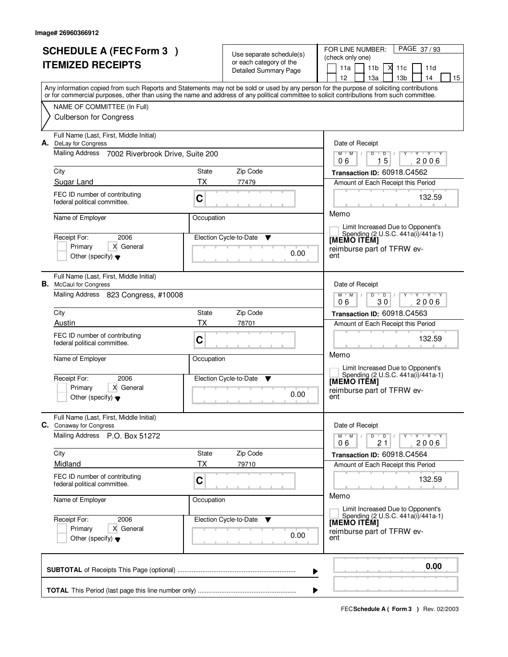| <b>ITEMIZED RECEIPTS</b><br>11a<br>11 <sub>b</sub><br>М<br>11c<br>11d<br>Detailed Summary Page<br>12 <sup>2</sup><br>13a<br>13 <sub>b</sub><br>14<br>15<br>Any information copied from such Reports and Statements may not be sold or used by any person for the purpose of soliciting contributions<br>or for commercial purposes, other than using the name and address of any political committee to solicit contributions from such committee.<br>NAME OF COMMITTEE (In Full)<br><b>Culberson for Congress</b><br>Full Name (Last, First, Middle Initial)<br>DeLay for Congress<br>Date of Receipt<br>А.<br>Mailing Address 7002 Riverbrook Drive, Suite 200<br>$Y$ $Y$ $Y$<br>$M$ $M$ $/$<br>$\mathsf D$<br>D<br>π<br>15<br>2006<br>06<br>City<br>State<br>Zip Code<br>Transaction ID: 60918.C4562<br>Sugar Land<br><b>TX</b><br>77479<br>Amount of Each Receipt this Period<br>FEC ID number of contributing<br>C<br>132.59<br>federal political committee.<br>Memo<br>Name of Employer<br>Occupation<br>Limit Increased Due to Opponent's<br>Spending (2 U.S.C. 441a(i)/441a-1)<br>2006<br>Receipt For:<br>Election Cycle-to-Date<br>▼<br>[MEMO ITÊM]<br>Primary<br>X General<br>reimburse part of TFRW ev-<br>0.00<br>Other (specify) $\blacktriangledown$<br>ent<br>Full Name (Last, First, Middle Initial)<br><b>B.</b> McCaul for Congress<br>Date of Receipt<br>Mailing Address 823 Congress, #10008<br>$M$ $M$ /<br>$Y \vdash Y \vdash Y$<br>D<br>$\overline{D}$<br>30<br>2006<br>06<br>Zip Code<br>City<br>State<br>Transaction ID: 60918.C4563<br><b>TX</b><br>Austin<br>78701<br>Amount of Each Receipt this Period<br>FEC ID number of contributing<br>132.59<br>C<br>federal political committee.<br>Memo<br>Name of Employer<br>Occupation<br>Limit Increased Due to Opponent's<br>Spending (2 U.S.C. 441a(i)/441a-1)<br>[MEMO ITEM]<br>Receipt For:<br>2006<br>Election Cycle-to-Date<br>▼<br>Primary<br>X General<br>reimburse part of TFRW ev-<br>0.00<br>ent<br>Other (specify) $\blacktriangledown$<br>Full Name (Last, First, Middle Initial)<br>C. Conaway for Congress<br>Date of Receipt<br>Mailing Address P.O. Box 51272<br>$M^{\prime}$ M $\rightarrow$<br>$D$ $D$ $/$<br>$\mathsf{Y} \dashv \mathsf{Y} \dashv \mathsf{Y} \dashv \mathsf{Y}$<br>21<br>2006<br>06<br>Zip Code<br>City<br>State<br>Transaction ID: 60918.C4564<br>Midland<br>ТX<br>79710<br>Amount of Each Receipt this Period<br>FEC ID number of contributing<br>$\mathbf C$<br>132.59<br>federal political committee.<br>Memo<br>Name of Employer<br>Occupation<br>Limit Increased Due to Opponent's<br>Spending (2 U.S.C. 441a(i)/441a-1)<br>Receipt For:<br>Election Cycle-to-Date ▼<br>2006<br>[MEMO ITÊM]<br>Primary<br>X General<br>reimburse part of TFRW ev-<br>0.00<br>Other (specify) $\blacktriangledown$<br>ent<br>0.00<br>▶ | <b>SCHEDULE A (FEC Form 3)</b> |  |  | Use separate schedule(s)<br>or each category of the | PAGE 37/93<br>FOR LINE NUMBER:<br>(check only one) |
|-----------------------------------------------------------------------------------------------------------------------------------------------------------------------------------------------------------------------------------------------------------------------------------------------------------------------------------------------------------------------------------------------------------------------------------------------------------------------------------------------------------------------------------------------------------------------------------------------------------------------------------------------------------------------------------------------------------------------------------------------------------------------------------------------------------------------------------------------------------------------------------------------------------------------------------------------------------------------------------------------------------------------------------------------------------------------------------------------------------------------------------------------------------------------------------------------------------------------------------------------------------------------------------------------------------------------------------------------------------------------------------------------------------------------------------------------------------------------------------------------------------------------------------------------------------------------------------------------------------------------------------------------------------------------------------------------------------------------------------------------------------------------------------------------------------------------------------------------------------------------------------------------------------------------------------------------------------------------------------------------------------------------------------------------------------------------------------------------------------------------------------------------------------------------------------------------------------------------------------------------------------------------------------------------------------------------------------------------------------------------------------------------------------------------------------------------------------------------------------------------------------------------------------------------------------------------------------------------------------------------------------------------------------------------------------------------------------------------------------------------------------------------------------------------------------------------------------------|--------------------------------|--|--|-----------------------------------------------------|----------------------------------------------------|
|                                                                                                                                                                                                                                                                                                                                                                                                                                                                                                                                                                                                                                                                                                                                                                                                                                                                                                                                                                                                                                                                                                                                                                                                                                                                                                                                                                                                                                                                                                                                                                                                                                                                                                                                                                                                                                                                                                                                                                                                                                                                                                                                                                                                                                                                                                                                                                                                                                                                                                                                                                                                                                                                                                                                                                                                                                         |                                |  |  |                                                     |                                                    |
|                                                                                                                                                                                                                                                                                                                                                                                                                                                                                                                                                                                                                                                                                                                                                                                                                                                                                                                                                                                                                                                                                                                                                                                                                                                                                                                                                                                                                                                                                                                                                                                                                                                                                                                                                                                                                                                                                                                                                                                                                                                                                                                                                                                                                                                                                                                                                                                                                                                                                                                                                                                                                                                                                                                                                                                                                                         |                                |  |  |                                                     |                                                    |
|                                                                                                                                                                                                                                                                                                                                                                                                                                                                                                                                                                                                                                                                                                                                                                                                                                                                                                                                                                                                                                                                                                                                                                                                                                                                                                                                                                                                                                                                                                                                                                                                                                                                                                                                                                                                                                                                                                                                                                                                                                                                                                                                                                                                                                                                                                                                                                                                                                                                                                                                                                                                                                                                                                                                                                                                                                         |                                |  |  |                                                     |                                                    |
|                                                                                                                                                                                                                                                                                                                                                                                                                                                                                                                                                                                                                                                                                                                                                                                                                                                                                                                                                                                                                                                                                                                                                                                                                                                                                                                                                                                                                                                                                                                                                                                                                                                                                                                                                                                                                                                                                                                                                                                                                                                                                                                                                                                                                                                                                                                                                                                                                                                                                                                                                                                                                                                                                                                                                                                                                                         |                                |  |  |                                                     |                                                    |
|                                                                                                                                                                                                                                                                                                                                                                                                                                                                                                                                                                                                                                                                                                                                                                                                                                                                                                                                                                                                                                                                                                                                                                                                                                                                                                                                                                                                                                                                                                                                                                                                                                                                                                                                                                                                                                                                                                                                                                                                                                                                                                                                                                                                                                                                                                                                                                                                                                                                                                                                                                                                                                                                                                                                                                                                                                         |                                |  |  |                                                     |                                                    |
|                                                                                                                                                                                                                                                                                                                                                                                                                                                                                                                                                                                                                                                                                                                                                                                                                                                                                                                                                                                                                                                                                                                                                                                                                                                                                                                                                                                                                                                                                                                                                                                                                                                                                                                                                                                                                                                                                                                                                                                                                                                                                                                                                                                                                                                                                                                                                                                                                                                                                                                                                                                                                                                                                                                                                                                                                                         |                                |  |  |                                                     |                                                    |
|                                                                                                                                                                                                                                                                                                                                                                                                                                                                                                                                                                                                                                                                                                                                                                                                                                                                                                                                                                                                                                                                                                                                                                                                                                                                                                                                                                                                                                                                                                                                                                                                                                                                                                                                                                                                                                                                                                                                                                                                                                                                                                                                                                                                                                                                                                                                                                                                                                                                                                                                                                                                                                                                                                                                                                                                                                         |                                |  |  |                                                     |                                                    |
|                                                                                                                                                                                                                                                                                                                                                                                                                                                                                                                                                                                                                                                                                                                                                                                                                                                                                                                                                                                                                                                                                                                                                                                                                                                                                                                                                                                                                                                                                                                                                                                                                                                                                                                                                                                                                                                                                                                                                                                                                                                                                                                                                                                                                                                                                                                                                                                                                                                                                                                                                                                                                                                                                                                                                                                                                                         |                                |  |  |                                                     |                                                    |
|                                                                                                                                                                                                                                                                                                                                                                                                                                                                                                                                                                                                                                                                                                                                                                                                                                                                                                                                                                                                                                                                                                                                                                                                                                                                                                                                                                                                                                                                                                                                                                                                                                                                                                                                                                                                                                                                                                                                                                                                                                                                                                                                                                                                                                                                                                                                                                                                                                                                                                                                                                                                                                                                                                                                                                                                                                         |                                |  |  |                                                     |                                                    |
|                                                                                                                                                                                                                                                                                                                                                                                                                                                                                                                                                                                                                                                                                                                                                                                                                                                                                                                                                                                                                                                                                                                                                                                                                                                                                                                                                                                                                                                                                                                                                                                                                                                                                                                                                                                                                                                                                                                                                                                                                                                                                                                                                                                                                                                                                                                                                                                                                                                                                                                                                                                                                                                                                                                                                                                                                                         |                                |  |  |                                                     |                                                    |
|                                                                                                                                                                                                                                                                                                                                                                                                                                                                                                                                                                                                                                                                                                                                                                                                                                                                                                                                                                                                                                                                                                                                                                                                                                                                                                                                                                                                                                                                                                                                                                                                                                                                                                                                                                                                                                                                                                                                                                                                                                                                                                                                                                                                                                                                                                                                                                                                                                                                                                                                                                                                                                                                                                                                                                                                                                         |                                |  |  |                                                     |                                                    |
|                                                                                                                                                                                                                                                                                                                                                                                                                                                                                                                                                                                                                                                                                                                                                                                                                                                                                                                                                                                                                                                                                                                                                                                                                                                                                                                                                                                                                                                                                                                                                                                                                                                                                                                                                                                                                                                                                                                                                                                                                                                                                                                                                                                                                                                                                                                                                                                                                                                                                                                                                                                                                                                                                                                                                                                                                                         |                                |  |  |                                                     |                                                    |
|                                                                                                                                                                                                                                                                                                                                                                                                                                                                                                                                                                                                                                                                                                                                                                                                                                                                                                                                                                                                                                                                                                                                                                                                                                                                                                                                                                                                                                                                                                                                                                                                                                                                                                                                                                                                                                                                                                                                                                                                                                                                                                                                                                                                                                                                                                                                                                                                                                                                                                                                                                                                                                                                                                                                                                                                                                         |                                |  |  |                                                     |                                                    |
|                                                                                                                                                                                                                                                                                                                                                                                                                                                                                                                                                                                                                                                                                                                                                                                                                                                                                                                                                                                                                                                                                                                                                                                                                                                                                                                                                                                                                                                                                                                                                                                                                                                                                                                                                                                                                                                                                                                                                                                                                                                                                                                                                                                                                                                                                                                                                                                                                                                                                                                                                                                                                                                                                                                                                                                                                                         |                                |  |  |                                                     |                                                    |
|                                                                                                                                                                                                                                                                                                                                                                                                                                                                                                                                                                                                                                                                                                                                                                                                                                                                                                                                                                                                                                                                                                                                                                                                                                                                                                                                                                                                                                                                                                                                                                                                                                                                                                                                                                                                                                                                                                                                                                                                                                                                                                                                                                                                                                                                                                                                                                                                                                                                                                                                                                                                                                                                                                                                                                                                                                         |                                |  |  |                                                     |                                                    |
|                                                                                                                                                                                                                                                                                                                                                                                                                                                                                                                                                                                                                                                                                                                                                                                                                                                                                                                                                                                                                                                                                                                                                                                                                                                                                                                                                                                                                                                                                                                                                                                                                                                                                                                                                                                                                                                                                                                                                                                                                                                                                                                                                                                                                                                                                                                                                                                                                                                                                                                                                                                                                                                                                                                                                                                                                                         |                                |  |  |                                                     |                                                    |
|                                                                                                                                                                                                                                                                                                                                                                                                                                                                                                                                                                                                                                                                                                                                                                                                                                                                                                                                                                                                                                                                                                                                                                                                                                                                                                                                                                                                                                                                                                                                                                                                                                                                                                                                                                                                                                                                                                                                                                                                                                                                                                                                                                                                                                                                                                                                                                                                                                                                                                                                                                                                                                                                                                                                                                                                                                         |                                |  |  |                                                     |                                                    |
|                                                                                                                                                                                                                                                                                                                                                                                                                                                                                                                                                                                                                                                                                                                                                                                                                                                                                                                                                                                                                                                                                                                                                                                                                                                                                                                                                                                                                                                                                                                                                                                                                                                                                                                                                                                                                                                                                                                                                                                                                                                                                                                                                                                                                                                                                                                                                                                                                                                                                                                                                                                                                                                                                                                                                                                                                                         |                                |  |  |                                                     |                                                    |
|                                                                                                                                                                                                                                                                                                                                                                                                                                                                                                                                                                                                                                                                                                                                                                                                                                                                                                                                                                                                                                                                                                                                                                                                                                                                                                                                                                                                                                                                                                                                                                                                                                                                                                                                                                                                                                                                                                                                                                                                                                                                                                                                                                                                                                                                                                                                                                                                                                                                                                                                                                                                                                                                                                                                                                                                                                         |                                |  |  |                                                     |                                                    |
|                                                                                                                                                                                                                                                                                                                                                                                                                                                                                                                                                                                                                                                                                                                                                                                                                                                                                                                                                                                                                                                                                                                                                                                                                                                                                                                                                                                                                                                                                                                                                                                                                                                                                                                                                                                                                                                                                                                                                                                                                                                                                                                                                                                                                                                                                                                                                                                                                                                                                                                                                                                                                                                                                                                                                                                                                                         |                                |  |  |                                                     |                                                    |
|                                                                                                                                                                                                                                                                                                                                                                                                                                                                                                                                                                                                                                                                                                                                                                                                                                                                                                                                                                                                                                                                                                                                                                                                                                                                                                                                                                                                                                                                                                                                                                                                                                                                                                                                                                                                                                                                                                                                                                                                                                                                                                                                                                                                                                                                                                                                                                                                                                                                                                                                                                                                                                                                                                                                                                                                                                         |                                |  |  |                                                     |                                                    |
|                                                                                                                                                                                                                                                                                                                                                                                                                                                                                                                                                                                                                                                                                                                                                                                                                                                                                                                                                                                                                                                                                                                                                                                                                                                                                                                                                                                                                                                                                                                                                                                                                                                                                                                                                                                                                                                                                                                                                                                                                                                                                                                                                                                                                                                                                                                                                                                                                                                                                                                                                                                                                                                                                                                                                                                                                                         |                                |  |  |                                                     |                                                    |
|                                                                                                                                                                                                                                                                                                                                                                                                                                                                                                                                                                                                                                                                                                                                                                                                                                                                                                                                                                                                                                                                                                                                                                                                                                                                                                                                                                                                                                                                                                                                                                                                                                                                                                                                                                                                                                                                                                                                                                                                                                                                                                                                                                                                                                                                                                                                                                                                                                                                                                                                                                                                                                                                                                                                                                                                                                         |                                |  |  |                                                     |                                                    |
|                                                                                                                                                                                                                                                                                                                                                                                                                                                                                                                                                                                                                                                                                                                                                                                                                                                                                                                                                                                                                                                                                                                                                                                                                                                                                                                                                                                                                                                                                                                                                                                                                                                                                                                                                                                                                                                                                                                                                                                                                                                                                                                                                                                                                                                                                                                                                                                                                                                                                                                                                                                                                                                                                                                                                                                                                                         |                                |  |  |                                                     |                                                    |
|                                                                                                                                                                                                                                                                                                                                                                                                                                                                                                                                                                                                                                                                                                                                                                                                                                                                                                                                                                                                                                                                                                                                                                                                                                                                                                                                                                                                                                                                                                                                                                                                                                                                                                                                                                                                                                                                                                                                                                                                                                                                                                                                                                                                                                                                                                                                                                                                                                                                                                                                                                                                                                                                                                                                                                                                                                         |                                |  |  |                                                     |                                                    |
|                                                                                                                                                                                                                                                                                                                                                                                                                                                                                                                                                                                                                                                                                                                                                                                                                                                                                                                                                                                                                                                                                                                                                                                                                                                                                                                                                                                                                                                                                                                                                                                                                                                                                                                                                                                                                                                                                                                                                                                                                                                                                                                                                                                                                                                                                                                                                                                                                                                                                                                                                                                                                                                                                                                                                                                                                                         |                                |  |  |                                                     |                                                    |
|                                                                                                                                                                                                                                                                                                                                                                                                                                                                                                                                                                                                                                                                                                                                                                                                                                                                                                                                                                                                                                                                                                                                                                                                                                                                                                                                                                                                                                                                                                                                                                                                                                                                                                                                                                                                                                                                                                                                                                                                                                                                                                                                                                                                                                                                                                                                                                                                                                                                                                                                                                                                                                                                                                                                                                                                                                         |                                |  |  |                                                     |                                                    |
|                                                                                                                                                                                                                                                                                                                                                                                                                                                                                                                                                                                                                                                                                                                                                                                                                                                                                                                                                                                                                                                                                                                                                                                                                                                                                                                                                                                                                                                                                                                                                                                                                                                                                                                                                                                                                                                                                                                                                                                                                                                                                                                                                                                                                                                                                                                                                                                                                                                                                                                                                                                                                                                                                                                                                                                                                                         |                                |  |  |                                                     |                                                    |
|                                                                                                                                                                                                                                                                                                                                                                                                                                                                                                                                                                                                                                                                                                                                                                                                                                                                                                                                                                                                                                                                                                                                                                                                                                                                                                                                                                                                                                                                                                                                                                                                                                                                                                                                                                                                                                                                                                                                                                                                                                                                                                                                                                                                                                                                                                                                                                                                                                                                                                                                                                                                                                                                                                                                                                                                                                         |                                |  |  |                                                     |                                                    |
|                                                                                                                                                                                                                                                                                                                                                                                                                                                                                                                                                                                                                                                                                                                                                                                                                                                                                                                                                                                                                                                                                                                                                                                                                                                                                                                                                                                                                                                                                                                                                                                                                                                                                                                                                                                                                                                                                                                                                                                                                                                                                                                                                                                                                                                                                                                                                                                                                                                                                                                                                                                                                                                                                                                                                                                                                                         |                                |  |  |                                                     |                                                    |
| ▶                                                                                                                                                                                                                                                                                                                                                                                                                                                                                                                                                                                                                                                                                                                                                                                                                                                                                                                                                                                                                                                                                                                                                                                                                                                                                                                                                                                                                                                                                                                                                                                                                                                                                                                                                                                                                                                                                                                                                                                                                                                                                                                                                                                                                                                                                                                                                                                                                                                                                                                                                                                                                                                                                                                                                                                                                                       |                                |  |  |                                                     |                                                    |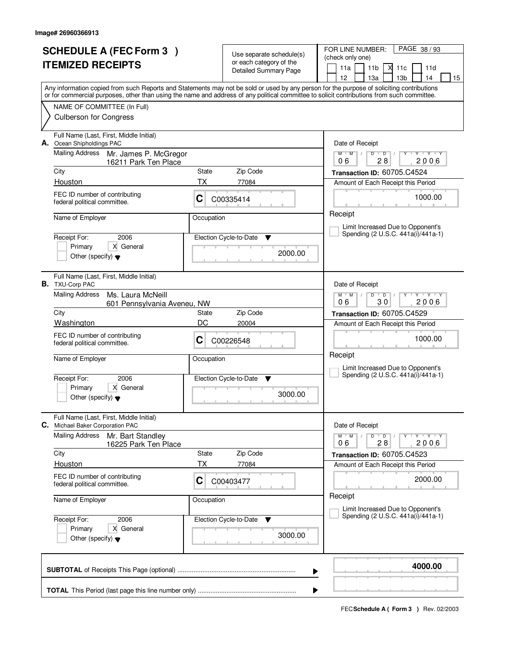|                          | <b>SCHEDULE A (FEC Form 3)</b>                                                                                                                                                                                                                                                          |             |                                                     | PAGE 38/93<br>FOR LINE NUMBER:                                                           |  |  |
|--------------------------|-----------------------------------------------------------------------------------------------------------------------------------------------------------------------------------------------------------------------------------------------------------------------------------------|-------------|-----------------------------------------------------|------------------------------------------------------------------------------------------|--|--|
| <b>ITEMIZED RECEIPTS</b> |                                                                                                                                                                                                                                                                                         |             | Use separate schedule(s)<br>or each category of the | (check only one)                                                                         |  |  |
|                          |                                                                                                                                                                                                                                                                                         |             | Detailed Summary Page                               | 11 <sub>b</sub><br>11a<br>М<br>11c<br>11d                                                |  |  |
|                          |                                                                                                                                                                                                                                                                                         |             |                                                     | 12<br>13 <sub>b</sub><br>13a<br>14<br>15                                                 |  |  |
|                          | Any information copied from such Reports and Statements may not be sold or used by any person for the purpose of soliciting contributions<br>or for commercial purposes, other than using the name and address of any political committee to solicit contributions from such committee. |             |                                                     |                                                                                          |  |  |
|                          | NAME OF COMMITTEE (In Full)                                                                                                                                                                                                                                                             |             |                                                     |                                                                                          |  |  |
|                          | <b>Culberson for Congress</b>                                                                                                                                                                                                                                                           |             |                                                     |                                                                                          |  |  |
| А.                       | Full Name (Last, First, Middle Initial)<br>Ocean Shipholdings PAC                                                                                                                                                                                                                       |             |                                                     | Date of Receipt                                                                          |  |  |
|                          | <b>Mailing Address</b><br>Mr. James P. McGregor<br>16211 Park Ten Place                                                                                                                                                                                                                 |             |                                                     | $Y + Y + Y$<br>$M$ $M$ /<br>D<br>$\overline{D}$<br>Y<br>$\mathbb{L}$<br>2006<br>06<br>28 |  |  |
|                          | City                                                                                                                                                                                                                                                                                    | State       | Zip Code                                            | Transaction ID: 60705.C4524                                                              |  |  |
|                          | Houston                                                                                                                                                                                                                                                                                 | ТX          | 77084                                               | Amount of Each Receipt this Period                                                       |  |  |
|                          | FEC ID number of contributing<br>federal political committee.                                                                                                                                                                                                                           | C           | C00335414                                           | 1000.00                                                                                  |  |  |
|                          | Name of Employer                                                                                                                                                                                                                                                                        | Occupation  |                                                     | Receipt                                                                                  |  |  |
|                          |                                                                                                                                                                                                                                                                                         |             |                                                     | Limit Increased Due to Opponent's<br>Spending (2 U.S.C. 441a(i)/441a-1)                  |  |  |
|                          | 2006<br>Receipt For:                                                                                                                                                                                                                                                                    |             | Election Cycle-to-Date<br>v                         |                                                                                          |  |  |
|                          | X General<br>Primary<br>Other (specify) $\blacktriangledown$                                                                                                                                                                                                                            |             | 2000.00                                             |                                                                                          |  |  |
|                          |                                                                                                                                                                                                                                                                                         |             |                                                     |                                                                                          |  |  |
|                          | Full Name (Last, First, Middle Initial)<br><b>B.</b> TXU-Corp PAC                                                                                                                                                                                                                       |             |                                                     | Date of Receipt                                                                          |  |  |
|                          | <b>Mailing Address</b><br>Ms. Laura McNeill<br>601 Pennsylvania Aveneu, NW                                                                                                                                                                                                              |             |                                                     | $M$ $M$ /<br><b>TEXT YES</b><br>D<br>$\overline{D}$<br>30<br>2006<br>06                  |  |  |
|                          | City                                                                                                                                                                                                                                                                                    | State       | Zip Code                                            | Transaction ID: 60705.C4529                                                              |  |  |
|                          | Washington                                                                                                                                                                                                                                                                              | DC<br>20004 |                                                     | Amount of Each Receipt this Period                                                       |  |  |
|                          | FEC ID number of contributing<br>federal political committee.                                                                                                                                                                                                                           | C           | C00226548                                           | 1000.00                                                                                  |  |  |
|                          | Name of Employer                                                                                                                                                                                                                                                                        | Occupation  |                                                     | Receipt                                                                                  |  |  |
|                          |                                                                                                                                                                                                                                                                                         |             |                                                     | Limit Increased Due to Opponent's<br>Spending (2 U.S.C. 441a(i)/441a-1)                  |  |  |
|                          | 2006<br>Receipt For:                                                                                                                                                                                                                                                                    |             | Election Cycle-to-Date<br>v                         |                                                                                          |  |  |
|                          | Primary<br>X General<br>Other (specify) $\blacktriangledown$                                                                                                                                                                                                                            |             | 3000.00                                             |                                                                                          |  |  |
| С.                       | Full Name (Last, First, Middle Initial)<br>Michael Baker Corporation PAC                                                                                                                                                                                                                |             |                                                     | Date of Receipt                                                                          |  |  |
|                          | <b>Mailing Address</b><br>Mr. Bart Standley<br>16225 Park Ten Place                                                                                                                                                                                                                     |             |                                                     | $M$ $M$ $/$<br>D<br>$\overline{D}$ /<br>$Y + Y + Y$<br>2006<br>06<br>28                  |  |  |
|                          | City                                                                                                                                                                                                                                                                                    | State       | Zip Code                                            | Transaction ID: 60705.C4523                                                              |  |  |
|                          | Houston                                                                                                                                                                                                                                                                                 | ТX          | 77084                                               | Amount of Each Receipt this Period                                                       |  |  |
|                          | FEC ID number of contributing<br>federal political committee.                                                                                                                                                                                                                           | C           | C00403477                                           | 2000.00                                                                                  |  |  |
|                          | Name of Employer                                                                                                                                                                                                                                                                        | Occupation  |                                                     | Receipt<br>Limit Increased Due to Opponent's                                             |  |  |
|                          | 2006<br>Receipt For:                                                                                                                                                                                                                                                                    |             | Election Cycle-to-Date<br>v                         | Spending (2 U.S.C. 441a(i)/441a-1)                                                       |  |  |
|                          | Primary<br>X General                                                                                                                                                                                                                                                                    |             |                                                     |                                                                                          |  |  |
|                          | Other (specify) $\blacktriangledown$                                                                                                                                                                                                                                                    |             | 3000.00                                             |                                                                                          |  |  |
|                          |                                                                                                                                                                                                                                                                                         |             |                                                     | 4000.00<br>▶                                                                             |  |  |
|                          |                                                                                                                                                                                                                                                                                         |             |                                                     | ▶                                                                                        |  |  |
|                          |                                                                                                                                                                                                                                                                                         |             |                                                     |                                                                                          |  |  |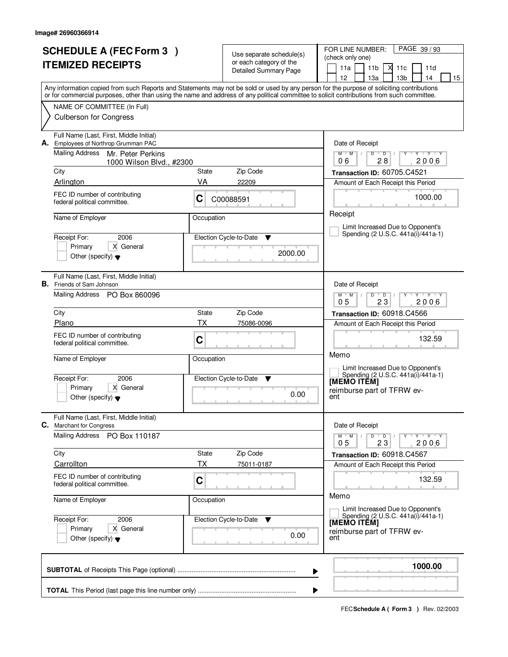| <b>SCHEDULE A (FEC Form 3)</b><br><b>ITEMIZED RECEIPTS</b> |                                                                                                             |                    | Use separate schedule(s)<br>or each category of the<br><b>Detailed Summary Page</b> | PAGE 39/93<br>FOR LINE NUMBER:<br>(check only one)<br>X<br>11a<br>11 <sub>b</sub><br>11c<br>11d                                                                                                                                                                                                                                                  |  |  |  |
|------------------------------------------------------------|-------------------------------------------------------------------------------------------------------------|--------------------|-------------------------------------------------------------------------------------|--------------------------------------------------------------------------------------------------------------------------------------------------------------------------------------------------------------------------------------------------------------------------------------------------------------------------------------------------|--|--|--|
|                                                            |                                                                                                             |                    |                                                                                     | 12 <sup>2</sup><br>14<br>13a<br>13 <sub>b</sub><br>15<br>Any information copied from such Reports and Statements may not be sold or used by any person for the purpose of soliciting contributions<br>or for commercial purposes, other than using the name and address of any political committee to solicit contributions from such committee. |  |  |  |
|                                                            | NAME OF COMMITTEE (In Full)<br><b>Culberson for Congress</b>                                                |                    |                                                                                     |                                                                                                                                                                                                                                                                                                                                                  |  |  |  |
|                                                            | Full Name (Last, First, Middle Initial)<br>A. Employees of Northrop Grumman PAC                             |                    |                                                                                     | Date of Receipt                                                                                                                                                                                                                                                                                                                                  |  |  |  |
|                                                            | <b>Mailing Address</b><br>Mr. Peter Perkins<br>1000 Wilson Blvd., #2300                                     |                    |                                                                                     | $M$ /<br>$\mathsf D$<br>Y Y Y Y<br>$M$ <sup>U</sup><br>D<br>28<br>2006<br>06                                                                                                                                                                                                                                                                     |  |  |  |
|                                                            | City                                                                                                        | <b>State</b><br>VA | Zip Code                                                                            | Transaction ID: 60705.C4521                                                                                                                                                                                                                                                                                                                      |  |  |  |
|                                                            | Arlington<br>FEC ID number of contributing<br>federal political committee.                                  | C                  | 22209<br>C00088591                                                                  | Amount of Each Receipt this Period<br>1000.00                                                                                                                                                                                                                                                                                                    |  |  |  |
|                                                            | Name of Employer                                                                                            | Occupation         |                                                                                     | Receipt                                                                                                                                                                                                                                                                                                                                          |  |  |  |
|                                                            |                                                                                                             |                    |                                                                                     | Limit Increased Due to Opponent's                                                                                                                                                                                                                                                                                                                |  |  |  |
|                                                            | Receipt For:<br>2006                                                                                        |                    | Election Cycle-to-Date<br>▼                                                         | Spending (2 U.S.C. 441a(i)/441a-1)                                                                                                                                                                                                                                                                                                               |  |  |  |
|                                                            | Primary<br>X General<br>Other (specify) $\blacktriangledown$                                                |                    | 2000.00                                                                             |                                                                                                                                                                                                                                                                                                                                                  |  |  |  |
|                                                            | Full Name (Last, First, Middle Initial)<br><b>B.</b> Friends of Sam Johnson                                 |                    |                                                                                     | Date of Receipt                                                                                                                                                                                                                                                                                                                                  |  |  |  |
|                                                            | Mailing Address PO Box 860096                                                                               |                    |                                                                                     | $M$ $M$ /<br>D<br>$\overline{D}$<br>Y 'Y 'Y<br>23<br>2006<br>05                                                                                                                                                                                                                                                                                  |  |  |  |
|                                                            | City                                                                                                        | State              | Zip Code                                                                            | Transaction ID: 60918.C4566                                                                                                                                                                                                                                                                                                                      |  |  |  |
|                                                            | Plano                                                                                                       | ТX                 | 75086-0096                                                                          | Amount of Each Receipt this Period                                                                                                                                                                                                                                                                                                               |  |  |  |
|                                                            | FEC ID number of contributing<br>federal political committee.                                               | C                  |                                                                                     | 132.59<br>Memo                                                                                                                                                                                                                                                                                                                                   |  |  |  |
|                                                            | Name of Employer                                                                                            | Occupation         |                                                                                     | Limit Increased Due to Opponent's                                                                                                                                                                                                                                                                                                                |  |  |  |
|                                                            | Receipt For:<br>2006<br>Primary<br>X General<br>Other (specify) $\blacktriangledown$                        |                    | Election Cycle-to-Date<br>▼<br>0.00                                                 | Spending (2 U.S.C. 441a(i)/441a-1)<br>[MEMO ITĔM]<br>reimburse part of TFRW ev-<br>ent                                                                                                                                                                                                                                                           |  |  |  |
|                                                            | Full Name (Last, First, Middle Initial)<br><b>C.</b> Marchant for Congress<br>Mailing Address PO Box 110187 |                    |                                                                                     | Date of Receipt<br>$M$ $M$ $M$<br>$D$ $D$ $/$<br>Y FY FY FY<br>0 <sub>5</sub><br>23<br>2006                                                                                                                                                                                                                                                      |  |  |  |
|                                                            | City                                                                                                        | State              | Zip Code                                                                            | Transaction ID: 60918.C4567                                                                                                                                                                                                                                                                                                                      |  |  |  |
|                                                            | Carrollton                                                                                                  | ТX                 | 75011-0187                                                                          | Amount of Each Receipt this Period                                                                                                                                                                                                                                                                                                               |  |  |  |
|                                                            | FEC ID number of contributing<br>federal political committee.                                               | C                  |                                                                                     | 132.59                                                                                                                                                                                                                                                                                                                                           |  |  |  |
|                                                            | Name of Employer                                                                                            | Occupation         |                                                                                     | Memo<br>Limit Increased Due to Opponent's                                                                                                                                                                                                                                                                                                        |  |  |  |
|                                                            | Receipt For:<br>2006<br>X General<br>Primary<br>Other (specify) $\blacktriangledown$                        |                    | Election Cycle-to-Date ▼<br>0.00                                                    | Spending (2 U.S.C. 441a(i)/441a-1)<br>[MEMO ITEM]<br>reimburse part of TFRW ev-<br>ent                                                                                                                                                                                                                                                           |  |  |  |
|                                                            |                                                                                                             |                    |                                                                                     | 1000.00<br>▶                                                                                                                                                                                                                                                                                                                                     |  |  |  |
|                                                            |                                                                                                             |                    |                                                                                     |                                                                                                                                                                                                                                                                                                                                                  |  |  |  |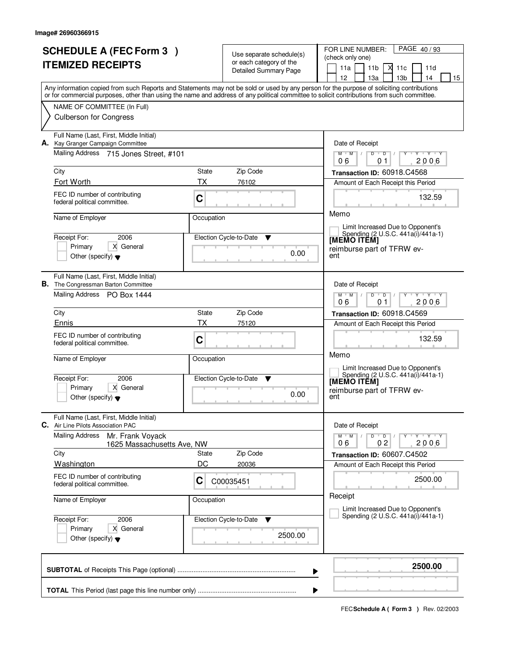|                          |                                                                                       |                  |                                                  | PAGE 40/93<br>FOR LINE NUMBER:                                                                                                             |  |
|--------------------------|---------------------------------------------------------------------------------------|------------------|--------------------------------------------------|--------------------------------------------------------------------------------------------------------------------------------------------|--|
|                          | <b>SCHEDULE A (FEC Form 3)</b>                                                        |                  | Use separate schedule(s)                         | (check only one)                                                                                                                           |  |
| <b>ITEMIZED RECEIPTS</b> |                                                                                       |                  | or each category of the<br>Detailed Summary Page | 11a<br>11 <sub>b</sub><br>М<br>11d<br>11c                                                                                                  |  |
|                          |                                                                                       |                  |                                                  | 13 <sub>b</sub><br>14<br>12<br>13a<br>15                                                                                                   |  |
|                          |                                                                                       |                  |                                                  | Any information copied from such Reports and Statements may not be sold or used by any person for the purpose of soliciting contributions  |  |
|                          |                                                                                       |                  |                                                  | or for commercial purposes, other than using the name and address of any political committee to solicit contributions from such committee. |  |
|                          | NAME OF COMMITTEE (In Full)                                                           |                  |                                                  |                                                                                                                                            |  |
|                          | <b>Culberson for Congress</b>                                                         |                  |                                                  |                                                                                                                                            |  |
|                          | Full Name (Last, First, Middle Initial)                                               |                  |                                                  |                                                                                                                                            |  |
|                          | A. Kay Granger Campaign Committee                                                     |                  |                                                  | Date of Receipt<br>$Y + Y + Y$<br>$D$ $D$ $/$                                                                                              |  |
|                          | Mailing Address 715 Jones Street, #101                                                |                  |                                                  | $M$ $M$ /<br>$Y$ <sup>U</sup><br>2006<br>06<br>01                                                                                          |  |
|                          | City                                                                                  | State            | Zip Code                                         | Transaction ID: 60918.C4568                                                                                                                |  |
|                          | Fort Worth                                                                            | <b>TX</b>        | 76102                                            | Amount of Each Receipt this Period                                                                                                         |  |
|                          | FEC ID number of contributing                                                         |                  |                                                  | 132.59                                                                                                                                     |  |
|                          | federal political committee.                                                          | $\mathbf C$      |                                                  |                                                                                                                                            |  |
|                          | Name of Employer                                                                      | Occupation       |                                                  | Memo                                                                                                                                       |  |
|                          |                                                                                       |                  |                                                  | Limit Increased Due to Opponent's                                                                                                          |  |
|                          | Receipt For:<br>2006                                                                  |                  | Election Cycle-to-Date<br>▼                      | Spending (2 U.S.C. 441a(i)/441a-1)<br>[MEMO ITÊM]                                                                                          |  |
|                          | Primary<br>X General                                                                  |                  |                                                  | reimburse part of TFRW ev-                                                                                                                 |  |
|                          | Other (specify) $\blacktriangledown$                                                  |                  | 0.00                                             | ent                                                                                                                                        |  |
|                          |                                                                                       |                  |                                                  |                                                                                                                                            |  |
|                          | Full Name (Last, First, Middle Initial)<br><b>B.</b> The Congressman Barton Committee |                  |                                                  | Date of Receipt                                                                                                                            |  |
|                          | Mailing Address PO Box 1444                                                           |                  |                                                  | $M$ $M$ /<br>$Y \vdash Y \vdash Y$<br>D<br>$\overline{D}$                                                                                  |  |
|                          |                                                                                       | 2006<br>06<br>01 |                                                  |                                                                                                                                            |  |
|                          | City<br>Zip Code<br>State                                                             |                  |                                                  | Transaction ID: 60918.C4569                                                                                                                |  |
|                          | Ennis                                                                                 | TX               | 75120                                            | Amount of Each Receipt this Period                                                                                                         |  |
|                          | FEC ID number of contributing                                                         | C                |                                                  | 132.59                                                                                                                                     |  |
|                          | federal political committee.                                                          |                  |                                                  |                                                                                                                                            |  |
|                          | Name of Employer                                                                      | Occupation       |                                                  | Memo                                                                                                                                       |  |
|                          |                                                                                       |                  |                                                  | Limit Increased Due to Opponent's<br>Spending (2 U.S.C. 441a(i)/441a-1)                                                                    |  |
|                          | Receipt For:<br>2006                                                                  |                  | Election Cycle-to-Date<br>▼                      | [MEMO ITEM]                                                                                                                                |  |
|                          | Primary<br>X General<br>Other (specify) $\blacktriangledown$                          |                  | 0.00                                             | reimburse part of TFRW ev-<br>ent                                                                                                          |  |
|                          |                                                                                       |                  |                                                  |                                                                                                                                            |  |
|                          | Full Name (Last, First, Middle Initial)                                               |                  |                                                  |                                                                                                                                            |  |
|                          | C. Air Line Pilots Association PAC<br><b>Mailing Address</b><br>Mr. Frank Voyack      |                  |                                                  | Date of Receipt<br>$M$ $M$ $I$<br>$D$ $D$ $/$<br>$Y - Y - Y - Y$<br>Y                                                                      |  |
|                          | 1625 Massachusetts Ave, NW                                                            |                  |                                                  | 0 <sub>2</sub><br>2006<br>06                                                                                                               |  |
|                          | City                                                                                  | State            | Zip Code                                         | Transaction ID: 60607.C4502                                                                                                                |  |
|                          | Washington                                                                            | DC               | 20036                                            | Amount of Each Receipt this Period                                                                                                         |  |
|                          | FEC ID number of contributing                                                         | C                | C00035451                                        | 2500.00                                                                                                                                    |  |
|                          | federal political committee.                                                          |                  |                                                  |                                                                                                                                            |  |
|                          | Name of Employer                                                                      | Occupation       |                                                  | Receipt                                                                                                                                    |  |
|                          |                                                                                       |                  |                                                  | Limit Increased Due to Opponent's<br>Spending (2 U.S.C. 441a(i)/441a-1)                                                                    |  |
|                          | Receipt For:<br>2006                                                                  |                  | Election Cycle-to-Date ▼                         |                                                                                                                                            |  |
|                          | X General<br>Primary                                                                  |                  | 2500.00                                          |                                                                                                                                            |  |
|                          | Other (specify) $\blacktriangledown$                                                  |                  |                                                  |                                                                                                                                            |  |
|                          |                                                                                       |                  |                                                  |                                                                                                                                            |  |
|                          |                                                                                       |                  |                                                  | 2500.00<br>▶                                                                                                                               |  |
|                          |                                                                                       |                  |                                                  |                                                                                                                                            |  |
|                          |                                                                                       |                  |                                                  | ▶                                                                                                                                          |  |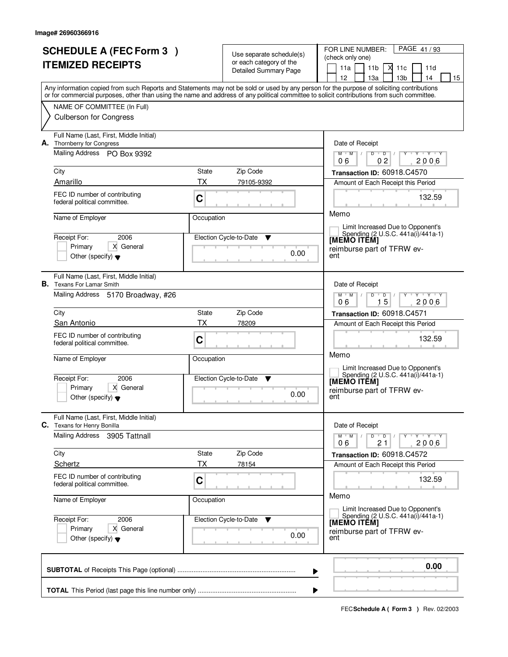|  | <b>SCHEDULE A (FEC Form 3)</b>                                                |             |                                                     | PAGE 41/93<br>FOR LINE NUMBER:                                                                                                             |
|--|-------------------------------------------------------------------------------|-------------|-----------------------------------------------------|--------------------------------------------------------------------------------------------------------------------------------------------|
|  | <b>ITEMIZED RECEIPTS</b>                                                      |             | Use separate schedule(s)<br>or each category of the | (check only one)                                                                                                                           |
|  |                                                                               |             | Detailed Summary Page                               | ⋊<br>11a<br>11 <sub>b</sub><br>11c<br>11d<br>12<br>13 <sub>b</sub><br>14<br>13a<br>15                                                      |
|  |                                                                               |             |                                                     | Any information copied from such Reports and Statements may not be sold or used by any person for the purpose of soliciting contributions  |
|  |                                                                               |             |                                                     | or for commercial purposes, other than using the name and address of any political committee to solicit contributions from such committee. |
|  | NAME OF COMMITTEE (In Full)                                                   |             |                                                     |                                                                                                                                            |
|  | <b>Culberson for Congress</b>                                                 |             |                                                     |                                                                                                                                            |
|  | Full Name (Last, First, Middle Initial)<br>A. Thornberry for Congress         |             |                                                     | Date of Receipt                                                                                                                            |
|  | Mailing Address PO Box 9392                                                   |             |                                                     | $Y$ $Y$ $Y$<br>$M$ $M$ /<br>$\overline{D}$<br>$\overline{D}$<br>0 <sub>2</sub><br>2006<br>06                                               |
|  | City                                                                          | State       | Zip Code                                            | Transaction ID: 60918.C4570                                                                                                                |
|  | Amarillo                                                                      | <b>TX</b>   | 79105-9392                                          | Amount of Each Receipt this Period                                                                                                         |
|  | FEC ID number of contributing                                                 |             |                                                     | 132.59                                                                                                                                     |
|  | federal political committee.                                                  | C           |                                                     |                                                                                                                                            |
|  | Name of Employer                                                              | Occupation  |                                                     | Memo                                                                                                                                       |
|  |                                                                               |             |                                                     | Limit Increased Due to Opponent's<br>Spending (2 U.S.C. 441a(i)/441a-1)                                                                    |
|  | 2006<br>Receipt For:                                                          |             | Election Cycle-to-Date<br>▼                         | [MEMO ITÊM]                                                                                                                                |
|  | Primary<br>X General<br>Other (specify) $\blacktriangledown$                  |             | 0.00                                                | reimburse part of TFRW ev-<br>ent                                                                                                          |
|  |                                                                               |             |                                                     |                                                                                                                                            |
|  | Full Name (Last, First, Middle Initial)<br><b>B.</b> Texans For Lamar Smith   |             |                                                     | Date of Receipt                                                                                                                            |
|  | Mailing Address 5170 Broadway, #26                                            |             |                                                     | $M$ $M$ /<br>D<br>Y Y Y Y<br>D                                                                                                             |
|  |                                                                               |             |                                                     | 15<br>06<br>2006                                                                                                                           |
|  | City                                                                          | State<br>TX | Zip Code                                            | Transaction ID: 60918.C4571                                                                                                                |
|  | San Antonio                                                                   |             | 78209                                               | Amount of Each Receipt this Period                                                                                                         |
|  | FEC ID number of contributing<br>federal political committee.                 | C           |                                                     | 132.59                                                                                                                                     |
|  | Name of Employer                                                              | Occupation  |                                                     | Memo                                                                                                                                       |
|  |                                                                               |             |                                                     | Limit Increased Due to Opponent's                                                                                                          |
|  | Receipt For:<br>2006                                                          |             | Election Cycle-to-Date<br>$\mathbf v$               | Spending (2 U.S.C. 441a(i)/441a-1)<br><b>IMEMO ITEM]</b>                                                                                   |
|  | Primary<br>X General                                                          |             | 0.00                                                | reimburse part of TFRW ev-<br>ent                                                                                                          |
|  | Other (specify) $\blacktriangledown$                                          |             |                                                     |                                                                                                                                            |
|  | Full Name (Last, First, Middle Initial)<br><b>C.</b> Texans for Henry Bonilla |             |                                                     | Date of Receipt                                                                                                                            |
|  | Mailing Address 3905 Tattnall                                                 |             |                                                     | $M$ $M$ $M$<br>$D$ $D$ $/$<br>Y FY FY FY                                                                                                   |
|  |                                                                               |             |                                                     | 2006<br>21<br>06                                                                                                                           |
|  | City<br>Schertz                                                               | State<br>ТX | Zip Code<br>78154                                   | Transaction ID: 60918.C4572<br>Amount of Each Receipt this Period                                                                          |
|  | FEC ID number of contributing                                                 |             |                                                     |                                                                                                                                            |
|  | federal political committee.                                                  | C           |                                                     | 132.59                                                                                                                                     |
|  | Name of Employer                                                              | Occupation  |                                                     | Memo                                                                                                                                       |
|  |                                                                               |             |                                                     | Limit Increased Due to Opponent's<br>Spending (2 U.S.C. 441a(i)/441a-1)                                                                    |
|  | Receipt For:<br>2006<br>Primary<br>X General                                  |             | Election Cycle-to-Date ▼                            | [MEMO ITÊM]                                                                                                                                |
|  | Other (specify) $\blacktriangledown$                                          |             | 0.00                                                | reimburse part of TFRW ev-<br>ent                                                                                                          |
|  |                                                                               |             |                                                     |                                                                                                                                            |
|  |                                                                               |             |                                                     | 0.00                                                                                                                                       |
|  |                                                                               |             | ▶                                                   |                                                                                                                                            |
|  |                                                                               |             | ▶                                                   |                                                                                                                                            |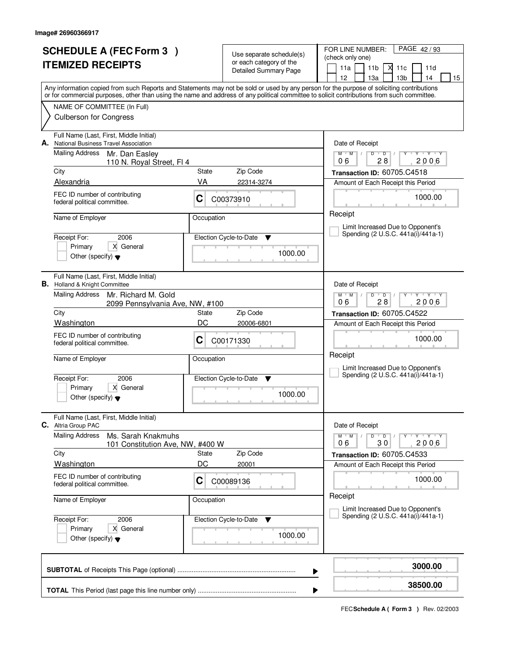| <b>SCHEDULE A (FEC Form 3)</b>                                                                                                                                                                                                                                                          |                  | Use separate schedule(s)     | FOR LINE NUMBER:<br>PAGE 42/93                                                                                |  |  |  |  |
|-----------------------------------------------------------------------------------------------------------------------------------------------------------------------------------------------------------------------------------------------------------------------------------------|------------------|------------------------------|---------------------------------------------------------------------------------------------------------------|--|--|--|--|
| <b>ITEMIZED RECEIPTS</b>                                                                                                                                                                                                                                                                |                  | or each category of the      | (check only one)<br>11a<br>11 <sub>b</sub><br>М<br>11c<br>11d                                                 |  |  |  |  |
|                                                                                                                                                                                                                                                                                         |                  | <b>Detailed Summary Page</b> | 12<br>13 <sub>b</sub><br>13a<br>14<br>15                                                                      |  |  |  |  |
| Any information copied from such Reports and Statements may not be sold or used by any person for the purpose of soliciting contributions<br>or for commercial purposes, other than using the name and address of any political committee to solicit contributions from such committee. |                  |                              |                                                                                                               |  |  |  |  |
| NAME OF COMMITTEE (In Full)                                                                                                                                                                                                                                                             |                  |                              |                                                                                                               |  |  |  |  |
| <b>Culberson for Congress</b>                                                                                                                                                                                                                                                           |                  |                              |                                                                                                               |  |  |  |  |
| Full Name (Last, First, Middle Initial)<br>National Business Travel Association<br>А.                                                                                                                                                                                                   |                  |                              | Date of Receipt                                                                                               |  |  |  |  |
| <b>Mailing Address</b><br>Mr. Dan Easley<br>110 N. Royal Street, FI 4                                                                                                                                                                                                                   |                  |                              | $Y + Y + Y$<br>$M$ $M$ /<br>D<br>$\overline{D}$<br>Y<br>2006<br>06<br>28                                      |  |  |  |  |
| City                                                                                                                                                                                                                                                                                    | State            | Zip Code                     | Transaction ID: 60705.C4518                                                                                   |  |  |  |  |
| Alexandria                                                                                                                                                                                                                                                                              | VA<br>22314-3274 |                              | Amount of Each Receipt this Period                                                                            |  |  |  |  |
| FEC ID number of contributing<br>federal political committee.                                                                                                                                                                                                                           | C                | C00373910                    | 1000.00                                                                                                       |  |  |  |  |
| Name of Employer                                                                                                                                                                                                                                                                        | Occupation       |                              | Receipt<br>Limit Increased Due to Opponent's                                                                  |  |  |  |  |
| Receipt For:<br>2006                                                                                                                                                                                                                                                                    |                  | Election Cycle-to-Date<br>v  | Spending (2 U.S.C. 441a(i)/441a-1)                                                                            |  |  |  |  |
| X General<br>Primary<br>Other (specify) $\blacktriangledown$                                                                                                                                                                                                                            |                  | 1000.00                      |                                                                                                               |  |  |  |  |
| Full Name (Last, First, Middle Initial)<br><b>B.</b> Holland & Knight Committee                                                                                                                                                                                                         |                  |                              | Date of Receipt                                                                                               |  |  |  |  |
| Mailing Address<br>Mr. Richard M. Gold<br>2099 Pennsylvania Ave, NW, #100                                                                                                                                                                                                               |                  |                              | $Y + Y + Y$<br>$M$ $M$ $/$<br>D<br>$\overline{D}$<br>28<br>2006<br>06                                         |  |  |  |  |
| City                                                                                                                                                                                                                                                                                    | State            | Zip Code                     | Transaction ID: 60705.C4522                                                                                   |  |  |  |  |
| Washington                                                                                                                                                                                                                                                                              | DC               | 20006-6801                   | Amount of Each Receipt this Period                                                                            |  |  |  |  |
| FEC ID number of contributing<br>federal political committee.                                                                                                                                                                                                                           | C                | C00171330                    | 1000.00                                                                                                       |  |  |  |  |
| Name of Employer                                                                                                                                                                                                                                                                        | Occupation       |                              | Receipt<br>Limit Increased Due to Opponent's                                                                  |  |  |  |  |
| Receipt For:<br>2006                                                                                                                                                                                                                                                                    |                  | Election Cycle-to-Date<br>v  | Spending (2 U.S.C. 441a(i)/441a-1)                                                                            |  |  |  |  |
| Primary<br>X General<br>Other (specify) $\blacktriangledown$                                                                                                                                                                                                                            |                  | 1000.00                      |                                                                                                               |  |  |  |  |
| Full Name (Last, First, Middle Initial)<br><b>C.</b> Altria Group PAC                                                                                                                                                                                                                   |                  |                              | Date of Receipt                                                                                               |  |  |  |  |
| <b>Mailing Address</b><br>Ms. Sarah Knakmuhs<br>101 Constitution Ave, NW, #400 W                                                                                                                                                                                                        |                  |                              | D<br>$M$ $M$ /<br>$\overline{D}$<br>$\mathsf{Y} \dashv \mathsf{Y} \dashv \mathsf{Y}$<br>Y<br>2006<br>06<br>30 |  |  |  |  |
| City                                                                                                                                                                                                                                                                                    | State            | Zip Code                     | Transaction ID: 60705.C4533                                                                                   |  |  |  |  |
| <b>Washington</b>                                                                                                                                                                                                                                                                       | DC               | 20001                        | Amount of Each Receipt this Period                                                                            |  |  |  |  |
| FEC ID number of contributing<br>federal political committee.                                                                                                                                                                                                                           | C                | C00089136                    | 1000.00                                                                                                       |  |  |  |  |
| Name of Employer                                                                                                                                                                                                                                                                        | Occupation       |                              | Receipt<br>Limit Increased Due to Opponent's                                                                  |  |  |  |  |
| Receipt For:<br>2006                                                                                                                                                                                                                                                                    |                  | Election Cycle-to-Date<br>v  | Spending (2 U.S.C. 441a(i)/441a-1)                                                                            |  |  |  |  |
| Primary<br>X General<br>Other (specify) $\blacktriangledown$                                                                                                                                                                                                                            |                  |                              |                                                                                                               |  |  |  |  |
|                                                                                                                                                                                                                                                                                         |                  |                              | 3000.00<br>▶                                                                                                  |  |  |  |  |
|                                                                                                                                                                                                                                                                                         | 38500.00         |                              |                                                                                                               |  |  |  |  |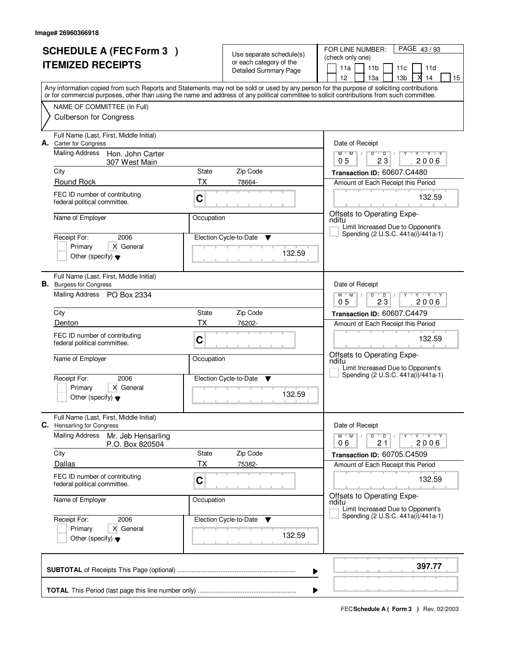| <b>SCHEDULE A (FEC Form 3)</b><br><b>ITEMIZED RECEIPTS</b> |                                                                           |             | Use separate schedule(s)<br>or each category of the | PAGE 43/93<br>FOR LINE NUMBER:<br>(check only one)                                                                                                                                                                                                                                      |  |  |  |
|------------------------------------------------------------|---------------------------------------------------------------------------|-------------|-----------------------------------------------------|-----------------------------------------------------------------------------------------------------------------------------------------------------------------------------------------------------------------------------------------------------------------------------------------|--|--|--|
|                                                            |                                                                           |             | <b>Detailed Summary Page</b>                        | 11a<br>11 <sub>b</sub><br>11 <sub>c</sub><br>11d<br>12 <sup>2</sup><br>13 <sub>b</sub><br>14<br>13а<br>15                                                                                                                                                                               |  |  |  |
|                                                            |                                                                           |             |                                                     | Any information copied from such Reports and Statements may not be sold or used by any person for the purpose of soliciting contributions<br>or for commercial purposes, other than using the name and address of any political committee to solicit contributions from such committee. |  |  |  |
|                                                            | NAME OF COMMITTEE (In Full)                                               |             |                                                     |                                                                                                                                                                                                                                                                                         |  |  |  |
|                                                            | <b>Culberson for Congress</b>                                             |             |                                                     |                                                                                                                                                                                                                                                                                         |  |  |  |
|                                                            | Full Name (Last, First, Middle Initial)<br>A. Carter for Congress         |             |                                                     | Date of Receipt                                                                                                                                                                                                                                                                         |  |  |  |
|                                                            | Mailing Address<br>Hon. John Carter<br>307 West Main                      |             |                                                     | $Y + Y + Y$<br>$M$ $M$ /<br>$D$ $D$<br>Y<br>23<br>2006<br>0 <sub>5</sub>                                                                                                                                                                                                                |  |  |  |
|                                                            | City                                                                      | State       | Zip Code                                            | Transaction ID: 60607.C4480                                                                                                                                                                                                                                                             |  |  |  |
|                                                            | Round Rock                                                                | <b>TX</b>   | 78664-                                              | Amount of Each Receipt this Period                                                                                                                                                                                                                                                      |  |  |  |
|                                                            | FEC ID number of contributing<br>federal political committee.             | C           |                                                     | 132.59                                                                                                                                                                                                                                                                                  |  |  |  |
|                                                            | Name of Employer                                                          | Occupation  |                                                     | Offsets to Operating Expe-<br>nditu<br>Limit Increased Due to Opponent's                                                                                                                                                                                                                |  |  |  |
|                                                            | 2006<br>Receipt For:                                                      |             | Election Cycle-to-Date<br>▼                         | Spending (2 U.S.C. 441a(i)/441a-1)                                                                                                                                                                                                                                                      |  |  |  |
|                                                            | Primary<br>X General                                                      |             | 132.59                                              |                                                                                                                                                                                                                                                                                         |  |  |  |
|                                                            | Other (specify) $\blacktriangledown$                                      |             |                                                     |                                                                                                                                                                                                                                                                                         |  |  |  |
|                                                            | Full Name (Last, First, Middle Initial)<br><b>B.</b> Burgess for Congress |             |                                                     | Date of Receipt                                                                                                                                                                                                                                                                         |  |  |  |
|                                                            | Mailing Address PO Box 2334                                               |             |                                                     | $M$ $M$ /<br>D<br>$\overline{D}$<br>Y Y Y Y<br>23<br>2006<br>05                                                                                                                                                                                                                         |  |  |  |
|                                                            | City                                                                      | State       | Zip Code                                            | Transaction ID: 60607.C4479                                                                                                                                                                                                                                                             |  |  |  |
|                                                            | Denton                                                                    | ТX          | 76202-                                              | Amount of Each Receipt this Period                                                                                                                                                                                                                                                      |  |  |  |
|                                                            | FEC ID number of contributing<br>federal political committee.             | C           |                                                     | 132.59                                                                                                                                                                                                                                                                                  |  |  |  |
|                                                            | Name of Employer                                                          | Occupation  |                                                     | Offsets to Operating Expe-<br>nditu<br>Limit Increased Due to Opponent's                                                                                                                                                                                                                |  |  |  |
|                                                            | Receipt For:<br>2006                                                      |             | Election Cycle-to-Date<br>v                         | Spending (2 U.S.C. 441a(i)/441a-1)                                                                                                                                                                                                                                                      |  |  |  |
|                                                            | Primary<br>X General<br>Other (specify) $\blacktriangledown$              |             | 132.59                                              |                                                                                                                                                                                                                                                                                         |  |  |  |
| C.                                                         | Full Name (Last, First, Middle Initial)<br><b>Hensarling for Congress</b> |             |                                                     | Date of Receipt                                                                                                                                                                                                                                                                         |  |  |  |
|                                                            | <b>Mailing Address</b><br>Mr. Jeb Hensarling<br>P.O. Box 820504           |             |                                                     | $M-M$ /<br>$D$ $D$ $/$<br>Y FY FY FY<br>21<br>2006<br>06                                                                                                                                                                                                                                |  |  |  |
|                                                            | City                                                                      | State       | Zip Code                                            | Transaction ID: 60705.C4509                                                                                                                                                                                                                                                             |  |  |  |
|                                                            | Dallas                                                                    | ТX          | 75382-                                              | Amount of Each Receipt this Period                                                                                                                                                                                                                                                      |  |  |  |
|                                                            | FEC ID number of contributing<br>federal political committee.             | $\mathbf C$ |                                                     | 132.59                                                                                                                                                                                                                                                                                  |  |  |  |
|                                                            | Name of Employer                                                          | Occupation  |                                                     | Offsets to Operating Expe-<br>nditu<br>Limit Increased Due to Opponent's                                                                                                                                                                                                                |  |  |  |
|                                                            | Receipt For:<br>2006                                                      |             | Election Cycle-to-Date<br><b>V</b>                  | Spending (2 U.S.C. 441a(i)/441a-1)                                                                                                                                                                                                                                                      |  |  |  |
|                                                            | X General<br>Primary<br>Other (specify) $\blacktriangledown$              |             | 132.59                                              |                                                                                                                                                                                                                                                                                         |  |  |  |
|                                                            | 397.77<br>▶                                                               |             |                                                     |                                                                                                                                                                                                                                                                                         |  |  |  |
|                                                            | ▶                                                                         |             |                                                     |                                                                                                                                                                                                                                                                                         |  |  |  |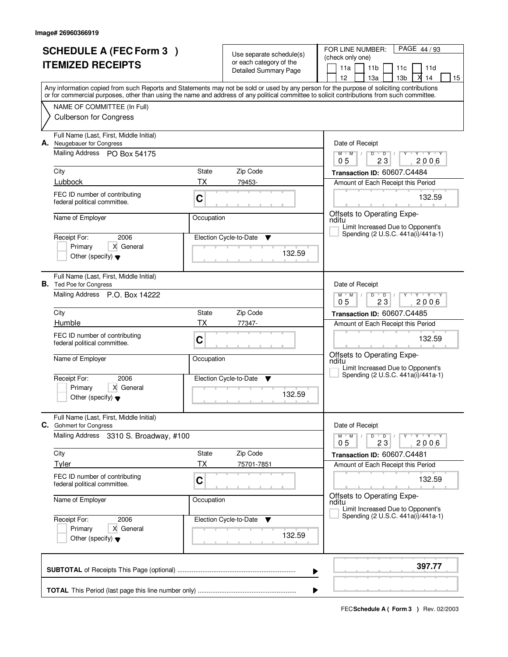| <b>SCHEDULE A (FEC Form 3)</b><br><b>ITEMIZED RECEIPTS</b> |                                                                           |            | Use separate schedule(s)<br>or each category of the<br><b>Detailed Summary Page</b> | PAGE 44/93<br>FOR LINE NUMBER:<br>(check only one)<br>11a<br>11 <sub>b</sub><br>11 <sub>c</sub><br>11d                                                                                                                                                                                  |  |  |  |  |
|------------------------------------------------------------|---------------------------------------------------------------------------|------------|-------------------------------------------------------------------------------------|-----------------------------------------------------------------------------------------------------------------------------------------------------------------------------------------------------------------------------------------------------------------------------------------|--|--|--|--|
|                                                            |                                                                           |            |                                                                                     | 12 <sup>2</sup><br>13 <sub>b</sub><br>14<br>13а<br>15                                                                                                                                                                                                                                   |  |  |  |  |
|                                                            |                                                                           |            |                                                                                     | Any information copied from such Reports and Statements may not be sold or used by any person for the purpose of soliciting contributions<br>or for commercial purposes, other than using the name and address of any political committee to solicit contributions from such committee. |  |  |  |  |
|                                                            | NAME OF COMMITTEE (In Full)                                               |            |                                                                                     |                                                                                                                                                                                                                                                                                         |  |  |  |  |
|                                                            | <b>Culberson for Congress</b>                                             |            |                                                                                     |                                                                                                                                                                                                                                                                                         |  |  |  |  |
|                                                            | Full Name (Last, First, Middle Initial)<br>A. Neugebauer for Congress     |            |                                                                                     | Date of Receipt                                                                                                                                                                                                                                                                         |  |  |  |  |
|                                                            | Mailing Address PO Box 54175                                              |            |                                                                                     | $Y + Y + Y$<br>$M$ $M$ /<br>$D$ $D$<br>Y<br>23<br>2006<br>0 <sub>5</sub>                                                                                                                                                                                                                |  |  |  |  |
|                                                            | City                                                                      | State      | Zip Code                                                                            | Transaction ID: 60607.C4484                                                                                                                                                                                                                                                             |  |  |  |  |
|                                                            | Lubbock                                                                   | <b>TX</b>  | 79453-                                                                              | Amount of Each Receipt this Period                                                                                                                                                                                                                                                      |  |  |  |  |
|                                                            | FEC ID number of contributing<br>federal political committee.             | C          |                                                                                     | 132.59                                                                                                                                                                                                                                                                                  |  |  |  |  |
|                                                            | Name of Employer                                                          | Occupation |                                                                                     | Offsets to Operating Expe-<br>nditu<br>Limit Increased Due to Opponent's                                                                                                                                                                                                                |  |  |  |  |
|                                                            | 2006<br>Receipt For:                                                      |            | Election Cycle-to-Date<br>▼                                                         | Spending (2 U.S.C. 441a(i)/441a-1)                                                                                                                                                                                                                                                      |  |  |  |  |
|                                                            | Primary<br>X General                                                      |            |                                                                                     |                                                                                                                                                                                                                                                                                         |  |  |  |  |
|                                                            | Other (specify) $\blacktriangledown$                                      |            | 132.59                                                                              |                                                                                                                                                                                                                                                                                         |  |  |  |  |
|                                                            | Full Name (Last, First, Middle Initial)<br><b>B.</b> Ted Poe for Congress |            |                                                                                     | Date of Receipt                                                                                                                                                                                                                                                                         |  |  |  |  |
|                                                            | Mailing Address P.O. Box 14222                                            |            |                                                                                     | $M$ $M$ /<br>D<br>$\overline{D}$<br>Y Y Y Y<br>23<br>05<br>2006                                                                                                                                                                                                                         |  |  |  |  |
|                                                            | City                                                                      | State      | Zip Code                                                                            | Transaction ID: 60607.C4485                                                                                                                                                                                                                                                             |  |  |  |  |
|                                                            | Humble                                                                    | ТX         | 77347-                                                                              | Amount of Each Receipt this Period                                                                                                                                                                                                                                                      |  |  |  |  |
|                                                            | FEC ID number of contributing<br>federal political committee.             | C          |                                                                                     | 132.59                                                                                                                                                                                                                                                                                  |  |  |  |  |
|                                                            | Name of Employer                                                          | Occupation |                                                                                     | Offsets to Operating Expe-<br>nditu<br>Limit Increased Due to Opponent's                                                                                                                                                                                                                |  |  |  |  |
|                                                            | Receipt For:<br>2006                                                      |            | Election Cycle-to-Date<br>v                                                         | Spending (2 U.S.C. 441a(i)/441a-1)                                                                                                                                                                                                                                                      |  |  |  |  |
|                                                            | Primary<br>X General<br>Other (specify) $\blacktriangledown$              |            | 132.59                                                                              |                                                                                                                                                                                                                                                                                         |  |  |  |  |
|                                                            | Full Name (Last, First, Middle Initial)<br>C. Gohmert for Congress        |            |                                                                                     | Date of Receipt                                                                                                                                                                                                                                                                         |  |  |  |  |
|                                                            | Mailing Address<br>3310 S. Broadway, #100                                 |            |                                                                                     | $M$ $M$ $M$<br>$D$ $D$ $/$<br>Y FY FY FY<br>0 <sub>5</sub><br>23<br>2006                                                                                                                                                                                                                |  |  |  |  |
|                                                            | City                                                                      | State      | Zip Code                                                                            | Transaction ID: 60607.C4481                                                                                                                                                                                                                                                             |  |  |  |  |
|                                                            | <b>Tyler</b>                                                              | ТX         | 75701-7851                                                                          | Amount of Each Receipt this Period                                                                                                                                                                                                                                                      |  |  |  |  |
|                                                            | FEC ID number of contributing<br>federal political committee.             | C          |                                                                                     | 132.59                                                                                                                                                                                                                                                                                  |  |  |  |  |
|                                                            | Name of Employer                                                          | Occupation |                                                                                     | Offsets to Operating Expe-<br>nditu<br>Limit Increased Due to Opponent's                                                                                                                                                                                                                |  |  |  |  |
|                                                            | Receipt For:<br>2006                                                      |            | Election Cycle-to-Date                                                              | Spending (2 U.S.C. 441a(i)/441a-1)                                                                                                                                                                                                                                                      |  |  |  |  |
|                                                            | X General<br>Primary<br>Other (specify) $\blacktriangledown$              |            | 132.59                                                                              |                                                                                                                                                                                                                                                                                         |  |  |  |  |
|                                                            | 397.77<br>▶                                                               |            |                                                                                     |                                                                                                                                                                                                                                                                                         |  |  |  |  |
|                                                            |                                                                           |            |                                                                                     | ▶                                                                                                                                                                                                                                                                                       |  |  |  |  |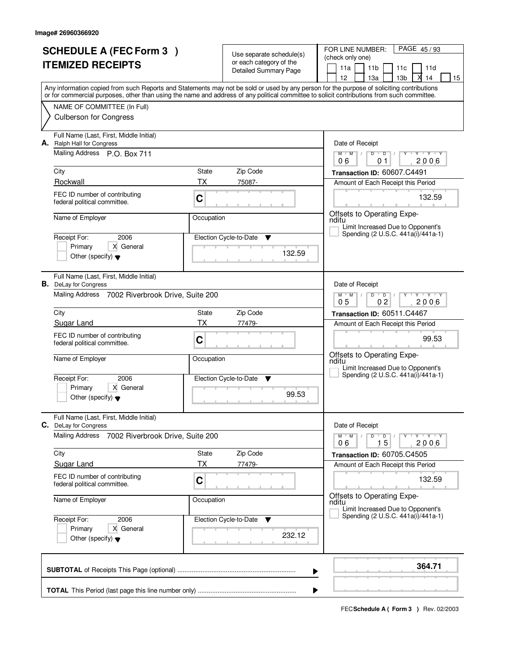|                          | <b>SCHEDULE A (FEC Form 3)</b>                                          |                             | Use separate schedule(s)                         | PAGE 45/93<br>FOR LINE NUMBER:<br>(check only one)                                                                                                                                                                                                                                      |  |  |  |
|--------------------------|-------------------------------------------------------------------------|-----------------------------|--------------------------------------------------|-----------------------------------------------------------------------------------------------------------------------------------------------------------------------------------------------------------------------------------------------------------------------------------------|--|--|--|
| <b>ITEMIZED RECEIPTS</b> |                                                                         |                             | or each category of the<br>Detailed Summary Page | 11a<br>11 <sub>b</sub><br>11c<br>11d                                                                                                                                                                                                                                                    |  |  |  |
|                          |                                                                         |                             |                                                  | 13 <sub>b</sub><br>12<br>13a<br>14<br>15                                                                                                                                                                                                                                                |  |  |  |
|                          |                                                                         |                             |                                                  | Any information copied from such Reports and Statements may not be sold or used by any person for the purpose of soliciting contributions<br>or for commercial purposes, other than using the name and address of any political committee to solicit contributions from such committee. |  |  |  |
|                          | NAME OF COMMITTEE (In Full)                                             |                             |                                                  |                                                                                                                                                                                                                                                                                         |  |  |  |
|                          | <b>Culberson for Congress</b>                                           |                             |                                                  |                                                                                                                                                                                                                                                                                         |  |  |  |
| А.                       | Full Name (Last, First, Middle Initial)<br>Ralph Hall for Congress      |                             |                                                  | Date of Receipt                                                                                                                                                                                                                                                                         |  |  |  |
|                          | Mailing Address P.O. Box 711                                            |                             |                                                  | $Y + Y + Y$<br>$M$ $M$<br>$D$ $D$ $/$<br>Y<br>06<br>01<br>2006                                                                                                                                                                                                                          |  |  |  |
|                          | City                                                                    | State                       | Zip Code                                         | Transaction ID: 60607.C4491                                                                                                                                                                                                                                                             |  |  |  |
|                          | Rockwall                                                                | ТX                          | 75087-                                           | Amount of Each Receipt this Period                                                                                                                                                                                                                                                      |  |  |  |
|                          | FEC ID number of contributing<br>federal political committee.           | C                           |                                                  | 132.59                                                                                                                                                                                                                                                                                  |  |  |  |
|                          | Name of Employer                                                        | Occupation                  |                                                  | Offsets to Operating Expe-<br>nditu<br>Limit Increased Due to Opponent's                                                                                                                                                                                                                |  |  |  |
|                          | Receipt For:<br>2006                                                    |                             | Election Cycle-to-Date<br>▼                      | Spending (2 U.S.C. 441a(i)/441a-1)                                                                                                                                                                                                                                                      |  |  |  |
|                          | X General<br>Primary                                                    |                             |                                                  |                                                                                                                                                                                                                                                                                         |  |  |  |
|                          | Other (specify) $\blacktriangledown$                                    |                             | 132.59                                           |                                                                                                                                                                                                                                                                                         |  |  |  |
|                          | Full Name (Last, First, Middle Initial)<br><b>B.</b> DeLay for Congress |                             |                                                  | Date of Receipt                                                                                                                                                                                                                                                                         |  |  |  |
|                          | Mailing Address 7002 Riverbrook Drive, Suite 200                        |                             |                                                  | <b>TAY TAY</b><br>$M$ M<br>D<br>$\overline{D}$<br>0 <sub>2</sub><br>2006<br>05                                                                                                                                                                                                          |  |  |  |
|                          | City                                                                    | State                       | Zip Code                                         | Transaction ID: 60511.C4467                                                                                                                                                                                                                                                             |  |  |  |
|                          | Sugar Land                                                              | <b>TX</b>                   | 77479-                                           | Amount of Each Receipt this Period                                                                                                                                                                                                                                                      |  |  |  |
|                          | FEC ID number of contributing<br>federal political committee.           | C                           |                                                  | 99.53                                                                                                                                                                                                                                                                                   |  |  |  |
|                          | Name of Employer                                                        | Occupation                  |                                                  | Offsets to Operating Expe-<br>nditu                                                                                                                                                                                                                                                     |  |  |  |
|                          | Receipt For:<br>2006                                                    | Election Cycle-to-Date<br>v |                                                  | Limit Increased Due to Opponent's<br>Spending (2 U.S.C. 441a(i)/441a-1)                                                                                                                                                                                                                 |  |  |  |
|                          | X General<br>Primary                                                    |                             |                                                  |                                                                                                                                                                                                                                                                                         |  |  |  |
|                          | Other (specify) $\blacktriangledown$                                    |                             | 99.53                                            |                                                                                                                                                                                                                                                                                         |  |  |  |
| С.                       | Full Name (Last, First, Middle Initial)<br>DeLay for Congress           |                             |                                                  | Date of Receipt                                                                                                                                                                                                                                                                         |  |  |  |
|                          | <b>Mailing Address</b><br>7002 Riverbrook Drive, Suite 200              |                             |                                                  | D<br>$M$ $M$ /<br>$\overline{D}$<br>$Y + Y + Y$<br>Y<br>15<br>2006<br>06                                                                                                                                                                                                                |  |  |  |
|                          | City                                                                    | State                       | Zip Code                                         | Transaction ID: 60705.C4505                                                                                                                                                                                                                                                             |  |  |  |
|                          | <b>Sugar Land</b>                                                       | ТX                          | 77479-                                           | Amount of Each Receipt this Period                                                                                                                                                                                                                                                      |  |  |  |
|                          | FEC ID number of contributing<br>federal political committee.           | C                           |                                                  | 132.59                                                                                                                                                                                                                                                                                  |  |  |  |
|                          | Name of Employer                                                        | Occupation                  |                                                  | Offsets to Operating Expe-<br>nditu<br>Limit Increased Due to Opponent's                                                                                                                                                                                                                |  |  |  |
|                          | Receipt For:<br>2006                                                    |                             | Election Cycle-to-Date<br>v                      | Spending (2 U.S.C. 441a(i)/441a-1)                                                                                                                                                                                                                                                      |  |  |  |
|                          | X General<br>Primary<br>Other (specify) $\blacktriangledown$            |                             | 232.12                                           |                                                                                                                                                                                                                                                                                         |  |  |  |
|                          |                                                                         |                             |                                                  |                                                                                                                                                                                                                                                                                         |  |  |  |
|                          |                                                                         |                             |                                                  | 364.71<br>▶                                                                                                                                                                                                                                                                             |  |  |  |
|                          |                                                                         |                             |                                                  |                                                                                                                                                                                                                                                                                         |  |  |  |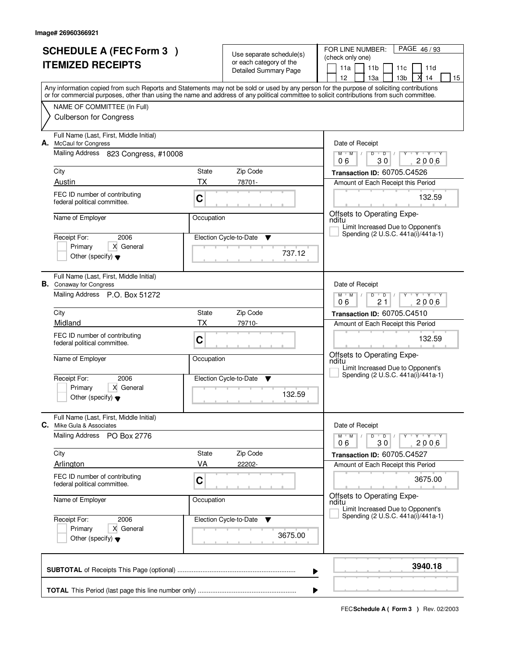| <b>SCHEDULE A (FEC Form 3)</b><br><b>ITEMIZED RECEIPTS</b> |                                                                                                             |                    | Use separate schedule(s)<br>or each category of the<br>Detailed Summary Page | PAGE 46/93<br>FOR LINE NUMBER:<br>(check only one)<br>11 <sub>b</sub><br>11a<br>11 <sub>c</sub><br>11d<br>12<br>13 <sub>b</sub><br>13a<br>14<br>15                                                                                                                                      |  |  |  |
|------------------------------------------------------------|-------------------------------------------------------------------------------------------------------------|--------------------|------------------------------------------------------------------------------|-----------------------------------------------------------------------------------------------------------------------------------------------------------------------------------------------------------------------------------------------------------------------------------------|--|--|--|
|                                                            |                                                                                                             |                    |                                                                              | Any information copied from such Reports and Statements may not be sold or used by any person for the purpose of soliciting contributions<br>or for commercial purposes, other than using the name and address of any political committee to solicit contributions from such committee. |  |  |  |
|                                                            | NAME OF COMMITTEE (In Full)<br><b>Culberson for Congress</b>                                                |                    |                                                                              |                                                                                                                                                                                                                                                                                         |  |  |  |
|                                                            | Full Name (Last, First, Middle Initial)<br>A. McCaul for Congress                                           |                    |                                                                              | Date of Receipt                                                                                                                                                                                                                                                                         |  |  |  |
|                                                            | Mailing Address 823 Congress, #10008                                                                        |                    |                                                                              | $Y + Y + Y + Y$<br>$M$ $M$ /<br>$D$ $D$ $/$<br>06<br>30<br>2006                                                                                                                                                                                                                         |  |  |  |
|                                                            | City<br>Austin                                                                                              | State<br><b>TX</b> | Zip Code<br>78701-                                                           | Transaction ID: 60705.C4526<br>Amount of Each Receipt this Period                                                                                                                                                                                                                       |  |  |  |
|                                                            | FEC ID number of contributing<br>federal political committee.                                               | C                  |                                                                              | 132.59                                                                                                                                                                                                                                                                                  |  |  |  |
|                                                            | Name of Employer                                                                                            | Occupation         |                                                                              | Offsets to Operating Expe-<br>nditu<br>Limit Increased Due to Opponent's                                                                                                                                                                                                                |  |  |  |
|                                                            | 2006<br>Receipt For:<br>Primary<br>X General<br>Other (specify) $\blacktriangledown$                        |                    | Election Cycle-to-Date<br>▼<br>737.12                                        | Spending (2 U.S.C. 441a(i)/441a-1)                                                                                                                                                                                                                                                      |  |  |  |
|                                                            | Full Name (Last, First, Middle Initial)<br><b>B.</b> Conaway for Congress<br>Mailing Address P.O. Box 51272 |                    |                                                                              | Date of Receipt<br>$Y - Y - Y$<br>$M$ M<br>D<br>$\overline{D}$                                                                                                                                                                                                                          |  |  |  |
|                                                            | City                                                                                                        | State              | Zip Code                                                                     | 2006<br>06<br>21<br>Transaction ID: 60705.C4510                                                                                                                                                                                                                                         |  |  |  |
|                                                            | Midland                                                                                                     | <b>TX</b>          | 79710-                                                                       | Amount of Each Receipt this Period                                                                                                                                                                                                                                                      |  |  |  |
|                                                            | FEC ID number of contributing<br>federal political committee.                                               | C                  |                                                                              | 132.59                                                                                                                                                                                                                                                                                  |  |  |  |
|                                                            | Name of Employer                                                                                            | Occupation         |                                                                              | Offsets to Operating Expe-<br>nditu<br>Limit Increased Due to Opponent's<br>Spending (2 U.S.C. 441a(i)/441a-1)                                                                                                                                                                          |  |  |  |
|                                                            | Receipt For:<br>2006<br>X General<br>Primary                                                                |                    | Election Cycle-to-Date<br>v<br>132.59                                        |                                                                                                                                                                                                                                                                                         |  |  |  |
|                                                            | Other (specify) $\blacktriangledown$                                                                        |                    |                                                                              |                                                                                                                                                                                                                                                                                         |  |  |  |
| C.                                                         | Full Name (Last, First, Middle Initial)<br>Mike Gula & Associates                                           |                    |                                                                              | Date of Receipt                                                                                                                                                                                                                                                                         |  |  |  |
|                                                            | Mailing Address<br>PO Box 2776                                                                              |                    |                                                                              | D<br>$M$ $M$ $/$<br>$\blacksquare$ D $\blacksquare$ /<br>$Y + Y + Y$<br>Y<br>2006<br>30<br>06                                                                                                                                                                                           |  |  |  |
|                                                            | City                                                                                                        | State              | Zip Code                                                                     | Transaction ID: 60705.C4527                                                                                                                                                                                                                                                             |  |  |  |
|                                                            | Arlington                                                                                                   | VA                 | 22202-                                                                       | Amount of Each Receipt this Period                                                                                                                                                                                                                                                      |  |  |  |
|                                                            | FEC ID number of contributing<br>federal political committee.                                               | C                  |                                                                              | 3675.00<br><b>Contract Contract</b><br>Offsets to Operating Expe-                                                                                                                                                                                                                       |  |  |  |
|                                                            | Name of Employer                                                                                            | Occupation         |                                                                              | nditu<br>Limit Increased Due to Opponent's                                                                                                                                                                                                                                              |  |  |  |
|                                                            | Receipt For:<br>2006                                                                                        |                    | Election Cycle-to-Date<br>v                                                  | Spending (2 U.S.C. 441a(i)/441a-1)                                                                                                                                                                                                                                                      |  |  |  |
|                                                            | Primary<br>X General<br>Other (specify) $\blacktriangledown$                                                |                    | 3675.00                                                                      |                                                                                                                                                                                                                                                                                         |  |  |  |
|                                                            | 3940.18<br>▶                                                                                                |                    |                                                                              |                                                                                                                                                                                                                                                                                         |  |  |  |
|                                                            | ▶                                                                                                           |                    |                                                                              |                                                                                                                                                                                                                                                                                         |  |  |  |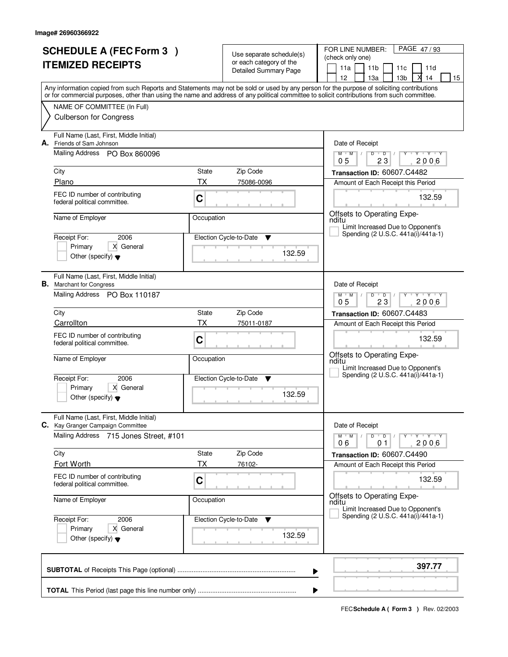| <b>SCHEDULE A (FEC Form 3)</b><br><b>ITEMIZED RECEIPTS</b> |                                                                              |            | Use separate schedule(s)<br>or each category of the | PAGE 47/93<br>FOR LINE NUMBER:<br>(check only one)                                                                                                                                                                                                                                      |  |  |  |
|------------------------------------------------------------|------------------------------------------------------------------------------|------------|-----------------------------------------------------|-----------------------------------------------------------------------------------------------------------------------------------------------------------------------------------------------------------------------------------------------------------------------------------------|--|--|--|
|                                                            |                                                                              |            | Detailed Summary Page                               | 11 <sub>b</sub><br>11a<br>11 <sub>c</sub><br>11d<br>12<br>13 <sub>b</sub><br>13a<br>14<br>15                                                                                                                                                                                            |  |  |  |
|                                                            |                                                                              |            |                                                     | Any information copied from such Reports and Statements may not be sold or used by any person for the purpose of soliciting contributions<br>or for commercial purposes, other than using the name and address of any political committee to solicit contributions from such committee. |  |  |  |
|                                                            | NAME OF COMMITTEE (In Full)                                                  |            |                                                     |                                                                                                                                                                                                                                                                                         |  |  |  |
|                                                            | <b>Culberson for Congress</b>                                                |            |                                                     |                                                                                                                                                                                                                                                                                         |  |  |  |
| А.                                                         | Full Name (Last, First, Middle Initial)<br>Friends of Sam Johnson            |            |                                                     | Date of Receipt                                                                                                                                                                                                                                                                         |  |  |  |
|                                                            | Mailing Address PO Box 860096                                                |            |                                                     | $Y + Y + Y + Y$<br>$M$ $M$<br>$D$ $D$ $/$<br>23<br>0 <sub>5</sub><br>2006                                                                                                                                                                                                               |  |  |  |
|                                                            | City                                                                         | State      | Zip Code                                            | Transaction ID: 60607.C4482                                                                                                                                                                                                                                                             |  |  |  |
|                                                            | Plano                                                                        | <b>TX</b>  | 75086-0096                                          | Amount of Each Receipt this Period                                                                                                                                                                                                                                                      |  |  |  |
|                                                            | FEC ID number of contributing<br>federal political committee.                | C          |                                                     | 132.59                                                                                                                                                                                                                                                                                  |  |  |  |
|                                                            | Name of Employer                                                             | Occupation |                                                     | Offsets to Operating Expe-<br>nditu                                                                                                                                                                                                                                                     |  |  |  |
|                                                            | 2006<br>Receipt For:                                                         |            | Election Cycle-to-Date<br>▼                         | Limit Increased Due to Opponent's<br>Spending (2 U.S.C. 441a(i)/441a-1)                                                                                                                                                                                                                 |  |  |  |
|                                                            | X General<br>Primary                                                         |            | 132.59                                              |                                                                                                                                                                                                                                                                                         |  |  |  |
|                                                            | Other (specify) $\blacktriangledown$                                         |            |                                                     |                                                                                                                                                                                                                                                                                         |  |  |  |
|                                                            | Full Name (Last, First, Middle Initial)<br><b>B.</b> Marchant for Congress   |            |                                                     | Date of Receipt                                                                                                                                                                                                                                                                         |  |  |  |
|                                                            | Mailing Address PO Box 110187                                                |            |                                                     | $T$ $Y$ $T$ $Y$<br>$M$ M<br>D<br>$\overline{D}$<br>23<br>2006<br>05                                                                                                                                                                                                                     |  |  |  |
|                                                            | City                                                                         | State      | Zip Code                                            | Transaction ID: 60607.C4483                                                                                                                                                                                                                                                             |  |  |  |
|                                                            | Carrollton                                                                   | <b>TX</b>  | 75011-0187                                          | Amount of Each Receipt this Period                                                                                                                                                                                                                                                      |  |  |  |
|                                                            | FEC ID number of contributing<br>federal political committee.                | C          |                                                     | 132.59                                                                                                                                                                                                                                                                                  |  |  |  |
|                                                            | Name of Employer                                                             | Occupation |                                                     | Offsets to Operating Expe-<br>nditu<br>Limit Increased Due to Opponent's                                                                                                                                                                                                                |  |  |  |
|                                                            | Receipt For:<br>2006                                                         |            | Election Cycle-to-Date<br>v                         | Spending (2 U.S.C. 441a(i)/441a-1)                                                                                                                                                                                                                                                      |  |  |  |
|                                                            | X General<br>Primary<br>Other (specify) $\blacktriangledown$                 |            | 132.59                                              |                                                                                                                                                                                                                                                                                         |  |  |  |
|                                                            | Full Name (Last, First, Middle Initial)<br>C. Kay Granger Campaign Committee |            |                                                     | Date of Receipt                                                                                                                                                                                                                                                                         |  |  |  |
|                                                            | <b>Mailing Address</b><br>715 Jones Street, #101                             |            |                                                     | $D$ $D$ $I$<br>$M$ $M$ /<br>$Y + Y + Y$<br>Y<br>2006<br>06<br>01                                                                                                                                                                                                                        |  |  |  |
|                                                            | City                                                                         | State      | Zip Code                                            | Transaction ID: 60607.C4490                                                                                                                                                                                                                                                             |  |  |  |
|                                                            | Fort Worth                                                                   | ТX         | 76102-                                              | Amount of Each Receipt this Period                                                                                                                                                                                                                                                      |  |  |  |
|                                                            | FEC ID number of contributing<br>federal political committee.                | C          |                                                     | 132.59                                                                                                                                                                                                                                                                                  |  |  |  |
|                                                            | Name of Employer                                                             | Occupation |                                                     | Offsets to Operating Expe-<br>nditu<br>Limit Increased Due to Opponent's                                                                                                                                                                                                                |  |  |  |
|                                                            | Receipt For:<br>2006                                                         |            | Election Cycle-to-Date<br>v                         | Spending (2 U.S.C. 441a(i)/441a-1)                                                                                                                                                                                                                                                      |  |  |  |
|                                                            | X General<br>Primary<br>Other (specify) $\blacktriangledown$                 |            | 132.59                                              |                                                                                                                                                                                                                                                                                         |  |  |  |
|                                                            | 397.77<br>▶                                                                  |            |                                                     |                                                                                                                                                                                                                                                                                         |  |  |  |
|                                                            | ▶                                                                            |            |                                                     |                                                                                                                                                                                                                                                                                         |  |  |  |
|                                                            |                                                                              |            |                                                     |                                                                                                                                                                                                                                                                                         |  |  |  |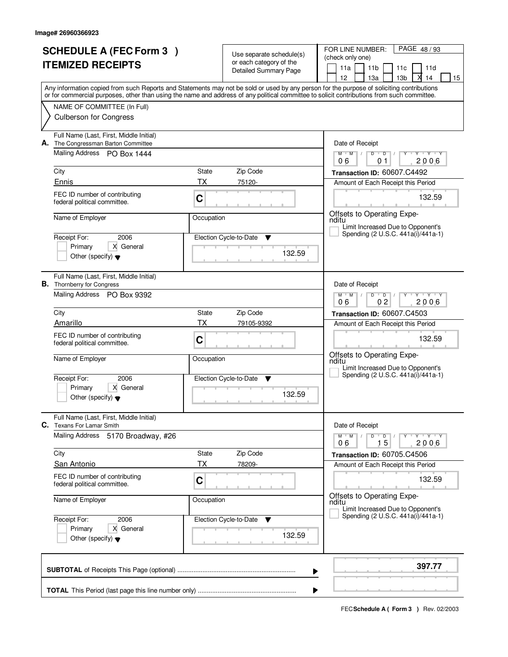| <b>SCHEDULE A (FEC Form 3)</b><br><b>ITEMIZED RECEIPTS</b> |                                                                                |             | Use separate schedule(s)<br>or each category of the<br><b>Detailed Summary Page</b> | PAGE 48/93<br>FOR LINE NUMBER:<br>(check only one)<br>11a<br>11 <sub>b</sub><br>11 <sub>c</sub><br>11d<br>12 <sup>2</sup><br>13 <sub>b</sub><br>14<br>13а<br>15                                                                                                                         |
|------------------------------------------------------------|--------------------------------------------------------------------------------|-------------|-------------------------------------------------------------------------------------|-----------------------------------------------------------------------------------------------------------------------------------------------------------------------------------------------------------------------------------------------------------------------------------------|
|                                                            |                                                                                |             |                                                                                     | Any information copied from such Reports and Statements may not be sold or used by any person for the purpose of soliciting contributions<br>or for commercial purposes, other than using the name and address of any political committee to solicit contributions from such committee. |
|                                                            | NAME OF COMMITTEE (In Full)<br><b>Culberson for Congress</b>                   |             |                                                                                     |                                                                                                                                                                                                                                                                                         |
|                                                            | Full Name (Last, First, Middle Initial)<br>A. The Congressman Barton Committee |             |                                                                                     | Date of Receipt                                                                                                                                                                                                                                                                         |
|                                                            | Mailing Address PO Box 1444                                                    |             |                                                                                     | $Y$ $Y$ $Y$<br>$M$ $M$ /<br>$D$ $D$<br>Y<br>$\top$ /<br>06<br>01<br>2006                                                                                                                                                                                                                |
|                                                            | City<br>Ennis                                                                  | State<br>ТX | Zip Code                                                                            | Transaction ID: 60607.C4492                                                                                                                                                                                                                                                             |
|                                                            | FEC ID number of contributing                                                  | C           | 75120-                                                                              | Amount of Each Receipt this Period<br>132.59                                                                                                                                                                                                                                            |
|                                                            | federal political committee.<br>Name of Employer                               | Occupation  |                                                                                     | Offsets to Operating Expe-                                                                                                                                                                                                                                                              |
|                                                            |                                                                                |             |                                                                                     | nditu<br>Limit Increased Due to Opponent's<br>Spending (2 U.S.C. 441a(i)/441a-1)                                                                                                                                                                                                        |
|                                                            | 2006<br>Receipt For:<br>Primary<br>X General                                   |             | Election Cycle-to-Date<br>Y                                                         |                                                                                                                                                                                                                                                                                         |
|                                                            | Other (specify) $\blacktriangledown$                                           |             | 132.59                                                                              |                                                                                                                                                                                                                                                                                         |
|                                                            | Full Name (Last, First, Middle Initial)<br><b>B.</b> Thornberry for Congress   |             |                                                                                     | Date of Receipt                                                                                                                                                                                                                                                                         |
|                                                            | Mailing Address PO Box 9392                                                    |             |                                                                                     | $M$ $M$ /<br>D<br>$\overline{D}$<br>Y Y Y Y<br>0 <sub>2</sub><br>2006<br>06                                                                                                                                                                                                             |
|                                                            | City<br>State                                                                  |             | Zip Code                                                                            | Transaction ID: 60607.C4503                                                                                                                                                                                                                                                             |
|                                                            | Amarillo                                                                       | ТX          | 79105-9392                                                                          | Amount of Each Receipt this Period                                                                                                                                                                                                                                                      |
|                                                            | FEC ID number of contributing<br>federal political committee.                  | C           |                                                                                     | 132.59                                                                                                                                                                                                                                                                                  |
|                                                            | Name of Employer                                                               | Occupation  |                                                                                     | Offsets to Operating Expe-<br>nditu<br>Limit Increased Due to Opponent's                                                                                                                                                                                                                |
|                                                            | Receipt For:<br>2006                                                           |             | Election Cycle-to-Date<br>v                                                         | Spending (2 U.S.C. 441a(i)/441a-1)                                                                                                                                                                                                                                                      |
|                                                            | Primary<br>X General<br>Other (specify) $\blacktriangledown$                   |             | 132.59                                                                              |                                                                                                                                                                                                                                                                                         |
| C.                                                         | Full Name (Last, First, Middle Initial)<br><b>Texans For Lamar Smith</b>       |             |                                                                                     | Date of Receipt                                                                                                                                                                                                                                                                         |
|                                                            | Mailing Address<br>5170 Broadway, #26                                          |             |                                                                                     | $M-M$ /<br>$D$ $D$ $l$<br>Y FY FY FY<br>15<br>2006<br>06                                                                                                                                                                                                                                |
|                                                            | City                                                                           | State       | Zip Code                                                                            | Transaction ID: 60705.C4506                                                                                                                                                                                                                                                             |
|                                                            | <b>San Antonio</b>                                                             | ТX          | 78209-                                                                              | Amount of Each Receipt this Period                                                                                                                                                                                                                                                      |
|                                                            | FEC ID number of contributing<br>federal political committee.                  | C           |                                                                                     | 132.59                                                                                                                                                                                                                                                                                  |
|                                                            | Name of Employer                                                               | Occupation  |                                                                                     | Offsets to Operating Expe-<br>nditu<br>Limit Increased Due to Opponent's                                                                                                                                                                                                                |
|                                                            | Receipt For:<br>2006                                                           |             | Election Cycle-to-Date<br><b>V</b>                                                  | Spending (2 U.S.C. 441a(i)/441a-1)                                                                                                                                                                                                                                                      |
|                                                            | X General<br>Primary<br>Other (specify) $\blacktriangledown$                   |             | 132.59                                                                              |                                                                                                                                                                                                                                                                                         |
|                                                            |                                                                                |             |                                                                                     | 397.77<br>▶                                                                                                                                                                                                                                                                             |
|                                                            |                                                                                |             |                                                                                     | ▶                                                                                                                                                                                                                                                                                       |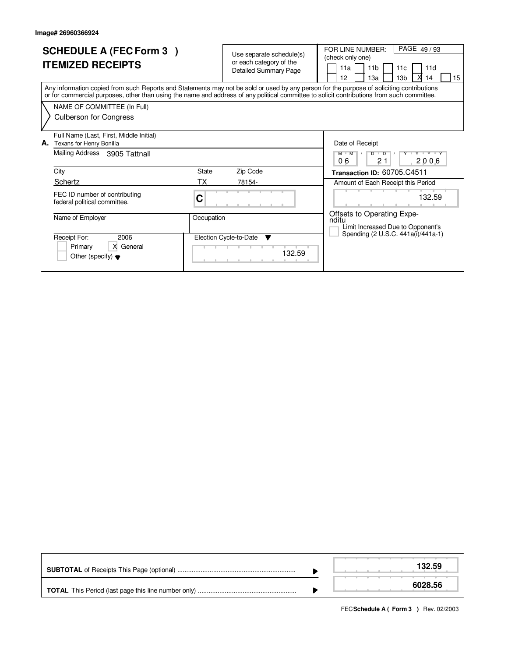| <b>SCHEDULE A (FEC Form 3)</b><br><b>ITEMIZED RECEIPTS</b>                                                                                                                                                                                                                              | Use separate schedule(s)<br>or each category of the<br><b>Detailed Summary Page</b> | PAGE 49/93<br>FOR LINE NUMBER:<br>(check only one)<br>11a<br>11 <sub>b</sub><br>11d<br>11c<br>13 <sub>b</sub><br>12<br>13a<br>14<br>15 |
|-----------------------------------------------------------------------------------------------------------------------------------------------------------------------------------------------------------------------------------------------------------------------------------------|-------------------------------------------------------------------------------------|----------------------------------------------------------------------------------------------------------------------------------------|
| Any information copied from such Reports and Statements may not be sold or used by any person for the purpose of soliciting contributions<br>or for commercial purposes, other than using the name and address of any political committee to solicit contributions from such committee. |                                                                                     |                                                                                                                                        |
| NAME OF COMMITTEE (In Full)                                                                                                                                                                                                                                                             |                                                                                     |                                                                                                                                        |
| <b>Culberson for Congress</b>                                                                                                                                                                                                                                                           |                                                                                     |                                                                                                                                        |
| Full Name (Last, First, Middle Initial)<br>Texans for Henry Bonilla<br>А.                                                                                                                                                                                                               |                                                                                     | Date of Receipt                                                                                                                        |
| Mailing Address<br>3905 Tattnall                                                                                                                                                                                                                                                        |                                                                                     | Y Y Y Y Y<br>$D$ $D$<br>M M<br>06<br>21<br>2006                                                                                        |
| City                                                                                                                                                                                                                                                                                    | State<br>Zip Code                                                                   | Transaction ID: 60705.C4511                                                                                                            |
| Schertz                                                                                                                                                                                                                                                                                 | ТX<br>78154-                                                                        | Amount of Each Receipt this Period                                                                                                     |
| FEC ID number of contributing<br>federal political committee.                                                                                                                                                                                                                           | С                                                                                   | 132.59                                                                                                                                 |
| Name of Employer                                                                                                                                                                                                                                                                        | Occupation                                                                          | Offsets to Operating Expe-<br>nditu<br>Limit Increased Due to Opponent's                                                               |
| 2006<br>Receipt For:                                                                                                                                                                                                                                                                    | Election Cycle-to-Date<br>$\overline{\mathbf{v}}$                                   | Spending (2 U.S.C. 441a(i)/441a-1)                                                                                                     |
| X General<br>Primary<br>Other (specify) $\blacktriangledown$                                                                                                                                                                                                                            | 132.59                                                                              |                                                                                                                                        |

|  | 132.59  |
|--|---------|
|  | 6028.56 |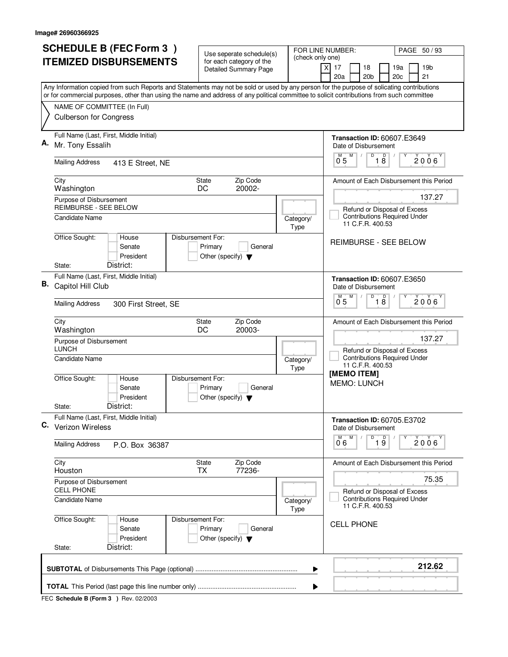|    | <b>SCHEDULE B (FEC Form 3)</b>                                                                                                                                                                                                                                                         | Use seperate schedule(s)                                   |                   | FOR LINE NUMBER:<br>PAGE 50/93                                                          |  |  |
|----|----------------------------------------------------------------------------------------------------------------------------------------------------------------------------------------------------------------------------------------------------------------------------------------|------------------------------------------------------------|-------------------|-----------------------------------------------------------------------------------------|--|--|
|    | <b>ITEMIZED DISBURSEMENTS</b>                                                                                                                                                                                                                                                          | for each category of the<br>Detailed Summary Page          | (check only one)  | 17<br>18<br>19a<br>19 <sub>b</sub><br>X<br>20a<br>20 <sub>b</sub><br>20c<br>21          |  |  |
|    | Any Information copied from such Reports and Statements may not be sold or used by any person for the purpose of solicating contributions<br>or for commercial purposes, other than using the name and address of any political committee to solicit contributions from such committee |                                                            |                   |                                                                                         |  |  |
|    | NAME OF COMMITTEE (In Full)                                                                                                                                                                                                                                                            |                                                            |                   |                                                                                         |  |  |
|    | <b>Culberson for Congress</b>                                                                                                                                                                                                                                                          |                                                            |                   |                                                                                         |  |  |
|    | Full Name (Last, First, Middle Initial)<br>Mr. Tony Essalih                                                                                                                                                                                                                            |                                                            |                   | <b>Transaction ID: 60607.E3649</b><br>Date of Disbursement                              |  |  |
|    | <b>Mailing Address</b><br>413 E Street, NE                                                                                                                                                                                                                                             |                                                            |                   | D<br>$\overline{18}$<br>$\overline{0}^M$ 5<br>2006                                      |  |  |
|    | City<br>Washington                                                                                                                                                                                                                                                                     | Zip Code<br><b>State</b><br>20002-<br>DC                   |                   | Amount of Each Disbursement this Period                                                 |  |  |
|    | Purpose of Disbursement<br><b>REIMBURSE - SEE BELOW</b>                                                                                                                                                                                                                                |                                                            |                   | 137.27                                                                                  |  |  |
|    | <b>Candidate Name</b>                                                                                                                                                                                                                                                                  |                                                            | Category/<br>Type | Refund or Disposal of Excess<br><b>Contributions Required Under</b><br>11 C.F.R. 400.53 |  |  |
|    | Office Sought:<br>Disbursement For:<br>House<br>Senate<br>President<br>District:<br>State:                                                                                                                                                                                             | Primary<br>General<br>Other (specify) $\blacktriangledown$ |                   | REIMBURSE - SEE BELOW                                                                   |  |  |
|    | Full Name (Last, First, Middle Initial)                                                                                                                                                                                                                                                |                                                            |                   | <b>Transaction ID: 60607.E3650</b>                                                      |  |  |
| В. | Capitol Hill Club                                                                                                                                                                                                                                                                      |                                                            |                   | Date of Disbursement                                                                    |  |  |
|    | <b>Mailing Address</b><br>300 First Street, SE                                                                                                                                                                                                                                         |                                                            |                   | D<br>D<br>M<br>M<br>$2006^{\circ}$<br>0.5<br>18                                         |  |  |
|    | City<br>Washington                                                                                                                                                                                                                                                                     | Zip Code<br><b>State</b><br>DC<br>20003-                   |                   | Amount of Each Disbursement this Period                                                 |  |  |
|    | Purpose of Disbursement<br><b>LUNCH</b>                                                                                                                                                                                                                                                |                                                            |                   | 137.27                                                                                  |  |  |
|    | <b>Candidate Name</b>                                                                                                                                                                                                                                                                  |                                                            | Category/<br>Type | Refund or Disposal of Excess<br><b>Contributions Required Under</b><br>11 C.F.R. 400.53 |  |  |
|    | Office Sought:<br>Disbursement For:<br>House<br>Senate<br>President                                                                                                                                                                                                                    | Primary<br>General<br>Other (specify) $\blacktriangledown$ |                   | [MEMO ITEM]<br><b>MEMO: LUNCH</b>                                                       |  |  |
|    | District:<br>State:<br>Full Name (Last, First, Middle Initial)                                                                                                                                                                                                                         |                                                            |                   |                                                                                         |  |  |
|    | C. Verizon Wireless                                                                                                                                                                                                                                                                    |                                                            |                   | <b>Transaction ID: 60705.E3702</b><br>Date of Disbursement<br>M<br>Υ                    |  |  |
|    | <b>Mailing Address</b><br>P.O. Box 36387                                                                                                                                                                                                                                               |                                                            |                   | $\overline{P}$ 1 $\overline{9}$<br>2006<br>06                                           |  |  |
|    | City<br>Houston                                                                                                                                                                                                                                                                        | Zip Code<br>State<br>77236-<br>ТX                          |                   | Amount of Each Disbursement this Period                                                 |  |  |
|    | Purpose of Disbursement<br><b>CELL PHONE</b>                                                                                                                                                                                                                                           |                                                            |                   | 75.35<br>Refund or Disposal of Excess                                                   |  |  |
|    | Candidate Name                                                                                                                                                                                                                                                                         |                                                            | Category/<br>Type | <b>Contributions Required Under</b><br>11 C.F.R. 400.53                                 |  |  |
|    | Office Sought:<br>Disbursement For:<br>House<br>Senate<br>President<br>District:                                                                                                                                                                                                       | Primary<br>General<br>Other (specify) $\blacktriangledown$ |                   | <b>CELL PHONE</b>                                                                       |  |  |
|    | State:                                                                                                                                                                                                                                                                                 |                                                            |                   |                                                                                         |  |  |
|    |                                                                                                                                                                                                                                                                                        |                                                            | ▶                 | 212.62                                                                                  |  |  |
|    | ▶                                                                                                                                                                                                                                                                                      |                                                            |                   |                                                                                         |  |  |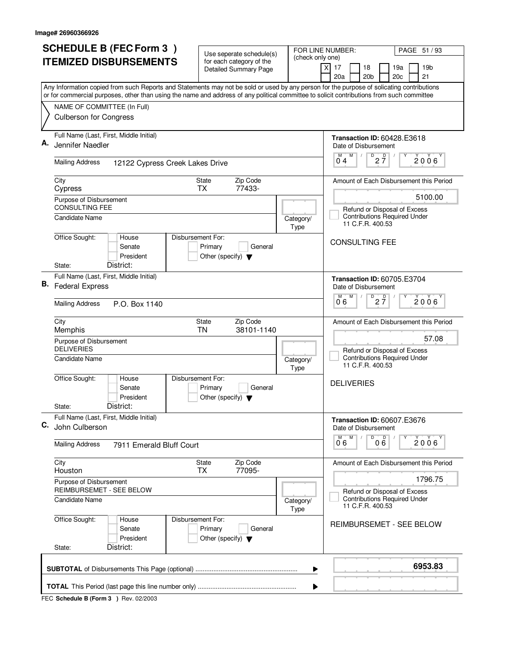|    | <b>SCHEDULE B (FEC Form 3)</b>                                                                                                            | Use seperate schedule(s)                                   |                   | FOR LINE NUMBER:<br>PAGE 51 / 93                                               |  |  |
|----|-------------------------------------------------------------------------------------------------------------------------------------------|------------------------------------------------------------|-------------------|--------------------------------------------------------------------------------|--|--|
|    | <b>ITEMIZED DISBURSEMENTS</b>                                                                                                             | for each category of the<br><b>Detailed Summary Page</b>   | (check only one)  | 17<br>19 <sub>b</sub><br>X<br>18<br>19a<br>20a<br>20 <sub>b</sub><br>20c<br>21 |  |  |
|    | Any Information copied from such Reports and Statements may not be sold or used by any person for the purpose of solicating contributions |                                                            |                   |                                                                                |  |  |
|    | or for commercial purposes, other than using the name and address of any political committee to solicit contributions from such committee |                                                            |                   |                                                                                |  |  |
|    | NAME OF COMMITTEE (In Full)<br><b>Culberson for Congress</b>                                                                              |                                                            |                   |                                                                                |  |  |
|    | Full Name (Last, First, Middle Initial)                                                                                                   |                                                            |                   | <b>Transaction ID: 60428.E3618</b>                                             |  |  |
| Α. | Jennifer Naedler                                                                                                                          |                                                            |                   | Date of Disbursement<br>M<br>Υ                                                 |  |  |
|    | <b>Mailing Address</b><br>12122 Cypress Creek Lakes Drive                                                                                 |                                                            |                   | $\overline{P}$ 2 $\overline{7}$<br>2006 <sup>Y</sup><br>$0^{\degree}4$         |  |  |
|    | City<br>Cypress                                                                                                                           | State<br>Zip Code<br>77433-<br><b>TX</b>                   |                   | Amount of Each Disbursement this Period                                        |  |  |
|    | Purpose of Disbursement                                                                                                                   |                                                            |                   | 5100.00                                                                        |  |  |
|    | CONSULTING FEE<br><b>Candidate Name</b>                                                                                                   |                                                            | Category/         | Refund or Disposal of Excess<br><b>Contributions Required Under</b>            |  |  |
|    |                                                                                                                                           |                                                            | Type              | 11 C.F.R. 400.53                                                               |  |  |
|    | Office Sought:<br>House<br>Disbursement For:<br>Senate<br>President                                                                       | Primary<br>General<br>Other (specify) $\blacktriangledown$ |                   | <b>CONSULTING FEE</b>                                                          |  |  |
|    | District:<br>State:                                                                                                                       |                                                            |                   |                                                                                |  |  |
| В. | Full Name (Last, First, Middle Initial)                                                                                                   |                                                            |                   | <b>Transaction ID: 60705.E3704</b>                                             |  |  |
|    | <b>Federal Express</b>                                                                                                                    |                                                            |                   | Date of Disbursement<br>D<br>M                                                 |  |  |
|    | <b>Mailing Address</b><br>P.O. Box 1140                                                                                                   |                                                            |                   | $2\overline{7}$<br>2006<br>06                                                  |  |  |
|    | City<br>Memphis                                                                                                                           | Zip Code<br>State<br>38101-1140<br><b>TN</b>               |                   | Amount of Each Disbursement this Period                                        |  |  |
|    | Purpose of Disbursement<br><b>DELIVERIES</b>                                                                                              |                                                            |                   | 57.08<br>Refund or Disposal of Excess                                          |  |  |
|    | Candidate Name                                                                                                                            |                                                            | Category/<br>Type | <b>Contributions Required Under</b><br>11 C.F.R. 400.53                        |  |  |
|    | Office Sought:<br>Disbursement For:<br>House<br>Senate<br>President                                                                       | Primary<br>General<br>Other (specify) $\blacktriangledown$ |                   | <b>DELIVERIES</b>                                                              |  |  |
|    | District:<br>State:                                                                                                                       |                                                            |                   |                                                                                |  |  |
| C. | Full Name (Last, First, Middle Initial)<br>John Culberson                                                                                 |                                                            |                   | <b>Transaction ID: 60607.E3676</b><br>Date of Disbursement                     |  |  |
|    | <b>Mailing Address</b><br>7911 Emerald Bluff Court                                                                                        |                                                            |                   | D<br>M <sup>-1</sup><br>M<br>000<br>2006<br>06                                 |  |  |
|    | City<br>Houston                                                                                                                           | Zip Code<br>State<br>77095-<br><b>TX</b>                   |                   | Amount of Each Disbursement this Period                                        |  |  |
|    | Purpose of Disbursement<br>REIMBURSEMET - SEE BELOW                                                                                       |                                                            |                   | 1796.75<br>Refund or Disposal of Excess                                        |  |  |
|    | <b>Candidate Name</b>                                                                                                                     |                                                            | Category/<br>Type | <b>Contributions Required Under</b><br>11 C.F.R. 400.53                        |  |  |
|    | Office Sought:<br>Disbursement For:<br>House<br>Senate<br>President                                                                       | Primary<br>General<br>Other (specify) $\blacktriangledown$ |                   | <b>REIMBURSEMET - SEE BELOW</b>                                                |  |  |
|    | District:<br>State:                                                                                                                       |                                                            |                   |                                                                                |  |  |
|    |                                                                                                                                           |                                                            | ▶                 | 6953.83                                                                        |  |  |
|    | ▶                                                                                                                                         |                                                            |                   |                                                                                |  |  |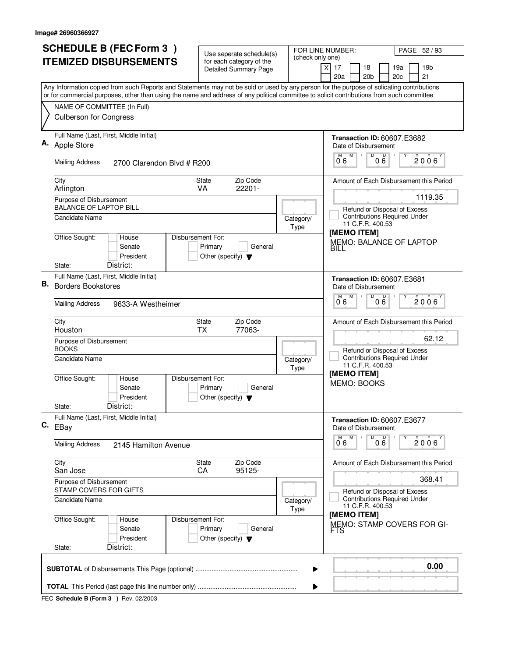|    | <b>SCHEDULE B (FEC Form 3)</b>                                                                                                                                           | Use seperate schedule(s)                                   |                          | FOR LINE NUMBER:<br>PAGE 52 / 93                                                            |  |  |
|----|--------------------------------------------------------------------------------------------------------------------------------------------------------------------------|------------------------------------------------------------|--------------------------|---------------------------------------------------------------------------------------------|--|--|
|    | <b>ITEMIZED DISBURSEMENTS</b>                                                                                                                                            | for each category of the<br><b>Detailed Summary Page</b>   | (check only one)         | $\times$<br>17<br>18<br>19a<br>19 <sub>b</sub><br>20a<br>20 <sub>b</sub><br>20c<br>21       |  |  |
|    | Any Information copied from such Reports and Statements may not be sold or used by any person for the purpose of solicating contributions                                |                                                            |                          |                                                                                             |  |  |
|    | or for commercial purposes, other than using the name and address of any political committee to solicit contributions from such committee<br>NAME OF COMMITTEE (In Full) |                                                            |                          |                                                                                             |  |  |
|    | <b>Culberson for Congress</b>                                                                                                                                            |                                                            |                          |                                                                                             |  |  |
|    | Full Name (Last, First, Middle Initial)<br><b>Apple Store</b>                                                                                                            |                                                            |                          | <b>Transaction ID: 60607.E3682</b><br>Date of Disbursement<br>M<br>D<br>M                   |  |  |
|    | <b>Mailing Address</b><br>2700 Clarendon Blvd # R200                                                                                                                     |                                                            |                          | $0\overset{D}{6}$<br>Υ<br>$2006^{\circ}$<br>0°6                                             |  |  |
|    | City<br>Arlington                                                                                                                                                        | Zip Code<br><b>State</b><br>22201-<br>VA                   |                          | Amount of Each Disbursement this Period                                                     |  |  |
|    | Purpose of Disbursement<br><b>BALANCE OF LAPTOP BILL</b>                                                                                                                 |                                                            |                          | 1119.35<br>Refund or Disposal of Excess                                                     |  |  |
|    | <b>Candidate Name</b>                                                                                                                                                    |                                                            | Category/<br>Type        | <b>Contributions Required Under</b><br>11 C.F.R. 400.53<br>[MEMO ITEM]                      |  |  |
|    | Office Sought:<br>Disbursement For:<br>House<br>Senate<br>President<br>District:<br>State:                                                                               | Primary<br>General<br>Other (specify) $\blacktriangledown$ |                          | MEMO: BALANCE OF LAPTOP<br>BILL                                                             |  |  |
|    | Full Name (Last, First, Middle Initial)                                                                                                                                  |                                                            |                          |                                                                                             |  |  |
| В. | <b>Borders Bookstores</b>                                                                                                                                                |                                                            |                          | <b>Transaction ID: 60607.E3681</b><br>Date of Disbursement<br>$\overline{D}$<br>M<br>M<br>D |  |  |
|    | <b>Mailing Address</b><br>9633-A Westheimer                                                                                                                              |                                                            |                          | 2006<br>06<br>06                                                                            |  |  |
|    | City<br>Houston                                                                                                                                                          | Zip Code<br><b>State</b><br><b>TX</b><br>77063-            |                          | Amount of Each Disbursement this Period<br>62.12                                            |  |  |
|    | Purpose of Disbursement<br><b>BOOKS</b>                                                                                                                                  |                                                            |                          | Refund or Disposal of Excess<br><b>Contributions Required Under</b>                         |  |  |
|    | Candidate Name                                                                                                                                                           |                                                            | Category/<br>Type        | 11 C.F.R. 400.53<br>[MEMO ITEM]                                                             |  |  |
|    | Office Sought:<br>Disbursement For:<br>House<br>Senate<br>President                                                                                                      | Primary<br>General<br>Other (specify) $\blacktriangledown$ |                          | MEMO: BOOKS                                                                                 |  |  |
|    | District:<br>State:                                                                                                                                                      |                                                            |                          |                                                                                             |  |  |
|    | Full Name (Last, First, Middle Initial)<br>$C.$ EBay                                                                                                                     |                                                            |                          | <b>Transaction ID: 60607.E3677</b><br>Date of Disbursement                                  |  |  |
|    | <b>Mailing Address</b><br>2145 Hamilton Avenue                                                                                                                           |                                                            |                          | D<br>M<br>000<br>2006<br>06                                                                 |  |  |
|    | City<br>San Jose                                                                                                                                                         | State<br>Zip Code<br>CA<br>95125-                          |                          | Amount of Each Disbursement this Period                                                     |  |  |
|    | Purpose of Disbursement<br>STAMP COVERS FOR GIFTS                                                                                                                        |                                                            |                          | 368.41<br>Refund or Disposal of Excess                                                      |  |  |
|    | <b>Candidate Name</b>                                                                                                                                                    |                                                            | Category/<br><b>Type</b> | <b>Contributions Required Under</b><br>11 C.F.R. 400.53<br>[MEMO ITEM]                      |  |  |
|    | Office Sought:<br>Disbursement For:<br>House<br>Senate<br>President                                                                                                      | Primary<br>General<br>Other (specify) $\blacktriangledown$ |                          | MEMO: STAMP COVERS FOR GI-<br>FTS                                                           |  |  |
|    | District:<br>State:                                                                                                                                                      |                                                            |                          |                                                                                             |  |  |
|    | 0.00<br>▶                                                                                                                                                                |                                                            |                          |                                                                                             |  |  |
|    |                                                                                                                                                                          |                                                            |                          |                                                                                             |  |  |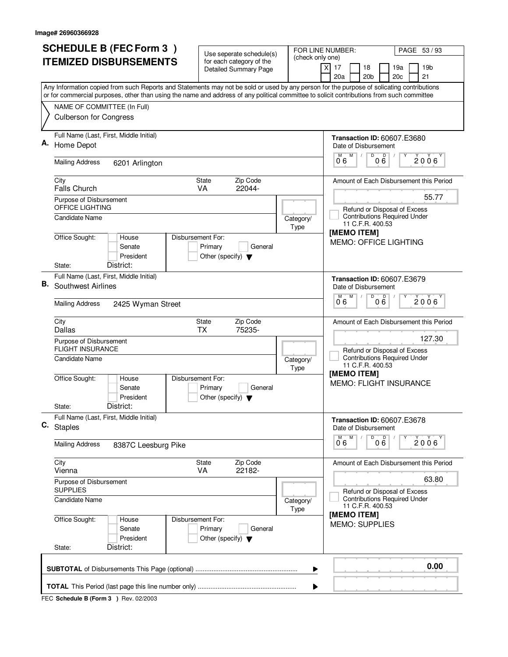|    | <b>SCHEDULE B (FEC Form 3)</b>                                                                                                                                                                                                                                                         | Use seperate schedule(s)                                                        |                          | FOR LINE NUMBER:<br>PAGE 53/93                                                              |  |  |
|----|----------------------------------------------------------------------------------------------------------------------------------------------------------------------------------------------------------------------------------------------------------------------------------------|---------------------------------------------------------------------------------|--------------------------|---------------------------------------------------------------------------------------------|--|--|
|    | <b>ITEMIZED DISBURSEMENTS</b>                                                                                                                                                                                                                                                          | for each category of the<br><b>Detailed Summary Page</b>                        | (check only one)         | 17<br>18<br>19a<br>19 <sub>b</sub><br>X<br>20a<br>20 <sub>b</sub><br>20c<br>21              |  |  |
|    | Any Information copied from such Reports and Statements may not be sold or used by any person for the purpose of solicating contributions<br>or for commercial purposes, other than using the name and address of any political committee to solicit contributions from such committee |                                                                                 |                          |                                                                                             |  |  |
|    | NAME OF COMMITTEE (In Full)                                                                                                                                                                                                                                                            |                                                                                 |                          |                                                                                             |  |  |
|    | <b>Culberson for Congress</b>                                                                                                                                                                                                                                                          |                                                                                 |                          |                                                                                             |  |  |
|    | Full Name (Last, First, Middle Initial)<br>Home Depot                                                                                                                                                                                                                                  |                                                                                 |                          | <b>Transaction ID: 60607.E3680</b><br>Date of Disbursement                                  |  |  |
|    | <b>Mailing Address</b><br>6201 Arlington                                                                                                                                                                                                                                               |                                                                                 |                          | M<br>000<br>M<br>$2006^{\circ}$<br>06                                                       |  |  |
|    | City<br>Falls Church                                                                                                                                                                                                                                                                   | Zip Code<br><b>State</b><br>22044-<br>VA                                        |                          | Amount of Each Disbursement this Period                                                     |  |  |
|    | Purpose of Disbursement<br>OFFICE LIGHTING                                                                                                                                                                                                                                             |                                                                                 |                          | 55.77<br>Refund or Disposal of Excess                                                       |  |  |
|    | <b>Candidate Name</b>                                                                                                                                                                                                                                                                  |                                                                                 | Category/<br>Type        | <b>Contributions Required Under</b><br>11 C.F.R. 400.53<br>[MEMO ITEM]                      |  |  |
|    | Office Sought:<br>House<br>Senate<br>President<br>District:                                                                                                                                                                                                                            | Disbursement For:<br>Primary<br>General<br>Other (specify) $\blacktriangledown$ |                          | <b>MEMO: OFFICE LIGHTING</b>                                                                |  |  |
|    | State:<br>Full Name (Last, First, Middle Initial)                                                                                                                                                                                                                                      |                                                                                 |                          |                                                                                             |  |  |
| В. | Southwest Airlines                                                                                                                                                                                                                                                                     |                                                                                 |                          | <b>Transaction ID: 60607.E3679</b><br>Date of Disbursement<br>$\overline{D}$<br>M<br>D<br>M |  |  |
|    | <b>Mailing Address</b><br>2425 Wyman Street                                                                                                                                                                                                                                            |                                                                                 |                          | $2006^{\circ}$<br>06<br>06                                                                  |  |  |
|    | City<br>Dallas                                                                                                                                                                                                                                                                         | Zip Code<br><b>State</b><br><b>TX</b><br>75235-                                 |                          | Amount of Each Disbursement this Period                                                     |  |  |
|    | Purpose of Disbursement<br><b>FLIGHT INSURANCE</b>                                                                                                                                                                                                                                     |                                                                                 |                          | 127.30<br>Refund or Disposal of Excess                                                      |  |  |
|    | Candidate Name                                                                                                                                                                                                                                                                         |                                                                                 | Category/<br>Type        | <b>Contributions Required Under</b><br>11 C.F.R. 400.53<br>[MEMO ITEM]                      |  |  |
|    | Office Sought:<br>House<br>Senate<br>President                                                                                                                                                                                                                                         | Disbursement For:<br>Primary<br>General<br>Other (specify) $\blacktriangledown$ |                          | <b>MEMO: FLIGHT INSURANCE</b>                                                               |  |  |
|    | District:<br>State:                                                                                                                                                                                                                                                                    |                                                                                 |                          |                                                                                             |  |  |
|    | Full Name (Last, First, Middle Initial)<br>C. Staples                                                                                                                                                                                                                                  |                                                                                 |                          | <b>Transaction ID: 60607.E3678</b><br>Date of Disbursement                                  |  |  |
|    | <b>Mailing Address</b><br>8387C Leesburg Pike                                                                                                                                                                                                                                          |                                                                                 |                          | D<br>M<br>000<br>2006<br>06                                                                 |  |  |
|    | City<br>Vienna                                                                                                                                                                                                                                                                         | State<br>Zip Code<br><b>VA</b><br>22182-                                        |                          | Amount of Each Disbursement this Period                                                     |  |  |
|    | Purpose of Disbursement<br><b>SUPPLIES</b>                                                                                                                                                                                                                                             |                                                                                 |                          | 63.80<br>Refund or Disposal of Excess                                                       |  |  |
|    | <b>Candidate Name</b>                                                                                                                                                                                                                                                                  |                                                                                 | Category/<br><b>Type</b> | <b>Contributions Required Under</b><br>11 C.F.R. 400.53                                     |  |  |
|    | Office Sought:<br>House<br>Senate<br>President                                                                                                                                                                                                                                         | Disbursement For:<br>Primary<br>General<br>Other (specify) $\blacktriangledown$ |                          | [MEMO ITEM]<br><b>MEMO: SUPPLIES</b>                                                        |  |  |
|    | District:<br>State:                                                                                                                                                                                                                                                                    |                                                                                 |                          |                                                                                             |  |  |
|    | 0.00<br>▶                                                                                                                                                                                                                                                                              |                                                                                 |                          |                                                                                             |  |  |
|    | ▶                                                                                                                                                                                                                                                                                      |                                                                                 |                          |                                                                                             |  |  |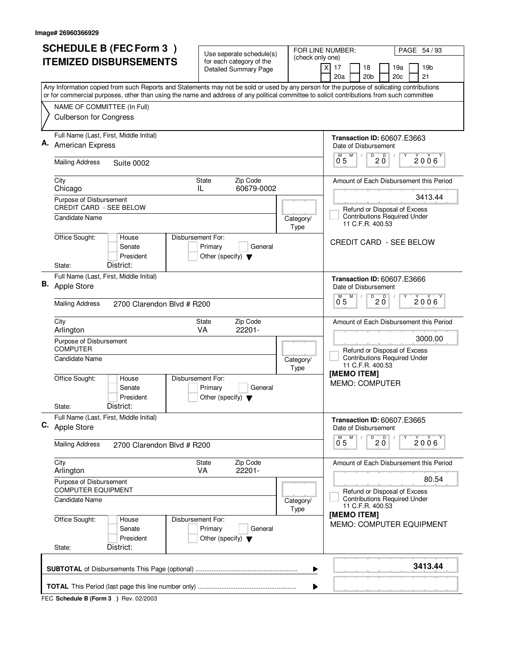| <b>SCHEDULE B (FEC Form 3)</b> |                                                                                                                                           | Use seperate schedule(s)                                   |                   | FOR LINE NUMBER:<br>PAGE 54 / 93                                                        |  |  |
|--------------------------------|-------------------------------------------------------------------------------------------------------------------------------------------|------------------------------------------------------------|-------------------|-----------------------------------------------------------------------------------------|--|--|
|                                | <b>ITEMIZED DISBURSEMENTS</b>                                                                                                             | for each category of the<br><b>Detailed Summary Page</b>   | (check only one)  | $\times$<br>17<br>18<br>19b<br>19a                                                      |  |  |
|                                | Any Information copied from such Reports and Statements may not be sold or used by any person for the purpose of solicating contributions |                                                            |                   | 20a<br>20 <sub>b</sub><br>21<br>20c                                                     |  |  |
|                                | or for commercial purposes, other than using the name and address of any political committee to solicit contributions from such committee |                                                            |                   |                                                                                         |  |  |
|                                | NAME OF COMMITTEE (In Full)                                                                                                               |                                                            |                   |                                                                                         |  |  |
|                                | <b>Culberson for Congress</b>                                                                                                             |                                                            |                   |                                                                                         |  |  |
|                                | Full Name (Last, First, Middle Initial)<br>American Express                                                                               |                                                            |                   | <b>Transaction ID: 60607.E3663</b><br>Date of Disbursement                              |  |  |
|                                | <b>Mailing Address</b><br><b>Suite 0002</b>                                                                                               |                                                            |                   | $\overline{0}$ 2 $\overline{0}$<br>M<br>$\overline{0}^M$ 5<br>2006                      |  |  |
|                                | City<br>Chicago                                                                                                                           | <b>State</b><br>Zip Code<br>60679-0002<br>IL.              |                   | Amount of Each Disbursement this Period                                                 |  |  |
|                                | Purpose of Disbursement<br>CREDIT CARD - SEE BELOW                                                                                        |                                                            |                   | 3413.44                                                                                 |  |  |
|                                | <b>Candidate Name</b>                                                                                                                     |                                                            | Category/<br>Type | Refund or Disposal of Excess<br><b>Contributions Required Under</b><br>11 C.F.R. 400.53 |  |  |
|                                | Office Sought:<br>Disbursement For:<br>House<br>Senate<br>President<br>District:<br>State:                                                | Primary<br>General<br>Other (specify) $\blacktriangledown$ |                   | <b>CREDIT CARD - SEE BELOW</b>                                                          |  |  |
|                                | Full Name (Last, First, Middle Initial)                                                                                                   |                                                            |                   | <b>Transaction ID: 60607.E3666</b>                                                      |  |  |
|                                | <b>B.</b> Apple Store                                                                                                                     |                                                            |                   | Date of Disbursement                                                                    |  |  |
|                                | <b>Mailing Address</b><br>2700 Clarendon Blvd # R200                                                                                      |                                                            |                   | D<br>M<br>D<br>2006<br>$20^{\circ}$<br>0 <sub>5</sub>                                   |  |  |
|                                | City<br>Arlington                                                                                                                         | Zip Code<br><b>State</b><br>22201-<br><b>VA</b>            |                   | Amount of Each Disbursement this Period                                                 |  |  |
|                                | Purpose of Disbursement<br><b>COMPUTER</b>                                                                                                |                                                            |                   | 3000.00                                                                                 |  |  |
|                                | Candidate Name                                                                                                                            |                                                            | Category/<br>Type | Refund or Disposal of Excess<br><b>Contributions Required Under</b><br>11 C.F.R. 400.53 |  |  |
|                                | Office Sought:<br>Disbursement For:<br>House<br>Senate<br>President                                                                       | Primary<br>General<br>Other (specify) $\blacktriangledown$ |                   | [MEMO ITEM]<br><b>MEMO: COMPUTER</b>                                                    |  |  |
|                                | District:<br>State:                                                                                                                       |                                                            |                   |                                                                                         |  |  |
|                                | Full Name (Last, First, Middle Initial)<br>C. Apple Store                                                                                 |                                                            |                   | <b>Transaction ID: 60607.E3665</b><br>Date of Disbursement<br>D<br>M                    |  |  |
|                                | <b>Mailing Address</b><br>2700 Clarendon Blvd # R200                                                                                      |                                                            |                   | $20^{\circ}$<br>2006<br>0 <sub>5</sub>                                                  |  |  |
|                                | City<br>Arlington                                                                                                                         | Zip Code<br>State<br>VA<br>22201-                          |                   | Amount of Each Disbursement this Period                                                 |  |  |
|                                | Purpose of Disbursement<br><b>COMPUTER EQUIPMENT</b>                                                                                      |                                                            |                   | 80.54<br>Refund or Disposal of Excess                                                   |  |  |
|                                | Candidate Name                                                                                                                            |                                                            | Category/<br>Type | <b>Contributions Required Under</b><br>11 C.F.R. 400.53                                 |  |  |
|                                | Office Sought:<br>Disbursement For:<br>House<br>Senate<br>President<br>District:<br>State:                                                | Primary<br>General<br>Other (specify) $\blacktriangledown$ |                   | [MEMO ITEM]<br><b>MEMO: COMPUTER EQUIPMENT</b>                                          |  |  |
|                                |                                                                                                                                           |                                                            |                   |                                                                                         |  |  |
|                                |                                                                                                                                           |                                                            | ▶                 | 3413.44                                                                                 |  |  |
|                                | ▶                                                                                                                                         |                                                            |                   |                                                                                         |  |  |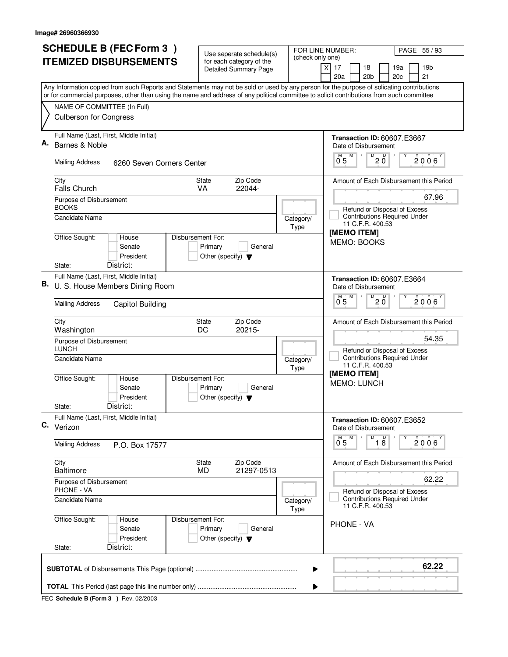|    | <b>SCHEDULE B (FEC Form 3)</b>                                                                                                                                                                                                                                                         | Use seperate schedule(s)                                                        |                   | FOR LINE NUMBER:<br>PAGE 55 / 93                                                                                                                |  |  |
|----|----------------------------------------------------------------------------------------------------------------------------------------------------------------------------------------------------------------------------------------------------------------------------------------|---------------------------------------------------------------------------------|-------------------|-------------------------------------------------------------------------------------------------------------------------------------------------|--|--|
|    | <b>ITEMIZED DISBURSEMENTS</b>                                                                                                                                                                                                                                                          | for each category of the<br><b>Detailed Summary Page</b>                        | (check only one)  | 19 <sub>b</sub><br>17<br>18<br>19a<br>X<br>20a<br>20 <sub>b</sub><br>20 <sub>c</sub><br>21                                                      |  |  |
|    | Any Information copied from such Reports and Statements may not be sold or used by any person for the purpose of solicating contributions<br>or for commercial purposes, other than using the name and address of any political committee to solicit contributions from such committee |                                                                                 |                   |                                                                                                                                                 |  |  |
|    | NAME OF COMMITTEE (In Full)<br><b>Culberson for Congress</b>                                                                                                                                                                                                                           |                                                                                 |                   |                                                                                                                                                 |  |  |
| А. | Full Name (Last, First, Middle Initial)<br>Barnes & Noble<br><b>Mailing Address</b><br>6260 Seven Corners Center                                                                                                                                                                       |                                                                                 |                   | <b>Transaction ID: 60607.E3667</b><br>Date of Disbursement<br>$\overline{P}$ 2 $\overline{O}$<br>$\overline{0}^M$ 5<br>M<br>Υ<br>$2006^{\circ}$ |  |  |
|    |                                                                                                                                                                                                                                                                                        |                                                                                 |                   |                                                                                                                                                 |  |  |
|    | City<br><b>Falls Church</b>                                                                                                                                                                                                                                                            | Zip Code<br>State<br>22044-<br>VA                                               |                   | Amount of Each Disbursement this Period                                                                                                         |  |  |
|    | Purpose of Disbursement<br><b>BOOKS</b><br><b>Candidate Name</b>                                                                                                                                                                                                                       |                                                                                 | Category/<br>Type | 67.96<br>Refund or Disposal of Excess<br><b>Contributions Required Under</b><br>11 C.F.R. 400.53                                                |  |  |
|    | Office Sought:<br>House<br>Senate<br>President<br>District:<br>State:                                                                                                                                                                                                                  | Disbursement For:<br>Primary<br>General<br>Other (specify) $\blacktriangledown$ |                   | [MEMO ITEM]<br>MEMO: BOOKS                                                                                                                      |  |  |
| В. | Full Name (Last, First, Middle Initial)<br>U. S. House Members Dining Room                                                                                                                                                                                                             |                                                                                 |                   | <b>Transaction ID: 60607.E3664</b><br>Date of Disbursement                                                                                      |  |  |
|    | <b>Mailing Address</b><br>Capitol Building                                                                                                                                                                                                                                             |                                                                                 |                   | D<br>D<br>$0^{M}$ 5<br>M<br>2006<br>20                                                                                                          |  |  |
|    | City<br>Washington<br>Purpose of Disbursement                                                                                                                                                                                                                                          | Zip Code<br><b>State</b><br>20215-<br>DC                                        |                   | Amount of Each Disbursement this Period<br>54.35                                                                                                |  |  |
|    | <b>LUNCH</b><br><b>Candidate Name</b><br>Office Sought:<br>House<br>Senate                                                                                                                                                                                                             | Disbursement For:<br>Primary<br>General                                         | Category/<br>Type | Refund or Disposal of Excess<br><b>Contributions Required Under</b><br>11 C.F.R. 400.53<br>[MEMO ITEM]<br><b>MEMO: LUNCH</b>                    |  |  |
|    | President<br>District:<br>State:                                                                                                                                                                                                                                                       | Other (specify) $\blacktriangledown$                                            |                   |                                                                                                                                                 |  |  |
|    | Full Name (Last, First, Middle Initial)<br>C. Verizon                                                                                                                                                                                                                                  |                                                                                 |                   | <b>Transaction ID: 60607.E3652</b><br>Date of Disbursement                                                                                      |  |  |
|    | <b>Mailing Address</b><br>P.O. Box 17577                                                                                                                                                                                                                                               |                                                                                 |                   | $\overline{D}$<br>M<br>$\overline{18}$<br>$2006^{\circ}$<br>0 <sub>5</sub>                                                                      |  |  |
|    | City<br><b>Baltimore</b>                                                                                                                                                                                                                                                               | Zip Code<br>State<br>21297-0513<br><b>MD</b>                                    |                   | Amount of Each Disbursement this Period                                                                                                         |  |  |
|    | Purpose of Disbursement<br><b>PHONE - VA</b>                                                                                                                                                                                                                                           |                                                                                 |                   | 62.22<br>Refund or Disposal of Excess                                                                                                           |  |  |
|    | Candidate Name                                                                                                                                                                                                                                                                         |                                                                                 | Category/<br>Type | <b>Contributions Required Under</b><br>11 C.F.R. 400.53                                                                                         |  |  |
|    | Office Sought:<br>House<br>Senate<br>President<br>District:<br>State:                                                                                                                                                                                                                  | Disbursement For:<br>Primary<br>General<br>Other (specify) $\blacktriangledown$ |                   | <b>PHONE - VA</b>                                                                                                                               |  |  |
|    |                                                                                                                                                                                                                                                                                        |                                                                                 |                   | 62.22                                                                                                                                           |  |  |
|    | ▶                                                                                                                                                                                                                                                                                      |                                                                                 |                   |                                                                                                                                                 |  |  |
|    |                                                                                                                                                                                                                                                                                        |                                                                                 |                   |                                                                                                                                                 |  |  |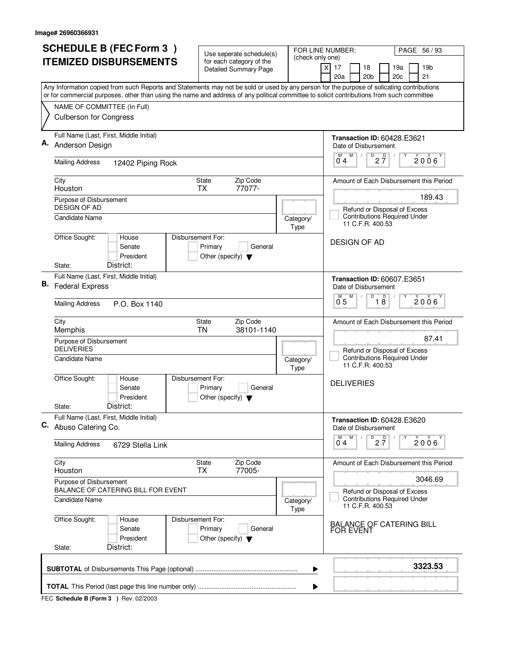|    | <b>SCHEDULE B (FEC Form 3)</b>                                                                                                                                                                                                                                                         | Use seperate schedule(s)                                                        |                          | FOR LINE NUMBER:<br>PAGE 56 / 93                                                                  |  |  |
|----|----------------------------------------------------------------------------------------------------------------------------------------------------------------------------------------------------------------------------------------------------------------------------------------|---------------------------------------------------------------------------------|--------------------------|---------------------------------------------------------------------------------------------------|--|--|
|    | <b>ITEMIZED DISBURSEMENTS</b>                                                                                                                                                                                                                                                          | for each category of the<br>Detailed Summary Page                               | (check only one)         | 19 <sub>b</sub><br>X<br>17<br>18<br>19a<br>20a<br>20 <sub>b</sub><br>20 <sub>c</sub><br>21        |  |  |
|    | Any Information copied from such Reports and Statements may not be sold or used by any person for the purpose of solicating contributions<br>or for commercial purposes, other than using the name and address of any political committee to solicit contributions from such committee |                                                                                 |                          |                                                                                                   |  |  |
|    | NAME OF COMMITTEE (In Full)<br><b>Culberson for Congress</b>                                                                                                                                                                                                                           |                                                                                 |                          |                                                                                                   |  |  |
| А. | Full Name (Last, First, Middle Initial)<br>Anderson Design                                                                                                                                                                                                                             |                                                                                 |                          | <b>Transaction ID: 60428.E3621</b><br>Date of Disbursement                                        |  |  |
|    | <b>Mailing Address</b><br>12402 Piping Rock                                                                                                                                                                                                                                            |                                                                                 |                          | $M$ $M$<br>$D$ <sub>2</sub> $\frac{D}{7}$<br>Υ<br>2006<br>04                                      |  |  |
|    | City<br>Houston                                                                                                                                                                                                                                                                        | Zip Code<br><b>State</b><br>77077-<br><b>TX</b>                                 |                          | Amount of Each Disbursement this Period                                                           |  |  |
|    | Purpose of Disbursement<br><b>DESIGN OF AD</b><br>Candidate Name                                                                                                                                                                                                                       |                                                                                 | Category/<br>Type        | 189.43<br>Refund or Disposal of Excess<br><b>Contributions Required Under</b><br>11 C.F.R. 400.53 |  |  |
|    | Office Sought:<br>House<br>Senate<br>President<br>District:<br>State:                                                                                                                                                                                                                  | Disbursement For:<br>Primary<br>General<br>Other (specify) $\blacktriangledown$ |                          | <b>DESIGN OF AD</b>                                                                               |  |  |
| В. | Full Name (Last, First, Middle Initial)<br><b>Federal Express</b>                                                                                                                                                                                                                      |                                                                                 |                          | <b>Transaction ID: 60607.E3651</b><br>Date of Disbursement                                        |  |  |
|    | <b>Mailing Address</b><br>P.O. Box 1140                                                                                                                                                                                                                                                |                                                                                 |                          | $\overline{D}$<br>D<br>2006<br>$1\overline{8}$<br>0 <sub>5</sub>                                  |  |  |
|    | City<br>Memphis                                                                                                                                                                                                                                                                        | Zip Code<br>State<br>38101-1140<br>ΤN                                           |                          | Amount of Each Disbursement this Period<br>87.41                                                  |  |  |
|    | Purpose of Disbursement<br><b>DELIVERIES</b><br>Candidate Name                                                                                                                                                                                                                         |                                                                                 | Category/<br><b>Type</b> | Refund or Disposal of Excess<br><b>Contributions Required Under</b><br>11 C.F.R. 400.53           |  |  |
|    | Office Sought:<br>House<br>Senate<br>President                                                                                                                                                                                                                                         | Disbursement For:<br>Primary<br>General<br>Other (specify) $\blacktriangledown$ |                          | <b>DELIVERIES</b>                                                                                 |  |  |
|    | District:<br>State:<br>Full Name (Last, First, Middle Initial)<br>C. Abuso Catering Co.                                                                                                                                                                                                |                                                                                 |                          | Transaction ID: 60428.E3620<br>Date of Disbursement                                               |  |  |
|    | <b>Mailing Address</b><br>6729 Stella Link                                                                                                                                                                                                                                             |                                                                                 |                          | M<br>D<br>$2\frac{D}{7}$<br>$2006^{\circ}$<br>04                                                  |  |  |
|    | City<br>Houston                                                                                                                                                                                                                                                                        | Zip Code<br>State<br><b>TX</b><br>77005-                                        |                          | Amount of Each Disbursement this Period                                                           |  |  |
|    | Purpose of Disbursement<br>BALANCE OF CATERING BILL FOR EVENT                                                                                                                                                                                                                          |                                                                                 |                          | 3046.69<br>Refund or Disposal of Excess<br><b>Contributions Required Under</b>                    |  |  |
|    | Candidate Name                                                                                                                                                                                                                                                                         |                                                                                 | Category/<br>Type        | 11 C.F.R. 400.53                                                                                  |  |  |
|    | Office Sought:<br>House<br>Senate<br>President<br>District:<br>State:                                                                                                                                                                                                                  | Disbursement For:<br>Primary<br>General<br>Other (specify) $\blacktriangledown$ |                          | <b>BALANCE OF CATERING BILL</b><br><b>FOR EVENT</b>                                               |  |  |
|    |                                                                                                                                                                                                                                                                                        |                                                                                 |                          | 3323.53                                                                                           |  |  |
|    |                                                                                                                                                                                                                                                                                        |                                                                                 | ▶                        |                                                                                                   |  |  |
| ▶  |                                                                                                                                                                                                                                                                                        |                                                                                 |                          |                                                                                                   |  |  |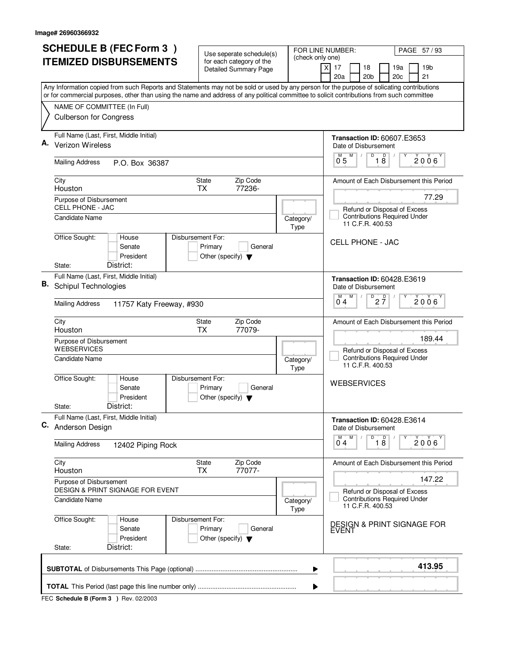|    | <b>SCHEDULE B (FEC Form 3)</b>                                                                                                                                                                                                                                                         | Use seperate schedule(s)                                   |                   | FOR LINE NUMBER:<br>PAGE 57 / 93                                                                 |  |  |
|----|----------------------------------------------------------------------------------------------------------------------------------------------------------------------------------------------------------------------------------------------------------------------------------------|------------------------------------------------------------|-------------------|--------------------------------------------------------------------------------------------------|--|--|
|    | <b>ITEMIZED DISBURSEMENTS</b>                                                                                                                                                                                                                                                          | for each category of the<br><b>Detailed Summary Page</b>   | (check only one)  | 19 <sub>b</sub><br>X<br>17<br>18<br>19a<br>20a<br>20 <sub>b</sub><br>20c<br>21                   |  |  |
|    | Any Information copied from such Reports and Statements may not be sold or used by any person for the purpose of solicating contributions<br>or for commercial purposes, other than using the name and address of any political committee to solicit contributions from such committee |                                                            |                   |                                                                                                  |  |  |
|    | NAME OF COMMITTEE (In Full)<br><b>Culberson for Congress</b>                                                                                                                                                                                                                           |                                                            |                   |                                                                                                  |  |  |
|    | Full Name (Last, First, Middle Initial)<br><b>Verizon Wireless</b>                                                                                                                                                                                                                     |                                                            |                   | <b>Transaction ID: 60607.E3653</b><br>Date of Disbursement                                       |  |  |
|    | <b>Mailing Address</b><br>P.O. Box 36387                                                                                                                                                                                                                                               |                                                            |                   | $0^M$ 5 $M$<br>D<br>$\overline{18}$<br>Υ<br>2006 <sup>Y</sup>                                    |  |  |
|    | City<br>Houston                                                                                                                                                                                                                                                                        | Zip Code<br>State<br>77236-<br><b>TX</b>                   |                   | Amount of Each Disbursement this Period                                                          |  |  |
|    | Purpose of Disbursement<br><b>CELL PHONE - JAC</b><br>Candidate Name                                                                                                                                                                                                                   |                                                            | Category/<br>Type | 77.29<br>Refund or Disposal of Excess<br><b>Contributions Required Under</b><br>11 C.F.R. 400.53 |  |  |
|    | Office Sought:<br>House<br>Disbursement For:<br>Senate<br>President<br>District:<br>State:                                                                                                                                                                                             | Primary<br>General<br>Other (specify) $\blacktriangledown$ |                   | <b>CELL PHONE - JAC</b>                                                                          |  |  |
| В. | Full Name (Last, First, Middle Initial)<br><b>Schipul Technologies</b>                                                                                                                                                                                                                 |                                                            |                   | <b>Transaction ID: 60428.E3619</b><br>Date of Disbursement                                       |  |  |
|    | <b>Mailing Address</b><br>11757 Katy Freeway, #930                                                                                                                                                                                                                                     |                                                            |                   | D<br>M<br>$2\frac{D}{7}$<br>2006<br>04                                                           |  |  |
|    | City<br>Houston                                                                                                                                                                                                                                                                        | Zip Code<br>State<br>77079-<br><b>TX</b>                   |                   | Amount of Each Disbursement this Period<br>189.44                                                |  |  |
|    | Purpose of Disbursement<br><b>WEBSERVICES</b><br>Candidate Name                                                                                                                                                                                                                        |                                                            | Category/<br>Type | Refund or Disposal of Excess<br><b>Contributions Required Under</b><br>11 C.F.R. 400.53          |  |  |
|    | Office Sought:<br>House<br>Disbursement For:<br>Senate<br>President<br>District:<br>State:                                                                                                                                                                                             | Primary<br>General<br>Other (specify) $\blacktriangledown$ |                   | <b>WEBSERVICES</b>                                                                               |  |  |
|    | Full Name (Last, First, Middle Initial)<br>C. Anderson Design                                                                                                                                                                                                                          |                                                            |                   | <b>Transaction ID: 60428.E3614</b><br>Date of Disbursement                                       |  |  |
|    | <b>Mailing Address</b><br>12402 Piping Rock                                                                                                                                                                                                                                            |                                                            |                   | $\overline{18}$<br>M<br>M<br>$2006^{\circ}$<br>04                                                |  |  |
|    | City<br>Houston                                                                                                                                                                                                                                                                        | Zip Code<br>State<br>77077-<br><b>TX</b>                   |                   | Amount of Each Disbursement this Period                                                          |  |  |
|    | Purpose of Disbursement<br><b>DESIGN &amp; PRINT SIGNAGE FOR EVENT</b><br>Candidate Name                                                                                                                                                                                               |                                                            | Category/         | 147.22<br>Refund or Disposal of Excess<br><b>Contributions Required Under</b>                    |  |  |
|    |                                                                                                                                                                                                                                                                                        |                                                            | Type              | 11 C.F.R. 400.53                                                                                 |  |  |
|    | Office Sought:<br>Disbursement For:<br>House<br>Senate<br>President<br>District:<br>State:                                                                                                                                                                                             | Primary<br>General<br>Other (specify) $\blacktriangledown$ |                   | <b>DESIGN &amp; PRINT SIGNAGE FOR</b><br>EVENT                                                   |  |  |
|    |                                                                                                                                                                                                                                                                                        |                                                            | ▶                 | 413.95                                                                                           |  |  |
|    | ▶                                                                                                                                                                                                                                                                                      |                                                            |                   |                                                                                                  |  |  |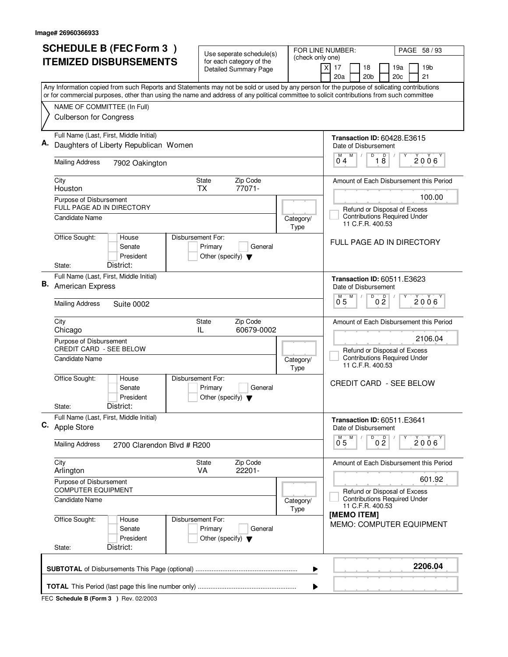|    | <b>SCHEDULE B (FEC Form 3)</b>                                                                                                            | Use seperate schedule(s)                                                        |                                        | FOR LINE NUMBER:<br>PAGE 58 / 93                                                      |  |
|----|-------------------------------------------------------------------------------------------------------------------------------------------|---------------------------------------------------------------------------------|----------------------------------------|---------------------------------------------------------------------------------------|--|
|    | <b>ITEMIZED DISBURSEMENTS</b>                                                                                                             | for each category of the                                                        | (check only one)                       | $\times$<br>17<br>18<br>19a<br>19 <sub>b</sub>                                        |  |
|    |                                                                                                                                           | <b>Detailed Summary Page</b>                                                    |                                        | 20a<br>20 <sub>b</sub><br>20c<br>21                                                   |  |
|    | Any Information copied from such Reports and Statements may not be sold or used by any person for the purpose of solicating contributions |                                                                                 |                                        |                                                                                       |  |
|    | or for commercial purposes, other than using the name and address of any political committee to solicit contributions from such committee |                                                                                 |                                        |                                                                                       |  |
|    | NAME OF COMMITTEE (In Full)<br><b>Culberson for Congress</b>                                                                              |                                                                                 |                                        |                                                                                       |  |
|    |                                                                                                                                           |                                                                                 |                                        |                                                                                       |  |
|    | Full Name (Last, First, Middle Initial)                                                                                                   |                                                                                 |                                        | <b>Transaction ID: 60428.E3615</b>                                                    |  |
|    | Daughters of Liberty Republican Women                                                                                                     |                                                                                 |                                        | Date of Disbursement                                                                  |  |
|    | <b>Mailing Address</b><br>7902 Oakington                                                                                                  |                                                                                 |                                        | D<br>$\overline{18}$<br>M<br>M<br>$\sqrt{ }$<br>Υ<br>$2006^{\circ}$<br>$0^{\degree}4$ |  |
|    | City                                                                                                                                      | Zip Code<br><b>State</b>                                                        |                                        | Amount of Each Disbursement this Period                                               |  |
|    | Houston                                                                                                                                   | 77071-<br>ТX                                                                    |                                        | 100.00                                                                                |  |
|    | Purpose of Disbursement<br>FULL PAGE AD IN DIRECTORY                                                                                      |                                                                                 |                                        | Refund or Disposal of Excess                                                          |  |
|    | <b>Candidate Name</b>                                                                                                                     |                                                                                 | Category/<br>Type                      | <b>Contributions Required Under</b><br>11 C.F.R. 400.53                               |  |
|    | Office Sought:<br>Disbursement For:<br>House<br>Senate<br>President                                                                       | Primary<br>General<br>Other (specify) $\blacktriangledown$                      |                                        | FULL PAGE AD IN DIRECTORY                                                             |  |
|    | District:<br>State:                                                                                                                       |                                                                                 |                                        |                                                                                       |  |
| В. | Full Name (Last, First, Middle Initial)<br><b>American Express</b>                                                                        |                                                                                 |                                        | <b>Transaction ID: 60511.E3623</b><br>Date of Disbursement                            |  |
|    | <b>Mailing Address</b><br><b>Suite 0002</b>                                                                                               |                                                                                 |                                        | D<br>D<br>M<br>2006<br>0.5<br>0 <sub>2</sub>                                          |  |
|    | City<br>Chicago                                                                                                                           | Zip Code<br><b>State</b><br>60679-0002<br>IL                                    |                                        | Amount of Each Disbursement this Period                                               |  |
|    | Purpose of Disbursement<br><b>CREDIT CARD - SEE BELOW</b>                                                                                 |                                                                                 |                                        | 2106.04<br>Refund or Disposal of Excess                                               |  |
|    | Candidate Name                                                                                                                            |                                                                                 | Category/<br>Type                      | <b>Contributions Required Under</b><br>11 C.F.R. 400.53                               |  |
|    | Office Sought:<br>Disbursement For:<br>House<br>Senate<br>President                                                                       | Primary<br>General<br>Other (specify) $\blacktriangledown$                      |                                        | CREDIT CARD - SEE BELOW                                                               |  |
|    | District:<br>State:                                                                                                                       |                                                                                 |                                        |                                                                                       |  |
|    | Full Name (Last, First, Middle Initial)<br>C. Apple Store                                                                                 |                                                                                 |                                        | <b>Transaction ID: 60511.E3641</b><br>Date of Disbursement                            |  |
|    | <b>Mailing Address</b><br>2700 Clarendon Blvd # R200                                                                                      |                                                                                 |                                        | $\overline{D}$<br>M<br>0 <sup>0</sup><br>2006<br>0.5                                  |  |
|    | City<br>Arlington                                                                                                                         | State<br>Zip Code<br>VA<br>22201-                                               |                                        | Amount of Each Disbursement this Period                                               |  |
|    | Purpose of Disbursement<br><b>COMPUTER EQUIPMENT</b>                                                                                      |                                                                                 | 601.92<br>Refund or Disposal of Excess |                                                                                       |  |
|    | <b>Candidate Name</b>                                                                                                                     |                                                                                 | Category/<br><b>Type</b>               | <b>Contributions Required Under</b><br>11 C.F.R. 400.53<br>[MEMO ITEM]                |  |
|    | Office Sought:<br>House<br>Senate<br>President<br>District:<br>State:                                                                     | Disbursement For:<br>Primary<br>General<br>Other (specify) $\blacktriangledown$ |                                        | <b>MEMO: COMPUTER EQUIPMENT</b>                                                       |  |
|    |                                                                                                                                           |                                                                                 |                                        |                                                                                       |  |
|    |                                                                                                                                           |                                                                                 | ▶                                      | 2206.04                                                                               |  |
|    |                                                                                                                                           |                                                                                 |                                        |                                                                                       |  |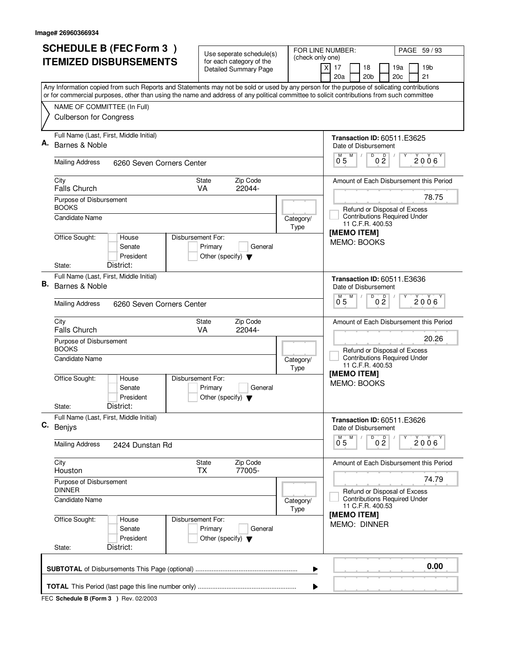|    | <b>SCHEDULE B (FEC Form 3)</b>                                                                                                                                                                                                                                                         | Use seperate schedule(s)                                                        |                          | FOR LINE NUMBER:<br>PAGE 59 / 93                                                         |  |  |
|----|----------------------------------------------------------------------------------------------------------------------------------------------------------------------------------------------------------------------------------------------------------------------------------------|---------------------------------------------------------------------------------|--------------------------|------------------------------------------------------------------------------------------|--|--|
|    | <b>ITEMIZED DISBURSEMENTS</b>                                                                                                                                                                                                                                                          | for each category of the<br><b>Detailed Summary Page</b>                        | (check only one)         | $\times$<br>17<br>18<br>19a<br>19 <sub>b</sub><br>20a<br>20 <sub>b</sub><br>20c<br>21    |  |  |
|    | Any Information copied from such Reports and Statements may not be sold or used by any person for the purpose of solicating contributions<br>or for commercial purposes, other than using the name and address of any political committee to solicit contributions from such committee |                                                                                 |                          |                                                                                          |  |  |
|    | NAME OF COMMITTEE (In Full)<br><b>Culberson for Congress</b>                                                                                                                                                                                                                           |                                                                                 |                          |                                                                                          |  |  |
|    | Full Name (Last, First, Middle Initial)                                                                                                                                                                                                                                                |                                                                                 |                          | <b>Transaction ID: 60511.E3625</b>                                                       |  |  |
|    | Barnes & Noble<br><b>Mailing Address</b><br>6260 Seven Corners Center                                                                                                                                                                                                                  |                                                                                 |                          | Date of Disbursement<br>D<br>$0\frac{D}{2}$<br>$\overline{0}^M$ 5<br>M<br>$2006^{\circ}$ |  |  |
|    |                                                                                                                                                                                                                                                                                        |                                                                                 |                          |                                                                                          |  |  |
|    | City<br><b>Falls Church</b>                                                                                                                                                                                                                                                            | Zip Code<br><b>State</b><br>22044-<br>VA                                        |                          | Amount of Each Disbursement this Period                                                  |  |  |
|    | Purpose of Disbursement<br><b>BOOKS</b>                                                                                                                                                                                                                                                |                                                                                 |                          | 78.75<br>Refund or Disposal of Excess<br><b>Contributions Required Under</b>             |  |  |
|    | <b>Candidate Name</b><br>Office Sought:<br>House                                                                                                                                                                                                                                       | Disbursement For:                                                               | Category/<br>Type        | 11 C.F.R. 400.53<br>[MEMO ITEM]                                                          |  |  |
|    | Senate<br>President<br>District:<br>State:                                                                                                                                                                                                                                             | Primary<br>General<br>Other (specify) $\blacktriangledown$                      |                          | MEMO: BOOKS                                                                              |  |  |
|    | Full Name (Last, First, Middle Initial)                                                                                                                                                                                                                                                |                                                                                 |                          |                                                                                          |  |  |
| В. | Barnes & Noble                                                                                                                                                                                                                                                                         |                                                                                 |                          | <b>Transaction ID: 60511.E3636</b><br>Date of Disbursement<br>D<br>D<br>M                |  |  |
|    | <b>Mailing Address</b><br>6260 Seven Corners Center                                                                                                                                                                                                                                    |                                                                                 |                          | 2006<br>0 <sub>5</sub><br>$0\bar{2}$                                                     |  |  |
|    | City<br>Falls Church                                                                                                                                                                                                                                                                   | Zip Code<br><b>State</b><br>VA<br>22044-                                        |                          | Amount of Each Disbursement this Period                                                  |  |  |
|    | Purpose of Disbursement<br><b>BOOKS</b>                                                                                                                                                                                                                                                |                                                                                 |                          | 20.26<br>Refund or Disposal of Excess<br><b>Contributions Required Under</b>             |  |  |
|    | Candidate Name                                                                                                                                                                                                                                                                         |                                                                                 | Category/<br>Type        | 11 C.F.R. 400.53<br>[MEMO ITEM]                                                          |  |  |
|    | Office Sought:<br>House<br>Senate<br>President                                                                                                                                                                                                                                         | Disbursement For:<br>Primary<br>General<br>Other (specify) $\blacktriangledown$ |                          | MEMO: BOOKS                                                                              |  |  |
|    | District:<br>State:                                                                                                                                                                                                                                                                    |                                                                                 |                          |                                                                                          |  |  |
|    | Full Name (Last, First, Middle Initial)<br>C. Benjys                                                                                                                                                                                                                                   |                                                                                 |                          | <b>Transaction ID: 60511.E3626</b><br>Date of Disbursement                               |  |  |
|    | <b>Mailing Address</b><br>2424 Dunstan Rd                                                                                                                                                                                                                                              |                                                                                 |                          | D<br>M<br>0 <sup>0</sup><br>2006<br>0.5                                                  |  |  |
|    | City<br>Houston                                                                                                                                                                                                                                                                        | State<br>Zip Code<br>TX.<br>77005-                                              |                          | Amount of Each Disbursement this Period                                                  |  |  |
|    | Purpose of Disbursement<br><b>DINNER</b>                                                                                                                                                                                                                                               |                                                                                 |                          | 74.79<br>Refund or Disposal of Excess                                                    |  |  |
|    | Candidate Name                                                                                                                                                                                                                                                                         |                                                                                 | Category/<br><b>Type</b> | <b>Contributions Required Under</b><br>11 C.F.R. 400.53                                  |  |  |
|    | Office Sought:<br>House<br>Senate<br>President                                                                                                                                                                                                                                         | Disbursement For:<br>Primary<br>General<br>Other (specify) $\blacktriangledown$ |                          | [MEMO ITEM]<br>MEMO: DINNER                                                              |  |  |
|    | District:<br>State:                                                                                                                                                                                                                                                                    |                                                                                 |                          |                                                                                          |  |  |
|    | 0.00<br>▶                                                                                                                                                                                                                                                                              |                                                                                 |                          |                                                                                          |  |  |
|    |                                                                                                                                                                                                                                                                                        |                                                                                 |                          |                                                                                          |  |  |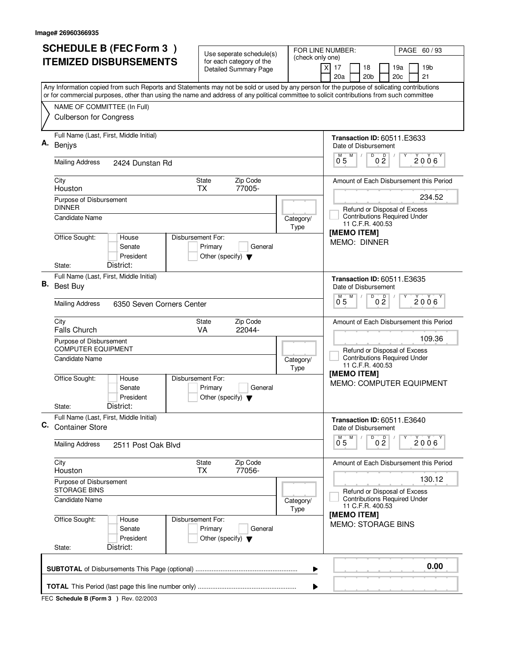|    | <b>SCHEDULE B (FEC Form 3)</b>                                                                                                                                                                                                                                                         |                                                                                      | FOR LINE NUMBER:<br>PAGE 60/93         |                                                                                                   |  |  |
|----|----------------------------------------------------------------------------------------------------------------------------------------------------------------------------------------------------------------------------------------------------------------------------------------|--------------------------------------------------------------------------------------|----------------------------------------|---------------------------------------------------------------------------------------------------|--|--|
|    | <b>ITEMIZED DISBURSEMENTS</b>                                                                                                                                                                                                                                                          | Use seperate schedule(s)<br>for each category of the<br><b>Detailed Summary Page</b> | (check only one)                       | 17<br>18<br>19a<br>19 <sub>b</sub><br>X<br>20a<br>20 <sub>b</sub><br>20c<br>21                    |  |  |
|    | Any Information copied from such Reports and Statements may not be sold or used by any person for the purpose of solicating contributions<br>or for commercial purposes, other than using the name and address of any political committee to solicit contributions from such committee |                                                                                      |                                        |                                                                                                   |  |  |
|    | NAME OF COMMITTEE (In Full)<br><b>Culberson for Congress</b>                                                                                                                                                                                                                           |                                                                                      |                                        |                                                                                                   |  |  |
| А. | Full Name (Last, First, Middle Initial)<br>Benjys                                                                                                                                                                                                                                      |                                                                                      |                                        | <b>Transaction ID: 60511.E3633</b><br>Date of Disbursement<br>M                                   |  |  |
|    | <b>Mailing Address</b><br>2424 Dunstan Rd                                                                                                                                                                                                                                              |                                                                                      |                                        | $\overline{0}$ $\overline{2}$<br>$\overline{0}^M$ 5<br>$2006^{\circ}$                             |  |  |
|    | City<br>Houston                                                                                                                                                                                                                                                                        | Zip Code<br><b>State</b><br>77005-<br><b>TX</b>                                      |                                        | Amount of Each Disbursement this Period                                                           |  |  |
|    | Purpose of Disbursement<br><b>DINNER</b><br><b>Candidate Name</b>                                                                                                                                                                                                                      |                                                                                      | Category/<br>Type                      | 234.52<br>Refund or Disposal of Excess<br><b>Contributions Required Under</b><br>11 C.F.R. 400.53 |  |  |
|    | Office Sought:<br>House<br>Senate<br>President<br>District:<br>State:                                                                                                                                                                                                                  | Disbursement For:<br>Primary<br>General<br>Other (specify) $\blacktriangledown$      |                                        | [MEMO ITEM]<br><b>MEMO: DINNER</b>                                                                |  |  |
| В. | Full Name (Last, First, Middle Initial)<br>Best Buy                                                                                                                                                                                                                                    |                                                                                      |                                        | <b>Transaction ID: 60511.E3635</b><br>Date of Disbursement<br>$\overline{D}$<br>M<br>D            |  |  |
|    | <b>Mailing Address</b><br>6350 Seven Corners Center                                                                                                                                                                                                                                    |                                                                                      |                                        | $2006^{\circ}$<br>0 <sub>5</sub><br>0 <sub>2</sub>                                                |  |  |
|    | City<br>Falls Church                                                                                                                                                                                                                                                                   | Zip Code<br><b>State</b><br>VA<br>22044-                                             |                                        | Amount of Each Disbursement this Period                                                           |  |  |
|    | Purpose of Disbursement<br><b>COMPUTER EQUIPMENT</b><br>Candidate Name                                                                                                                                                                                                                 |                                                                                      | Category/                              | 109.36<br>Refund or Disposal of Excess<br><b>Contributions Required Under</b>                     |  |  |
|    | Office Sought:<br>House<br>Senate<br>President<br>District:<br>State:                                                                                                                                                                                                                  | Disbursement For:<br>Primary<br>General<br>Other (specify) $\blacktriangledown$      | Type                                   | 11 C.F.R. 400.53<br>[MEMO ITEM]<br>MEMO: COMPUTER EQUIPMENT                                       |  |  |
| C. | Full Name (Last, First, Middle Initial)<br><b>Container Store</b>                                                                                                                                                                                                                      |                                                                                      |                                        | <b>Transaction ID: 60511.E3640</b><br>Date of Disbursement                                        |  |  |
|    | <b>Mailing Address</b><br>2511 Post Oak Blvd                                                                                                                                                                                                                                           |                                                                                      |                                        | D<br>M<br>0 <sup>0</sup><br>2006<br>0 <sub>5</sub>                                                |  |  |
|    | City<br>Houston                                                                                                                                                                                                                                                                        | State<br>Zip Code<br><b>TX</b><br>77056-                                             |                                        | Amount of Each Disbursement this Period                                                           |  |  |
|    | Purpose of Disbursement<br><b>STORAGE BINS</b>                                                                                                                                                                                                                                         |                                                                                      | 130.12<br>Refund or Disposal of Excess |                                                                                                   |  |  |
|    | <b>Candidate Name</b>                                                                                                                                                                                                                                                                  |                                                                                      | Category/<br><b>Type</b>               | <b>Contributions Required Under</b><br>11 C.F.R. 400.53<br>[MEMO ITEM]                            |  |  |
|    | Office Sought:<br>House<br>Senate<br>President                                                                                                                                                                                                                                         | Disbursement For:<br>Primary<br>General<br>Other (specify) $\blacktriangledown$      |                                        | <b>MEMO: STORAGE BINS</b>                                                                         |  |  |
|    | District:<br>State:                                                                                                                                                                                                                                                                    |                                                                                      |                                        |                                                                                                   |  |  |
|    |                                                                                                                                                                                                                                                                                        |                                                                                      | ▶                                      | 0.00                                                                                              |  |  |
|    | ▶                                                                                                                                                                                                                                                                                      |                                                                                      |                                        |                                                                                                   |  |  |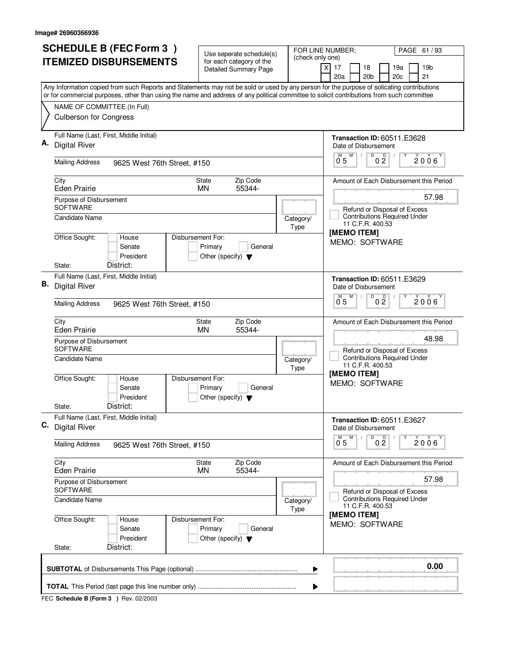|    | <b>SCHEDULE B (FEC Form 3)</b>                                                                                                                                                                                                                                                         | Use seperate schedule(s)                                   |                   | FOR LINE NUMBER:<br>PAGE 61 / 93                                                                                         |  |  |  |
|----|----------------------------------------------------------------------------------------------------------------------------------------------------------------------------------------------------------------------------------------------------------------------------------------|------------------------------------------------------------|-------------------|--------------------------------------------------------------------------------------------------------------------------|--|--|--|
|    | <b>ITEMIZED DISBURSEMENTS</b>                                                                                                                                                                                                                                                          | for each category of the<br><b>Detailed Summary Page</b>   | (check only one)  | $\times$<br>17<br>18<br>19b<br>19a<br>20a<br>20 <sub>b</sub><br>21<br>20c                                                |  |  |  |
|    | Any Information copied from such Reports and Statements may not be sold or used by any person for the purpose of solicating contributions<br>or for commercial purposes, other than using the name and address of any political committee to solicit contributions from such committee |                                                            |                   |                                                                                                                          |  |  |  |
|    | NAME OF COMMITTEE (In Full)<br><b>Culberson for Congress</b>                                                                                                                                                                                                                           |                                                            |                   |                                                                                                                          |  |  |  |
| А. | Full Name (Last, First, Middle Initial)<br><b>Digital River</b><br><b>Mailing Address</b><br>9625 West 76th Street, #150                                                                                                                                                               |                                                            |                   | <b>Transaction ID: 60511.E3628</b><br>Date of Disbursement<br>D<br>M<br>$0\frac{D}{2}$<br>$\overline{0}^M$ 5<br>2006     |  |  |  |
|    | City                                                                                                                                                                                                                                                                                   | Zip Code<br>State                                          |                   | Amount of Each Disbursement this Period                                                                                  |  |  |  |
|    | <b>Eden Prairie</b>                                                                                                                                                                                                                                                                    | 55344-<br><b>MN</b>                                        |                   | 57.98                                                                                                                    |  |  |  |
|    | Purpose of Disbursement<br><b>SOFTWARE</b><br>Candidate Name                                                                                                                                                                                                                           |                                                            | Category/<br>Type | Refund or Disposal of Excess<br><b>Contributions Required Under</b><br>11 C.F.R. 400.53                                  |  |  |  |
|    | Office Sought:<br>Disbursement For:<br>House<br>Senate<br>President<br>District:<br>State:                                                                                                                                                                                             | Primary<br>General<br>Other (specify) $\blacktriangledown$ |                   | [MEMO ITEM]<br>MEMO: SOFTWARE                                                                                            |  |  |  |
|    | Full Name (Last, First, Middle Initial)                                                                                                                                                                                                                                                |                                                            |                   | <b>Transaction ID: 60511.E3629</b>                                                                                       |  |  |  |
| В. | <b>Digital River</b>                                                                                                                                                                                                                                                                   |                                                            |                   | Date of Disbursement<br>D<br>D<br>M                                                                                      |  |  |  |
|    | <b>Mailing Address</b><br>9625 West 76th Street, #150                                                                                                                                                                                                                                  |                                                            |                   | 2006<br>0 <sub>5</sub><br>0 <sub>2</sub>                                                                                 |  |  |  |
|    | City<br><b>Eden Prairie</b>                                                                                                                                                                                                                                                            | Zip Code<br>State<br>55344-<br><b>MN</b>                   |                   | Amount of Each Disbursement this Period<br>48.98                                                                         |  |  |  |
|    | Purpose of Disbursement<br><b>SOFTWARE</b><br>Candidate Name<br>Office Sought:<br>Disbursement For:<br>House<br>Senate                                                                                                                                                                 | Primary<br>General                                         | Category/<br>Type | Refund or Disposal of Excess<br><b>Contributions Required Under</b><br>11 C.F.R. 400.53<br>[MEMO ITEM]<br>MEMO: SOFTWARE |  |  |  |
|    | President<br>District:<br>State:                                                                                                                                                                                                                                                       | Other (specify) $\blacktriangledown$                       |                   |                                                                                                                          |  |  |  |
|    | Full Name (Last, First, Middle Initial)<br>C. Digital River                                                                                                                                                                                                                            |                                                            |                   | <b>Transaction ID: 60511.E3627</b><br>Date of Disbursement<br>D                                                          |  |  |  |
|    | Mailing Address<br>9625 West 76th Street, #150                                                                                                                                                                                                                                         |                                                            |                   | M<br>0 <sup>0</sup><br>$2006^{\circ}$<br>0 <sub>5</sub>                                                                  |  |  |  |
|    | City<br><b>Eden Prairie</b>                                                                                                                                                                                                                                                            | Zip Code<br>State<br><b>MN</b><br>55344-                   |                   | Amount of Each Disbursement this Period                                                                                  |  |  |  |
|    | Purpose of Disbursement<br><b>SOFTWARE</b>                                                                                                                                                                                                                                             |                                                            |                   | 57.98<br>Refund or Disposal of Excess                                                                                    |  |  |  |
|    | Candidate Name                                                                                                                                                                                                                                                                         |                                                            | Category/<br>Type | <b>Contributions Required Under</b><br>11 C.F.R. 400.53                                                                  |  |  |  |
|    | Office Sought:<br>Disbursement For:<br>House<br>Senate<br>President<br>District:<br>State:                                                                                                                                                                                             | Primary<br>General<br>Other (specify) $\blacktriangledown$ |                   | [MEMO ITEM]<br>MEMO: SOFTWARE                                                                                            |  |  |  |
|    | 0.00<br>▶                                                                                                                                                                                                                                                                              |                                                            |                   |                                                                                                                          |  |  |  |
|    | ▶                                                                                                                                                                                                                                                                                      |                                                            |                   |                                                                                                                          |  |  |  |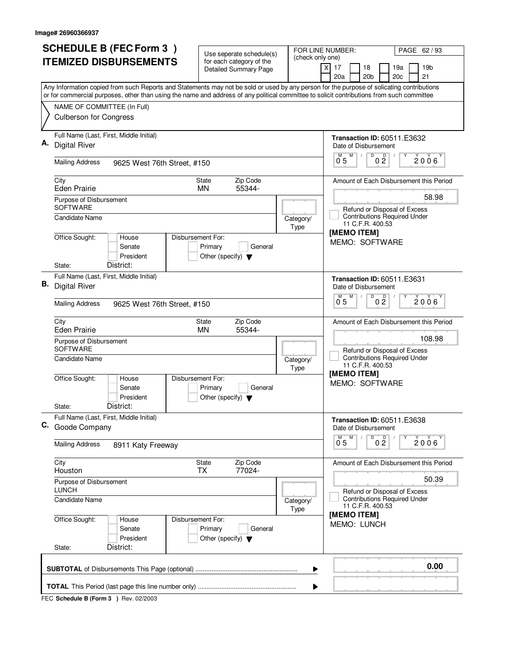|    | <b>SCHEDULE B (FEC Form 3)</b>                                                                                                                                           | Use seperate schedule(s)                                   |                          | FOR LINE NUMBER:<br>PAGE 62 / 93                                                      |  |  |  |
|----|--------------------------------------------------------------------------------------------------------------------------------------------------------------------------|------------------------------------------------------------|--------------------------|---------------------------------------------------------------------------------------|--|--|--|
|    | <b>ITEMIZED DISBURSEMENTS</b>                                                                                                                                            | for each category of the<br><b>Detailed Summary Page</b>   | (check only one)         | $\times$<br>17<br>18<br>19a<br>19 <sub>b</sub><br>20a<br>20 <sub>b</sub><br>20c<br>21 |  |  |  |
|    | Any Information copied from such Reports and Statements may not be sold or used by any person for the purpose of solicating contributions                                |                                                            |                          |                                                                                       |  |  |  |
|    | or for commercial purposes, other than using the name and address of any political committee to solicit contributions from such committee<br>NAME OF COMMITTEE (In Full) |                                                            |                          |                                                                                       |  |  |  |
|    | <b>Culberson for Congress</b>                                                                                                                                            |                                                            |                          |                                                                                       |  |  |  |
|    | Full Name (Last, First, Middle Initial)<br><b>Digital River</b>                                                                                                          |                                                            |                          | <b>Transaction ID: 60511.E3632</b><br>Date of Disbursement<br>D<br>M<br>Υ             |  |  |  |
|    | <b>Mailing Address</b><br>9625 West 76th Street, #150                                                                                                                    |                                                            |                          | 0 <sup>D</sup><br>$\overline{0}^M$ 5<br>$2006^{\circ}$                                |  |  |  |
|    | City<br><b>Eden Prairie</b>                                                                                                                                              | Zip Code<br><b>State</b><br>55344-<br><b>MN</b>            |                          | Amount of Each Disbursement this Period                                               |  |  |  |
|    | Purpose of Disbursement<br><b>SOFTWARE</b>                                                                                                                               |                                                            |                          | 58.98<br>Refund or Disposal of Excess                                                 |  |  |  |
|    | <b>Candidate Name</b>                                                                                                                                                    |                                                            | Category/<br>Type        | <b>Contributions Required Under</b><br>11 C.F.R. 400.53                               |  |  |  |
|    | Office Sought:<br>Disbursement For:<br>House<br>Senate<br>President                                                                                                      | Primary<br>General<br>Other (specify) $\blacktriangledown$ |                          | [MEMO ITEM]<br>MEMO: SOFTWARE                                                         |  |  |  |
|    | District:<br>State:<br>Full Name (Last, First, Middle Initial)                                                                                                           |                                                            |                          |                                                                                       |  |  |  |
| В. | <b>Digital River</b>                                                                                                                                                     |                                                            |                          | <b>Transaction ID: 60511.E3631</b><br>Date of Disbursement                            |  |  |  |
|    | <b>Mailing Address</b><br>9625 West 76th Street, #150                                                                                                                    |                                                            |                          | D<br>0 <sup>0</sup><br>M<br>2006<br>0.5                                               |  |  |  |
|    | City<br><b>Eden Prairie</b>                                                                                                                                              | Zip Code<br>State<br>55344-<br><b>MN</b>                   |                          | Amount of Each Disbursement this Period                                               |  |  |  |
|    | Purpose of Disbursement<br><b>SOFTWARE</b>                                                                                                                               |                                                            |                          | 108.98<br>Refund or Disposal of Excess                                                |  |  |  |
|    | Candidate Name                                                                                                                                                           |                                                            | Category/<br>Type        | <b>Contributions Required Under</b><br>11 C.F.R. 400.53                               |  |  |  |
|    | Office Sought:<br>Disbursement For:<br>House<br>Senate<br>President                                                                                                      | Primary<br>General<br>Other (specify) $\blacktriangledown$ |                          | [MEMO ITEM]<br>MEMO: SOFTWARE                                                         |  |  |  |
|    | District:<br>State:                                                                                                                                                      |                                                            |                          |                                                                                       |  |  |  |
|    | Full Name (Last, First, Middle Initial)<br>C. Goode Company                                                                                                              |                                                            |                          | <b>Transaction ID: 60511.E3638</b><br>Date of Disbursement                            |  |  |  |
|    | <b>Mailing Address</b><br>8911 Katy Freeway                                                                                                                              |                                                            |                          | D<br>M<br>0 <sup>0</sup><br>2006<br>0.5                                               |  |  |  |
|    | City<br>Houston                                                                                                                                                          | State<br>Zip Code<br><b>TX</b><br>77024-                   |                          | Amount of Each Disbursement this Period                                               |  |  |  |
|    | Purpose of Disbursement<br><b>LUNCH</b>                                                                                                                                  |                                                            |                          | 50.39<br>Refund or Disposal of Excess                                                 |  |  |  |
|    | <b>Candidate Name</b>                                                                                                                                                    |                                                            | Category/<br><b>Type</b> | <b>Contributions Required Under</b><br>11 C.F.R. 400.53                               |  |  |  |
|    | Office Sought:<br>Disbursement For:<br>House<br>Senate<br>President                                                                                                      | Primary<br>General<br>Other (specify) $\blacktriangledown$ |                          | [MEMO ITEM]<br><b>MEMO: LUNCH</b>                                                     |  |  |  |
|    | District:<br>State:                                                                                                                                                      |                                                            |                          |                                                                                       |  |  |  |
|    | 0.00<br>▶                                                                                                                                                                |                                                            |                          |                                                                                       |  |  |  |
|    |                                                                                                                                                                          |                                                            |                          |                                                                                       |  |  |  |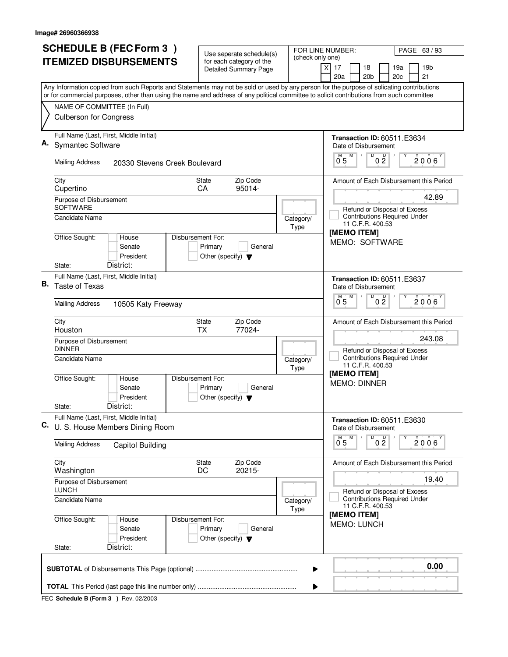| <b>SCHEDULE B (FEC Form 3)</b><br>FOR LINE NUMBER:<br>PAGE 63/93<br>Use seperate schedule(s) |                                                                                                                                                                                                                                                                                        |                                                            |                          |                                                                                |  |  |
|----------------------------------------------------------------------------------------------|----------------------------------------------------------------------------------------------------------------------------------------------------------------------------------------------------------------------------------------------------------------------------------------|------------------------------------------------------------|--------------------------|--------------------------------------------------------------------------------|--|--|
|                                                                                              | <b>ITEMIZED DISBURSEMENTS</b>                                                                                                                                                                                                                                                          | for each category of the<br><b>Detailed Summary Page</b>   | (check only one)         | 17<br>18<br>19a<br>19 <sub>b</sub><br>X<br>20a<br>20 <sub>b</sub><br>20c<br>21 |  |  |
|                                                                                              | Any Information copied from such Reports and Statements may not be sold or used by any person for the purpose of solicating contributions<br>or for commercial purposes, other than using the name and address of any political committee to solicit contributions from such committee |                                                            |                          |                                                                                |  |  |
|                                                                                              | NAME OF COMMITTEE (In Full)                                                                                                                                                                                                                                                            |                                                            |                          |                                                                                |  |  |
|                                                                                              | <b>Culberson for Congress</b>                                                                                                                                                                                                                                                          |                                                            |                          |                                                                                |  |  |
|                                                                                              | Full Name (Last, First, Middle Initial)<br><b>Symantec Software</b>                                                                                                                                                                                                                    |                                                            |                          | <b>Transaction ID: 60511.E3634</b><br>Date of Disbursement                     |  |  |
|                                                                                              | <b>Mailing Address</b><br>20330 Stevens Creek Boulevard                                                                                                                                                                                                                                |                                                            |                          | D<br>0 <sup>D</sup><br>$\overline{0}^M$ 5<br>M<br>$2006^\circ$                 |  |  |
|                                                                                              | City<br>Cupertino                                                                                                                                                                                                                                                                      | Zip Code<br><b>State</b><br>95014-<br>CA                   |                          | Amount of Each Disbursement this Period                                        |  |  |
|                                                                                              | Purpose of Disbursement<br><b>SOFTWARE</b><br>Candidate Name                                                                                                                                                                                                                           |                                                            | Category/                | 42.89<br>Refund or Disposal of Excess<br><b>Contributions Required Under</b>   |  |  |
|                                                                                              | Office Sought:<br>Disbursement For:<br>House<br>Senate                                                                                                                                                                                                                                 | Primary<br>General                                         | Type                     | 11 C.F.R. 400.53<br>[MEMO ITEM]<br>MEMO: SOFTWARE                              |  |  |
|                                                                                              | President<br>District:<br>State:<br>Full Name (Last, First, Middle Initial)                                                                                                                                                                                                            | Other (specify) $\blacktriangledown$                       |                          |                                                                                |  |  |
| В.                                                                                           | <b>Taste of Texas</b>                                                                                                                                                                                                                                                                  |                                                            |                          | <b>Transaction ID: 60511.E3637</b><br>Date of Disbursement<br>D<br>M           |  |  |
|                                                                                              | <b>Mailing Address</b><br>10505 Katy Freeway                                                                                                                                                                                                                                           |                                                            |                          | 0 <sup>0</sup><br>$2006^{\circ}$<br>0.5                                        |  |  |
|                                                                                              | City<br>Houston                                                                                                                                                                                                                                                                        | Zip Code<br><b>State</b><br><b>TX</b><br>77024-            |                          | Amount of Each Disbursement this Period                                        |  |  |
|                                                                                              | Purpose of Disbursement<br><b>DINNER</b>                                                                                                                                                                                                                                               |                                                            |                          | 243.08<br>Refund or Disposal of Excess<br><b>Contributions Required Under</b>  |  |  |
|                                                                                              | <b>Candidate Name</b>                                                                                                                                                                                                                                                                  |                                                            | Category/<br>Type        | 11 C.F.R. 400.53<br>[MEMO ITEM]                                                |  |  |
|                                                                                              | Office Sought:<br>Disbursement For:<br>House<br>Senate<br>President                                                                                                                                                                                                                    | Primary<br>General<br>Other (specify) $\blacktriangledown$ |                          | <b>MEMO: DINNER</b>                                                            |  |  |
|                                                                                              | District:<br>State:                                                                                                                                                                                                                                                                    |                                                            |                          |                                                                                |  |  |
|                                                                                              | Full Name (Last, First, Middle Initial)<br>C. U. S. House Members Dining Room                                                                                                                                                                                                          |                                                            |                          | <b>Transaction ID: 60511.E3630</b><br>Date of Disbursement                     |  |  |
|                                                                                              | <b>Mailing Address</b><br><b>Capitol Building</b>                                                                                                                                                                                                                                      |                                                            |                          | $\overline{0}$ $\overline{2}$<br>2006<br>0.5                                   |  |  |
|                                                                                              | City<br>Washington                                                                                                                                                                                                                                                                     | Zip Code<br>State<br>DC<br>$20215 -$                       |                          | Amount of Each Disbursement this Period                                        |  |  |
|                                                                                              | Purpose of Disbursement<br><b>LUNCH</b>                                                                                                                                                                                                                                                |                                                            |                          | 19.40<br>Refund or Disposal of Excess                                          |  |  |
|                                                                                              | <b>Candidate Name</b>                                                                                                                                                                                                                                                                  |                                                            | Category/<br><b>Type</b> | <b>Contributions Required Under</b><br>11 C.F.R. 400.53<br>[MEMO ITEM]         |  |  |
|                                                                                              | Office Sought:<br>House<br>Disbursement For:<br>Senate<br>President<br>District:<br>State:                                                                                                                                                                                             | Primary<br>General<br>Other (specify) $\blacktriangledown$ |                          | <b>MEMO: LUNCH</b>                                                             |  |  |
|                                                                                              | 0.00                                                                                                                                                                                                                                                                                   |                                                            |                          |                                                                                |  |  |
|                                                                                              |                                                                                                                                                                                                                                                                                        |                                                            | ▶                        |                                                                                |  |  |
|                                                                                              |                                                                                                                                                                                                                                                                                        |                                                            |                          |                                                                                |  |  |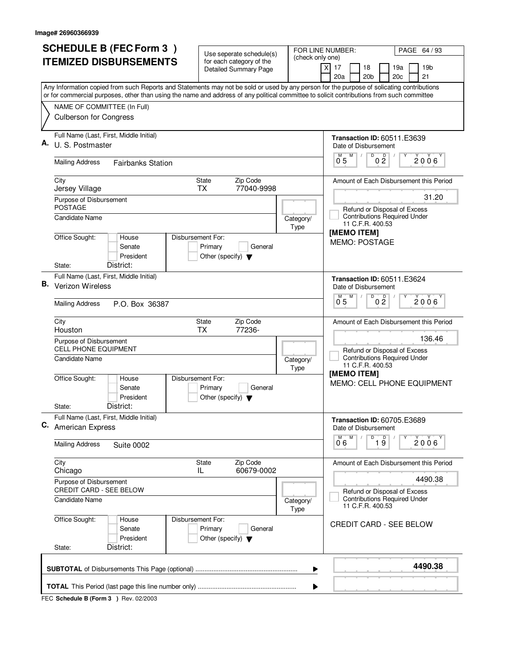|    | <b>SCHEDULE B (FEC Form 3)</b>                                                                                                                                                                                                                                                         | Use seperate schedule(s)                                                        |                   | FOR LINE NUMBER:<br>PAGE 64/93                                                         |  |  |  |
|----|----------------------------------------------------------------------------------------------------------------------------------------------------------------------------------------------------------------------------------------------------------------------------------------|---------------------------------------------------------------------------------|-------------------|----------------------------------------------------------------------------------------|--|--|--|
|    | <b>ITEMIZED DISBURSEMENTS</b>                                                                                                                                                                                                                                                          | for each category of the<br><b>Detailed Summary Page</b>                        | (check only one)  | 17<br>18<br>19a<br>19 <sub>b</sub><br>X<br>20a<br>20 <sub>b</sub><br>20c<br>21         |  |  |  |
|    | Any Information copied from such Reports and Statements may not be sold or used by any person for the purpose of solicating contributions<br>or for commercial purposes, other than using the name and address of any political committee to solicit contributions from such committee |                                                                                 |                   |                                                                                        |  |  |  |
|    | NAME OF COMMITTEE (In Full)                                                                                                                                                                                                                                                            |                                                                                 |                   |                                                                                        |  |  |  |
|    | <b>Culberson for Congress</b>                                                                                                                                                                                                                                                          |                                                                                 |                   |                                                                                        |  |  |  |
| А. | Full Name (Last, First, Middle Initial)<br>U. S. Postmaster                                                                                                                                                                                                                            |                                                                                 |                   | <b>Transaction ID: 60511.E3639</b><br>Date of Disbursement<br>M                        |  |  |  |
|    | <b>Mailing Address</b><br><b>Fairbanks Station</b>                                                                                                                                                                                                                                     |                                                                                 |                   | $\overline{0}$ $\overline{2}$<br>$\overline{0}^M$ 5<br>$2006^{\circ}$                  |  |  |  |
|    | City<br>Jersey Village                                                                                                                                                                                                                                                                 | Zip Code<br><b>State</b><br>77040-9998<br><b>TX</b>                             |                   | Amount of Each Disbursement this Period                                                |  |  |  |
|    | Purpose of Disbursement<br><b>POSTAGE</b>                                                                                                                                                                                                                                              |                                                                                 |                   | 31.20<br>Refund or Disposal of Excess                                                  |  |  |  |
|    | Candidate Name                                                                                                                                                                                                                                                                         |                                                                                 | Category/<br>Type | <b>Contributions Required Under</b><br>11 C.F.R. 400.53<br>[MEMO ITEM]                 |  |  |  |
|    | Office Sought:<br>House<br>Senate<br>President<br>District:<br>State:                                                                                                                                                                                                                  | Disbursement For:<br>Primary<br>General<br>Other (specify) $\blacktriangledown$ |                   | <b>MEMO: POSTAGE</b>                                                                   |  |  |  |
|    | Full Name (Last, First, Middle Initial)                                                                                                                                                                                                                                                |                                                                                 |                   |                                                                                        |  |  |  |
| В. | Verizon Wireless                                                                                                                                                                                                                                                                       |                                                                                 |                   | <b>Transaction ID: 60511.E3624</b><br>Date of Disbursement<br>$\overline{D}$<br>D<br>M |  |  |  |
|    | <b>Mailing Address</b><br>P.O. Box 36387                                                                                                                                                                                                                                               |                                                                                 |                   | $2006^{\circ}$<br>0 <sub>5</sub><br>0 <sub>2</sub>                                     |  |  |  |
|    | City<br>Houston                                                                                                                                                                                                                                                                        | Zip Code<br><b>State</b><br><b>TX</b><br>77236-                                 |                   | Amount of Each Disbursement this Period                                                |  |  |  |
|    | Purpose of Disbursement<br><b>CELL PHONE EQUIPMENT</b>                                                                                                                                                                                                                                 |                                                                                 |                   | 136.46<br>Refund or Disposal of Excess<br><b>Contributions Required Under</b>          |  |  |  |
|    | Candidate Name                                                                                                                                                                                                                                                                         |                                                                                 | Category/<br>Type | 11 C.F.R. 400.53<br>[MEMO ITEM]                                                        |  |  |  |
|    | Office Sought:<br>House<br>Senate<br>President                                                                                                                                                                                                                                         | Disbursement For:<br>Primary<br>General<br>Other (specify) $\blacktriangledown$ |                   | MEMO: CELL PHONE EQUIPMENT                                                             |  |  |  |
|    | District:<br>State:<br>Full Name (Last, First, Middle Initial)                                                                                                                                                                                                                         |                                                                                 |                   |                                                                                        |  |  |  |
|    | C. American Express                                                                                                                                                                                                                                                                    |                                                                                 |                   | <b>Transaction ID: 60705.E3689</b><br>Date of Disbursement<br>D<br>M                   |  |  |  |
|    | <b>Mailing Address</b><br><b>Suite 0002</b>                                                                                                                                                                                                                                            |                                                                                 |                   | $\overline{1}$ $\overline{9}$<br>Y<br>2006<br>06                                       |  |  |  |
|    | City<br>Chicago                                                                                                                                                                                                                                                                        | Zip Code<br>State<br>60679-0002<br>IL                                           |                   | Amount of Each Disbursement this Period                                                |  |  |  |
|    | Purpose of Disbursement<br>CREDIT CARD - SEE BELOW                                                                                                                                                                                                                                     |                                                                                 |                   | 4490.38<br>Refund or Disposal of Excess                                                |  |  |  |
|    | <b>Candidate Name</b>                                                                                                                                                                                                                                                                  |                                                                                 | Category/<br>Type | <b>Contributions Required Under</b><br>11 C.F.R. 400.53                                |  |  |  |
|    | Office Sought:<br>House<br>Senate<br>President                                                                                                                                                                                                                                         | Disbursement For:<br>Primary<br>General<br>Other (specify) $\blacktriangledown$ |                   | <b>CREDIT CARD - SEE BELOW</b>                                                         |  |  |  |
|    | District:<br>State:                                                                                                                                                                                                                                                                    |                                                                                 |                   |                                                                                        |  |  |  |
|    |                                                                                                                                                                                                                                                                                        |                                                                                 | ▶                 | 4490.38                                                                                |  |  |  |
|    | ▶                                                                                                                                                                                                                                                                                      |                                                                                 |                   |                                                                                        |  |  |  |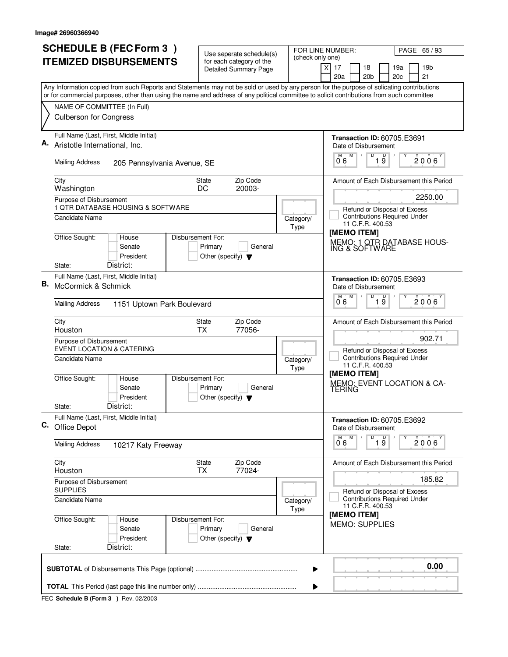|    | <b>SCHEDULE B (FEC Form 3)</b>                                                                                                                                                                                                                                                         | Use seperate schedule(s)                                   |                   | FOR LINE NUMBER:<br>PAGE 65/93                                                              |  |  |  |
|----|----------------------------------------------------------------------------------------------------------------------------------------------------------------------------------------------------------------------------------------------------------------------------------------|------------------------------------------------------------|-------------------|---------------------------------------------------------------------------------------------|--|--|--|
|    | <b>ITEMIZED DISBURSEMENTS</b>                                                                                                                                                                                                                                                          | for each category of the<br><b>Detailed Summary Page</b>   | (check only one)  | 17<br>18<br>19a<br>19 <sub>b</sub><br>$\times$<br>20a<br>20 <sub>b</sub><br>20c<br>21       |  |  |  |
|    | Any Information copied from such Reports and Statements may not be sold or used by any person for the purpose of solicating contributions<br>or for commercial purposes, other than using the name and address of any political committee to solicit contributions from such committee |                                                            |                   |                                                                                             |  |  |  |
|    | NAME OF COMMITTEE (In Full)                                                                                                                                                                                                                                                            |                                                            |                   |                                                                                             |  |  |  |
|    | <b>Culberson for Congress</b>                                                                                                                                                                                                                                                          |                                                            |                   |                                                                                             |  |  |  |
|    | Full Name (Last, First, Middle Initial)<br>Aristotle International, Inc.                                                                                                                                                                                                               |                                                            |                   | <b>Transaction ID: 60705.E3691</b><br>Date of Disbursement                                  |  |  |  |
|    | <b>Mailing Address</b><br>205 Pennsylvania Avenue, SE                                                                                                                                                                                                                                  |                                                            |                   | D<br>$\overline{1}$ $\overline{9}$<br>M<br>2006<br>0.6                                      |  |  |  |
|    | City<br>Washington                                                                                                                                                                                                                                                                     | Zip Code<br><b>State</b><br>20003-<br>DC                   |                   | Amount of Each Disbursement this Period                                                     |  |  |  |
|    | Purpose of Disbursement<br>1 QTR DATABASE HOUSING & SOFTWARE                                                                                                                                                                                                                           |                                                            |                   | 2250.00                                                                                     |  |  |  |
|    | Candidate Name                                                                                                                                                                                                                                                                         |                                                            | Category/<br>Type | Refund or Disposal of Excess<br><b>Contributions Required Under</b><br>11 C.F.R. 400.53     |  |  |  |
|    | Office Sought:<br>Disbursement For:<br>House<br>Senate<br>President<br>District:<br>State:                                                                                                                                                                                             | Primary<br>General<br>Other (specify) $\blacktriangledown$ |                   | [MEMO ITEM]<br>MEMO: 1 QTR DATABASE HOUS-<br>ING & SOFTWARE                                 |  |  |  |
|    | Full Name (Last, First, Middle Initial)                                                                                                                                                                                                                                                |                                                            |                   |                                                                                             |  |  |  |
| В. | McCormick & Schmick                                                                                                                                                                                                                                                                    |                                                            |                   | <b>Transaction ID: 60705.E3693</b><br>Date of Disbursement<br>D<br>$\overline{D}$<br>M<br>M |  |  |  |
|    | <b>Mailing Address</b><br>1151 Uptown Park Boulevard                                                                                                                                                                                                                                   |                                                            |                   | 2006<br>19<br>06                                                                            |  |  |  |
|    | City<br>Houston                                                                                                                                                                                                                                                                        | Zip Code<br>State<br><b>TX</b><br>77056-                   |                   | Amount of Each Disbursement this Period                                                     |  |  |  |
|    | Purpose of Disbursement<br><b>EVENT LOCATION &amp; CATERING</b>                                                                                                                                                                                                                        |                                                            |                   | 902.71<br>Refund or Disposal of Excess                                                      |  |  |  |
|    | Candidate Name                                                                                                                                                                                                                                                                         |                                                            | Category/<br>Type | <b>Contributions Required Under</b><br>11 C.F.R. 400.53<br>[MEMO ITEM]                      |  |  |  |
|    | Office Sought:<br>Disbursement For:<br>House<br>Senate<br>President                                                                                                                                                                                                                    | Primary<br>General<br>Other (specify) $\blacktriangledown$ |                   | MEMO: EVENT LOCATION & CA-<br>TERING                                                        |  |  |  |
|    | District:<br>State:                                                                                                                                                                                                                                                                    |                                                            |                   |                                                                                             |  |  |  |
|    | Full Name (Last, First, Middle Initial)<br>C. Office Depot                                                                                                                                                                                                                             |                                                            |                   | <b>Transaction ID: 60705.E3692</b><br>Date of Disbursement                                  |  |  |  |
|    | <b>Mailing Address</b><br>10217 Katy Freeway                                                                                                                                                                                                                                           |                                                            |                   | D<br>M<br>$\overline{1}$ $\overline{9}$<br>Υ<br>2006'<br>06                                 |  |  |  |
|    | City<br>Houston                                                                                                                                                                                                                                                                        | Zip Code<br>State<br><b>TX</b><br>77024-                   |                   | Amount of Each Disbursement this Period                                                     |  |  |  |
|    | Purpose of Disbursement<br><b>SUPPLIES</b>                                                                                                                                                                                                                                             |                                                            |                   | 185.82<br>Refund or Disposal of Excess                                                      |  |  |  |
|    | Candidate Name                                                                                                                                                                                                                                                                         |                                                            | Category/<br>Type | <b>Contributions Required Under</b><br>11 C.F.R. 400.53<br>[MEMO ITEM]                      |  |  |  |
|    | Office Sought:<br>Disbursement For:<br>House<br>Senate<br>President                                                                                                                                                                                                                    | Primary<br>General<br>Other (specify) $\blacktriangledown$ |                   | <b>MEMO: SUPPLIES</b>                                                                       |  |  |  |
|    | District:<br>State:                                                                                                                                                                                                                                                                    |                                                            |                   |                                                                                             |  |  |  |
|    | 0.00<br>▶                                                                                                                                                                                                                                                                              |                                                            |                   |                                                                                             |  |  |  |
|    |                                                                                                                                                                                                                                                                                        |                                                            |                   |                                                                                             |  |  |  |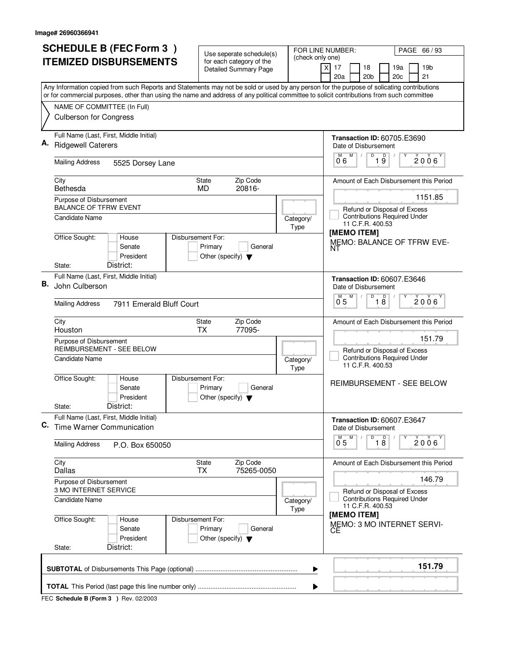| 20a<br>20 <sub>b</sub><br>21<br>20c<br>Any Information copied from such Reports and Statements may not be sold or used by any person for the purpose of solicating contributions<br>or for commercial purposes, other than using the name and address of any political committee to solicit contributions from such committee<br>NAME OF COMMITTEE (In Full)<br><b>Culberson for Congress</b><br>Full Name (Last, First, Middle Initial)<br><b>Transaction ID: 60705.E3690</b><br><b>Ridgewell Caterers</b><br>Date of Disbursement<br>M<br>D<br>$\overline{19}$<br>0.6<br><b>Mailing Address</b><br>5525 Dorsey Lane<br>Zip Code<br>City<br>State<br>Bethesda<br>20816-<br><b>MD</b><br>Purpose of Disbursement<br><b>BALANCE OF TFRW EVENT</b><br>Refund or Disposal of Excess<br><b>Contributions Required Under</b><br><b>Candidate Name</b><br>Category/<br>11 C.F.R. 400.53<br>Type<br>[MEMO ITEM]<br>Office Sought:<br>Disbursement For:<br>House<br>Senate<br>Primary<br>General<br>NT<br>President<br>Other (specify) $\blacktriangledown$<br>District:<br>State:<br>Full Name (Last, First, Middle Initial)<br>Transaction ID: 60607.E3646<br>В.<br>John Culberson<br>Date of Disbursement<br>D<br>$\overline{18}$<br>05<br><b>Mailing Address</b><br>7911 Emerald Bluff Court<br>City<br>Zip Code<br>State<br>77095-<br>Houston<br><b>TX</b><br>151.79<br>Purpose of Disbursement<br><b>REIMBURSEMENT - SEE BELOW</b><br>Refund or Disposal of Excess<br><b>Contributions Required Under</b><br>Candidate Name<br>Category/<br>11 C.F.R. 400.53<br>Type<br>Office Sought:<br>Disbursement For:<br>House<br>Senate<br>Primary<br>General<br>President<br>Other (specify) $\blacktriangledown$<br>District:<br>State:<br>Full Name (Last, First, Middle Initial)<br>Transaction ID: 60607.E3647<br>C. Time Warner Communication<br>Date of Disbursement<br>D<br>$\overline{18}$<br>M<br>0 <sub>5</sub><br><b>Mailing Address</b><br>P.O. Box 650050<br>City<br>Zip Code<br>State<br>75265-0050<br>Dallas<br><b>TX</b><br>Purpose of Disbursement<br>3 MO INTERNET SERVICE<br>Refund or Disposal of Excess<br><b>Contributions Required Under</b><br>Candidate Name<br>Category/<br>11 C.F.R. 400.53<br><b>Type</b><br>[MEMO ITEM]<br>Office Sought:<br>Disbursement For:<br>House<br>Senate<br>Primary<br>General<br>CЕ<br>President<br>Other (specify) $\blacktriangledown$<br>District:<br>State: | <b>SCHEDULE B (FEC Form 3)</b><br><b>ITEMIZED DISBURSEMENTS</b> | Use seperate schedule(s)<br>(check only one)<br>for each category of the | FOR LINE NUMBER:<br>PAGE 66 / 93               |
|--------------------------------------------------------------------------------------------------------------------------------------------------------------------------------------------------------------------------------------------------------------------------------------------------------------------------------------------------------------------------------------------------------------------------------------------------------------------------------------------------------------------------------------------------------------------------------------------------------------------------------------------------------------------------------------------------------------------------------------------------------------------------------------------------------------------------------------------------------------------------------------------------------------------------------------------------------------------------------------------------------------------------------------------------------------------------------------------------------------------------------------------------------------------------------------------------------------------------------------------------------------------------------------------------------------------------------------------------------------------------------------------------------------------------------------------------------------------------------------------------------------------------------------------------------------------------------------------------------------------------------------------------------------------------------------------------------------------------------------------------------------------------------------------------------------------------------------------------------------------------------------------------------------------------------------------------------------------------------------------------------------------------------------------------------------------------------------------------------------------------------------------------------------------------------------------------------------------------------------------------------------------------------------------------------------------------------------------------------------------------------------------------------------|-----------------------------------------------------------------|--------------------------------------------------------------------------|------------------------------------------------|
|                                                                                                                                                                                                                                                                                                                                                                                                                                                                                                                                                                                                                                                                                                                                                                                                                                                                                                                                                                                                                                                                                                                                                                                                                                                                                                                                                                                                                                                                                                                                                                                                                                                                                                                                                                                                                                                                                                                                                                                                                                                                                                                                                                                                                                                                                                                                                                                                              |                                                                 | <b>Detailed Summary Page</b>                                             | 19 <sub>b</sub><br>$\times$<br>17<br>18<br>19a |
|                                                                                                                                                                                                                                                                                                                                                                                                                                                                                                                                                                                                                                                                                                                                                                                                                                                                                                                                                                                                                                                                                                                                                                                                                                                                                                                                                                                                                                                                                                                                                                                                                                                                                                                                                                                                                                                                                                                                                                                                                                                                                                                                                                                                                                                                                                                                                                                                              |                                                                 |                                                                          |                                                |
|                                                                                                                                                                                                                                                                                                                                                                                                                                                                                                                                                                                                                                                                                                                                                                                                                                                                                                                                                                                                                                                                                                                                                                                                                                                                                                                                                                                                                                                                                                                                                                                                                                                                                                                                                                                                                                                                                                                                                                                                                                                                                                                                                                                                                                                                                                                                                                                                              |                                                                 |                                                                          |                                                |
|                                                                                                                                                                                                                                                                                                                                                                                                                                                                                                                                                                                                                                                                                                                                                                                                                                                                                                                                                                                                                                                                                                                                                                                                                                                                                                                                                                                                                                                                                                                                                                                                                                                                                                                                                                                                                                                                                                                                                                                                                                                                                                                                                                                                                                                                                                                                                                                                              |                                                                 |                                                                          |                                                |
|                                                                                                                                                                                                                                                                                                                                                                                                                                                                                                                                                                                                                                                                                                                                                                                                                                                                                                                                                                                                                                                                                                                                                                                                                                                                                                                                                                                                                                                                                                                                                                                                                                                                                                                                                                                                                                                                                                                                                                                                                                                                                                                                                                                                                                                                                                                                                                                                              |                                                                 |                                                                          | $2006^{\circ}$                                 |
|                                                                                                                                                                                                                                                                                                                                                                                                                                                                                                                                                                                                                                                                                                                                                                                                                                                                                                                                                                                                                                                                                                                                                                                                                                                                                                                                                                                                                                                                                                                                                                                                                                                                                                                                                                                                                                                                                                                                                                                                                                                                                                                                                                                                                                                                                                                                                                                                              |                                                                 |                                                                          | Amount of Each Disbursement this Period        |
|                                                                                                                                                                                                                                                                                                                                                                                                                                                                                                                                                                                                                                                                                                                                                                                                                                                                                                                                                                                                                                                                                                                                                                                                                                                                                                                                                                                                                                                                                                                                                                                                                                                                                                                                                                                                                                                                                                                                                                                                                                                                                                                                                                                                                                                                                                                                                                                                              |                                                                 |                                                                          | 1151.85                                        |
|                                                                                                                                                                                                                                                                                                                                                                                                                                                                                                                                                                                                                                                                                                                                                                                                                                                                                                                                                                                                                                                                                                                                                                                                                                                                                                                                                                                                                                                                                                                                                                                                                                                                                                                                                                                                                                                                                                                                                                                                                                                                                                                                                                                                                                                                                                                                                                                                              |                                                                 |                                                                          |                                                |
|                                                                                                                                                                                                                                                                                                                                                                                                                                                                                                                                                                                                                                                                                                                                                                                                                                                                                                                                                                                                                                                                                                                                                                                                                                                                                                                                                                                                                                                                                                                                                                                                                                                                                                                                                                                                                                                                                                                                                                                                                                                                                                                                                                                                                                                                                                                                                                                                              |                                                                 |                                                                          | <b>MEMO: BALANCE OF TFRW EVE-</b>              |
|                                                                                                                                                                                                                                                                                                                                                                                                                                                                                                                                                                                                                                                                                                                                                                                                                                                                                                                                                                                                                                                                                                                                                                                                                                                                                                                                                                                                                                                                                                                                                                                                                                                                                                                                                                                                                                                                                                                                                                                                                                                                                                                                                                                                                                                                                                                                                                                                              |                                                                 |                                                                          |                                                |
|                                                                                                                                                                                                                                                                                                                                                                                                                                                                                                                                                                                                                                                                                                                                                                                                                                                                                                                                                                                                                                                                                                                                                                                                                                                                                                                                                                                                                                                                                                                                                                                                                                                                                                                                                                                                                                                                                                                                                                                                                                                                                                                                                                                                                                                                                                                                                                                                              |                                                                 |                                                                          |                                                |
|                                                                                                                                                                                                                                                                                                                                                                                                                                                                                                                                                                                                                                                                                                                                                                                                                                                                                                                                                                                                                                                                                                                                                                                                                                                                                                                                                                                                                                                                                                                                                                                                                                                                                                                                                                                                                                                                                                                                                                                                                                                                                                                                                                                                                                                                                                                                                                                                              |                                                                 |                                                                          | 2006'                                          |
|                                                                                                                                                                                                                                                                                                                                                                                                                                                                                                                                                                                                                                                                                                                                                                                                                                                                                                                                                                                                                                                                                                                                                                                                                                                                                                                                                                                                                                                                                                                                                                                                                                                                                                                                                                                                                                                                                                                                                                                                                                                                                                                                                                                                                                                                                                                                                                                                              |                                                                 |                                                                          | Amount of Each Disbursement this Period        |
|                                                                                                                                                                                                                                                                                                                                                                                                                                                                                                                                                                                                                                                                                                                                                                                                                                                                                                                                                                                                                                                                                                                                                                                                                                                                                                                                                                                                                                                                                                                                                                                                                                                                                                                                                                                                                                                                                                                                                                                                                                                                                                                                                                                                                                                                                                                                                                                                              |                                                                 |                                                                          |                                                |
|                                                                                                                                                                                                                                                                                                                                                                                                                                                                                                                                                                                                                                                                                                                                                                                                                                                                                                                                                                                                                                                                                                                                                                                                                                                                                                                                                                                                                                                                                                                                                                                                                                                                                                                                                                                                                                                                                                                                                                                                                                                                                                                                                                                                                                                                                                                                                                                                              |                                                                 |                                                                          |                                                |
|                                                                                                                                                                                                                                                                                                                                                                                                                                                                                                                                                                                                                                                                                                                                                                                                                                                                                                                                                                                                                                                                                                                                                                                                                                                                                                                                                                                                                                                                                                                                                                                                                                                                                                                                                                                                                                                                                                                                                                                                                                                                                                                                                                                                                                                                                                                                                                                                              |                                                                 |                                                                          | REIMBURSEMENT - SEE BELOW                      |
|                                                                                                                                                                                                                                                                                                                                                                                                                                                                                                                                                                                                                                                                                                                                                                                                                                                                                                                                                                                                                                                                                                                                                                                                                                                                                                                                                                                                                                                                                                                                                                                                                                                                                                                                                                                                                                                                                                                                                                                                                                                                                                                                                                                                                                                                                                                                                                                                              |                                                                 |                                                                          |                                                |
|                                                                                                                                                                                                                                                                                                                                                                                                                                                                                                                                                                                                                                                                                                                                                                                                                                                                                                                                                                                                                                                                                                                                                                                                                                                                                                                                                                                                                                                                                                                                                                                                                                                                                                                                                                                                                                                                                                                                                                                                                                                                                                                                                                                                                                                                                                                                                                                                              |                                                                 |                                                                          |                                                |
|                                                                                                                                                                                                                                                                                                                                                                                                                                                                                                                                                                                                                                                                                                                                                                                                                                                                                                                                                                                                                                                                                                                                                                                                                                                                                                                                                                                                                                                                                                                                                                                                                                                                                                                                                                                                                                                                                                                                                                                                                                                                                                                                                                                                                                                                                                                                                                                                              |                                                                 |                                                                          | $2006^{\circ}$                                 |
|                                                                                                                                                                                                                                                                                                                                                                                                                                                                                                                                                                                                                                                                                                                                                                                                                                                                                                                                                                                                                                                                                                                                                                                                                                                                                                                                                                                                                                                                                                                                                                                                                                                                                                                                                                                                                                                                                                                                                                                                                                                                                                                                                                                                                                                                                                                                                                                                              |                                                                 |                                                                          | Amount of Each Disbursement this Period        |
|                                                                                                                                                                                                                                                                                                                                                                                                                                                                                                                                                                                                                                                                                                                                                                                                                                                                                                                                                                                                                                                                                                                                                                                                                                                                                                                                                                                                                                                                                                                                                                                                                                                                                                                                                                                                                                                                                                                                                                                                                                                                                                                                                                                                                                                                                                                                                                                                              |                                                                 |                                                                          | 146.79                                         |
|                                                                                                                                                                                                                                                                                                                                                                                                                                                                                                                                                                                                                                                                                                                                                                                                                                                                                                                                                                                                                                                                                                                                                                                                                                                                                                                                                                                                                                                                                                                                                                                                                                                                                                                                                                                                                                                                                                                                                                                                                                                                                                                                                                                                                                                                                                                                                                                                              |                                                                 |                                                                          |                                                |
|                                                                                                                                                                                                                                                                                                                                                                                                                                                                                                                                                                                                                                                                                                                                                                                                                                                                                                                                                                                                                                                                                                                                                                                                                                                                                                                                                                                                                                                                                                                                                                                                                                                                                                                                                                                                                                                                                                                                                                                                                                                                                                                                                                                                                                                                                                                                                                                                              |                                                                 |                                                                          | MEMO: 3 MO INTERNET SERVI-                     |
| ▶                                                                                                                                                                                                                                                                                                                                                                                                                                                                                                                                                                                                                                                                                                                                                                                                                                                                                                                                                                                                                                                                                                                                                                                                                                                                                                                                                                                                                                                                                                                                                                                                                                                                                                                                                                                                                                                                                                                                                                                                                                                                                                                                                                                                                                                                                                                                                                                                            |                                                                 |                                                                          | 151.79                                         |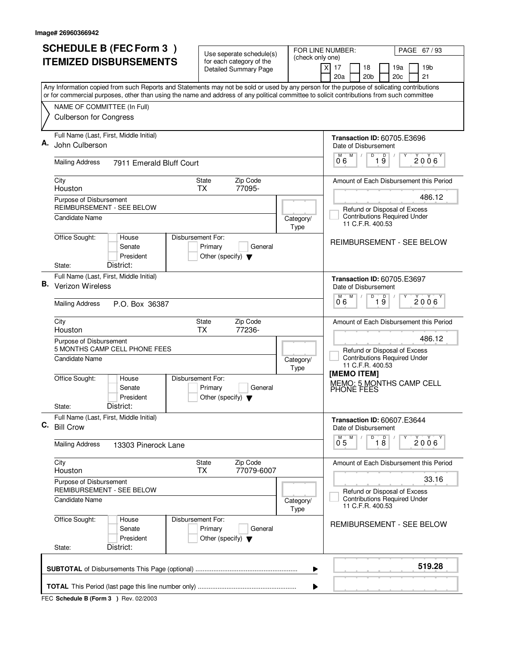|    | <b>SCHEDULE B (FEC Form 3)</b>                                                                                                                                                                                                                                                         |                                                                                      | FOR LINE NUMBER:<br>PAGE 67 / 93 |                                                                                |  |  |
|----|----------------------------------------------------------------------------------------------------------------------------------------------------------------------------------------------------------------------------------------------------------------------------------------|--------------------------------------------------------------------------------------|----------------------------------|--------------------------------------------------------------------------------|--|--|
|    | <b>ITEMIZED DISBURSEMENTS</b>                                                                                                                                                                                                                                                          | Use seperate schedule(s)<br>for each category of the<br><b>Detailed Summary Page</b> | (check only one)                 | $\times$<br>17<br>18<br>19a<br>19 <sub>b</sub>                                 |  |  |
|    |                                                                                                                                                                                                                                                                                        |                                                                                      |                                  | 20a<br>20 <sub>b</sub><br>20c<br>21                                            |  |  |
|    | Any Information copied from such Reports and Statements may not be sold or used by any person for the purpose of solicating contributions<br>or for commercial purposes, other than using the name and address of any political committee to solicit contributions from such committee |                                                                                      |                                  |                                                                                |  |  |
|    | NAME OF COMMITTEE (In Full)                                                                                                                                                                                                                                                            |                                                                                      |                                  |                                                                                |  |  |
|    | <b>Culberson for Congress</b>                                                                                                                                                                                                                                                          |                                                                                      |                                  |                                                                                |  |  |
|    | Full Name (Last, First, Middle Initial)<br>John Culberson                                                                                                                                                                                                                              |                                                                                      |                                  | <b>Transaction ID: 60705.E3696</b><br>Date of Disbursement                     |  |  |
|    | <b>Mailing Address</b><br>7911 Emerald Bluff Court                                                                                                                                                                                                                                     |                                                                                      |                                  | M<br>D<br>19<br>M<br>$2006^{\circ}$<br>0°6                                     |  |  |
|    | City<br>Houston                                                                                                                                                                                                                                                                        | Zip Code<br><b>State</b><br>77095-<br><b>TX</b>                                      |                                  | Amount of Each Disbursement this Period                                        |  |  |
|    | Purpose of Disbursement<br>REIMBURSEMENT - SEE BELOW                                                                                                                                                                                                                                   |                                                                                      |                                  | 486.12<br>Refund or Disposal of Excess                                         |  |  |
|    | Candidate Name                                                                                                                                                                                                                                                                         |                                                                                      | Category/<br>Type                | <b>Contributions Required Under</b><br>11 C.F.R. 400.53                        |  |  |
|    | Office Sought:<br>Disbursement For:<br>House<br>Senate<br>President                                                                                                                                                                                                                    | Primary<br>General<br>Other (specify) $\blacktriangledown$                           |                                  | <b>REIMBURSEMENT - SEE BELOW</b>                                               |  |  |
|    | District:<br>State:<br>Full Name (Last, First, Middle Initial)                                                                                                                                                                                                                         |                                                                                      |                                  |                                                                                |  |  |
| В. | Verizon Wireless                                                                                                                                                                                                                                                                       |                                                                                      |                                  | <b>Transaction ID: 60705.E3697</b><br>Date of Disbursement<br>M<br>M<br>D<br>D |  |  |
|    | <b>Mailing Address</b><br>P.O. Box 36387                                                                                                                                                                                                                                               |                                                                                      |                                  | 2006<br>19<br>06                                                               |  |  |
|    | City<br>Houston                                                                                                                                                                                                                                                                        | Zip Code<br><b>State</b><br><b>TX</b><br>77236-                                      |                                  | Amount of Each Disbursement this Period                                        |  |  |
|    | Purpose of Disbursement<br>5 MONTHS CAMP CELL PHONE FEES                                                                                                                                                                                                                               |                                                                                      |                                  | 486.12<br>Refund or Disposal of Excess                                         |  |  |
|    | Candidate Name                                                                                                                                                                                                                                                                         |                                                                                      | Category/<br>Type                | <b>Contributions Required Under</b><br>11 C.F.R. 400.53<br>[MEMO ITEM]         |  |  |
|    | Office Sought:<br>Disbursement For:<br>House<br>Senate<br>President                                                                                                                                                                                                                    | Primary<br>General<br>Other (specify) $\blacktriangledown$                           |                                  | MEMO: 5 MONTHS CAMP CELL<br>PHONE FEES                                         |  |  |
|    | District:<br>State:                                                                                                                                                                                                                                                                    |                                                                                      |                                  |                                                                                |  |  |
| C. | Full Name (Last, First, Middle Initial)<br><b>Bill Crow</b>                                                                                                                                                                                                                            |                                                                                      |                                  | <b>Transaction ID: 60607.E3644</b><br>Date of Disbursement                     |  |  |
|    | <b>Mailing Address</b><br>13303 Pinerock Lane                                                                                                                                                                                                                                          |                                                                                      |                                  | D<br>$\overline{18}$<br>M<br>Y<br>2006<br>0.5                                  |  |  |
|    | City<br>Houston                                                                                                                                                                                                                                                                        | Zip Code<br>State<br>77079-6007<br>TX.                                               |                                  | Amount of Each Disbursement this Period                                        |  |  |
|    | Purpose of Disbursement<br>REMIBURSEMENT - SEE BELOW                                                                                                                                                                                                                                   |                                                                                      |                                  | 33.16<br>Refund or Disposal of Excess                                          |  |  |
|    | Candidate Name                                                                                                                                                                                                                                                                         |                                                                                      | Category/<br>Type                | <b>Contributions Required Under</b><br>11 C.F.R. 400.53                        |  |  |
|    | Office Sought:<br>Disbursement For:<br>House<br>Senate<br>President                                                                                                                                                                                                                    | Primary<br>General<br>Other (specify) $\blacktriangledown$                           |                                  | REMIBURSEMENT - SEE BELOW                                                      |  |  |
|    | District:<br>State:                                                                                                                                                                                                                                                                    |                                                                                      |                                  |                                                                                |  |  |
|    |                                                                                                                                                                                                                                                                                        |                                                                                      | ▶                                | 519.28                                                                         |  |  |
|    |                                                                                                                                                                                                                                                                                        |                                                                                      |                                  |                                                                                |  |  |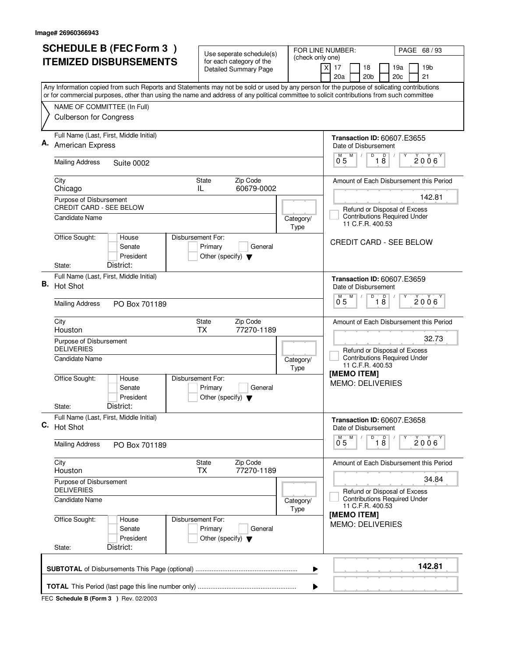|    | <b>SCHEDULE B (FEC Form 3)</b>                                                                                                                                                                                                                                                         | Use seperate schedule(s)                                   |                   | FOR LINE NUMBER:<br>PAGE 68/93                                                                    |  |  |
|----|----------------------------------------------------------------------------------------------------------------------------------------------------------------------------------------------------------------------------------------------------------------------------------------|------------------------------------------------------------|-------------------|---------------------------------------------------------------------------------------------------|--|--|
|    | <b>ITEMIZED DISBURSEMENTS</b>                                                                                                                                                                                                                                                          | for each category of the<br><b>Detailed Summary Page</b>   | (check only one)  | 17<br>18<br>19a<br>19 <sub>b</sub><br>X<br>20a<br>20 <sub>b</sub><br>20c<br>21                    |  |  |
|    | Any Information copied from such Reports and Statements may not be sold or used by any person for the purpose of solicating contributions<br>or for commercial purposes, other than using the name and address of any political committee to solicit contributions from such committee |                                                            |                   |                                                                                                   |  |  |
|    | NAME OF COMMITTEE (In Full)<br><b>Culberson for Congress</b>                                                                                                                                                                                                                           |                                                            |                   |                                                                                                   |  |  |
|    | Full Name (Last, First, Middle Initial)<br>American Express                                                                                                                                                                                                                            |                                                            |                   | <b>Transaction ID: 60607.E3655</b><br>Date of Disbursement                                        |  |  |
|    | <b>Mailing Address</b><br>Suite 0002                                                                                                                                                                                                                                                   |                                                            |                   | D<br>$\overline{18}$<br>$\overline{0}^M$ 5<br>M<br>$2006^{\circ}$                                 |  |  |
|    | City<br>Chicago                                                                                                                                                                                                                                                                        | State<br>Zip Code<br>60679-0002<br>IL                      |                   | Amount of Each Disbursement this Period                                                           |  |  |
|    | Purpose of Disbursement<br>CREDIT CARD - SEE BELOW<br><b>Candidate Name</b>                                                                                                                                                                                                            |                                                            | Category/<br>Type | 142.81<br>Refund or Disposal of Excess<br><b>Contributions Required Under</b><br>11 C.F.R. 400.53 |  |  |
|    | Office Sought:<br>Disbursement For:<br>House<br>Senate<br>President<br>District:<br>State:                                                                                                                                                                                             | Primary<br>General<br>Other (specify) $\blacktriangledown$ |                   | <b>CREDIT CARD - SEE BELOW</b>                                                                    |  |  |
| В. | Full Name (Last, First, Middle Initial)<br>Hot Shot                                                                                                                                                                                                                                    |                                                            |                   | <b>Transaction ID: 60607.E3659</b><br>Date of Disbursement                                        |  |  |
|    | <b>Mailing Address</b><br>PO Box 701189                                                                                                                                                                                                                                                |                                                            |                   | D<br>D<br>M<br>2006<br>0.5<br>$1\overline{8}$                                                     |  |  |
|    | City<br>Houston                                                                                                                                                                                                                                                                        | Zip Code<br>State<br><b>TX</b><br>77270-1189               |                   | Amount of Each Disbursement this Period<br>32.73                                                  |  |  |
|    | Purpose of Disbursement<br><b>DELIVERIES</b><br><b>Candidate Name</b>                                                                                                                                                                                                                  |                                                            | Category/<br>Type | Refund or Disposal of Excess<br><b>Contributions Required Under</b><br>11 C.F.R. 400.53           |  |  |
|    | Office Sought:<br>Disbursement For:<br>House<br>Senate<br>President<br>District:                                                                                                                                                                                                       | Primary<br>General<br>Other (specify) $\blacktriangledown$ |                   | [MEMO ITEM]<br><b>MEMO: DELIVERIES</b>                                                            |  |  |
|    | State:<br>Full Name (Last, First, Middle Initial)<br>C. Hot Shot                                                                                                                                                                                                                       |                                                            |                   | <b>Transaction ID: 60607.E3658</b><br>Date of Disbursement<br>D<br>M<br>Y                         |  |  |
|    | <b>Mailing Address</b><br>PO Box 701189                                                                                                                                                                                                                                                |                                                            |                   | $\overline{18}$<br>2006<br>0.5                                                                    |  |  |
|    | City<br>Houston                                                                                                                                                                                                                                                                        | State<br>Zip Code<br>77270-1189<br><b>TX</b>               |                   | Amount of Each Disbursement this Period                                                           |  |  |
|    | Purpose of Disbursement<br><b>DELIVERIES</b>                                                                                                                                                                                                                                           |                                                            |                   | 34.84<br>Refund or Disposal of Excess                                                             |  |  |
|    | <b>Candidate Name</b>                                                                                                                                                                                                                                                                  |                                                            | Category/<br>Type | <b>Contributions Required Under</b><br>11 C.F.R. 400.53<br>[MEMO ITEM]                            |  |  |
|    | Office Sought:<br>Disbursement For:<br>House<br>Senate<br>President<br>District:<br>State:                                                                                                                                                                                             | Primary<br>General<br>Other (specify) $\blacktriangledown$ |                   | <b>MEMO: DELIVERIES</b>                                                                           |  |  |
|    | 142.81<br>▶                                                                                                                                                                                                                                                                            |                                                            |                   |                                                                                                   |  |  |
|    |                                                                                                                                                                                                                                                                                        |                                                            |                   |                                                                                                   |  |  |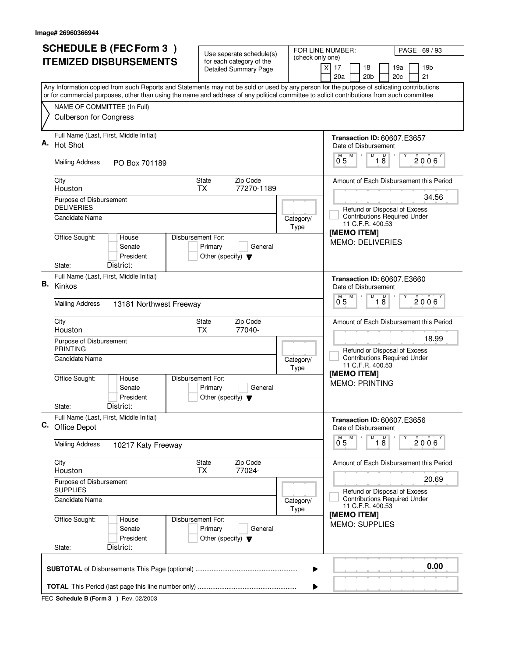| <b>SCHEDULE B (FEC Form 3)</b><br>Use seperate schedule(s) |                                                                                                                                                                                                                                                                                        |                                                                                 |                                       | FOR LINE NUMBER:<br>PAGE 69 / 93                                                                 |  |  |  |
|------------------------------------------------------------|----------------------------------------------------------------------------------------------------------------------------------------------------------------------------------------------------------------------------------------------------------------------------------------|---------------------------------------------------------------------------------|---------------------------------------|--------------------------------------------------------------------------------------------------|--|--|--|
|                                                            | <b>ITEMIZED DISBURSEMENTS</b>                                                                                                                                                                                                                                                          | for each category of the<br><b>Detailed Summary Page</b>                        | (check only one)                      | $\times$<br>17<br>18<br>19a<br>19b<br>20a<br>20 <sub>b</sub><br>21<br>20c                        |  |  |  |
|                                                            | Any Information copied from such Reports and Statements may not be sold or used by any person for the purpose of solicating contributions<br>or for commercial purposes, other than using the name and address of any political committee to solicit contributions from such committee |                                                                                 |                                       |                                                                                                  |  |  |  |
|                                                            | NAME OF COMMITTEE (In Full)<br>Culberson for Congress                                                                                                                                                                                                                                  |                                                                                 |                                       |                                                                                                  |  |  |  |
| Α.                                                         | Full Name (Last, First, Middle Initial)<br>Hot Shot                                                                                                                                                                                                                                    |                                                                                 |                                       | <b>Transaction ID: 60607.E3657</b><br>Date of Disbursement<br>D<br>M                             |  |  |  |
|                                                            | <b>Mailing Address</b><br>PO Box 701189                                                                                                                                                                                                                                                |                                                                                 |                                       | 18<br>$\overline{0}^M$ 5<br>2006                                                                 |  |  |  |
|                                                            | City<br>Houston                                                                                                                                                                                                                                                                        | State<br>Zip Code<br>77270-1189<br><b>TX</b>                                    |                                       | Amount of Each Disbursement this Period                                                          |  |  |  |
|                                                            | Purpose of Disbursement<br><b>DELIVERIES</b><br><b>Candidate Name</b>                                                                                                                                                                                                                  |                                                                                 | Category/<br>Type                     | 34.56<br>Refund or Disposal of Excess<br><b>Contributions Required Under</b><br>11 C.F.R. 400.53 |  |  |  |
|                                                            | Office Sought:<br>House<br>Senate<br>President<br>District:<br>State:                                                                                                                                                                                                                  | Disbursement For:<br>Primary<br>General<br>Other (specify) $\blacktriangledown$ |                                       | [MEMO ITEM]<br><b>MEMO: DELIVERIES</b>                                                           |  |  |  |
| В.                                                         | Full Name (Last, First, Middle Initial)<br>Kinkos                                                                                                                                                                                                                                      |                                                                                 |                                       | <b>Transaction ID: 60607.E3660</b><br>Date of Disbursement<br>D<br>D<br>M                        |  |  |  |
|                                                            | <b>Mailing Address</b><br>13181 Northwest Freeway                                                                                                                                                                                                                                      |                                                                                 |                                       | 2006<br>0 <sub>5</sub><br>18                                                                     |  |  |  |
|                                                            | City<br>Houston                                                                                                                                                                                                                                                                        | Zip Code<br>State<br>77040-<br><b>TX</b>                                        |                                       | Amount of Each Disbursement this Period                                                          |  |  |  |
|                                                            | Purpose of Disbursement<br><b>PRINTING</b><br><b>Candidate Name</b>                                                                                                                                                                                                                    |                                                                                 | Category/<br>Type                     | 18.99<br>Refund or Disposal of Excess<br><b>Contributions Required Under</b><br>11 C.F.R. 400.53 |  |  |  |
|                                                            | Office Sought:<br>House<br>Senate<br>President<br>District:<br>State:                                                                                                                                                                                                                  | Disbursement For:<br>Primary<br>General<br>Other (specify) $\blacktriangledown$ |                                       | [MEMO ITEM]<br><b>MEMO: PRINTING</b>                                                             |  |  |  |
|                                                            | Full Name (Last, First, Middle Initial)<br>C. Office Depot                                                                                                                                                                                                                             |                                                                                 |                                       | <b>Transaction ID: 60607.E3656</b><br>Date of Disbursement                                       |  |  |  |
|                                                            | Mailing Address<br>10217 Katy Freeway                                                                                                                                                                                                                                                  |                                                                                 |                                       | $\overline{D}$<br>M<br>$\overline{18}$<br>$2006^{\circ}$<br>0 <sub>5</sub>                       |  |  |  |
|                                                            | City<br>Houston                                                                                                                                                                                                                                                                        | Zip Code<br>State<br>77024-<br><b>TX</b>                                        |                                       | Amount of Each Disbursement this Period                                                          |  |  |  |
|                                                            | Purpose of Disbursement<br><b>SUPPLIES</b>                                                                                                                                                                                                                                             |                                                                                 | 20.69<br>Refund or Disposal of Excess |                                                                                                  |  |  |  |
|                                                            | Candidate Name                                                                                                                                                                                                                                                                         |                                                                                 | Category/<br>Type                     | <b>Contributions Required Under</b><br>11 C.F.R. 400.53                                          |  |  |  |
|                                                            | Office Sought:<br>House<br>Senate<br>President<br>District:                                                                                                                                                                                                                            | Disbursement For:<br>Primary<br>General<br>Other (specify) $\blacktriangledown$ |                                       | [MEMO ITEM]<br><b>MEMO: SUPPLIES</b>                                                             |  |  |  |
|                                                            | State:                                                                                                                                                                                                                                                                                 |                                                                                 |                                       |                                                                                                  |  |  |  |
|                                                            |                                                                                                                                                                                                                                                                                        |                                                                                 | ▶                                     | 0.00                                                                                             |  |  |  |
|                                                            | ▶                                                                                                                                                                                                                                                                                      |                                                                                 |                                       |                                                                                                  |  |  |  |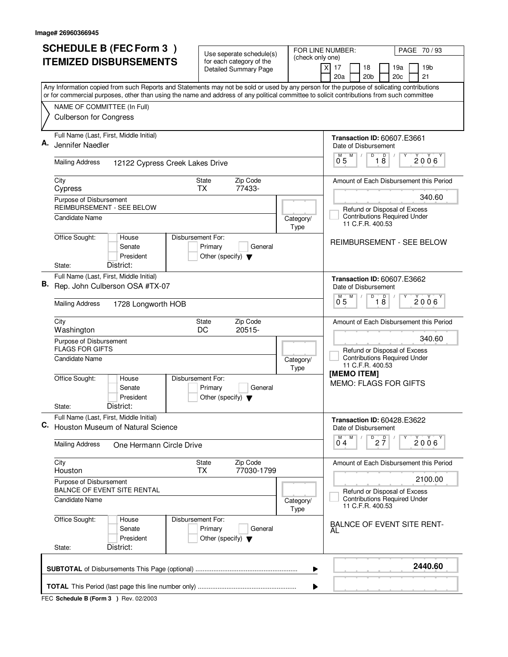|    | <b>SCHEDULE B (FEC Form 3)</b>                                                                                                                                                                                                                                                         |                                                                               | FOR LINE NUMBER:<br>PAGE 70/93 |                                                                                         |  |  |  |
|----|----------------------------------------------------------------------------------------------------------------------------------------------------------------------------------------------------------------------------------------------------------------------------------------|-------------------------------------------------------------------------------|--------------------------------|-----------------------------------------------------------------------------------------|--|--|--|
|    | <b>ITEMIZED DISBURSEMENTS</b>                                                                                                                                                                                                                                                          | Use seperate schedule(s)<br>for each category of the<br>Detailed Summary Page | (check only one)               | 17<br>18<br>19a<br>19 <sub>b</sub><br>X<br>20a<br>20 <sub>b</sub><br>20c<br>21          |  |  |  |
|    | Any Information copied from such Reports and Statements may not be sold or used by any person for the purpose of solicating contributions<br>or for commercial purposes, other than using the name and address of any political committee to solicit contributions from such committee |                                                                               |                                |                                                                                         |  |  |  |
|    | NAME OF COMMITTEE (In Full)                                                                                                                                                                                                                                                            |                                                                               |                                |                                                                                         |  |  |  |
|    | <b>Culberson for Congress</b>                                                                                                                                                                                                                                                          |                                                                               |                                |                                                                                         |  |  |  |
| А. | Full Name (Last, First, Middle Initial)<br>Jennifer Naedler                                                                                                                                                                                                                            |                                                                               |                                | <b>Transaction ID: 60607.E3661</b><br>Date of Disbursement                              |  |  |  |
|    | <b>Mailing Address</b><br>12122 Cypress Creek Lakes Drive                                                                                                                                                                                                                              |                                                                               |                                | D<br>$\overline{18}$<br>$\overline{0}^M$ 5<br>2006                                      |  |  |  |
|    | City<br>Cypress                                                                                                                                                                                                                                                                        | Zip Code<br><b>State</b><br>77433-<br><b>TX</b>                               |                                | Amount of Each Disbursement this Period                                                 |  |  |  |
|    | Purpose of Disbursement<br>REIMBURSEMENT - SEE BELOW                                                                                                                                                                                                                                   |                                                                               |                                | 340.60                                                                                  |  |  |  |
|    | Candidate Name                                                                                                                                                                                                                                                                         |                                                                               | Category/<br>Type              | Refund or Disposal of Excess<br><b>Contributions Required Under</b><br>11 C.F.R. 400.53 |  |  |  |
|    | Office Sought:<br>Disbursement For:<br>House<br>Senate<br>President<br>District:<br>State:                                                                                                                                                                                             | Primary<br>General<br>Other (specify) $\blacktriangledown$                    |                                | <b>REIMBURSEMENT - SEE BELOW</b>                                                        |  |  |  |
|    | Full Name (Last, First, Middle Initial)                                                                                                                                                                                                                                                |                                                                               |                                | Transaction ID: 60607.E3662                                                             |  |  |  |
| В. | Rep. John Culberson OSA #TX-07                                                                                                                                                                                                                                                         |                                                                               |                                | Date of Disbursement                                                                    |  |  |  |
|    | <b>Mailing Address</b><br>1728 Longworth HOB                                                                                                                                                                                                                                           |                                                                               |                                | D<br>D<br>M<br>M<br>$2006^{\circ}$<br>0.5<br>18                                         |  |  |  |
|    | City<br>Washington                                                                                                                                                                                                                                                                     | Zip Code<br><b>State</b><br>DC<br>20515-                                      |                                | Amount of Each Disbursement this Period                                                 |  |  |  |
|    | Purpose of Disbursement<br><b>FLAGS FOR GIFTS</b>                                                                                                                                                                                                                                      |                                                                               |                                | 340.60<br>Refund or Disposal of Excess                                                  |  |  |  |
|    | <b>Candidate Name</b>                                                                                                                                                                                                                                                                  |                                                                               | Category/<br>Type              | <b>Contributions Required Under</b><br>11 C.F.R. 400.53<br>[MEMO ITEM]                  |  |  |  |
|    | Office Sought:<br>Disbursement For:<br>House<br>Senate<br>President<br>District:<br>State:                                                                                                                                                                                             | Primary<br>General<br>Other (specify) $\blacktriangledown$                    |                                | <b>MEMO: FLAGS FOR GIFTS</b>                                                            |  |  |  |
|    | Full Name (Last, First, Middle Initial)                                                                                                                                                                                                                                                |                                                                               |                                | <b>Transaction ID: 60428.E3622</b>                                                      |  |  |  |
|    | C. Houston Museum of Natural Science                                                                                                                                                                                                                                                   |                                                                               |                                | Date of Disbursement                                                                    |  |  |  |
|    | <b>Mailing Address</b><br>One Hermann Circle Drive                                                                                                                                                                                                                                     |                                                                               |                                | M<br>$D$ <sub>2</sub> $\frac{D}{7}$<br>2006<br>04                                       |  |  |  |
|    | City<br>Houston                                                                                                                                                                                                                                                                        | State<br>Zip Code<br>77030-1799<br>ТX                                         |                                | Amount of Each Disbursement this Period                                                 |  |  |  |
|    | Purpose of Disbursement<br>BALNCE OF EVENT SITE RENTAL                                                                                                                                                                                                                                 |                                                                               |                                | 2100.00<br>Refund or Disposal of Excess                                                 |  |  |  |
|    | <b>Candidate Name</b>                                                                                                                                                                                                                                                                  |                                                                               | Category/<br>Type              | <b>Contributions Required Under</b><br>11 C.F.R. 400.53                                 |  |  |  |
|    | Office Sought:<br>Disbursement For:<br>House<br>Senate<br>President                                                                                                                                                                                                                    | Primary<br>General<br>Other (specify) $\blacktriangledown$                    |                                | <b>BALNCE OF EVENT SITE RENT-</b><br>AL                                                 |  |  |  |
|    | District:<br>State:                                                                                                                                                                                                                                                                    |                                                                               |                                |                                                                                         |  |  |  |
|    |                                                                                                                                                                                                                                                                                        |                                                                               | ▶                              | 2440.60                                                                                 |  |  |  |
|    | ▶                                                                                                                                                                                                                                                                                      |                                                                               |                                |                                                                                         |  |  |  |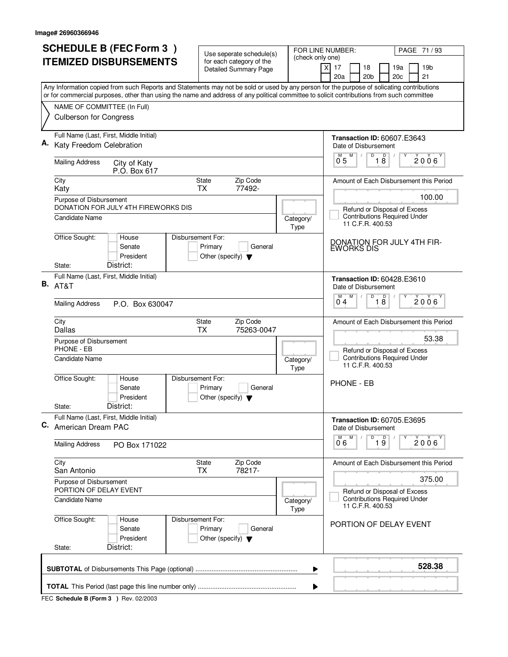| <b>SCHEDULE B (FEC Form 3)</b>                                                                                                                                                                                                                                                         | Use seperate schedule(s)                                   |                   | FOR LINE NUMBER:<br>PAGE 71/93                                                          |  |  |
|----------------------------------------------------------------------------------------------------------------------------------------------------------------------------------------------------------------------------------------------------------------------------------------|------------------------------------------------------------|-------------------|-----------------------------------------------------------------------------------------|--|--|
| <b>ITEMIZED DISBURSEMENTS</b>                                                                                                                                                                                                                                                          | for each category of the<br><b>Detailed Summary Page</b>   | (check only one)  | 17<br>18<br>19a<br>19 <sub>b</sub><br>X                                                 |  |  |
|                                                                                                                                                                                                                                                                                        |                                                            |                   | 20a<br>20 <sub>b</sub><br>20 <sub>c</sub><br>21                                         |  |  |
| Any Information copied from such Reports and Statements may not be sold or used by any person for the purpose of solicating contributions<br>or for commercial purposes, other than using the name and address of any political committee to solicit contributions from such committee |                                                            |                   |                                                                                         |  |  |
| NAME OF COMMITTEE (In Full)                                                                                                                                                                                                                                                            |                                                            |                   |                                                                                         |  |  |
| <b>Culberson for Congress</b>                                                                                                                                                                                                                                                          |                                                            |                   |                                                                                         |  |  |
| Full Name (Last, First, Middle Initial)<br>Katy Freedom Celebration                                                                                                                                                                                                                    |                                                            |                   | <b>Transaction ID: 60607.E3643</b><br>Date of Disbursement                              |  |  |
| <b>Mailing Address</b><br>City of Katy<br>P.O. Box 617                                                                                                                                                                                                                                 |                                                            |                   | D<br>18<br>$0^{M}$ 5<br>M<br>2006                                                       |  |  |
| City<br>Katy                                                                                                                                                                                                                                                                           | <b>State</b><br>Zip Code<br>77492-<br><b>TX</b>            |                   | Amount of Each Disbursement this Period                                                 |  |  |
| Purpose of Disbursement                                                                                                                                                                                                                                                                |                                                            |                   | 100.00                                                                                  |  |  |
| DONATION FOR JULY 4TH FIREWORKS DIS<br><b>Candidate Name</b>                                                                                                                                                                                                                           |                                                            | Category/<br>Type | Refund or Disposal of Excess<br><b>Contributions Required Under</b><br>11 C.F.R. 400.53 |  |  |
| Office Sought:<br>Disbursement For:<br>House<br>Senate<br>President<br>District:<br>State:                                                                                                                                                                                             | Primary<br>General<br>Other (specify) $\blacktriangledown$ |                   | DONATION FOR JULY 4TH FIR-<br>EWORKS DIS                                                |  |  |
| Full Name (Last, First, Middle Initial)                                                                                                                                                                                                                                                |                                                            |                   | <b>Transaction ID: 60428.E3610</b>                                                      |  |  |
| <b>B.</b> AT&T                                                                                                                                                                                                                                                                         |                                                            |                   | Date of Disbursement                                                                    |  |  |
| <b>Mailing Address</b><br>P.O. Box 630047                                                                                                                                                                                                                                              |                                                            |                   | D<br>$\overline{D}$<br>M<br>2006<br>18<br>04                                            |  |  |
| City<br>Dallas                                                                                                                                                                                                                                                                         | Zip Code<br>State<br><b>TX</b><br>75263-0047               |                   | Amount of Each Disbursement this Period                                                 |  |  |
| Purpose of Disbursement<br>PHONE - EB                                                                                                                                                                                                                                                  |                                                            |                   | 53.38<br>Refund or Disposal of Excess                                                   |  |  |
| Candidate Name                                                                                                                                                                                                                                                                         |                                                            | Category/<br>Type | <b>Contributions Required Under</b><br>11 C.F.R. 400.53                                 |  |  |
| Office Sought:<br>Disbursement For:<br>House<br>Senate<br>President                                                                                                                                                                                                                    | Primary<br>General<br>Other (specify) $\blacktriangledown$ |                   | <b>PHONE - EB</b>                                                                       |  |  |
| District:<br>State:                                                                                                                                                                                                                                                                    |                                                            |                   |                                                                                         |  |  |
| Full Name (Last, First, Middle Initial)<br>C. American Dream PAC                                                                                                                                                                                                                       |                                                            |                   | <b>Transaction ID: 60705.E3695</b><br>Date of Disbursement                              |  |  |
| <b>Mailing Address</b><br>PO Box 171022                                                                                                                                                                                                                                                |                                                            |                   | D<br>$\overline{1}$ $\overline{9}$<br>2006<br>06                                        |  |  |
| City<br>San Antonio                                                                                                                                                                                                                                                                    | State<br>Zip Code<br>78217-<br>ТX                          |                   | Amount of Each Disbursement this Period                                                 |  |  |
| Purpose of Disbursement<br>PORTION OF DELAY EVENT                                                                                                                                                                                                                                      |                                                            |                   | 375.00<br>Refund or Disposal of Excess                                                  |  |  |
| Candidate Name                                                                                                                                                                                                                                                                         |                                                            | Category/<br>Type | <b>Contributions Required Under</b><br>11 C.F.R. 400.53                                 |  |  |
| Office Sought:<br>Disbursement For:<br>House<br>Senate<br>President<br>District:<br>State:                                                                                                                                                                                             | Primary<br>General<br>Other (specify) $\blacktriangledown$ |                   | PORTION OF DELAY EVENT                                                                  |  |  |
|                                                                                                                                                                                                                                                                                        |                                                            |                   | 528.38                                                                                  |  |  |
|                                                                                                                                                                                                                                                                                        |                                                            | ▶                 |                                                                                         |  |  |
| ▶                                                                                                                                                                                                                                                                                      |                                                            |                   |                                                                                         |  |  |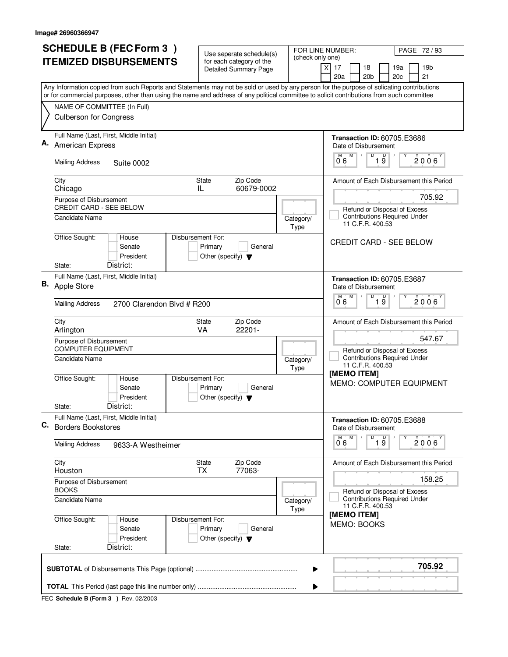| <b>SCHEDULE B (FEC Form 3)</b> |                                                                                                                                                                                                                                                                                        | Use seperate schedule(s)<br>(check only one)               |                                                            | FOR LINE NUMBER:<br>PAGE 72/93                                                          |  |
|--------------------------------|----------------------------------------------------------------------------------------------------------------------------------------------------------------------------------------------------------------------------------------------------------------------------------------|------------------------------------------------------------|------------------------------------------------------------|-----------------------------------------------------------------------------------------|--|
|                                | <b>ITEMIZED DISBURSEMENTS</b>                                                                                                                                                                                                                                                          | for each category of the<br><b>Detailed Summary Page</b>   |                                                            | 17<br>18<br>19a<br>19 <sub>b</sub><br>X<br>20a<br>20 <sub>b</sub><br>20c<br>21          |  |
|                                | Any Information copied from such Reports and Statements may not be sold or used by any person for the purpose of solicating contributions<br>or for commercial purposes, other than using the name and address of any political committee to solicit contributions from such committee |                                                            |                                                            |                                                                                         |  |
|                                | NAME OF COMMITTEE (In Full)                                                                                                                                                                                                                                                            |                                                            |                                                            |                                                                                         |  |
|                                | <b>Culberson for Congress</b>                                                                                                                                                                                                                                                          |                                                            |                                                            |                                                                                         |  |
|                                | Full Name (Last, First, Middle Initial)<br>American Express                                                                                                                                                                                                                            |                                                            | <b>Transaction ID: 60705.E3686</b><br>Date of Disbursement |                                                                                         |  |
|                                | <b>Mailing Address</b><br>Suite 0002                                                                                                                                                                                                                                                   |                                                            |                                                            | D<br>$\overline{19}$<br>M<br>2006<br>06                                                 |  |
|                                | City<br>Chicago                                                                                                                                                                                                                                                                        | State<br>Zip Code<br>60679-0002<br>IL                      |                                                            | Amount of Each Disbursement this Period                                                 |  |
|                                | Purpose of Disbursement<br><b>CREDIT CARD - SEE BELOW</b>                                                                                                                                                                                                                              |                                                            |                                                            | 705.92                                                                                  |  |
|                                | Candidate Name                                                                                                                                                                                                                                                                         |                                                            | Category/<br><b>Type</b>                                   | Refund or Disposal of Excess<br><b>Contributions Required Under</b><br>11 C.F.R. 400.53 |  |
|                                | Office Sought:<br>Disbursement For:<br>House<br>Senate<br>President<br>District:<br>State:                                                                                                                                                                                             | Primary<br>General<br>Other (specify) $\blacktriangledown$ |                                                            | <b>CREDIT CARD - SEE BELOW</b>                                                          |  |
|                                | Full Name (Last, First, Middle Initial)                                                                                                                                                                                                                                                |                                                            |                                                            |                                                                                         |  |
| В.                             | Apple Store                                                                                                                                                                                                                                                                            |                                                            | <b>Transaction ID: 60705.E3687</b><br>Date of Disbursement |                                                                                         |  |
|                                | <b>Mailing Address</b><br>2700 Clarendon Blvd # R200                                                                                                                                                                                                                                   |                                                            |                                                            | D<br>D<br>M<br>$2006^{\circ}$<br>0.6<br>$1\overline{9}$                                 |  |
|                                | City<br>Arlington                                                                                                                                                                                                                                                                      | Zip Code<br><b>State</b><br>VA<br>22201-                   |                                                            | Amount of Each Disbursement this Period                                                 |  |
|                                | Purpose of Disbursement<br><b>COMPUTER EQUIPMENT</b>                                                                                                                                                                                                                                   |                                                            |                                                            | 547.67<br>Refund or Disposal of Excess                                                  |  |
|                                | Candidate Name<br>Category/<br>Type                                                                                                                                                                                                                                                    |                                                            |                                                            | <b>Contributions Required Under</b><br>11 C.F.R. 400.53<br>[MEMO ITEM]                  |  |
|                                | Office Sought:<br>House<br>Disbursement For:<br>Senate<br>President                                                                                                                                                                                                                    | Primary<br>General<br>Other (specify) $\blacktriangledown$ |                                                            | <b>MEMO: COMPUTER EQUIPMENT</b>                                                         |  |
|                                | District:<br>State:                                                                                                                                                                                                                                                                    |                                                            |                                                            |                                                                                         |  |
| C.                             | Full Name (Last, First, Middle Initial)<br><b>Borders Bookstores</b>                                                                                                                                                                                                                   |                                                            |                                                            | <b>Transaction ID: 60705.E3688</b><br>Date of Disbursement<br>D                         |  |
|                                | <b>Mailing Address</b><br>9633-A Westheimer                                                                                                                                                                                                                                            |                                                            |                                                            | $\overline{1}$ $\overline{9}$<br>2006<br>06                                             |  |
|                                | City<br>Houston                                                                                                                                                                                                                                                                        | Zip Code<br>State<br>ТX<br>77063-                          |                                                            | Amount of Each Disbursement this Period                                                 |  |
|                                | Purpose of Disbursement<br><b>BOOKS</b>                                                                                                                                                                                                                                                |                                                            |                                                            | 158.25<br>Refund or Disposal of Excess                                                  |  |
|                                | Candidate Name<br>Category/<br><b>Type</b>                                                                                                                                                                                                                                             |                                                            |                                                            | <b>Contributions Required Under</b><br>11 C.F.R. 400.53                                 |  |
|                                | Office Sought:<br>Disbursement For:<br>House<br>Senate<br>President<br>District:<br>State:                                                                                                                                                                                             | Primary<br>General<br>Other (specify) $\blacktriangledown$ |                                                            | [MEMO ITEM]<br>MEMO: BOOKS                                                              |  |
| 705.92<br>▶                    |                                                                                                                                                                                                                                                                                        |                                                            |                                                            |                                                                                         |  |
|                                |                                                                                                                                                                                                                                                                                        |                                                            | ▶                                                          |                                                                                         |  |
|                                |                                                                                                                                                                                                                                                                                        |                                                            |                                                            |                                                                                         |  |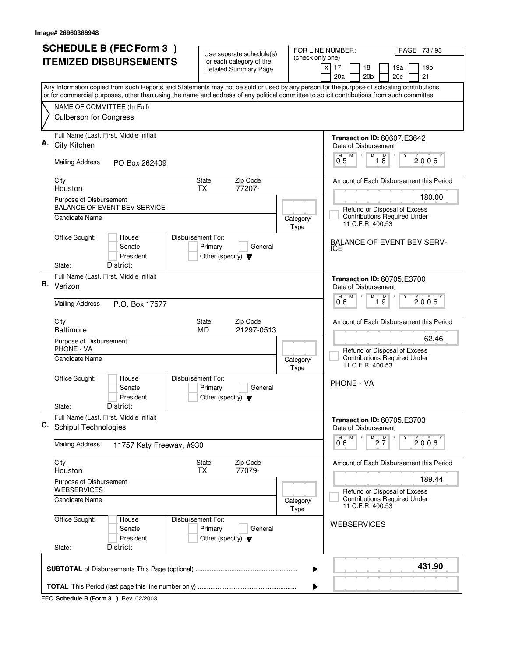|    | <b>SCHEDULE B (FEC Form 3)</b>                                                                                                                                                                                                                                                         | Use seperate schedule(s)                                   |                   | FOR LINE NUMBER:<br>PAGE 73 / 93                                                        |  |  |
|----|----------------------------------------------------------------------------------------------------------------------------------------------------------------------------------------------------------------------------------------------------------------------------------------|------------------------------------------------------------|-------------------|-----------------------------------------------------------------------------------------|--|--|
|    | <b>ITEMIZED DISBURSEMENTS</b>                                                                                                                                                                                                                                                          | for each category of the<br><b>Detailed Summary Page</b>   | (check only one)  | 17<br>18<br>19a<br>19 <sub>b</sub><br>X<br>20a<br>20 <sub>b</sub><br>20c<br>21          |  |  |
|    | Any Information copied from such Reports and Statements may not be sold or used by any person for the purpose of solicating contributions<br>or for commercial purposes, other than using the name and address of any political committee to solicit contributions from such committee |                                                            |                   |                                                                                         |  |  |
|    | NAME OF COMMITTEE (In Full)                                                                                                                                                                                                                                                            |                                                            |                   |                                                                                         |  |  |
|    | <b>Culberson for Congress</b>                                                                                                                                                                                                                                                          |                                                            |                   |                                                                                         |  |  |
|    | Full Name (Last, First, Middle Initial)<br>City Kitchen                                                                                                                                                                                                                                |                                                            |                   | <b>Transaction ID: 60607.E3642</b><br>Date of Disbursement                              |  |  |
|    | <b>Mailing Address</b><br>PO Box 262409                                                                                                                                                                                                                                                |                                                            |                   | D<br>$\overline{18}$<br>$\overline{0}^M$ 5<br>M<br>$2006^{\circ}$                       |  |  |
|    | City<br>Houston                                                                                                                                                                                                                                                                        | Zip Code<br>State<br>77207-<br><b>TX</b>                   |                   | Amount of Each Disbursement this Period                                                 |  |  |
|    | Purpose of Disbursement<br><b>BALANCE OF EVENT BEV SERVICE</b>                                                                                                                                                                                                                         |                                                            |                   | 180.00                                                                                  |  |  |
|    | <b>Candidate Name</b>                                                                                                                                                                                                                                                                  |                                                            | Category/<br>Type | Refund or Disposal of Excess<br><b>Contributions Required Under</b><br>11 C.F.R. 400.53 |  |  |
|    | Office Sought:<br>Disbursement For:<br>House<br>Senate<br>President<br>District:<br>State:                                                                                                                                                                                             | Primary<br>General<br>Other (specify) $\blacktriangledown$ |                   | <b>BALANCE OF EVENT BEV SERV-</b><br>ICE                                                |  |  |
|    | Full Name (Last, First, Middle Initial)                                                                                                                                                                                                                                                |                                                            |                   | <b>Transaction ID: 60705.E3700</b>                                                      |  |  |
| В. | Verizon                                                                                                                                                                                                                                                                                |                                                            |                   | Date of Disbursement                                                                    |  |  |
|    | <b>Mailing Address</b><br>P.O. Box 17577                                                                                                                                                                                                                                               |                                                            |                   | D<br>D<br>M<br>2006<br>$1\overline{9}$<br>06                                            |  |  |
|    | City<br><b>Baltimore</b>                                                                                                                                                                                                                                                               | Zip Code<br><b>State</b><br>21297-0513<br>MD               |                   | Amount of Each Disbursement this Period                                                 |  |  |
|    | Purpose of Disbursement<br><b>PHONE - VA</b>                                                                                                                                                                                                                                           |                                                            |                   | 62.46                                                                                   |  |  |
|    | Candidate Name                                                                                                                                                                                                                                                                         |                                                            | Category/<br>Type | Refund or Disposal of Excess<br><b>Contributions Required Under</b><br>11 C.F.R. 400.53 |  |  |
|    | Office Sought:<br>Disbursement For:<br>House<br>Senate<br>President                                                                                                                                                                                                                    | Primary<br>General<br>Other (specify) $\blacktriangledown$ |                   | <b>PHONE - VA</b>                                                                       |  |  |
|    | District:<br>State:<br>Full Name (Last, First, Middle Initial)                                                                                                                                                                                                                         |                                                            |                   |                                                                                         |  |  |
| C. | <b>Schipul Technologies</b>                                                                                                                                                                                                                                                            |                                                            |                   | <b>Transaction ID: 60705.E3703</b><br>Date of Disbursement<br>M<br>M)                   |  |  |
|    | <b>Mailing Address</b><br>11757 Katy Freeway, #930                                                                                                                                                                                                                                     |                                                            |                   | $D$ <sub>2</sub> $\frac{D}{7}$<br>2006<br>06                                            |  |  |
|    | City<br>Houston                                                                                                                                                                                                                                                                        | State<br>Zip Code<br>77079-<br><b>TX</b>                   |                   | Amount of Each Disbursement this Period                                                 |  |  |
|    | Purpose of Disbursement<br><b>WEBSERVICES</b>                                                                                                                                                                                                                                          |                                                            |                   | 189.44                                                                                  |  |  |
|    | <b>Candidate Name</b><br>Category/                                                                                                                                                                                                                                                     |                                                            | Type              | Refund or Disposal of Excess<br><b>Contributions Required Under</b><br>11 C.F.R. 400.53 |  |  |
|    | Office Sought:<br>House<br>Disbursement For:<br>Senate<br>President<br>District:<br>State:                                                                                                                                                                                             | Primary<br>General<br>Other (specify) $\blacktriangledown$ |                   | <b>WEBSERVICES</b>                                                                      |  |  |
|    |                                                                                                                                                                                                                                                                                        |                                                            |                   |                                                                                         |  |  |
|    | 431.90<br>▶                                                                                                                                                                                                                                                                            |                                                            |                   |                                                                                         |  |  |
|    |                                                                                                                                                                                                                                                                                        |                                                            | ▶                 |                                                                                         |  |  |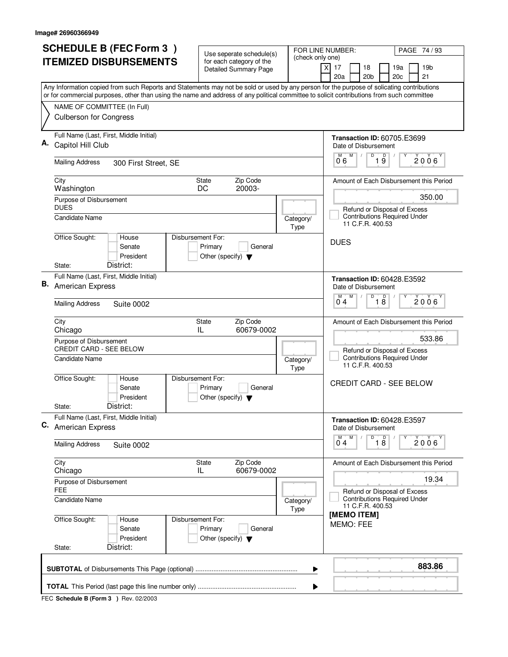| <b>SCHEDULE B (FEC Form 3)</b>                                                                                                            | Use seperate schedule(s)                                                        |                   | FOR LINE NUMBER:<br>PAGE 74/93                                                       |  |  |
|-------------------------------------------------------------------------------------------------------------------------------------------|---------------------------------------------------------------------------------|-------------------|--------------------------------------------------------------------------------------|--|--|
| <b>ITEMIZED DISBURSEMENTS</b>                                                                                                             | for each category of the<br><b>Detailed Summary Page</b>                        | (check only one)  | 17<br>18<br>19a<br>19 <sub>b</sub><br>X<br>20a<br>20 <sub>b</sub><br>20c<br>21       |  |  |
| Any Information copied from such Reports and Statements may not be sold or used by any person for the purpose of solicating contributions |                                                                                 |                   |                                                                                      |  |  |
| or for commercial purposes, other than using the name and address of any political committee to solicit contributions from such committee |                                                                                 |                   |                                                                                      |  |  |
| NAME OF COMMITTEE (In Full)<br><b>Culberson for Congress</b>                                                                              |                                                                                 |                   |                                                                                      |  |  |
| Full Name (Last, First, Middle Initial)<br>Capitol Hill Club                                                                              |                                                                                 |                   | <b>Transaction ID: 60705.E3699</b><br>Date of Disbursement                           |  |  |
| <b>Mailing Address</b><br>300 First Street, SE                                                                                            |                                                                                 |                   | D<br>$\overline{0}^{\overline{M}}$ 6<br>M<br>$\overline{19}$<br>$2006^\circ$         |  |  |
| City<br>Washington                                                                                                                        | Zip Code<br><b>State</b><br>20003-<br>DC                                        |                   | Amount of Each Disbursement this Period                                              |  |  |
| Purpose of Disbursement<br><b>DUES</b><br><b>Candidate Name</b>                                                                           |                                                                                 | Category/         | 350.00<br>Refund or Disposal of Excess<br><b>Contributions Required Under</b>        |  |  |
| Office Sought:<br>House                                                                                                                   | Disbursement For:                                                               | Type              | 11 C.F.R. 400.53<br><b>DUES</b>                                                      |  |  |
| Senate<br>President<br>District:<br>State:                                                                                                | Primary<br>General<br>Other (specify) $\blacktriangledown$                      |                   |                                                                                      |  |  |
| Full Name (Last, First, Middle Initial)                                                                                                   |                                                                                 |                   |                                                                                      |  |  |
| <b>B.</b> American Express                                                                                                                |                                                                                 |                   | <b>Transaction ID: 60428.E3592</b><br>Date of Disbursement<br>D<br>D<br>M<br>M       |  |  |
| <b>Mailing Address</b><br><b>Suite 0002</b>                                                                                               |                                                                                 |                   | $2006^{\circ}$<br>$1\overline{8}$<br>04                                              |  |  |
| City<br>Chicago                                                                                                                           | Zip Code<br><b>State</b><br>60679-0002<br>IL                                    |                   | Amount of Each Disbursement this Period                                              |  |  |
| Purpose of Disbursement<br><b>CREDIT CARD - SEE BELOW</b>                                                                                 |                                                                                 |                   | 533.86<br>Refund or Disposal of Excess                                               |  |  |
| <b>Candidate Name</b>                                                                                                                     |                                                                                 | Category/<br>Type | <b>Contributions Required Under</b><br>11 C.F.R. 400.53                              |  |  |
| Office Sought:<br>House<br>Senate<br>President                                                                                            | Disbursement For:<br>Primary<br>General<br>Other (specify) $\blacktriangledown$ |                   | <b>CREDIT CARD - SEE BELOW</b>                                                       |  |  |
| District:<br>State:                                                                                                                       |                                                                                 |                   |                                                                                      |  |  |
| Full Name (Last, First, Middle Initial)<br>C. American Express                                                                            |                                                                                 |                   | Transaction ID: 60428.E3597<br>Date of Disbursement                                  |  |  |
| <b>Mailing Address</b><br><b>Suite 0002</b>                                                                                               |                                                                                 |                   | $\overline{\mathsf{D}}$<br>M<br>M<br>$\overline{18}$<br>Υ<br>2006'<br>0 <sub>4</sub> |  |  |
| City<br>Chicago                                                                                                                           | Zip Code<br>State<br>60679-0002<br>IL                                           |                   | Amount of Each Disbursement this Period                                              |  |  |
| Purpose of Disbursement<br><b>FEE</b>                                                                                                     |                                                                                 |                   | 19.34<br>Refund or Disposal of Excess                                                |  |  |
| <b>Candidate Name</b>                                                                                                                     |                                                                                 | Category/<br>Type | <b>Contributions Required Under</b><br>11 C.F.R. 400.53<br>[MEMO ITEM]               |  |  |
| Office Sought:<br>House<br>Senate<br>President                                                                                            | Disbursement For:<br>Primary<br>General<br>Other (specify) $\blacktriangledown$ |                   | MEMO: FEE                                                                            |  |  |
| District:<br>State:                                                                                                                       |                                                                                 |                   |                                                                                      |  |  |
| 883.86<br>▶                                                                                                                               |                                                                                 |                   |                                                                                      |  |  |
|                                                                                                                                           |                                                                                 |                   |                                                                                      |  |  |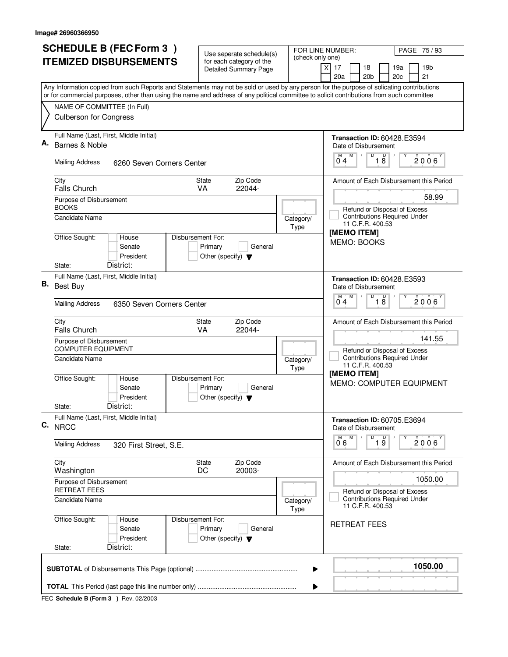| <b>SCHEDULE B (FEC Form 3)</b>                                                                                                                                                                                                                                                         | Use seperate schedule(s)<br>(check only one)                                            | FOR LINE NUMBER:<br>PAGE 75 / 93                                                                 |
|----------------------------------------------------------------------------------------------------------------------------------------------------------------------------------------------------------------------------------------------------------------------------------------|-----------------------------------------------------------------------------------------|--------------------------------------------------------------------------------------------------|
| <b>ITEMIZED DISBURSEMENTS</b>                                                                                                                                                                                                                                                          | for each category of the<br><b>Detailed Summary Page</b>                                | 19 <sub>b</sub><br>$\times$<br>17<br>18<br>19a<br>20a<br>20 <sub>b</sub><br>21<br>20c            |
| Any Information copied from such Reports and Statements may not be sold or used by any person for the purpose of solicating contributions<br>or for commercial purposes, other than using the name and address of any political committee to solicit contributions from such committee |                                                                                         |                                                                                                  |
| NAME OF COMMITTEE (In Full)<br><b>Culberson for Congress</b>                                                                                                                                                                                                                           |                                                                                         |                                                                                                  |
| Full Name (Last, First, Middle Initial)<br>Α.<br>Barnes & Noble                                                                                                                                                                                                                        |                                                                                         | <b>Transaction ID: 60428.E3594</b><br>Date of Disbursement                                       |
| <b>Mailing Address</b><br>6260 Seven Corners Center                                                                                                                                                                                                                                    |                                                                                         | M<br>D<br>$\overline{18}$<br>$2006^{\circ}$<br>$0^74$                                            |
| City<br><b>Falls Church</b>                                                                                                                                                                                                                                                            | Zip Code<br>State<br>VA<br>22044-                                                       | Amount of Each Disbursement this Period                                                          |
| Purpose of Disbursement<br><b>BOOKS</b><br>Candidate Name                                                                                                                                                                                                                              | Category/                                                                               | 58.99<br>Refund or Disposal of Excess<br><b>Contributions Required Under</b><br>11 C.F.R. 400.53 |
| Office Sought:<br>House<br>Senate<br>President<br>District:<br>State:                                                                                                                                                                                                                  | Type<br>Disbursement For:<br>Primary<br>General<br>Other (specify) $\blacktriangledown$ | [MEMO ITEM]<br>MEMO: BOOKS                                                                       |
| Full Name (Last, First, Middle Initial)<br>В.<br><b>Best Buy</b>                                                                                                                                                                                                                       |                                                                                         | <b>Transaction ID: 60428.E3593</b><br>Date of Disbursement                                       |
| <b>Mailing Address</b><br>6350 Seven Corners Center                                                                                                                                                                                                                                    |                                                                                         | D<br>$\overline{\mathsf{D}}$<br>M<br>M<br>2006<br>18<br>04                                       |
| City<br><b>Falls Church</b>                                                                                                                                                                                                                                                            | Zip Code<br>State<br>22044-<br><b>VA</b>                                                | Amount of Each Disbursement this Period<br>141.55                                                |
| Purpose of Disbursement<br><b>COMPUTER EQUIPMENT</b><br><b>Candidate Name</b>                                                                                                                                                                                                          | Category/<br>Type                                                                       | Refund or Disposal of Excess<br><b>Contributions Required Under</b><br>11 C.F.R. 400.53          |
| Office Sought:<br>House<br>Senate<br>President                                                                                                                                                                                                                                         | Disbursement For:<br>Primary<br>General<br>Other (specify) $\blacktriangledown$         | [MEMO ITEM]<br><b>MEMO: COMPUTER EQUIPMENT</b>                                                   |
| District:<br>State:<br>Full Name (Last, First, Middle Initial)<br>C. NRCC                                                                                                                                                                                                              |                                                                                         | Transaction ID: 60705.E3694<br>Date of Disbursement                                              |
| <b>Mailing Address</b><br>320 First Street, S.E.                                                                                                                                                                                                                                       |                                                                                         | D<br>19<br>M <sup>-1</sup><br>M<br>$2006^{\circ}$<br>06                                          |
| City<br>Washington                                                                                                                                                                                                                                                                     | Zip Code<br><b>State</b><br>DC<br>20003-                                                | Amount of Each Disbursement this Period<br>1050.00                                               |
| Purpose of Disbursement<br><b>RETREAT FEES</b>                                                                                                                                                                                                                                         |                                                                                         |                                                                                                  |
| Candidate Name                                                                                                                                                                                                                                                                         | Category/<br>Type                                                                       | <b>Contributions Required Under</b><br>11 C.F.R. 400.53                                          |
| Office Sought:<br>House<br>Senate<br>President<br>District:<br>State:                                                                                                                                                                                                                  | Disbursement For:<br>Primary<br>General<br>Other (specify) $\blacktriangledown$         | <b>RETREAT FEES</b>                                                                              |
|                                                                                                                                                                                                                                                                                        | ▶                                                                                       | 1050.00                                                                                          |
|                                                                                                                                                                                                                                                                                        | ▶                                                                                       |                                                                                                  |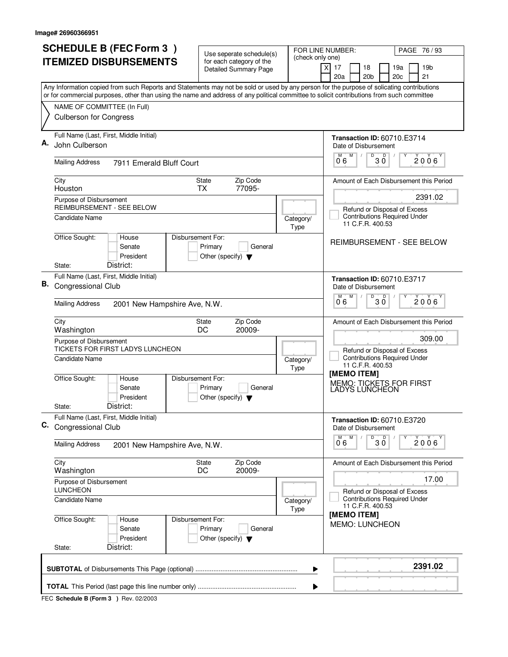| 20a<br>20 <sub>b</sub><br>21<br>20c<br>Any Information copied from such Reports and Statements may not be sold or used by any person for the purpose of solicating contributions<br>or for commercial purposes, other than using the name and address of any political committee to solicit contributions from such committee<br>NAME OF COMMITTEE (In Full)<br><b>Culberson for Congress</b><br>Full Name (Last, First, Middle Initial)<br><b>Transaction ID: 60710.E3714</b><br>Α.<br>John Culberson<br>Date of Disbursement<br>M<br>D<br>30<br>$2006^{\circ}$<br>0.6<br><b>Mailing Address</b><br>7911 Emerald Bluff Court<br>Zip Code<br>City<br>State<br>Houston<br><b>TX</b><br>77095-<br>2391.02<br>Purpose of Disbursement<br>REIMBURSEMENT - SEE BELOW<br>Refund or Disposal of Excess<br><b>Contributions Required Under</b><br><b>Candidate Name</b><br>Category/<br>11 C.F.R. 400.53<br>Type<br>Office Sought:<br>Disbursement For:<br>House<br>Senate<br>Primary<br>General<br>President<br>Other (specify) $\blacktriangledown$<br>District:<br>State:<br>Full Name (Last, First, Middle Initial)<br><b>Transaction ID: 60710.E3717</b><br>В.<br>Congressional Club<br>Date of Disbursement<br>М<br>D<br>D<br>2006<br>3 Ŏ<br>06<br><b>Mailing Address</b><br>2001 New Hampshire Ave, N.W.<br>Zip Code<br>City<br>State<br>Washington<br>DC<br>20009-<br>309.00<br>Purpose of Disbursement<br>TICKETS FOR FIRST LADYS LUNCHEON<br>Refund or Disposal of Excess<br><b>Contributions Required Under</b><br><b>Candidate Name</b><br>Category/<br>11 C.F.R. 400.53<br>Type<br>[MEMO ITEM]<br>Office Sought:<br>Disbursement For:<br>House<br>MEMO: TICKETS FOR FIRST<br>Senate<br>Primary<br>General<br>LADYS LUNCHEON<br>President<br>Other (specify) $\blacktriangledown$<br>District:<br>State:<br>Full Name (Last, First, Middle Initial)<br>Transaction ID: 60710.E3720<br>C. Congressional Club<br>Date of Disbursement<br>D<br>M <sup>-1</sup><br>M<br>$30^{\circ}$<br>$2006^{\circ}$<br>06<br><b>Mailing Address</b><br>2001 New Hampshire Ave, N.W.<br>City<br>Zip Code<br>State<br>DC<br>20009-<br>Washington<br>17.00<br>Purpose of Disbursement<br><b>LUNCHEON</b><br>Refund or Disposal of Excess<br><b>Contributions Required Under</b><br>Candidate Name<br>Category/<br>11 C.F.R. 400.53<br>Type<br>[MEMO ITEM]<br>Office Sought:<br>Disbursement For:<br>House<br><b>MEMO: LUNCHEON</b><br>Senate<br>Primary<br>General<br>President<br>Other (specify) $\blacktriangledown$<br>District:<br>State: | <b>SCHEDULE B (FEC Form 3)</b><br><b>ITEMIZED DISBURSEMENTS</b> | Use seperate schedule(s)<br>for each category of the<br><b>Detailed Summary Page</b> | FOR LINE NUMBER:<br>PAGE 76 / 93<br>(check only one)<br>19 <sub>b</sub><br>$\times$<br>17<br>18<br>19a |
|--------------------------------------------------------------------------------------------------------------------------------------------------------------------------------------------------------------------------------------------------------------------------------------------------------------------------------------------------------------------------------------------------------------------------------------------------------------------------------------------------------------------------------------------------------------------------------------------------------------------------------------------------------------------------------------------------------------------------------------------------------------------------------------------------------------------------------------------------------------------------------------------------------------------------------------------------------------------------------------------------------------------------------------------------------------------------------------------------------------------------------------------------------------------------------------------------------------------------------------------------------------------------------------------------------------------------------------------------------------------------------------------------------------------------------------------------------------------------------------------------------------------------------------------------------------------------------------------------------------------------------------------------------------------------------------------------------------------------------------------------------------------------------------------------------------------------------------------------------------------------------------------------------------------------------------------------------------------------------------------------------------------------------------------------------------------------------------------------------------------------------------------------------------------------------------------------------------------------------------------------------------------------------------------------------------------------------------------------------------------------------------------------------------------------------------------------------------------------------------------------------------------------------|-----------------------------------------------------------------|--------------------------------------------------------------------------------------|--------------------------------------------------------------------------------------------------------|
|                                                                                                                                                                                                                                                                                                                                                                                                                                                                                                                                                                                                                                                                                                                                                                                                                                                                                                                                                                                                                                                                                                                                                                                                                                                                                                                                                                                                                                                                                                                                                                                                                                                                                                                                                                                                                                                                                                                                                                                                                                                                                                                                                                                                                                                                                                                                                                                                                                                                                                                                |                                                                 |                                                                                      |                                                                                                        |
|                                                                                                                                                                                                                                                                                                                                                                                                                                                                                                                                                                                                                                                                                                                                                                                                                                                                                                                                                                                                                                                                                                                                                                                                                                                                                                                                                                                                                                                                                                                                                                                                                                                                                                                                                                                                                                                                                                                                                                                                                                                                                                                                                                                                                                                                                                                                                                                                                                                                                                                                |                                                                 |                                                                                      |                                                                                                        |
|                                                                                                                                                                                                                                                                                                                                                                                                                                                                                                                                                                                                                                                                                                                                                                                                                                                                                                                                                                                                                                                                                                                                                                                                                                                                                                                                                                                                                                                                                                                                                                                                                                                                                                                                                                                                                                                                                                                                                                                                                                                                                                                                                                                                                                                                                                                                                                                                                                                                                                                                |                                                                 |                                                                                      |                                                                                                        |
|                                                                                                                                                                                                                                                                                                                                                                                                                                                                                                                                                                                                                                                                                                                                                                                                                                                                                                                                                                                                                                                                                                                                                                                                                                                                                                                                                                                                                                                                                                                                                                                                                                                                                                                                                                                                                                                                                                                                                                                                                                                                                                                                                                                                                                                                                                                                                                                                                                                                                                                                |                                                                 |                                                                                      |                                                                                                        |
|                                                                                                                                                                                                                                                                                                                                                                                                                                                                                                                                                                                                                                                                                                                                                                                                                                                                                                                                                                                                                                                                                                                                                                                                                                                                                                                                                                                                                                                                                                                                                                                                                                                                                                                                                                                                                                                                                                                                                                                                                                                                                                                                                                                                                                                                                                                                                                                                                                                                                                                                |                                                                 |                                                                                      |                                                                                                        |
|                                                                                                                                                                                                                                                                                                                                                                                                                                                                                                                                                                                                                                                                                                                                                                                                                                                                                                                                                                                                                                                                                                                                                                                                                                                                                                                                                                                                                                                                                                                                                                                                                                                                                                                                                                                                                                                                                                                                                                                                                                                                                                                                                                                                                                                                                                                                                                                                                                                                                                                                |                                                                 |                                                                                      | Amount of Each Disbursement this Period                                                                |
|                                                                                                                                                                                                                                                                                                                                                                                                                                                                                                                                                                                                                                                                                                                                                                                                                                                                                                                                                                                                                                                                                                                                                                                                                                                                                                                                                                                                                                                                                                                                                                                                                                                                                                                                                                                                                                                                                                                                                                                                                                                                                                                                                                                                                                                                                                                                                                                                                                                                                                                                |                                                                 |                                                                                      |                                                                                                        |
|                                                                                                                                                                                                                                                                                                                                                                                                                                                                                                                                                                                                                                                                                                                                                                                                                                                                                                                                                                                                                                                                                                                                                                                                                                                                                                                                                                                                                                                                                                                                                                                                                                                                                                                                                                                                                                                                                                                                                                                                                                                                                                                                                                                                                                                                                                                                                                                                                                                                                                                                |                                                                 |                                                                                      |                                                                                                        |
|                                                                                                                                                                                                                                                                                                                                                                                                                                                                                                                                                                                                                                                                                                                                                                                                                                                                                                                                                                                                                                                                                                                                                                                                                                                                                                                                                                                                                                                                                                                                                                                                                                                                                                                                                                                                                                                                                                                                                                                                                                                                                                                                                                                                                                                                                                                                                                                                                                                                                                                                |                                                                 |                                                                                      | <b>REIMBURSEMENT - SEE BELOW</b>                                                                       |
|                                                                                                                                                                                                                                                                                                                                                                                                                                                                                                                                                                                                                                                                                                                                                                                                                                                                                                                                                                                                                                                                                                                                                                                                                                                                                                                                                                                                                                                                                                                                                                                                                                                                                                                                                                                                                                                                                                                                                                                                                                                                                                                                                                                                                                                                                                                                                                                                                                                                                                                                |                                                                 |                                                                                      |                                                                                                        |
|                                                                                                                                                                                                                                                                                                                                                                                                                                                                                                                                                                                                                                                                                                                                                                                                                                                                                                                                                                                                                                                                                                                                                                                                                                                                                                                                                                                                                                                                                                                                                                                                                                                                                                                                                                                                                                                                                                                                                                                                                                                                                                                                                                                                                                                                                                                                                                                                                                                                                                                                |                                                                 |                                                                                      |                                                                                                        |
|                                                                                                                                                                                                                                                                                                                                                                                                                                                                                                                                                                                                                                                                                                                                                                                                                                                                                                                                                                                                                                                                                                                                                                                                                                                                                                                                                                                                                                                                                                                                                                                                                                                                                                                                                                                                                                                                                                                                                                                                                                                                                                                                                                                                                                                                                                                                                                                                                                                                                                                                |                                                                 |                                                                                      |                                                                                                        |
|                                                                                                                                                                                                                                                                                                                                                                                                                                                                                                                                                                                                                                                                                                                                                                                                                                                                                                                                                                                                                                                                                                                                                                                                                                                                                                                                                                                                                                                                                                                                                                                                                                                                                                                                                                                                                                                                                                                                                                                                                                                                                                                                                                                                                                                                                                                                                                                                                                                                                                                                |                                                                 |                                                                                      | Amount of Each Disbursement this Period                                                                |
|                                                                                                                                                                                                                                                                                                                                                                                                                                                                                                                                                                                                                                                                                                                                                                                                                                                                                                                                                                                                                                                                                                                                                                                                                                                                                                                                                                                                                                                                                                                                                                                                                                                                                                                                                                                                                                                                                                                                                                                                                                                                                                                                                                                                                                                                                                                                                                                                                                                                                                                                |                                                                 |                                                                                      |                                                                                                        |
|                                                                                                                                                                                                                                                                                                                                                                                                                                                                                                                                                                                                                                                                                                                                                                                                                                                                                                                                                                                                                                                                                                                                                                                                                                                                                                                                                                                                                                                                                                                                                                                                                                                                                                                                                                                                                                                                                                                                                                                                                                                                                                                                                                                                                                                                                                                                                                                                                                                                                                                                |                                                                 |                                                                                      |                                                                                                        |
|                                                                                                                                                                                                                                                                                                                                                                                                                                                                                                                                                                                                                                                                                                                                                                                                                                                                                                                                                                                                                                                                                                                                                                                                                                                                                                                                                                                                                                                                                                                                                                                                                                                                                                                                                                                                                                                                                                                                                                                                                                                                                                                                                                                                                                                                                                                                                                                                                                                                                                                                |                                                                 |                                                                                      |                                                                                                        |
|                                                                                                                                                                                                                                                                                                                                                                                                                                                                                                                                                                                                                                                                                                                                                                                                                                                                                                                                                                                                                                                                                                                                                                                                                                                                                                                                                                                                                                                                                                                                                                                                                                                                                                                                                                                                                                                                                                                                                                                                                                                                                                                                                                                                                                                                                                                                                                                                                                                                                                                                |                                                                 |                                                                                      |                                                                                                        |
|                                                                                                                                                                                                                                                                                                                                                                                                                                                                                                                                                                                                                                                                                                                                                                                                                                                                                                                                                                                                                                                                                                                                                                                                                                                                                                                                                                                                                                                                                                                                                                                                                                                                                                                                                                                                                                                                                                                                                                                                                                                                                                                                                                                                                                                                                                                                                                                                                                                                                                                                |                                                                 |                                                                                      |                                                                                                        |
|                                                                                                                                                                                                                                                                                                                                                                                                                                                                                                                                                                                                                                                                                                                                                                                                                                                                                                                                                                                                                                                                                                                                                                                                                                                                                                                                                                                                                                                                                                                                                                                                                                                                                                                                                                                                                                                                                                                                                                                                                                                                                                                                                                                                                                                                                                                                                                                                                                                                                                                                |                                                                 |                                                                                      |                                                                                                        |
|                                                                                                                                                                                                                                                                                                                                                                                                                                                                                                                                                                                                                                                                                                                                                                                                                                                                                                                                                                                                                                                                                                                                                                                                                                                                                                                                                                                                                                                                                                                                                                                                                                                                                                                                                                                                                                                                                                                                                                                                                                                                                                                                                                                                                                                                                                                                                                                                                                                                                                                                |                                                                 |                                                                                      | Amount of Each Disbursement this Period                                                                |
|                                                                                                                                                                                                                                                                                                                                                                                                                                                                                                                                                                                                                                                                                                                                                                                                                                                                                                                                                                                                                                                                                                                                                                                                                                                                                                                                                                                                                                                                                                                                                                                                                                                                                                                                                                                                                                                                                                                                                                                                                                                                                                                                                                                                                                                                                                                                                                                                                                                                                                                                |                                                                 |                                                                                      |                                                                                                        |
|                                                                                                                                                                                                                                                                                                                                                                                                                                                                                                                                                                                                                                                                                                                                                                                                                                                                                                                                                                                                                                                                                                                                                                                                                                                                                                                                                                                                                                                                                                                                                                                                                                                                                                                                                                                                                                                                                                                                                                                                                                                                                                                                                                                                                                                                                                                                                                                                                                                                                                                                |                                                                 |                                                                                      |                                                                                                        |
|                                                                                                                                                                                                                                                                                                                                                                                                                                                                                                                                                                                                                                                                                                                                                                                                                                                                                                                                                                                                                                                                                                                                                                                                                                                                                                                                                                                                                                                                                                                                                                                                                                                                                                                                                                                                                                                                                                                                                                                                                                                                                                                                                                                                                                                                                                                                                                                                                                                                                                                                |                                                                 |                                                                                      |                                                                                                        |
|                                                                                                                                                                                                                                                                                                                                                                                                                                                                                                                                                                                                                                                                                                                                                                                                                                                                                                                                                                                                                                                                                                                                                                                                                                                                                                                                                                                                                                                                                                                                                                                                                                                                                                                                                                                                                                                                                                                                                                                                                                                                                                                                                                                                                                                                                                                                                                                                                                                                                                                                |                                                                 |                                                                                      | 2391.02                                                                                                |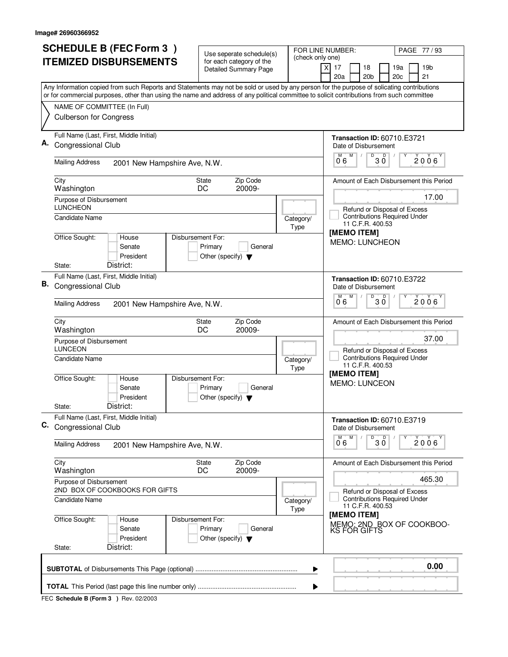|    | <b>SCHEDULE B (FEC Form 3)</b>                                                                                                                                                                                                                                                         | Use seperate schedule(s)                                                        |                   | FOR LINE NUMBER:<br>PAGE 77/93                                                 |  |  |
|----|----------------------------------------------------------------------------------------------------------------------------------------------------------------------------------------------------------------------------------------------------------------------------------------|---------------------------------------------------------------------------------|-------------------|--------------------------------------------------------------------------------|--|--|
|    | <b>ITEMIZED DISBURSEMENTS</b>                                                                                                                                                                                                                                                          | for each category of the<br><b>Detailed Summary Page</b>                        | (check only one)  | 17<br>18<br>19a<br>19 <sub>b</sub><br>X<br>20a<br>20 <sub>b</sub><br>20c<br>21 |  |  |
|    | Any Information copied from such Reports and Statements may not be sold or used by any person for the purpose of solicating contributions<br>or for commercial purposes, other than using the name and address of any political committee to solicit contributions from such committee |                                                                                 |                   |                                                                                |  |  |
|    | NAME OF COMMITTEE (In Full)                                                                                                                                                                                                                                                            |                                                                                 |                   |                                                                                |  |  |
|    | <b>Culberson for Congress</b>                                                                                                                                                                                                                                                          |                                                                                 |                   |                                                                                |  |  |
|    | Full Name (Last, First, Middle Initial)<br><b>Congressional Club</b>                                                                                                                                                                                                                   |                                                                                 |                   | <b>Transaction ID: 60710.E3721</b><br>Date of Disbursement                     |  |  |
|    | <b>Mailing Address</b><br>2001 New Hampshire Ave, N.W.                                                                                                                                                                                                                                 |                                                                                 |                   | D<br>$\overline{0}^{\overline{M}}$ 6<br>M<br>30<br>$2006^\circ$                |  |  |
|    | City<br>Washington                                                                                                                                                                                                                                                                     | Zip Code<br><b>State</b><br>20009-<br>DC                                        |                   | Amount of Each Disbursement this Period                                        |  |  |
|    | Purpose of Disbursement<br><b>LUNCHEON</b>                                                                                                                                                                                                                                             |                                                                                 |                   | 17.00<br>Refund or Disposal of Excess                                          |  |  |
|    | <b>Candidate Name</b>                                                                                                                                                                                                                                                                  |                                                                                 | Category/<br>Type | <b>Contributions Required Under</b><br>11 C.F.R. 400.53<br>[MEMO ITEM]         |  |  |
|    | Office Sought:<br>House<br>Senate<br>President<br>District:                                                                                                                                                                                                                            | Disbursement For:<br>Primary<br>General<br>Other (specify) $\blacktriangledown$ |                   | <b>MEMO: LUNCHEON</b>                                                          |  |  |
|    | State:<br>Full Name (Last, First, Middle Initial)                                                                                                                                                                                                                                      |                                                                                 |                   |                                                                                |  |  |
| В. | Congressional Club                                                                                                                                                                                                                                                                     |                                                                                 |                   | <b>Transaction ID: 60710.E3722</b><br>Date of Disbursement<br>D<br>M<br>D      |  |  |
|    | <b>Mailing Address</b><br>2001 New Hampshire Ave, N.W.                                                                                                                                                                                                                                 |                                                                                 |                   | 2006<br>30<br>06                                                               |  |  |
|    | City<br>Washington                                                                                                                                                                                                                                                                     | Zip Code<br>State<br>DC<br>20009-                                               |                   | Amount of Each Disbursement this Period                                        |  |  |
|    | Purpose of Disbursement<br><b>LUNCEON</b>                                                                                                                                                                                                                                              |                                                                                 |                   | 37.00<br>Refund or Disposal of Excess                                          |  |  |
|    | <b>Candidate Name</b>                                                                                                                                                                                                                                                                  |                                                                                 | Category/<br>Type | <b>Contributions Required Under</b><br>11 C.F.R. 400.53<br>[MEMO ITEM]         |  |  |
|    | Office Sought:<br>House<br>Senate<br>President                                                                                                                                                                                                                                         | Disbursement For:<br>Primary<br>General<br>Other (specify) $\blacktriangledown$ |                   | <b>MEMO: LUNCEON</b>                                                           |  |  |
|    | District:<br>State:                                                                                                                                                                                                                                                                    |                                                                                 |                   |                                                                                |  |  |
| C. | Full Name (Last, First, Middle Initial)<br>Congressional Club                                                                                                                                                                                                                          |                                                                                 |                   | <b>Transaction ID: 60710.E3719</b><br>Date of Disbursement                     |  |  |
|    | <b>Mailing Address</b><br>2001 New Hampshire Ave, N.W.                                                                                                                                                                                                                                 |                                                                                 |                   | $D$ <sub>0</sub> $\overline{0}$<br>M<br>2006<br>06                             |  |  |
|    | City<br>Washington                                                                                                                                                                                                                                                                     | Zip Code<br>State<br>DC<br>20009-                                               |                   | Amount of Each Disbursement this Period                                        |  |  |
|    | Purpose of Disbursement<br>2ND BOX OF COOKBOOKS FOR GIFTS                                                                                                                                                                                                                              |                                                                                 |                   | 465.30<br>Refund or Disposal of Excess                                         |  |  |
|    | <b>Candidate Name</b><br>Category/<br>Type                                                                                                                                                                                                                                             |                                                                                 |                   | <b>Contributions Required Under</b><br>11 C.F.R. 400.53<br>[MEMO ITEM]         |  |  |
|    | Office Sought:<br>House<br>Senate<br>President                                                                                                                                                                                                                                         | Disbursement For:<br>Primary<br>General<br>Other (specify) $\blacktriangledown$ |                   | MEMO: 2ND BOX OF COOKBOO-<br><b>KS FOR GIFTS</b>                               |  |  |
|    | District:<br>State:                                                                                                                                                                                                                                                                    |                                                                                 |                   |                                                                                |  |  |
|    | 0.00<br>▶                                                                                                                                                                                                                                                                              |                                                                                 |                   |                                                                                |  |  |
|    |                                                                                                                                                                                                                                                                                        |                                                                                 |                   |                                                                                |  |  |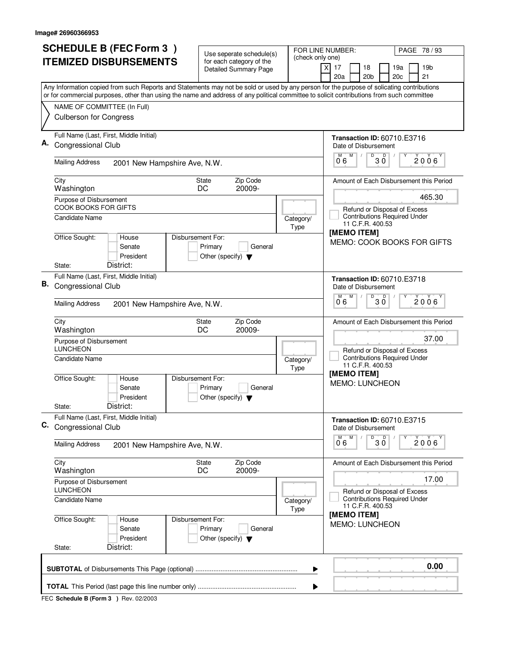|    | <b>SCHEDULE B (FEC Form 3)</b>                                                                                                                                                                                                                                                         | Use seperate schedule(s)                                                        |                   | FOR LINE NUMBER:<br>PAGE 78 / 93                                               |  |  |
|----|----------------------------------------------------------------------------------------------------------------------------------------------------------------------------------------------------------------------------------------------------------------------------------------|---------------------------------------------------------------------------------|-------------------|--------------------------------------------------------------------------------|--|--|
|    | <b>ITEMIZED DISBURSEMENTS</b>                                                                                                                                                                                                                                                          | for each category of the<br><b>Detailed Summary Page</b>                        | (check only one)  | 17<br>18<br>19a<br>19 <sub>b</sub><br>X<br>20a<br>20 <sub>b</sub><br>20c<br>21 |  |  |
|    | Any Information copied from such Reports and Statements may not be sold or used by any person for the purpose of solicating contributions<br>or for commercial purposes, other than using the name and address of any political committee to solicit contributions from such committee |                                                                                 |                   |                                                                                |  |  |
|    | NAME OF COMMITTEE (In Full)                                                                                                                                                                                                                                                            |                                                                                 |                   |                                                                                |  |  |
|    | <b>Culberson for Congress</b>                                                                                                                                                                                                                                                          |                                                                                 |                   |                                                                                |  |  |
|    | Full Name (Last, First, Middle Initial)<br>Congressional Club                                                                                                                                                                                                                          |                                                                                 |                   | <b>Transaction ID: 60710.E3716</b><br>Date of Disbursement                     |  |  |
|    | <b>Mailing Address</b><br>2001 New Hampshire Ave, N.W.                                                                                                                                                                                                                                 |                                                                                 |                   | M<br>$0^{\circ}$ 3 $0^{\circ}$<br>M<br>$2006^\circ$<br>06                      |  |  |
|    | City<br>Washington                                                                                                                                                                                                                                                                     | Zip Code<br><b>State</b><br>20009-<br>DC                                        |                   | Amount of Each Disbursement this Period                                        |  |  |
|    | Purpose of Disbursement<br>COOK BOOKS FOR GIFTS                                                                                                                                                                                                                                        |                                                                                 |                   | 465.30<br>Refund or Disposal of Excess                                         |  |  |
|    | <b>Candidate Name</b>                                                                                                                                                                                                                                                                  |                                                                                 | Category/<br>Type | <b>Contributions Required Under</b><br>11 C.F.R. 400.53<br>[MEMO ITEM]         |  |  |
|    | Office Sought:<br>Disbursement For:<br>House<br>Senate<br>President<br>District:<br>State:                                                                                                                                                                                             | Primary<br>General<br>Other (specify) $\blacktriangledown$                      |                   | MEMO: COOK BOOKS FOR GIFTS                                                     |  |  |
|    | Full Name (Last, First, Middle Initial)                                                                                                                                                                                                                                                |                                                                                 |                   | <b>Transaction ID: 60710.E3718</b>                                             |  |  |
| В. | Congressional Club                                                                                                                                                                                                                                                                     |                                                                                 |                   | Date of Disbursement                                                           |  |  |
|    | <b>Mailing Address</b><br>2001 New Hampshire Ave, N.W.                                                                                                                                                                                                                                 |                                                                                 |                   | $\overline{D}$<br>M<br>D<br>$2006^{\circ}$<br>30<br>06                         |  |  |
|    | City<br>Washington                                                                                                                                                                                                                                                                     | Zip Code<br>State<br>20009-<br>DC                                               |                   | Amount of Each Disbursement this Period                                        |  |  |
|    | Purpose of Disbursement<br><b>LUNCHEON</b>                                                                                                                                                                                                                                             |                                                                                 |                   | 37.00<br>Refund or Disposal of Excess                                          |  |  |
|    | Candidate Name                                                                                                                                                                                                                                                                         |                                                                                 | Category/<br>Type | <b>Contributions Required Under</b><br>11 C.F.R. 400.53                        |  |  |
|    | Office Sought:<br>House<br>Senate<br>President                                                                                                                                                                                                                                         | Disbursement For:<br>Primary<br>General<br>Other (specify) $\blacktriangledown$ |                   | [MEMO ITEM]<br><b>MEMO: LUNCHEON</b>                                           |  |  |
|    | District:<br>State:                                                                                                                                                                                                                                                                    |                                                                                 |                   |                                                                                |  |  |
| C. | Full Name (Last, First, Middle Initial)<br>Congressional Club                                                                                                                                                                                                                          |                                                                                 |                   | <b>Transaction ID: 60710.E3715</b><br>Date of Disbursement<br>D<br>M           |  |  |
|    | <b>Mailing Address</b><br>2001 New Hampshire Ave, N.W.                                                                                                                                                                                                                                 |                                                                                 |                   | 30<br>2006<br>06                                                               |  |  |
|    | City<br>Washington                                                                                                                                                                                                                                                                     | Zip Code<br>State<br>DC<br>20009-                                               |                   | Amount of Each Disbursement this Period                                        |  |  |
|    | Purpose of Disbursement<br><b>LUNCHEON</b>                                                                                                                                                                                                                                             |                                                                                 |                   | 17.00<br>Refund or Disposal of Excess                                          |  |  |
|    | <b>Candidate Name</b>                                                                                                                                                                                                                                                                  |                                                                                 | Category/<br>Type | <b>Contributions Required Under</b><br>11 C.F.R. 400.53                        |  |  |
|    | Office Sought:<br>House<br>Senate<br>President<br>District:                                                                                                                                                                                                                            | Disbursement For:<br>Primary<br>General<br>Other (specify) $\blacktriangledown$ |                   | [MEMO ITEM]<br><b>MEMO: LUNCHEON</b>                                           |  |  |
|    | State:                                                                                                                                                                                                                                                                                 |                                                                                 |                   |                                                                                |  |  |
|    | 0.00<br>▶                                                                                                                                                                                                                                                                              |                                                                                 |                   |                                                                                |  |  |
|    | ▶                                                                                                                                                                                                                                                                                      |                                                                                 |                   |                                                                                |  |  |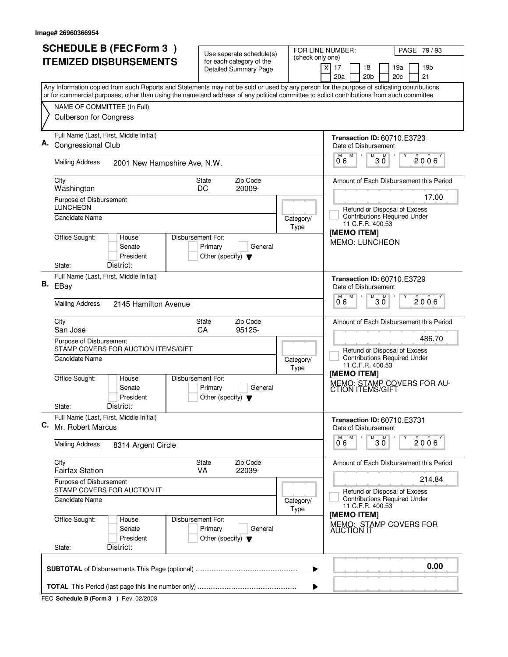|    | <b>SCHEDULE B (FEC Form 3)</b>                                                                                                                                                                                                                                                         | Use seperate schedule(s)                                   |                                        | PAGE 79 / 93<br>FOR LINE NUMBER:                                                                                                                         |  |  |  |
|----|----------------------------------------------------------------------------------------------------------------------------------------------------------------------------------------------------------------------------------------------------------------------------------------|------------------------------------------------------------|----------------------------------------|----------------------------------------------------------------------------------------------------------------------------------------------------------|--|--|--|
|    | <b>ITEMIZED DISBURSEMENTS</b>                                                                                                                                                                                                                                                          | for each category of the<br><b>Detailed Summary Page</b>   | (check only one)                       | 17<br>19 <sub>b</sub><br>X<br>18<br>19a<br>20a<br>20 <sub>b</sub><br>20c<br>21                                                                           |  |  |  |
|    | Any Information copied from such Reports and Statements may not be sold or used by any person for the purpose of solicating contributions<br>or for commercial purposes, other than using the name and address of any political committee to solicit contributions from such committee |                                                            |                                        |                                                                                                                                                          |  |  |  |
|    | NAME OF COMMITTEE (In Full)<br><b>Culberson for Congress</b>                                                                                                                                                                                                                           |                                                            |                                        |                                                                                                                                                          |  |  |  |
|    | Full Name (Last, First, Middle Initial)<br><b>Congressional Club</b>                                                                                                                                                                                                                   |                                                            |                                        | <b>Transaction ID: 60710.E3723</b><br>Date of Disbursement<br>M<br>Υ                                                                                     |  |  |  |
|    | <b>Mailing Address</b><br>2001 New Hampshire Ave, N.W.                                                                                                                                                                                                                                 |                                                            |                                        | $\overline{0}^{\overline{M}}$ 6<br>$B^{\circ}$ 30<br>$2006^{\circ}$                                                                                      |  |  |  |
|    | City<br>Washington                                                                                                                                                                                                                                                                     | Zip Code<br><b>State</b><br>20009-<br>DC                   |                                        | Amount of Each Disbursement this Period                                                                                                                  |  |  |  |
|    | Purpose of Disbursement<br><b>LUNCHEON</b><br><b>Candidate Name</b>                                                                                                                                                                                                                    |                                                            | Category/<br>Type                      | 17.00<br>Refund or Disposal of Excess<br><b>Contributions Required Under</b><br>11 C.F.R. 400.53                                                         |  |  |  |
|    | Office Sought:<br>Disbursement For:<br>House<br>Senate<br>President<br>District:<br>State:                                                                                                                                                                                             | Primary<br>General<br>Other (specify) $\blacktriangledown$ |                                        | [MEMO ITEM]<br><b>MEMO: LUNCHEON</b>                                                                                                                     |  |  |  |
| В. | Full Name (Last, First, Middle Initial)<br>EBay                                                                                                                                                                                                                                        |                                                            |                                        | <b>Transaction ID: 60710.E3729</b><br>Date of Disbursement                                                                                               |  |  |  |
|    | <b>Mailing Address</b><br>2145 Hamilton Avenue                                                                                                                                                                                                                                         |                                                            |                                        | D<br>D<br>M<br>2006<br>30<br>06                                                                                                                          |  |  |  |
|    | City<br>San Jose<br>Purpose of Disbursement                                                                                                                                                                                                                                            | Zip Code<br>State<br>95125-<br>CA                          |                                        | Amount of Each Disbursement this Period<br>486.70                                                                                                        |  |  |  |
|    | STAMP COVERS FOR AUCTION ITEMS/GIFT<br>Candidate Name<br>Office Sought:<br>Disbursement For:<br>House<br>Senate                                                                                                                                                                        | Primary<br>General                                         | Category/<br>Type                      | Refund or Disposal of Excess<br><b>Contributions Required Under</b><br>11 C.F.R. 400.53<br>[MEMO ITEM]<br>MEMO: STAMP COVERS FOR AU-<br>CTION ITEMS/GIFT |  |  |  |
|    | President<br>District:<br>State:                                                                                                                                                                                                                                                       | Other (specify) $\blacktriangledown$                       |                                        |                                                                                                                                                          |  |  |  |
| C. | Full Name (Last, First, Middle Initial)<br>Mr. Robert Marcus                                                                                                                                                                                                                           |                                                            |                                        | <b>Transaction ID: 60710.E3731</b><br>Date of Disbursement                                                                                               |  |  |  |
|    | <b>Mailing Address</b><br>8314 Argent Circle                                                                                                                                                                                                                                           |                                                            |                                        | D<br>M <sup>-1</sup><br>M<br>30<br>$2006^{\circ}$<br>06                                                                                                  |  |  |  |
|    | City<br><b>Fairfax Station</b>                                                                                                                                                                                                                                                         | Zip Code<br>State<br><b>VA</b><br>22039-                   |                                        | Amount of Each Disbursement this Period                                                                                                                  |  |  |  |
|    | Purpose of Disbursement<br>STAMP COVERS FOR AUCTION IT                                                                                                                                                                                                                                 |                                                            | 214.84<br>Refund or Disposal of Excess |                                                                                                                                                          |  |  |  |
|    | <b>Candidate Name</b>                                                                                                                                                                                                                                                                  |                                                            | Category/<br>Type                      | <b>Contributions Required Under</b><br>11 C.F.R. 400.53<br>[MEMO ITEM]                                                                                   |  |  |  |
|    | Office Sought:<br>Disbursement For:<br>House<br>Senate<br>President<br>District:<br>State:                                                                                                                                                                                             | Primary<br>General<br>Other (specify) $\blacktriangledown$ |                                        | MEMO: STAMP COVERS FOR<br><b>AUCTION IT</b>                                                                                                              |  |  |  |
|    | 0.00<br>▶                                                                                                                                                                                                                                                                              |                                                            |                                        |                                                                                                                                                          |  |  |  |
|    | ▶                                                                                                                                                                                                                                                                                      |                                                            |                                        |                                                                                                                                                          |  |  |  |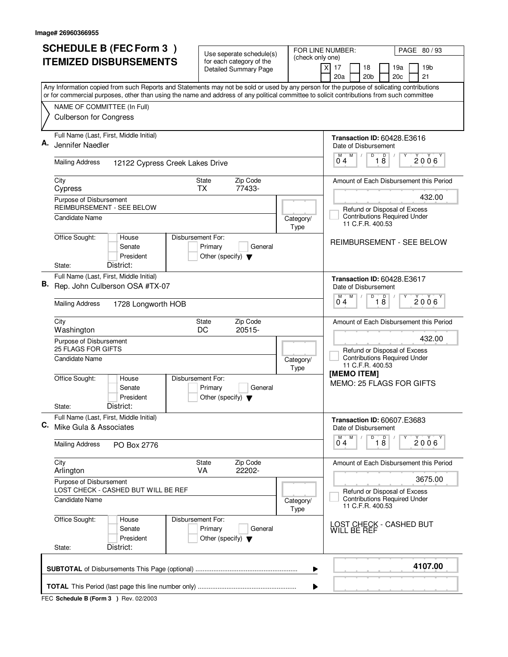|    | <b>SCHEDULE B (FEC Form 3)</b>                                                                                                                                                                                                                                                         | Use seperate schedule(s)                                   |                   | FOR LINE NUMBER:<br>PAGE 80/93                                                          |  |  |  |
|----|----------------------------------------------------------------------------------------------------------------------------------------------------------------------------------------------------------------------------------------------------------------------------------------|------------------------------------------------------------|-------------------|-----------------------------------------------------------------------------------------|--|--|--|
|    | <b>ITEMIZED DISBURSEMENTS</b>                                                                                                                                                                                                                                                          | for each category of the<br><b>Detailed Summary Page</b>   | (check only one)  | 17<br>18<br>19a<br>19 <sub>b</sub>                                                      |  |  |  |
|    |                                                                                                                                                                                                                                                                                        |                                                            |                   | 20a<br>20 <sub>b</sub><br>20 <sub>c</sub><br>21                                         |  |  |  |
|    | Any Information copied from such Reports and Statements may not be sold or used by any person for the purpose of solicating contributions<br>or for commercial purposes, other than using the name and address of any political committee to solicit contributions from such committee |                                                            |                   |                                                                                         |  |  |  |
|    | NAME OF COMMITTEE (In Full)                                                                                                                                                                                                                                                            |                                                            |                   |                                                                                         |  |  |  |
|    | <b>Culberson for Congress</b>                                                                                                                                                                                                                                                          |                                                            |                   |                                                                                         |  |  |  |
| А. | Full Name (Last, First, Middle Initial)<br>Jennifer Naedler                                                                                                                                                                                                                            |                                                            |                   | <b>Transaction ID: 60428.E3616</b><br>Date of Disbursement<br>D<br>M                    |  |  |  |
|    | <b>Mailing Address</b><br>12122 Cypress Creek Lakes Drive                                                                                                                                                                                                                              |                                                            |                   | 18<br>$\overline{0}^M$ 4<br>2006                                                        |  |  |  |
|    | City<br>Cypress                                                                                                                                                                                                                                                                        | Zip Code<br><b>State</b><br>77433-<br><b>TX</b>            |                   | Amount of Each Disbursement this Period                                                 |  |  |  |
|    | Purpose of Disbursement<br><b>REIMBURSEMENT - SEE BELOW</b>                                                                                                                                                                                                                            |                                                            |                   | 432.00                                                                                  |  |  |  |
|    | Candidate Name                                                                                                                                                                                                                                                                         |                                                            | Category/<br>Type | Refund or Disposal of Excess<br><b>Contributions Required Under</b><br>11 C.F.R. 400.53 |  |  |  |
|    | Office Sought:<br>Disbursement For:<br>House<br>Senate<br>President<br>District:<br>State:                                                                                                                                                                                             | Primary<br>General<br>Other (specify) $\blacktriangledown$ |                   | REIMBURSEMENT - SEE BELOW                                                               |  |  |  |
|    | Full Name (Last, First, Middle Initial)                                                                                                                                                                                                                                                |                                                            |                   | <b>Transaction ID: 60428.E3617</b>                                                      |  |  |  |
| В. | Rep. John Culberson OSA #TX-07                                                                                                                                                                                                                                                         |                                                            |                   | Date of Disbursement                                                                    |  |  |  |
|    | <b>Mailing Address</b><br>1728 Longworth HOB                                                                                                                                                                                                                                           |                                                            |                   | D<br>D<br>M<br>2006<br>18<br>04                                                         |  |  |  |
|    | City<br>Washington                                                                                                                                                                                                                                                                     | Zip Code<br>State<br>DC<br>20515-                          |                   | Amount of Each Disbursement this Period                                                 |  |  |  |
|    | Purpose of Disbursement<br><b>25 FLAGS FOR GIFTS</b>                                                                                                                                                                                                                                   |                                                            |                   | 432.00                                                                                  |  |  |  |
|    | <b>Candidate Name</b>                                                                                                                                                                                                                                                                  |                                                            | Category/<br>Type | Refund or Disposal of Excess<br><b>Contributions Required Under</b><br>11 C.F.R. 400.53 |  |  |  |
|    | Office Sought:<br>Disbursement For:<br>House<br>Senate<br>President<br>District:<br>State:                                                                                                                                                                                             | Primary<br>General<br>Other (specify) $\blacktriangledown$ |                   | [MEMO ITEM]<br>MEMO: 25 FLAGS FOR GIFTS                                                 |  |  |  |
|    | Full Name (Last, First, Middle Initial)                                                                                                                                                                                                                                                |                                                            |                   | <b>Transaction ID: 60607.E3683</b>                                                      |  |  |  |
| С. | Mike Gula & Associates                                                                                                                                                                                                                                                                 |                                                            |                   | Date of Disbursement                                                                    |  |  |  |
|    | <b>Mailing Address</b><br>PO Box 2776                                                                                                                                                                                                                                                  |                                                            |                   | M<br>$\overline{0}$ 1 8<br>M<br>Υ<br>2006<br>$0^74$                                     |  |  |  |
|    | City<br>Arlington                                                                                                                                                                                                                                                                      | State<br>Zip Code<br>VA<br>22202-                          |                   | Amount of Each Disbursement this Period                                                 |  |  |  |
|    | Purpose of Disbursement<br>LOST CHECK - CASHED BUT WILL BE REF                                                                                                                                                                                                                         |                                                            |                   | 3675.00<br>Refund or Disposal of Excess                                                 |  |  |  |
|    | Candidate Name                                                                                                                                                                                                                                                                         |                                                            | Category/<br>Type | <b>Contributions Required Under</b><br>11 C.F.R. 400.53                                 |  |  |  |
|    | Office Sought:<br>Disbursement For:<br>House<br>Senate<br>President<br>District:                                                                                                                                                                                                       | Primary<br>General<br>Other (specify) $\blacktriangledown$ |                   | LOST CHECK - CASHED BUT<br>WILL BE REF                                                  |  |  |  |
|    | State:                                                                                                                                                                                                                                                                                 |                                                            |                   |                                                                                         |  |  |  |
|    | 4107.00<br>▶                                                                                                                                                                                                                                                                           |                                                            |                   |                                                                                         |  |  |  |
|    | ▶                                                                                                                                                                                                                                                                                      |                                                            |                   |                                                                                         |  |  |  |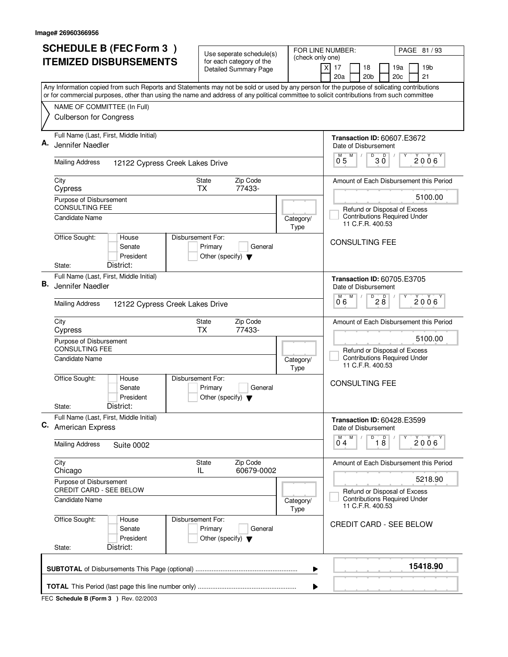| (check only one)<br><b>ITEMIZED DISBURSEMENTS</b><br>for each category of the<br>19 <sub>b</sub><br>X<br>17<br>18<br>19a<br><b>Detailed Summary Page</b><br>20a<br>20 <sub>b</sub><br>20c<br>21<br>Any Information copied from such Reports and Statements may not be sold or used by any person for the purpose of solicating contributions<br>or for commercial purposes, other than using the name and address of any political committee to solicit contributions from such committee<br>NAME OF COMMITTEE (In Full)<br><b>Culberson for Congress</b><br>Full Name (Last, First, Middle Initial)<br>Transaction ID: 60607.E3672<br>А.<br>Jennifer Naedler<br>Date of Disbursement<br>$0^M$ 5 $M$<br>$B^{\circ}$ 30<br>$2006^{\circ}$<br><b>Mailing Address</b><br>12122 Cypress Creek Lakes Drive<br>State<br>Zip Code<br>City<br>77433-<br><b>TX</b><br>Cypress<br>5100.00<br>Purpose of Disbursement<br>CONSULTING FEE<br>Refund or Disposal of Excess<br><b>Contributions Required Under</b><br><b>Candidate Name</b><br>Category/<br>11 C.F.R. 400.53<br>Type<br>Office Sought:<br>House<br>Disbursement For:<br><b>CONSULTING FEE</b><br>Senate<br>Primary<br>General<br>President<br>Other (specify) $\blacktriangledown$<br>District:<br>State:<br>Full Name (Last, First, Middle Initial)<br><b>Transaction ID: 60705.E3705</b><br>В.<br>Jennifer Naedler<br>Date of Disbursement<br>D<br>D<br>M<br>2006<br>28<br>06<br><b>Mailing Address</b><br>12122 Cypress Creek Lakes Drive<br>Zip Code<br>City<br>State<br>77433-<br><b>TX</b><br>Cypress<br>5100.00<br>Purpose of Disbursement<br><b>CONSULTING FEE</b><br>Refund or Disposal of Excess<br><b>Contributions Required Under</b><br>Candidate Name<br>Category/<br>11 C.F.R. 400.53<br>Type<br>Office Sought:<br>House<br>Disbursement For:<br><b>CONSULTING FEE</b><br>Senate<br>Primary<br>General<br>President<br>Other (specify) $\blacktriangledown$<br>District:<br>State:<br>Full Name (Last, First, Middle Initial)<br><b>Transaction ID: 60428.E3599</b><br>Date of Disbursement<br>$\overline{18}$<br>M<br>M<br>2006<br>04<br><b>Mailing Address</b><br><b>Suite 0002</b><br>Zip Code<br>City<br>State<br>60679-0002<br>IL<br>Chicago<br>5218.90<br>Purpose of Disbursement<br>CREDIT CARD - SEE BELOW<br>Refund or Disposal of Excess<br><b>Contributions Required Under</b><br>Candidate Name<br>Category/<br>11 C.F.R. 400.53<br>Type<br>Office Sought:<br>Disbursement For:<br>House<br>CREDIT CARD - SEE BELOW<br>Senate<br>Primary<br>General<br>President<br>Other (specify) $\blacktriangledown$<br>District:<br>State:<br>15418.90<br>▶<br>▶ | <b>SCHEDULE B (FEC Form 3)</b> | Use seperate schedule(s) | FOR LINE NUMBER: | PAGE 81 / 93                            |  |  |  |
|-----------------------------------------------------------------------------------------------------------------------------------------------------------------------------------------------------------------------------------------------------------------------------------------------------------------------------------------------------------------------------------------------------------------------------------------------------------------------------------------------------------------------------------------------------------------------------------------------------------------------------------------------------------------------------------------------------------------------------------------------------------------------------------------------------------------------------------------------------------------------------------------------------------------------------------------------------------------------------------------------------------------------------------------------------------------------------------------------------------------------------------------------------------------------------------------------------------------------------------------------------------------------------------------------------------------------------------------------------------------------------------------------------------------------------------------------------------------------------------------------------------------------------------------------------------------------------------------------------------------------------------------------------------------------------------------------------------------------------------------------------------------------------------------------------------------------------------------------------------------------------------------------------------------------------------------------------------------------------------------------------------------------------------------------------------------------------------------------------------------------------------------------------------------------------------------------------------------------------------------------------------------------------------------------------------------------------------------------------------------------------------------------------------------------------------------------------------------------------------------------------------------------------------------------------------------------------------------------------------------------------------|--------------------------------|--------------------------|------------------|-----------------------------------------|--|--|--|
| C. American Express                                                                                                                                                                                                                                                                                                                                                                                                                                                                                                                                                                                                                                                                                                                                                                                                                                                                                                                                                                                                                                                                                                                                                                                                                                                                                                                                                                                                                                                                                                                                                                                                                                                                                                                                                                                                                                                                                                                                                                                                                                                                                                                                                                                                                                                                                                                                                                                                                                                                                                                                                                                                               |                                |                          |                  |                                         |  |  |  |
|                                                                                                                                                                                                                                                                                                                                                                                                                                                                                                                                                                                                                                                                                                                                                                                                                                                                                                                                                                                                                                                                                                                                                                                                                                                                                                                                                                                                                                                                                                                                                                                                                                                                                                                                                                                                                                                                                                                                                                                                                                                                                                                                                                                                                                                                                                                                                                                                                                                                                                                                                                                                                                   |                                |                          |                  |                                         |  |  |  |
|                                                                                                                                                                                                                                                                                                                                                                                                                                                                                                                                                                                                                                                                                                                                                                                                                                                                                                                                                                                                                                                                                                                                                                                                                                                                                                                                                                                                                                                                                                                                                                                                                                                                                                                                                                                                                                                                                                                                                                                                                                                                                                                                                                                                                                                                                                                                                                                                                                                                                                                                                                                                                                   |                                |                          |                  |                                         |  |  |  |
|                                                                                                                                                                                                                                                                                                                                                                                                                                                                                                                                                                                                                                                                                                                                                                                                                                                                                                                                                                                                                                                                                                                                                                                                                                                                                                                                                                                                                                                                                                                                                                                                                                                                                                                                                                                                                                                                                                                                                                                                                                                                                                                                                                                                                                                                                                                                                                                                                                                                                                                                                                                                                                   |                                |                          |                  |                                         |  |  |  |
|                                                                                                                                                                                                                                                                                                                                                                                                                                                                                                                                                                                                                                                                                                                                                                                                                                                                                                                                                                                                                                                                                                                                                                                                                                                                                                                                                                                                                                                                                                                                                                                                                                                                                                                                                                                                                                                                                                                                                                                                                                                                                                                                                                                                                                                                                                                                                                                                                                                                                                                                                                                                                                   |                                |                          |                  |                                         |  |  |  |
|                                                                                                                                                                                                                                                                                                                                                                                                                                                                                                                                                                                                                                                                                                                                                                                                                                                                                                                                                                                                                                                                                                                                                                                                                                                                                                                                                                                                                                                                                                                                                                                                                                                                                                                                                                                                                                                                                                                                                                                                                                                                                                                                                                                                                                                                                                                                                                                                                                                                                                                                                                                                                                   |                                |                          |                  |                                         |  |  |  |
|                                                                                                                                                                                                                                                                                                                                                                                                                                                                                                                                                                                                                                                                                                                                                                                                                                                                                                                                                                                                                                                                                                                                                                                                                                                                                                                                                                                                                                                                                                                                                                                                                                                                                                                                                                                                                                                                                                                                                                                                                                                                                                                                                                                                                                                                                                                                                                                                                                                                                                                                                                                                                                   |                                |                          |                  |                                         |  |  |  |
|                                                                                                                                                                                                                                                                                                                                                                                                                                                                                                                                                                                                                                                                                                                                                                                                                                                                                                                                                                                                                                                                                                                                                                                                                                                                                                                                                                                                                                                                                                                                                                                                                                                                                                                                                                                                                                                                                                                                                                                                                                                                                                                                                                                                                                                                                                                                                                                                                                                                                                                                                                                                                                   |                                |                          |                  | Amount of Each Disbursement this Period |  |  |  |
|                                                                                                                                                                                                                                                                                                                                                                                                                                                                                                                                                                                                                                                                                                                                                                                                                                                                                                                                                                                                                                                                                                                                                                                                                                                                                                                                                                                                                                                                                                                                                                                                                                                                                                                                                                                                                                                                                                                                                                                                                                                                                                                                                                                                                                                                                                                                                                                                                                                                                                                                                                                                                                   |                                |                          |                  |                                         |  |  |  |
|                                                                                                                                                                                                                                                                                                                                                                                                                                                                                                                                                                                                                                                                                                                                                                                                                                                                                                                                                                                                                                                                                                                                                                                                                                                                                                                                                                                                                                                                                                                                                                                                                                                                                                                                                                                                                                                                                                                                                                                                                                                                                                                                                                                                                                                                                                                                                                                                                                                                                                                                                                                                                                   |                                |                          |                  |                                         |  |  |  |
|                                                                                                                                                                                                                                                                                                                                                                                                                                                                                                                                                                                                                                                                                                                                                                                                                                                                                                                                                                                                                                                                                                                                                                                                                                                                                                                                                                                                                                                                                                                                                                                                                                                                                                                                                                                                                                                                                                                                                                                                                                                                                                                                                                                                                                                                                                                                                                                                                                                                                                                                                                                                                                   |                                |                          |                  |                                         |  |  |  |
|                                                                                                                                                                                                                                                                                                                                                                                                                                                                                                                                                                                                                                                                                                                                                                                                                                                                                                                                                                                                                                                                                                                                                                                                                                                                                                                                                                                                                                                                                                                                                                                                                                                                                                                                                                                                                                                                                                                                                                                                                                                                                                                                                                                                                                                                                                                                                                                                                                                                                                                                                                                                                                   |                                |                          |                  |                                         |  |  |  |
|                                                                                                                                                                                                                                                                                                                                                                                                                                                                                                                                                                                                                                                                                                                                                                                                                                                                                                                                                                                                                                                                                                                                                                                                                                                                                                                                                                                                                                                                                                                                                                                                                                                                                                                                                                                                                                                                                                                                                                                                                                                                                                                                                                                                                                                                                                                                                                                                                                                                                                                                                                                                                                   |                                |                          |                  |                                         |  |  |  |
|                                                                                                                                                                                                                                                                                                                                                                                                                                                                                                                                                                                                                                                                                                                                                                                                                                                                                                                                                                                                                                                                                                                                                                                                                                                                                                                                                                                                                                                                                                                                                                                                                                                                                                                                                                                                                                                                                                                                                                                                                                                                                                                                                                                                                                                                                                                                                                                                                                                                                                                                                                                                                                   |                                |                          |                  |                                         |  |  |  |
|                                                                                                                                                                                                                                                                                                                                                                                                                                                                                                                                                                                                                                                                                                                                                                                                                                                                                                                                                                                                                                                                                                                                                                                                                                                                                                                                                                                                                                                                                                                                                                                                                                                                                                                                                                                                                                                                                                                                                                                                                                                                                                                                                                                                                                                                                                                                                                                                                                                                                                                                                                                                                                   |                                |                          |                  | Amount of Each Disbursement this Period |  |  |  |
|                                                                                                                                                                                                                                                                                                                                                                                                                                                                                                                                                                                                                                                                                                                                                                                                                                                                                                                                                                                                                                                                                                                                                                                                                                                                                                                                                                                                                                                                                                                                                                                                                                                                                                                                                                                                                                                                                                                                                                                                                                                                                                                                                                                                                                                                                                                                                                                                                                                                                                                                                                                                                                   |                                |                          |                  |                                         |  |  |  |
|                                                                                                                                                                                                                                                                                                                                                                                                                                                                                                                                                                                                                                                                                                                                                                                                                                                                                                                                                                                                                                                                                                                                                                                                                                                                                                                                                                                                                                                                                                                                                                                                                                                                                                                                                                                                                                                                                                                                                                                                                                                                                                                                                                                                                                                                                                                                                                                                                                                                                                                                                                                                                                   |                                |                          |                  |                                         |  |  |  |
|                                                                                                                                                                                                                                                                                                                                                                                                                                                                                                                                                                                                                                                                                                                                                                                                                                                                                                                                                                                                                                                                                                                                                                                                                                                                                                                                                                                                                                                                                                                                                                                                                                                                                                                                                                                                                                                                                                                                                                                                                                                                                                                                                                                                                                                                                                                                                                                                                                                                                                                                                                                                                                   |                                |                          |                  |                                         |  |  |  |
|                                                                                                                                                                                                                                                                                                                                                                                                                                                                                                                                                                                                                                                                                                                                                                                                                                                                                                                                                                                                                                                                                                                                                                                                                                                                                                                                                                                                                                                                                                                                                                                                                                                                                                                                                                                                                                                                                                                                                                                                                                                                                                                                                                                                                                                                                                                                                                                                                                                                                                                                                                                                                                   |                                |                          |                  |                                         |  |  |  |
|                                                                                                                                                                                                                                                                                                                                                                                                                                                                                                                                                                                                                                                                                                                                                                                                                                                                                                                                                                                                                                                                                                                                                                                                                                                                                                                                                                                                                                                                                                                                                                                                                                                                                                                                                                                                                                                                                                                                                                                                                                                                                                                                                                                                                                                                                                                                                                                                                                                                                                                                                                                                                                   |                                |                          |                  |                                         |  |  |  |
|                                                                                                                                                                                                                                                                                                                                                                                                                                                                                                                                                                                                                                                                                                                                                                                                                                                                                                                                                                                                                                                                                                                                                                                                                                                                                                                                                                                                                                                                                                                                                                                                                                                                                                                                                                                                                                                                                                                                                                                                                                                                                                                                                                                                                                                                                                                                                                                                                                                                                                                                                                                                                                   |                                |                          |                  |                                         |  |  |  |
|                                                                                                                                                                                                                                                                                                                                                                                                                                                                                                                                                                                                                                                                                                                                                                                                                                                                                                                                                                                                                                                                                                                                                                                                                                                                                                                                                                                                                                                                                                                                                                                                                                                                                                                                                                                                                                                                                                                                                                                                                                                                                                                                                                                                                                                                                                                                                                                                                                                                                                                                                                                                                                   |                                |                          |                  | Amount of Each Disbursement this Period |  |  |  |
|                                                                                                                                                                                                                                                                                                                                                                                                                                                                                                                                                                                                                                                                                                                                                                                                                                                                                                                                                                                                                                                                                                                                                                                                                                                                                                                                                                                                                                                                                                                                                                                                                                                                                                                                                                                                                                                                                                                                                                                                                                                                                                                                                                                                                                                                                                                                                                                                                                                                                                                                                                                                                                   |                                |                          |                  |                                         |  |  |  |
|                                                                                                                                                                                                                                                                                                                                                                                                                                                                                                                                                                                                                                                                                                                                                                                                                                                                                                                                                                                                                                                                                                                                                                                                                                                                                                                                                                                                                                                                                                                                                                                                                                                                                                                                                                                                                                                                                                                                                                                                                                                                                                                                                                                                                                                                                                                                                                                                                                                                                                                                                                                                                                   |                                |                          |                  |                                         |  |  |  |
|                                                                                                                                                                                                                                                                                                                                                                                                                                                                                                                                                                                                                                                                                                                                                                                                                                                                                                                                                                                                                                                                                                                                                                                                                                                                                                                                                                                                                                                                                                                                                                                                                                                                                                                                                                                                                                                                                                                                                                                                                                                                                                                                                                                                                                                                                                                                                                                                                                                                                                                                                                                                                                   |                                |                          |                  |                                         |  |  |  |
|                                                                                                                                                                                                                                                                                                                                                                                                                                                                                                                                                                                                                                                                                                                                                                                                                                                                                                                                                                                                                                                                                                                                                                                                                                                                                                                                                                                                                                                                                                                                                                                                                                                                                                                                                                                                                                                                                                                                                                                                                                                                                                                                                                                                                                                                                                                                                                                                                                                                                                                                                                                                                                   |                                |                          |                  |                                         |  |  |  |
|                                                                                                                                                                                                                                                                                                                                                                                                                                                                                                                                                                                                                                                                                                                                                                                                                                                                                                                                                                                                                                                                                                                                                                                                                                                                                                                                                                                                                                                                                                                                                                                                                                                                                                                                                                                                                                                                                                                                                                                                                                                                                                                                                                                                                                                                                                                                                                                                                                                                                                                                                                                                                                   |                                |                          |                  |                                         |  |  |  |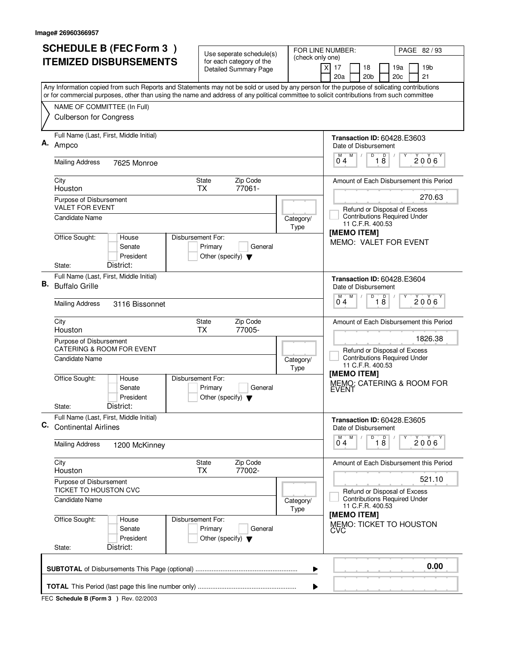|    | <b>SCHEDULE B (FEC Form 3)</b>                                                                                                                                                                                                                                                         | Use seperate schedule(s)                                   |                   | FOR LINE NUMBER:<br>PAGE 82/93                                                  |  |  |  |
|----|----------------------------------------------------------------------------------------------------------------------------------------------------------------------------------------------------------------------------------------------------------------------------------------|------------------------------------------------------------|-------------------|---------------------------------------------------------------------------------|--|--|--|
|    | <b>ITEMIZED DISBURSEMENTS</b>                                                                                                                                                                                                                                                          | for each category of the<br><b>Detailed Summary Page</b>   | (check only one)  | 19 <sub>b</sub><br>17<br>18<br>19a<br>X                                         |  |  |  |
|    |                                                                                                                                                                                                                                                                                        |                                                            |                   | 20a<br>20 <sub>b</sub><br>20 <sub>c</sub><br>21                                 |  |  |  |
|    | Any Information copied from such Reports and Statements may not be sold or used by any person for the purpose of solicating contributions<br>or for commercial purposes, other than using the name and address of any political committee to solicit contributions from such committee |                                                            |                   |                                                                                 |  |  |  |
|    | NAME OF COMMITTEE (In Full)                                                                                                                                                                                                                                                            |                                                            |                   |                                                                                 |  |  |  |
|    | <b>Culberson for Congress</b>                                                                                                                                                                                                                                                          |                                                            |                   |                                                                                 |  |  |  |
| Α. | Full Name (Last, First, Middle Initial)<br>Ampco                                                                                                                                                                                                                                       |                                                            |                   | <b>Transaction ID: 60428.E3603</b><br>Date of Disbursement                      |  |  |  |
|    | <b>Mailing Address</b><br>7625 Monroe                                                                                                                                                                                                                                                  |                                                            |                   | $\overline{18}$<br>D<br>$\sqrt{ }$<br>M<br>$\overline{0}^M$ 4<br>$2006^{\circ}$ |  |  |  |
|    | City<br>Houston                                                                                                                                                                                                                                                                        | Zip Code<br><b>State</b><br>77061-<br><b>TX</b>            |                   | Amount of Each Disbursement this Period                                         |  |  |  |
|    | Purpose of Disbursement                                                                                                                                                                                                                                                                |                                                            |                   | 270.63                                                                          |  |  |  |
|    | <b>VALET FOR EVENT</b><br>Candidate Name                                                                                                                                                                                                                                               |                                                            |                   | Refund or Disposal of Excess<br><b>Contributions Required Under</b>             |  |  |  |
|    |                                                                                                                                                                                                                                                                                        |                                                            | Category/<br>Type | 11 C.F.R. 400.53                                                                |  |  |  |
|    | Office Sought:<br>Disbursement For:<br>House<br>Senate<br>President                                                                                                                                                                                                                    | Primary<br>General<br>Other (specify) $\blacktriangledown$ |                   | [MEMO ITEM]<br><b>MEMO: VALET FOR EVENT</b>                                     |  |  |  |
|    | District:<br>State:                                                                                                                                                                                                                                                                    |                                                            |                   |                                                                                 |  |  |  |
| В. | Full Name (Last, First, Middle Initial)<br><b>Buffalo Grille</b>                                                                                                                                                                                                                       |                                                            |                   | <b>Transaction ID: 60428.E3604</b><br>Date of Disbursement                      |  |  |  |
|    | <b>Mailing Address</b><br>3116 Bissonnet                                                                                                                                                                                                                                               |                                                            |                   | $\overline{D}$<br>M<br>D<br>2006<br>18<br>04                                    |  |  |  |
|    | City<br>Houston                                                                                                                                                                                                                                                                        | Zip Code<br>State<br><b>TX</b><br>77005-                   |                   | Amount of Each Disbursement this Period                                         |  |  |  |
|    | Purpose of Disbursement<br><b>CATERING &amp; ROOM FOR EVENT</b>                                                                                                                                                                                                                        |                                                            |                   | 1826.38<br>Refund or Disposal of Excess                                         |  |  |  |
|    | <b>Candidate Name</b>                                                                                                                                                                                                                                                                  |                                                            | Category/<br>Type | <b>Contributions Required Under</b><br>11 C.F.R. 400.53                         |  |  |  |
|    | Office Sought:<br>House<br>Disbursement For:<br>Senate<br>President                                                                                                                                                                                                                    | Primary<br>General<br>Other (specify) $\blacktriangledown$ |                   | [MEMO ITEM]<br>MEMO: CATERING & ROOM FOR<br><b>EVENT</b>                        |  |  |  |
|    | District:<br>State:                                                                                                                                                                                                                                                                    |                                                            |                   |                                                                                 |  |  |  |
| C. | Full Name (Last, First, Middle Initial)<br><b>Continental Airlines</b>                                                                                                                                                                                                                 |                                                            |                   | <b>Transaction ID: 60428.E3605</b><br>Date of Disbursement                      |  |  |  |
|    | <b>Mailing Address</b><br>1200 McKinney                                                                                                                                                                                                                                                |                                                            |                   | M<br>D<br>$\overline{18}$<br>2006<br>$0^{\circ}$ 4                              |  |  |  |
|    | City<br>Houston                                                                                                                                                                                                                                                                        | State<br>Zip Code<br>77002-<br><b>TX</b>                   |                   | Amount of Each Disbursement this Period                                         |  |  |  |
|    | Purpose of Disbursement<br>TICKET TO HOUSTON CVC                                                                                                                                                                                                                                       |                                                            |                   | 521.10<br>Refund or Disposal of Excess                                          |  |  |  |
|    | Candidate Name                                                                                                                                                                                                                                                                         |                                                            | Category/<br>Type | <b>Contributions Required Under</b><br>11 C.F.R. 400.53                         |  |  |  |
|    | Office Sought:<br>Disbursement For:<br>House<br>Senate<br>President                                                                                                                                                                                                                    | Primary<br>General<br>Other (specify) $\blacktriangledown$ |                   | [MEMO ITEM]<br>MEMO: TICKET TO HOUSTON<br>CVC                                   |  |  |  |
|    | District:<br>State:                                                                                                                                                                                                                                                                    |                                                            |                   |                                                                                 |  |  |  |
|    | 0.00<br>▶                                                                                                                                                                                                                                                                              |                                                            |                   |                                                                                 |  |  |  |
|    | ▶                                                                                                                                                                                                                                                                                      |                                                            |                   |                                                                                 |  |  |  |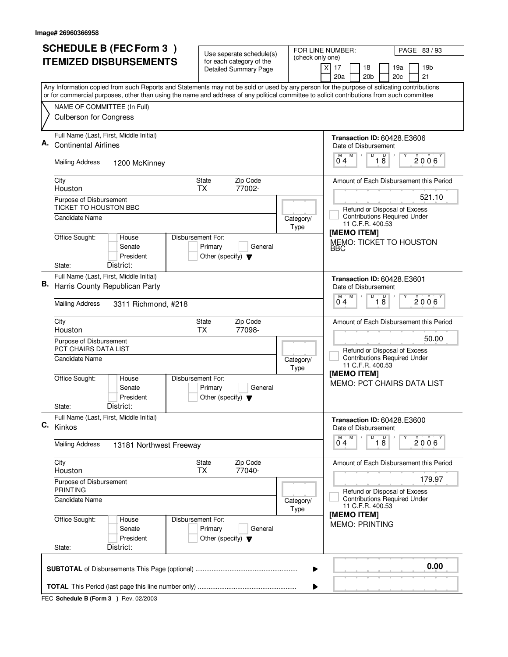|    | <b>SCHEDULE B (FEC Form 3)</b>                                                                                                                                                                                                                                                         | Use seperate schedule(s)                                                        | FOR LINE NUMBER:                       | PAGE 83 / 93                                                                                                                                |  |  |
|----|----------------------------------------------------------------------------------------------------------------------------------------------------------------------------------------------------------------------------------------------------------------------------------------|---------------------------------------------------------------------------------|----------------------------------------|---------------------------------------------------------------------------------------------------------------------------------------------|--|--|
|    | <b>ITEMIZED DISBURSEMENTS</b>                                                                                                                                                                                                                                                          | for each category of the<br><b>Detailed Summary Page</b>                        | (check only one)                       | $\times$<br>17<br>18<br>19b<br>19a<br>20a<br>20 <sub>b</sub><br>21<br>20c                                                                   |  |  |
|    | Any Information copied from such Reports and Statements may not be sold or used by any person for the purpose of solicating contributions<br>or for commercial purposes, other than using the name and address of any political committee to solicit contributions from such committee |                                                                                 |                                        |                                                                                                                                             |  |  |
|    | NAME OF COMMITTEE (In Full)<br><b>Culberson for Congress</b>                                                                                                                                                                                                                           |                                                                                 |                                        |                                                                                                                                             |  |  |
| Α. | Full Name (Last, First, Middle Initial)<br><b>Continental Airlines</b><br><b>Mailing Address</b><br>1200 McKinney                                                                                                                                                                      |                                                                                 |                                        | <b>Transaction ID: 60428.E3606</b><br>Date of Disbursement<br>$\overline{D}$<br>M<br>18<br>2006<br>$0^{\degree}4$                           |  |  |
|    | City<br>Houston<br>Purpose of Disbursement                                                                                                                                                                                                                                             | State<br>Zip Code<br>77002-<br><b>TX</b>                                        |                                        | Amount of Each Disbursement this Period<br>521.10                                                                                           |  |  |
|    | TICKET TO HOUSTON BBC<br>Candidate Name                                                                                                                                                                                                                                                |                                                                                 | Category/<br>Type                      | Refund or Disposal of Excess<br><b>Contributions Required Under</b><br>11 C.F.R. 400.53                                                     |  |  |
|    | Office Sought:<br>Disbursement For:<br>House<br>Senate<br>President<br>District:<br>State:                                                                                                                                                                                             | Primary<br>General<br>Other (specify) $\blacktriangledown$                      |                                        | [MEMO ITEM]<br><b>MEMO: TICKET TO HOUSTON</b><br>BBC                                                                                        |  |  |
| В. | Full Name (Last, First, Middle Initial)<br>Harris County Republican Party                                                                                                                                                                                                              |                                                                                 |                                        | <b>Transaction ID: 60428.E3601</b><br>Date of Disbursement                                                                                  |  |  |
|    | <b>Mailing Address</b><br>3311 Richmond, #218                                                                                                                                                                                                                                          |                                                                                 |                                        | $\overline{D}$<br>D<br>M<br>2006<br>18<br>04                                                                                                |  |  |
|    | City<br>Houston<br>Purpose of Disbursement                                                                                                                                                                                                                                             | Zip Code<br><b>State</b><br>77098-<br><b>TX</b>                                 |                                        | Amount of Each Disbursement this Period<br>50.00                                                                                            |  |  |
|    | <b>PCT CHAIRS DATA LIST</b><br><b>Candidate Name</b><br>Office Sought:<br>Disbursement For:<br>House<br>Senate                                                                                                                                                                         | Primary<br>General                                                              | Category/<br>Type                      | Refund or Disposal of Excess<br><b>Contributions Required Under</b><br>11 C.F.R. 400.53<br>[MEMO ITEM]<br><b>MEMO: PCT CHAIRS DATA LIST</b> |  |  |
|    | President<br>District:<br>State:                                                                                                                                                                                                                                                       | Other (specify) $\blacktriangledown$                                            |                                        |                                                                                                                                             |  |  |
|    | Full Name (Last, First, Middle Initial)<br>C. Kinkos                                                                                                                                                                                                                                   |                                                                                 |                                        | <b>Transaction ID: 60428.E3600</b><br>Date of Disbursement<br>$\overline{D}$<br>M<br>M<br>Y                                                 |  |  |
|    | Mailing Address<br>13181 Northwest Freeway                                                                                                                                                                                                                                             |                                                                                 |                                        | $\overline{18}$<br>$2006^{\circ}$<br>04                                                                                                     |  |  |
|    | City<br>Houston                                                                                                                                                                                                                                                                        | Zip Code<br>State<br>77040-<br><b>TX</b>                                        |                                        | Amount of Each Disbursement this Period                                                                                                     |  |  |
|    | Purpose of Disbursement<br><b>PRINTING</b>                                                                                                                                                                                                                                             |                                                                                 | 179.97<br>Refund or Disposal of Excess |                                                                                                                                             |  |  |
|    | Candidate Name                                                                                                                                                                                                                                                                         |                                                                                 | Category/<br>Type                      | <b>Contributions Required Under</b><br>11 C.F.R. 400.53<br>[MEMO ITEM]                                                                      |  |  |
|    | Office Sought:<br>House<br>Senate<br>President<br>District:<br>State:                                                                                                                                                                                                                  | Disbursement For:<br>Primary<br>General<br>Other (specify) $\blacktriangledown$ |                                        | <b>MEMO: PRINTING</b>                                                                                                                       |  |  |
|    | 0.00<br>▶                                                                                                                                                                                                                                                                              |                                                                                 |                                        |                                                                                                                                             |  |  |
|    | ▶                                                                                                                                                                                                                                                                                      |                                                                                 |                                        |                                                                                                                                             |  |  |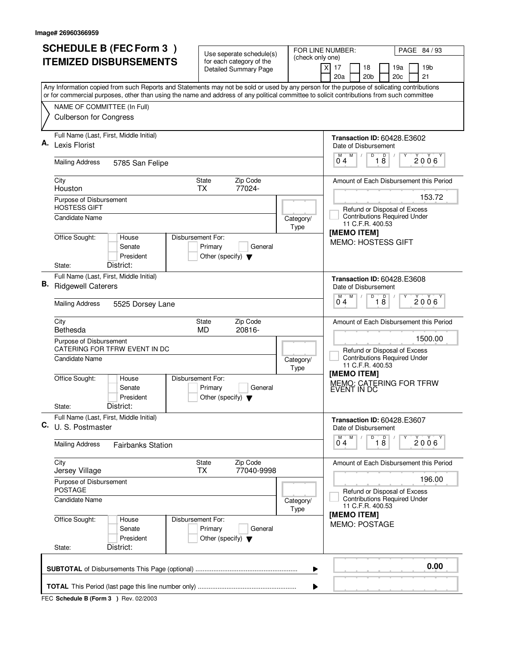|    | <b>SCHEDULE B (FEC Form 3)</b>                                                                                                            | Use seperate schedule(s)                                                        | FOR LINE NUMBER:  | PAGE 84 / 93                                                              |  |  |  |
|----|-------------------------------------------------------------------------------------------------------------------------------------------|---------------------------------------------------------------------------------|-------------------|---------------------------------------------------------------------------|--|--|--|
|    | <b>ITEMIZED DISBURSEMENTS</b>                                                                                                             | for each category of the<br><b>Detailed Summary Page</b>                        | (check only one)  | $\times$<br>17<br>18<br>19b<br>19a<br>20a<br>20 <sub>b</sub><br>21<br>20c |  |  |  |
|    | Any Information copied from such Reports and Statements may not be sold or used by any person for the purpose of solicating contributions |                                                                                 |                   |                                                                           |  |  |  |
|    | or for commercial purposes, other than using the name and address of any political committee to solicit contributions from such committee |                                                                                 |                   |                                                                           |  |  |  |
|    | NAME OF COMMITTEE (In Full)<br><b>Culberson for Congress</b>                                                                              |                                                                                 |                   |                                                                           |  |  |  |
|    | Full Name (Last, First, Middle Initial)                                                                                                   |                                                                                 |                   | <b>Transaction ID: 60428.E3602</b>                                        |  |  |  |
| А. | Lexis Florist                                                                                                                             |                                                                                 |                   | Date of Disbursement<br>D<br>M                                            |  |  |  |
|    | <b>Mailing Address</b><br>5785 San Felipe                                                                                                 |                                                                                 |                   | 18<br>2006<br>$0^{\degree}4$                                              |  |  |  |
|    | City                                                                                                                                      | State<br>Zip Code                                                               |                   | Amount of Each Disbursement this Period                                   |  |  |  |
|    | Houston<br>Purpose of Disbursement                                                                                                        | 77024-<br><b>TX</b>                                                             |                   | 153.72                                                                    |  |  |  |
|    | <b>HOSTESS GIFT</b>                                                                                                                       |                                                                                 |                   | Refund or Disposal of Excess                                              |  |  |  |
|    | Candidate Name                                                                                                                            |                                                                                 | Category/<br>Type | <b>Contributions Required Under</b><br>11 C.F.R. 400.53                   |  |  |  |
|    | Office Sought:<br>House                                                                                                                   | Disbursement For:                                                               |                   | [MEMO ITEM]<br><b>MEMO: HOSTESS GIFT</b>                                  |  |  |  |
|    | Senate                                                                                                                                    | Primary<br>General                                                              |                   |                                                                           |  |  |  |
|    | President<br>District:<br>State:                                                                                                          | Other (specify) $\blacktriangledown$                                            |                   |                                                                           |  |  |  |
|    | Full Name (Last, First, Middle Initial)                                                                                                   |                                                                                 |                   | <b>Transaction ID: 60428.E3608</b>                                        |  |  |  |
| В. | <b>Ridgewell Caterers</b>                                                                                                                 |                                                                                 |                   | Date of Disbursement                                                      |  |  |  |
|    | <b>Mailing Address</b><br>5525 Dorsey Lane                                                                                                |                                                                                 |                   | D<br>D<br>M<br>2006<br>18<br>04                                           |  |  |  |
|    | City<br>Bethesda                                                                                                                          | Zip Code<br><b>State</b><br>20816-<br><b>MD</b>                                 |                   | Amount of Each Disbursement this Period                                   |  |  |  |
|    | Purpose of Disbursement<br>CATERING FOR TFRW EVENT IN DC                                                                                  |                                                                                 |                   | 1500.00<br>Refund or Disposal of Excess                                   |  |  |  |
|    | <b>Candidate Name</b>                                                                                                                     |                                                                                 | Category/<br>Type | <b>Contributions Required Under</b><br>11 C.F.R. 400.53                   |  |  |  |
|    | Office Sought:<br>House<br>Senate<br>President                                                                                            | Disbursement For:<br>Primary<br>General<br>Other (specify) $\blacktriangledown$ |                   | [MEMO ITEM]<br>MEMO: CATERING FOR TFRW<br>EVENT IN DC                     |  |  |  |
|    | District:<br>State:                                                                                                                       |                                                                                 |                   |                                                                           |  |  |  |
|    | Full Name (Last, First, Middle Initial)<br>C. U. S. Postmaster                                                                            |                                                                                 |                   | Transaction ID: 60428.E3607<br>Date of Disbursement                       |  |  |  |
|    | <b>Mailing Address</b><br><b>Fairbanks Station</b>                                                                                        |                                                                                 |                   | $\overline{D}$<br>M<br>M<br>$\overline{18}$<br>$2006^\circ$<br>04         |  |  |  |
|    | City<br>Jersey Village                                                                                                                    | Zip Code<br>State<br>77040-9998<br><b>TX</b>                                    |                   | Amount of Each Disbursement this Period                                   |  |  |  |
|    | Purpose of Disbursement<br><b>POSTAGE</b>                                                                                                 |                                                                                 |                   | 196.00<br>Refund or Disposal of Excess                                    |  |  |  |
|    | <b>Candidate Name</b>                                                                                                                     |                                                                                 | Category/<br>Type | <b>Contributions Required Under</b><br>11 C.F.R. 400.53                   |  |  |  |
|    | Office Sought:<br>House<br>Senate<br>President                                                                                            | Disbursement For:<br>Primary<br>General<br>Other (specify) $\blacktriangledown$ |                   | [MEMO ITEM]<br><b>MEMO: POSTAGE</b>                                       |  |  |  |
|    | District:<br>State:                                                                                                                       |                                                                                 |                   |                                                                           |  |  |  |
|    | 0.00<br>▶                                                                                                                                 |                                                                                 |                   |                                                                           |  |  |  |
|    | ▶                                                                                                                                         |                                                                                 |                   |                                                                           |  |  |  |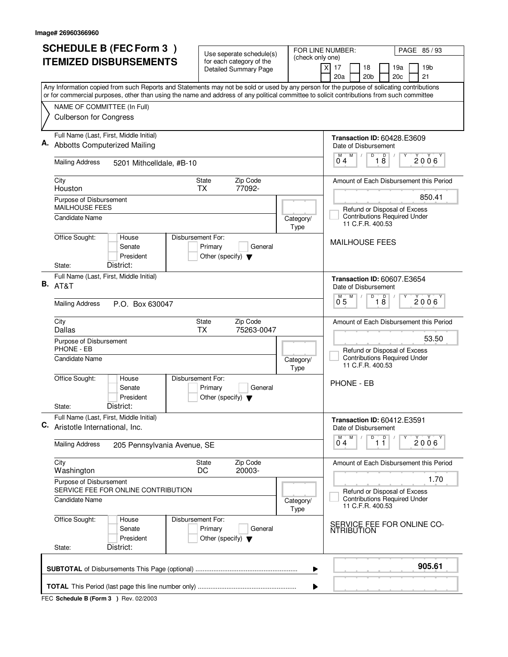|    | <b>SCHEDULE B (FEC Form 3)</b>                                                                                                                                                                                                                                                         | Use seperate schedule(s)                                   |                   | FOR LINE NUMBER:<br>PAGE 85/93                                                             |
|----|----------------------------------------------------------------------------------------------------------------------------------------------------------------------------------------------------------------------------------------------------------------------------------------|------------------------------------------------------------|-------------------|--------------------------------------------------------------------------------------------|
|    | <b>ITEMIZED DISBURSEMENTS</b>                                                                                                                                                                                                                                                          | for each category of the<br><b>Detailed Summary Page</b>   | (check only one)  | 17<br>18<br>19 <sub>b</sub><br>19a<br>X<br>20a<br>20 <sub>b</sub><br>20 <sub>c</sub><br>21 |
|    | Any Information copied from such Reports and Statements may not be sold or used by any person for the purpose of solicating contributions<br>or for commercial purposes, other than using the name and address of any political committee to solicit contributions from such committee |                                                            |                   |                                                                                            |
|    | NAME OF COMMITTEE (In Full)                                                                                                                                                                                                                                                            |                                                            |                   |                                                                                            |
|    | <b>Culberson for Congress</b>                                                                                                                                                                                                                                                          |                                                            |                   |                                                                                            |
|    | Full Name (Last, First, Middle Initial)<br>Abbotts Computerized Mailing                                                                                                                                                                                                                |                                                            |                   | <b>Transaction ID: 60428.E3609</b><br>Date of Disbursement                                 |
|    | <b>Mailing Address</b><br>5201 Mithcelldale, #B-10                                                                                                                                                                                                                                     |                                                            |                   | $\overline{18}$<br>$\overline{0}^M$ 4<br>M<br>D<br>$2006^\circ$                            |
|    | City<br>Houston                                                                                                                                                                                                                                                                        | <b>State</b><br>Zip Code<br>77092-<br><b>TX</b>            |                   | Amount of Each Disbursement this Period                                                    |
|    | Purpose of Disbursement<br><b>MAILHOUSE FEES</b>                                                                                                                                                                                                                                       |                                                            |                   | 850.41                                                                                     |
|    | Candidate Name                                                                                                                                                                                                                                                                         |                                                            | Category/<br>Type | Refund or Disposal of Excess<br><b>Contributions Required Under</b><br>11 C.F.R. 400.53    |
|    | Office Sought:<br>Disbursement For:<br>House<br>Senate<br>President<br>District:<br>State:                                                                                                                                                                                             | Primary<br>General<br>Other (specify) $\blacktriangledown$ |                   | <b>MAILHOUSE FEES</b>                                                                      |
|    | Full Name (Last, First, Middle Initial)<br><b>B.</b> AT&T                                                                                                                                                                                                                              |                                                            |                   | Transaction ID: 60607.E3654<br>Date of Disbursement                                        |
|    | <b>Mailing Address</b><br>P.O. Box 630047                                                                                                                                                                                                                                              |                                                            |                   | $\overline{D}$<br>M<br>D<br>2006<br>0 <sub>5</sub><br>18                                   |
|    | City<br>Dallas                                                                                                                                                                                                                                                                         | Zip Code<br><b>State</b><br><b>TX</b><br>75263-0047        |                   | Amount of Each Disbursement this Period                                                    |
|    | Purpose of Disbursement<br>PHONE - EB                                                                                                                                                                                                                                                  |                                                            |                   | 53.50<br>Refund or Disposal of Excess                                                      |
|    | Candidate Name                                                                                                                                                                                                                                                                         |                                                            | Category/<br>Type | <b>Contributions Required Under</b><br>11 C.F.R. 400.53                                    |
|    | Office Sought:<br>Disbursement For:<br>House<br>Senate<br>President<br>District:<br>State:                                                                                                                                                                                             | Primary<br>General<br>Other (specify) $\blacktriangledown$ |                   | <b>PHONE - EB</b>                                                                          |
| C. | Full Name (Last, First, Middle Initial)<br>Aristotle International, Inc.                                                                                                                                                                                                               |                                                            |                   | <b>Transaction ID: 60412.E3591</b><br>Date of Disbursement                                 |
|    | <b>Mailing Address</b><br>205 Pennsylvania Avenue, SE                                                                                                                                                                                                                                  |                                                            |                   | D<br>M<br>$\overline{1}$ $\overline{1}$<br>2006'<br>04                                     |
|    | City<br>Washington                                                                                                                                                                                                                                                                     | Zip Code<br>State<br>DC<br>20003-                          |                   | Amount of Each Disbursement this Period                                                    |
|    | Purpose of Disbursement<br>SERVICE FEE FOR ONLINE CONTRIBUTION                                                                                                                                                                                                                         |                                                            |                   | 1.70<br>Refund or Disposal of Excess                                                       |
|    | Candidate Name                                                                                                                                                                                                                                                                         |                                                            | Category/<br>Type | <b>Contributions Required Under</b><br>11 C.F.R. 400.53                                    |
|    | Office Sought:<br>Disbursement For:<br>House<br>Senate<br>President<br>District:                                                                                                                                                                                                       | Primary<br>General<br>Other (specify) $\blacktriangledown$ |                   | SERVICE FEE FOR ONLINE CO-<br><b>NTRIBUTION</b>                                            |
|    | State:                                                                                                                                                                                                                                                                                 |                                                            |                   |                                                                                            |
|    |                                                                                                                                                                                                                                                                                        |                                                            | ▶                 | 905.61                                                                                     |
|    |                                                                                                                                                                                                                                                                                        |                                                            | ▶                 |                                                                                            |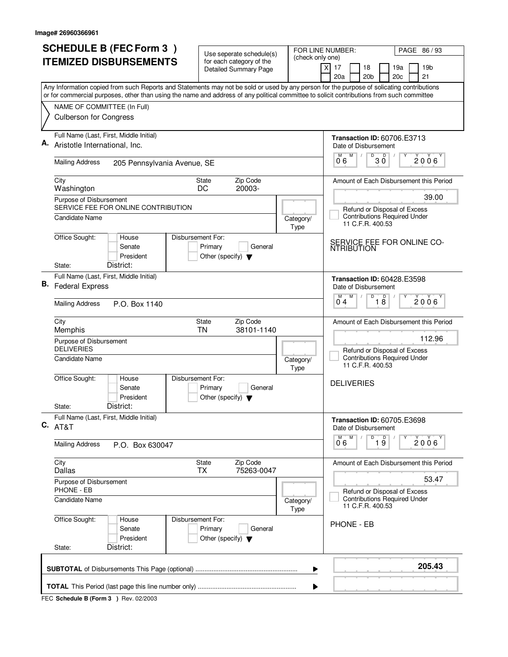|    | <b>SCHEDULE B (FEC Form 3)</b>                                                                                                            | Use seperate schedule(s)                                   |                   | PAGE 86 / 93<br>FOR LINE NUMBER:                                                         |
|----|-------------------------------------------------------------------------------------------------------------------------------------------|------------------------------------------------------------|-------------------|------------------------------------------------------------------------------------------|
|    | <b>ITEMIZED DISBURSEMENTS</b>                                                                                                             | for each category of the<br><b>Detailed Summary Page</b>   | (check only one)  | 17<br>19 <sub>b</sub><br>X<br>18<br>19a                                                  |
|    | Any Information copied from such Reports and Statements may not be sold or used by any person for the purpose of solicating contributions |                                                            |                   | 20a<br>20 <sub>b</sub><br>20c<br>21                                                      |
|    | or for commercial purposes, other than using the name and address of any political committee to solicit contributions from such committee |                                                            |                   |                                                                                          |
|    | NAME OF COMMITTEE (In Full)                                                                                                               |                                                            |                   |                                                                                          |
|    | <b>Culberson for Congress</b>                                                                                                             |                                                            |                   |                                                                                          |
|    | Full Name (Last, First, Middle Initial)<br>Aristotle International, Inc.                                                                  |                                                            |                   | <b>Transaction ID: 60706.E3713</b><br>Date of Disbursement                               |
|    | <b>Mailing Address</b><br>205 Pennsylvania Avenue, SE                                                                                     |                                                            |                   | $\overline{0}^{\overline{M}}$ 6<br>M<br>$B^{\circ}$ 30<br>Υ<br>$2006^{\circ}$            |
|    | City                                                                                                                                      | Zip Code<br>State                                          |                   | Amount of Each Disbursement this Period                                                  |
|    | Washington                                                                                                                                | 20003-<br>DC                                               |                   | 39.00                                                                                    |
|    | Purpose of Disbursement<br>SERVICE FEE FOR ONLINE CONTRIBUTION                                                                            |                                                            |                   |                                                                                          |
|    | Candidate Name                                                                                                                            |                                                            | Category/<br>Type | Refund or Disposal of Excess<br><b>Contributions Required Under</b><br>11 C.F.R. 400.53  |
|    | Office Sought:<br>House<br>Disbursement For:<br>Senate<br>President<br>District:<br>State:                                                | Primary<br>General<br>Other (specify) $\blacktriangledown$ |                   | SERVICE FEE FOR ONLINE CO-<br><b>NTRIBUTION</b>                                          |
|    | Full Name (Last, First, Middle Initial)                                                                                                   |                                                            |                   |                                                                                          |
| В. | <b>Federal Express</b>                                                                                                                    |                                                            |                   | <b>Transaction ID: 60428.E3598</b><br>Date of Disbursement<br>$\mathsf D$<br>D<br>M<br>м |
|    | <b>Mailing Address</b><br>P.O. Box 1140                                                                                                   |                                                            |                   | 2006<br>18<br>04                                                                         |
|    | City<br>Memphis                                                                                                                           | Zip Code<br>State<br>38101-1140<br><b>TN</b>               |                   | Amount of Each Disbursement this Period                                                  |
|    | Purpose of Disbursement<br><b>DELIVERIES</b>                                                                                              |                                                            |                   | 112.96<br>Refund or Disposal of Excess                                                   |
|    | Candidate Name                                                                                                                            |                                                            | Category/<br>Type | <b>Contributions Required Under</b><br>11 C.F.R. 400.53                                  |
|    | Office Sought:<br>Disbursement For:<br>House<br>Senate<br>President                                                                       | Primary<br>General<br>Other (specify) $\blacktriangledown$ |                   | <b>DELIVERIES</b>                                                                        |
|    | District:<br>State:                                                                                                                       |                                                            |                   |                                                                                          |
|    | Full Name (Last, First, Middle Initial)<br>$C.$ AT&T                                                                                      |                                                            |                   | <b>Transaction ID: 60705.E3698</b><br>Date of Disbursement                               |
|    | Mailing Address<br>P.O. Box 630047                                                                                                        |                                                            |                   | $\overline{9}$ 19<br>M<br>M<br>$2006^{\circ}$<br>06                                      |
|    | City<br>Dallas                                                                                                                            | Zip Code<br>State<br>75263-0047<br><b>TX</b>               |                   | Amount of Each Disbursement this Period                                                  |
|    | Purpose of Disbursement<br>PHONE - EB                                                                                                     |                                                            |                   | 53.47<br>Refund or Disposal of Excess                                                    |
|    | Candidate Name                                                                                                                            |                                                            | Category/<br>Type | <b>Contributions Required Under</b><br>11 C.F.R. 400.53                                  |
|    | Office Sought:<br>Disbursement For:<br>House<br>Senate<br>President<br>District:<br>State:                                                | Primary<br>General<br>Other (specify) $\blacktriangledown$ |                   | PHONE - EB                                                                               |
|    |                                                                                                                                           |                                                            |                   |                                                                                          |
|    |                                                                                                                                           |                                                            | ▶                 | 205.43                                                                                   |
|    |                                                                                                                                           |                                                            | ▶                 |                                                                                          |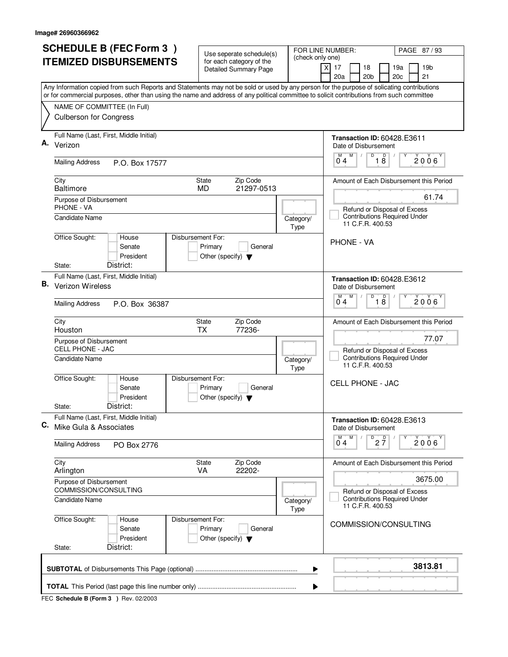| <b>ITEMIZED DISBURSEMENTS</b><br>$\times$<br>17<br>18<br>19a<br><b>Detailed Summary Page</b><br>20a<br>20 <sub>b</sub><br>20 <sub>c</sub><br>Any Information copied from such Reports and Statements may not be sold or used by any person for the purpose of solicating contributions<br>or for commercial purposes, other than using the name and address of any political committee to solicit contributions from such committee<br>NAME OF COMMITTEE (In Full)<br><b>Culberson for Congress</b><br>Full Name (Last, First, Middle Initial)<br>Α.<br>Verizon<br>Date of Disbursement<br>M<br>D<br>18<br>$0^{\degree}4$<br><b>Mailing Address</b><br>P.O. Box 17577<br>City<br>State<br>Zip Code<br><b>Baltimore</b><br>21297-0513<br><b>MD</b><br>Purpose of Disbursement<br>PHONE - VA<br>Refund or Disposal of Excess<br>Candidate Name<br>Category/<br>11 C.F.R. 400.53<br>Type<br>Office Sought:<br>House<br>Disbursement For:<br><b>PHONE - VA</b><br>Senate<br>Primary<br>General<br>President<br>Other (specify) $\blacktriangledown$<br>District:<br>State:<br>Full Name (Last, First, Middle Initial)<br><b>B.</b> Verizon Wireless<br>Date of Disbursement<br>D<br>D<br>M<br>04<br>18<br><b>Mailing Address</b><br>P.O. Box 36387<br>Zip Code<br>City<br>State<br>77236-<br><b>TX</b><br>Houston<br>Purpose of Disbursement<br><b>CELL PHONE - JAC</b><br><b>Contributions Required Under</b><br>Candidate Name<br>Category/<br>11 C.F.R. 400.53<br>Type<br>Office Sought:<br>Disbursement For:<br>House<br><b>CELL PHONE - JAC</b><br>Senate<br>Primary<br>General<br>President<br>Other (specify) $\blacktriangledown$<br>District:<br>State:<br>Full Name (Last, First, Middle Initial)<br>С.<br>Mike Gula & Associates<br>Date of Disbursement<br>M<br>$D$ <sub>2</sub> $\frac{D}{7}$<br>М<br>04<br><b>Mailing Address</b><br>PO Box 2776<br>Zip Code<br>City<br>State<br>22202-<br>VA<br>Arlington<br>Purpose of Disbursement<br>COMMISSION/CONSULTING<br>Candidate Name<br>Category/<br>11 C.F.R. 400.53<br>Type<br>Office Sought:<br>Disbursement For:<br>House<br>Senate<br>Primary<br>General | PAGE 87/93            | FOR LINE NUMBER:                        | (check only one) | Use seperate schedule(s)<br>for each category of the |  | <b>SCHEDULE B (FEC Form 3)</b> |  |
|---------------------------------------------------------------------------------------------------------------------------------------------------------------------------------------------------------------------------------------------------------------------------------------------------------------------------------------------------------------------------------------------------------------------------------------------------------------------------------------------------------------------------------------------------------------------------------------------------------------------------------------------------------------------------------------------------------------------------------------------------------------------------------------------------------------------------------------------------------------------------------------------------------------------------------------------------------------------------------------------------------------------------------------------------------------------------------------------------------------------------------------------------------------------------------------------------------------------------------------------------------------------------------------------------------------------------------------------------------------------------------------------------------------------------------------------------------------------------------------------------------------------------------------------------------------------------------------------------------------------------------------------------------------------------------------------------------------------------------------------------------------------------------------------------------------------------------------------------------------------------------------------------------------------------------------------------------------------------------------------------------------------------------------------------------------------------------------------------------------------|-----------------------|-----------------------------------------|------------------|------------------------------------------------------|--|--------------------------------|--|
|                                                                                                                                                                                                                                                                                                                                                                                                                                                                                                                                                                                                                                                                                                                                                                                                                                                                                                                                                                                                                                                                                                                                                                                                                                                                                                                                                                                                                                                                                                                                                                                                                                                                                                                                                                                                                                                                                                                                                                                                                                                                                                                     | 19 <sub>b</sub><br>21 |                                         |                  |                                                      |  |                                |  |
|                                                                                                                                                                                                                                                                                                                                                                                                                                                                                                                                                                                                                                                                                                                                                                                                                                                                                                                                                                                                                                                                                                                                                                                                                                                                                                                                                                                                                                                                                                                                                                                                                                                                                                                                                                                                                                                                                                                                                                                                                                                                                                                     |                       |                                         |                  |                                                      |  |                                |  |
|                                                                                                                                                                                                                                                                                                                                                                                                                                                                                                                                                                                                                                                                                                                                                                                                                                                                                                                                                                                                                                                                                                                                                                                                                                                                                                                                                                                                                                                                                                                                                                                                                                                                                                                                                                                                                                                                                                                                                                                                                                                                                                                     |                       |                                         |                  |                                                      |  |                                |  |
|                                                                                                                                                                                                                                                                                                                                                                                                                                                                                                                                                                                                                                                                                                                                                                                                                                                                                                                                                                                                                                                                                                                                                                                                                                                                                                                                                                                                                                                                                                                                                                                                                                                                                                                                                                                                                                                                                                                                                                                                                                                                                                                     |                       |                                         |                  |                                                      |  |                                |  |
|                                                                                                                                                                                                                                                                                                                                                                                                                                                                                                                                                                                                                                                                                                                                                                                                                                                                                                                                                                                                                                                                                                                                                                                                                                                                                                                                                                                                                                                                                                                                                                                                                                                                                                                                                                                                                                                                                                                                                                                                                                                                                                                     |                       | <b>Transaction ID: 60428, E3611</b>     |                  |                                                      |  |                                |  |
|                                                                                                                                                                                                                                                                                                                                                                                                                                                                                                                                                                                                                                                                                                                                                                                                                                                                                                                                                                                                                                                                                                                                                                                                                                                                                                                                                                                                                                                                                                                                                                                                                                                                                                                                                                                                                                                                                                                                                                                                                                                                                                                     | $2006^{\circ}$        |                                         |                  |                                                      |  |                                |  |
|                                                                                                                                                                                                                                                                                                                                                                                                                                                                                                                                                                                                                                                                                                                                                                                                                                                                                                                                                                                                                                                                                                                                                                                                                                                                                                                                                                                                                                                                                                                                                                                                                                                                                                                                                                                                                                                                                                                                                                                                                                                                                                                     |                       | Amount of Each Disbursement this Period |                  |                                                      |  |                                |  |
|                                                                                                                                                                                                                                                                                                                                                                                                                                                                                                                                                                                                                                                                                                                                                                                                                                                                                                                                                                                                                                                                                                                                                                                                                                                                                                                                                                                                                                                                                                                                                                                                                                                                                                                                                                                                                                                                                                                                                                                                                                                                                                                     | 61.74                 |                                         |                  |                                                      |  |                                |  |
|                                                                                                                                                                                                                                                                                                                                                                                                                                                                                                                                                                                                                                                                                                                                                                                                                                                                                                                                                                                                                                                                                                                                                                                                                                                                                                                                                                                                                                                                                                                                                                                                                                                                                                                                                                                                                                                                                                                                                                                                                                                                                                                     |                       | <b>Contributions Required Under</b>     |                  |                                                      |  |                                |  |
|                                                                                                                                                                                                                                                                                                                                                                                                                                                                                                                                                                                                                                                                                                                                                                                                                                                                                                                                                                                                                                                                                                                                                                                                                                                                                                                                                                                                                                                                                                                                                                                                                                                                                                                                                                                                                                                                                                                                                                                                                                                                                                                     |                       |                                         |                  |                                                      |  |                                |  |
|                                                                                                                                                                                                                                                                                                                                                                                                                                                                                                                                                                                                                                                                                                                                                                                                                                                                                                                                                                                                                                                                                                                                                                                                                                                                                                                                                                                                                                                                                                                                                                                                                                                                                                                                                                                                                                                                                                                                                                                                                                                                                                                     |                       |                                         |                  |                                                      |  |                                |  |
|                                                                                                                                                                                                                                                                                                                                                                                                                                                                                                                                                                                                                                                                                                                                                                                                                                                                                                                                                                                                                                                                                                                                                                                                                                                                                                                                                                                                                                                                                                                                                                                                                                                                                                                                                                                                                                                                                                                                                                                                                                                                                                                     |                       | Transaction ID: 60428.E3612             |                  |                                                      |  |                                |  |
|                                                                                                                                                                                                                                                                                                                                                                                                                                                                                                                                                                                                                                                                                                                                                                                                                                                                                                                                                                                                                                                                                                                                                                                                                                                                                                                                                                                                                                                                                                                                                                                                                                                                                                                                                                                                                                                                                                                                                                                                                                                                                                                     | 2006                  |                                         |                  |                                                      |  |                                |  |
|                                                                                                                                                                                                                                                                                                                                                                                                                                                                                                                                                                                                                                                                                                                                                                                                                                                                                                                                                                                                                                                                                                                                                                                                                                                                                                                                                                                                                                                                                                                                                                                                                                                                                                                                                                                                                                                                                                                                                                                                                                                                                                                     |                       | Amount of Each Disbursement this Period |                  |                                                      |  |                                |  |
|                                                                                                                                                                                                                                                                                                                                                                                                                                                                                                                                                                                                                                                                                                                                                                                                                                                                                                                                                                                                                                                                                                                                                                                                                                                                                                                                                                                                                                                                                                                                                                                                                                                                                                                                                                                                                                                                                                                                                                                                                                                                                                                     | 77.07                 | Refund or Disposal of Excess            |                  |                                                      |  |                                |  |
|                                                                                                                                                                                                                                                                                                                                                                                                                                                                                                                                                                                                                                                                                                                                                                                                                                                                                                                                                                                                                                                                                                                                                                                                                                                                                                                                                                                                                                                                                                                                                                                                                                                                                                                                                                                                                                                                                                                                                                                                                                                                                                                     |                       |                                         |                  |                                                      |  |                                |  |
|                                                                                                                                                                                                                                                                                                                                                                                                                                                                                                                                                                                                                                                                                                                                                                                                                                                                                                                                                                                                                                                                                                                                                                                                                                                                                                                                                                                                                                                                                                                                                                                                                                                                                                                                                                                                                                                                                                                                                                                                                                                                                                                     |                       |                                         |                  |                                                      |  |                                |  |
|                                                                                                                                                                                                                                                                                                                                                                                                                                                                                                                                                                                                                                                                                                                                                                                                                                                                                                                                                                                                                                                                                                                                                                                                                                                                                                                                                                                                                                                                                                                                                                                                                                                                                                                                                                                                                                                                                                                                                                                                                                                                                                                     |                       |                                         |                  |                                                      |  |                                |  |
|                                                                                                                                                                                                                                                                                                                                                                                                                                                                                                                                                                                                                                                                                                                                                                                                                                                                                                                                                                                                                                                                                                                                                                                                                                                                                                                                                                                                                                                                                                                                                                                                                                                                                                                                                                                                                                                                                                                                                                                                                                                                                                                     |                       | <b>Transaction ID: 60428.E3613</b>      |                  |                                                      |  |                                |  |
|                                                                                                                                                                                                                                                                                                                                                                                                                                                                                                                                                                                                                                                                                                                                                                                                                                                                                                                                                                                                                                                                                                                                                                                                                                                                                                                                                                                                                                                                                                                                                                                                                                                                                                                                                                                                                                                                                                                                                                                                                                                                                                                     | $2006^{\circ}$        |                                         |                  |                                                      |  |                                |  |
|                                                                                                                                                                                                                                                                                                                                                                                                                                                                                                                                                                                                                                                                                                                                                                                                                                                                                                                                                                                                                                                                                                                                                                                                                                                                                                                                                                                                                                                                                                                                                                                                                                                                                                                                                                                                                                                                                                                                                                                                                                                                                                                     |                       | Amount of Each Disbursement this Period |                  |                                                      |  |                                |  |
|                                                                                                                                                                                                                                                                                                                                                                                                                                                                                                                                                                                                                                                                                                                                                                                                                                                                                                                                                                                                                                                                                                                                                                                                                                                                                                                                                                                                                                                                                                                                                                                                                                                                                                                                                                                                                                                                                                                                                                                                                                                                                                                     | 3675.00               | Refund or Disposal of Excess            |                  |                                                      |  |                                |  |
|                                                                                                                                                                                                                                                                                                                                                                                                                                                                                                                                                                                                                                                                                                                                                                                                                                                                                                                                                                                                                                                                                                                                                                                                                                                                                                                                                                                                                                                                                                                                                                                                                                                                                                                                                                                                                                                                                                                                                                                                                                                                                                                     |                       | Contributions Required Under            |                  |                                                      |  |                                |  |
| President<br>Other (specify) $\blacktriangledown$<br>District:<br>State:                                                                                                                                                                                                                                                                                                                                                                                                                                                                                                                                                                                                                                                                                                                                                                                                                                                                                                                                                                                                                                                                                                                                                                                                                                                                                                                                                                                                                                                                                                                                                                                                                                                                                                                                                                                                                                                                                                                                                                                                                                            |                       | COMMISSION/CONSULTING                   |                  |                                                      |  |                                |  |
| ▶                                                                                                                                                                                                                                                                                                                                                                                                                                                                                                                                                                                                                                                                                                                                                                                                                                                                                                                                                                                                                                                                                                                                                                                                                                                                                                                                                                                                                                                                                                                                                                                                                                                                                                                                                                                                                                                                                                                                                                                                                                                                                                                   | 3813.81               |                                         |                  |                                                      |  |                                |  |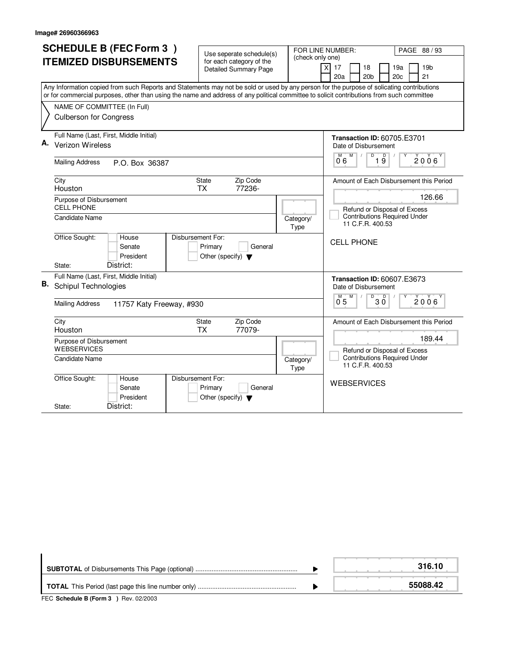|    | <b>SCHEDULE B (FEC Form 3)</b>                                                                                                            |                                                      |                                                                     | FOR LINE NUMBER:<br>PAGE 88 / 93                                    |  |
|----|-------------------------------------------------------------------------------------------------------------------------------------------|------------------------------------------------------|---------------------------------------------------------------------|---------------------------------------------------------------------|--|
|    | <b>ITEMIZED DISBURSEMENTS</b>                                                                                                             | Use seperate schedule(s)<br>for each category of the | (check only one)                                                    |                                                                     |  |
|    |                                                                                                                                           | <b>Detailed Summary Page</b>                         |                                                                     | 19 <sub>b</sub><br>$\times$<br>17<br>19a<br>18                      |  |
|    |                                                                                                                                           |                                                      |                                                                     | 20 <sub>b</sub><br>20 <sub>c</sub><br>21<br>20a                     |  |
|    | Any Information copied from such Reports and Statements may not be sold or used by any person for the purpose of solicating contributions |                                                      |                                                                     |                                                                     |  |
|    | or for commercial purposes, other than using the name and address of any political committee to solicit contributions from such committee |                                                      |                                                                     |                                                                     |  |
|    | NAME OF COMMITTEE (In Full)                                                                                                               |                                                      |                                                                     |                                                                     |  |
|    | <b>Culberson for Congress</b>                                                                                                             |                                                      |                                                                     |                                                                     |  |
|    | Full Name (Last, First, Middle Initial)                                                                                                   |                                                      |                                                                     |                                                                     |  |
|    | Verizon Wireless                                                                                                                          |                                                      |                                                                     | <b>Transaction ID: 60705.E3701</b>                                  |  |
|    |                                                                                                                                           |                                                      |                                                                     | Date of Disbursement<br>M<br>$\overline{D}$<br>M                    |  |
|    | <b>Mailing Address</b><br>P.O. Box 36387                                                                                                  |                                                      |                                                                     | 19<br>2006<br>06                                                    |  |
|    |                                                                                                                                           |                                                      |                                                                     |                                                                     |  |
|    | City                                                                                                                                      | Zip Code<br><b>State</b>                             |                                                                     | Amount of Each Disbursement this Period                             |  |
|    | Houston                                                                                                                                   | 77236-<br><b>TX</b>                                  |                                                                     | 126.66                                                              |  |
|    | Purpose of Disbursement<br><b>CELL PHONE</b>                                                                                              |                                                      |                                                                     |                                                                     |  |
|    | Candidate Name                                                                                                                            |                                                      | Refund or Disposal of Excess<br><b>Contributions Required Under</b> |                                                                     |  |
|    |                                                                                                                                           |                                                      | Category/<br>Type                                                   | 11 C.F.R. 400.53                                                    |  |
|    | Office Sought:<br>House                                                                                                                   | Disbursement For:                                    |                                                                     | <b>CELL PHONE</b>                                                   |  |
|    | Senate                                                                                                                                    | Primary<br>General                                   |                                                                     |                                                                     |  |
|    | President                                                                                                                                 | Other (specify) $\blacktriangledown$                 |                                                                     |                                                                     |  |
|    | District:<br>State:                                                                                                                       |                                                      |                                                                     |                                                                     |  |
| В. | Full Name (Last, First, Middle Initial)                                                                                                   |                                                      |                                                                     | <b>Transaction ID: 60607.E3673</b>                                  |  |
|    | <b>Schipul Technologies</b>                                                                                                               |                                                      |                                                                     | Date of Disbursement                                                |  |
|    | <b>Mailing Address</b><br>11757 Katy Freeway, #930                                                                                        |                                                      |                                                                     | $\overline{D}$<br>D<br>M<br>2006<br>3 Ŏ<br>05                       |  |
|    |                                                                                                                                           |                                                      |                                                                     |                                                                     |  |
|    | City                                                                                                                                      | Zip Code<br><b>State</b>                             |                                                                     | Amount of Each Disbursement this Period                             |  |
|    | Houston                                                                                                                                   | <b>TX</b><br>77079-                                  |                                                                     |                                                                     |  |
|    | Purpose of Disbursement                                                                                                                   |                                                      |                                                                     | 189.44                                                              |  |
|    | <b>WEBSERVICES</b>                                                                                                                        |                                                      |                                                                     | Refund or Disposal of Excess<br><b>Contributions Required Under</b> |  |
|    | <b>Candidate Name</b>                                                                                                                     |                                                      | Category/<br>Type                                                   | 11 C.F.R. 400.53                                                    |  |
|    | Office Sought:<br>House                                                                                                                   | Disbursement For:                                    |                                                                     | <b>WEBSERVICES</b>                                                  |  |
|    | Senate                                                                                                                                    | Primary<br>General                                   |                                                                     |                                                                     |  |
|    | President                                                                                                                                 | Other (specify) $\blacktriangledown$                 |                                                                     |                                                                     |  |
|    | District:<br>State:                                                                                                                       |                                                      |                                                                     |                                                                     |  |

|                                       | 316.10   |
|---------------------------------------|----------|
|                                       | 55088.42 |
| FEC Schedule B (Form 3 ) Rev. 02/2003 |          |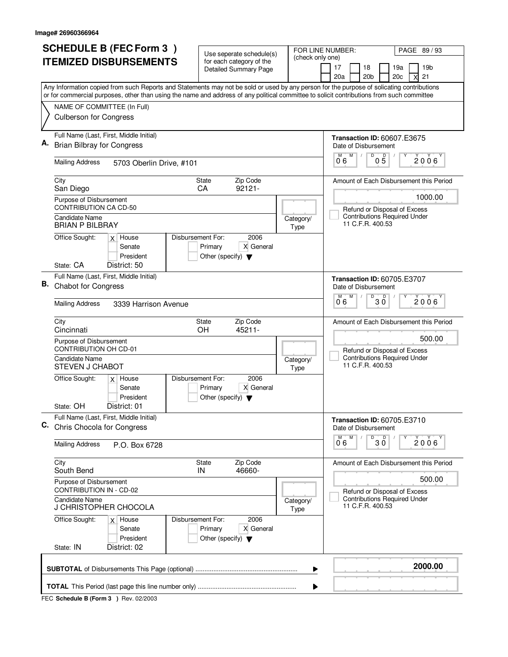|    | <b>SCHEDULE B (FEC Form 3)</b>                                                                                                                                                                                                                                                         | Use seperate schedule(s)                                                                  |                   | FOR LINE NUMBER:<br>PAGE 89/93                                                 |
|----|----------------------------------------------------------------------------------------------------------------------------------------------------------------------------------------------------------------------------------------------------------------------------------------|-------------------------------------------------------------------------------------------|-------------------|--------------------------------------------------------------------------------|
|    | <b>ITEMIZED DISBURSEMENTS</b>                                                                                                                                                                                                                                                          | for each category of the<br><b>Detailed Summary Page</b>                                  | (check only one)  | 17<br>18<br>19 <sub>b</sub><br>19a<br>20a<br>20 <sub>b</sub><br>20c<br>21<br>X |
|    | Any Information copied from such Reports and Statements may not be sold or used by any person for the purpose of solicating contributions<br>or for commercial purposes, other than using the name and address of any political committee to solicit contributions from such committee |                                                                                           |                   |                                                                                |
|    | NAME OF COMMITTEE (In Full)                                                                                                                                                                                                                                                            |                                                                                           |                   |                                                                                |
|    | <b>Culberson for Congress</b>                                                                                                                                                                                                                                                          |                                                                                           |                   |                                                                                |
| Α. | Full Name (Last, First, Middle Initial)                                                                                                                                                                                                                                                |                                                                                           |                   | <b>Transaction ID: 60607.E3675</b>                                             |
|    | <b>Brian Bilbray for Congress</b>                                                                                                                                                                                                                                                      |                                                                                           |                   | Date of Disbursement<br>M<br>D<br>$0\overline{5}$                              |
|    | <b>Mailing Address</b><br>5703 Oberlin Drive, #101                                                                                                                                                                                                                                     |                                                                                           |                   | $2006^{\circ}$<br>06                                                           |
|    | City<br>San Diego                                                                                                                                                                                                                                                                      | Zip Code<br>State<br>$92121 -$<br>CA                                                      |                   | Amount of Each Disbursement this Period                                        |
|    | Purpose of Disbursement                                                                                                                                                                                                                                                                |                                                                                           |                   | 1000.00                                                                        |
|    | CONTRIBUTION CA CD-50<br>Candidate Name                                                                                                                                                                                                                                                |                                                                                           | Category/         | Refund or Disposal of Excess<br><b>Contributions Required Under</b>            |
|    | <b>BRIAN P BILBRAY</b>                                                                                                                                                                                                                                                                 |                                                                                           | Type              | 11 C.F.R. 400.53                                                               |
|    | Office Sought:<br>$x$ House<br>Senate                                                                                                                                                                                                                                                  | Disbursement For:<br>2006<br>Primary<br>X General                                         |                   |                                                                                |
|    | President                                                                                                                                                                                                                                                                              | Other (specify) $\blacktriangledown$                                                      |                   |                                                                                |
|    | State: CA<br>District: 50<br>Full Name (Last, First, Middle Initial)                                                                                                                                                                                                                   |                                                                                           |                   |                                                                                |
| В. | <b>Chabot for Congress</b>                                                                                                                                                                                                                                                             |                                                                                           |                   | <b>Transaction ID: 60705.E3707</b><br>Date of Disbursement                     |
|    | <b>Mailing Address</b><br>3339 Harrison Avenue                                                                                                                                                                                                                                         |                                                                                           |                   | D<br>M<br>$2006^{\circ}$<br>30<br>06                                           |
|    | City<br>Cincinnati                                                                                                                                                                                                                                                                     | Zip Code<br>State<br>45211-<br>OH                                                         |                   | Amount of Each Disbursement this Period                                        |
|    | Purpose of Disbursement<br><b>CONTRIBUTION OH CD-01</b>                                                                                                                                                                                                                                |                                                                                           |                   | 500.00<br>Refund or Disposal of Excess                                         |
|    | <b>Candidate Name</b><br><b>STEVEN J CHABOT</b>                                                                                                                                                                                                                                        |                                                                                           | Category/<br>Type | <b>Contributions Required Under</b><br>11 C.F.R. 400.53                        |
|    | Office Sought:<br>$x$ House<br>Senate<br>President                                                                                                                                                                                                                                     | Disbursement For:<br>2006<br>X General<br>Primary<br>Other (specify) $\blacktriangledown$ |                   |                                                                                |
|    | District: 01<br>State: OH                                                                                                                                                                                                                                                              |                                                                                           |                   |                                                                                |
| C. | Full Name (Last, First, Middle Initial)<br>Chris Chocola for Congress                                                                                                                                                                                                                  |                                                                                           |                   | <b>Transaction ID: 60705.E3710</b><br>Date of Disbursement<br>M                |
|    | <b>Mailing Address</b><br>P.O. Box 6728                                                                                                                                                                                                                                                |                                                                                           |                   | $D$ <sub>3</sub> $0$<br>2006<br>06                                             |
|    | City<br>South Bend                                                                                                                                                                                                                                                                     | Zip Code<br>State<br>46660-<br>IN                                                         |                   | Amount of Each Disbursement this Period                                        |
|    | Purpose of Disbursement<br><b>CONTRIBUTION IN - CD-02</b>                                                                                                                                                                                                                              |                                                                                           |                   | 500.00<br>Refund or Disposal of Excess                                         |
|    | <b>Candidate Name</b><br>J CHRISTOPHER CHOCOLA                                                                                                                                                                                                                                         |                                                                                           | Category/<br>Type | <b>Contributions Required Under</b><br>11 C.F.R. 400.53                        |
|    | Office Sought:<br>$x$ House<br>Senate<br>President                                                                                                                                                                                                                                     | Disbursement For:<br>2006<br>Primary<br>X General<br>Other (specify) $\blacktriangledown$ |                   |                                                                                |
|    | District: 02<br>State: IN                                                                                                                                                                                                                                                              |                                                                                           |                   |                                                                                |
|    |                                                                                                                                                                                                                                                                                        |                                                                                           | ▶                 | 2000.00                                                                        |
|    |                                                                                                                                                                                                                                                                                        |                                                                                           | ▶                 |                                                                                |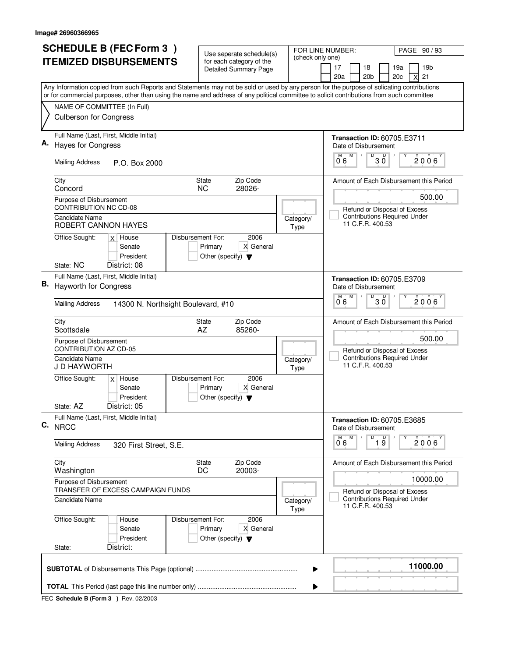| <b>SCHEDULE B (FEC Form 3)</b>                                                                                                                                                                                                                                                         | Use seperate schedule(s)                                     | FOR LINE NUMBER:<br>PAGE 90 / 93                                                 |
|----------------------------------------------------------------------------------------------------------------------------------------------------------------------------------------------------------------------------------------------------------------------------------------|--------------------------------------------------------------|----------------------------------------------------------------------------------|
| <b>ITEMIZED DISBURSEMENTS</b>                                                                                                                                                                                                                                                          | for each category of the<br>Detailed Summary Page            | (check only one)<br>19b<br>17<br>18<br>19a                                       |
|                                                                                                                                                                                                                                                                                        |                                                              | 20a<br>21<br>20 <sub>b</sub><br>20c<br>Χ                                         |
| Any Information copied from such Reports and Statements may not be sold or used by any person for the purpose of solicating contributions<br>or for commercial purposes, other than using the name and address of any political committee to solicit contributions from such committee |                                                              |                                                                                  |
| NAME OF COMMITTEE (In Full)                                                                                                                                                                                                                                                            |                                                              |                                                                                  |
| <b>Culberson for Congress</b>                                                                                                                                                                                                                                                          |                                                              |                                                                                  |
| Full Name (Last, First, Middle Initial)<br><b>Hayes for Congress</b>                                                                                                                                                                                                                   |                                                              | <b>Transaction ID: 60705.E3711</b>                                               |
|                                                                                                                                                                                                                                                                                        |                                                              | Date of Disbursement<br>M<br>$\sqrt[3]{\frac{1}{20}}$<br>2006                    |
| <b>Mailing Address</b><br>P.O. Box 2000                                                                                                                                                                                                                                                |                                                              | 06                                                                               |
| City<br>Concord                                                                                                                                                                                                                                                                        | Zip Code<br>State<br>28026-<br><b>NC</b>                     | Amount of Each Disbursement this Period                                          |
| Purpose of Disbursement                                                                                                                                                                                                                                                                |                                                              | 500.00                                                                           |
| <b>CONTRIBUTION NC CD-08</b><br><b>Candidate Name</b>                                                                                                                                                                                                                                  |                                                              | Refund or Disposal of Excess<br><b>Contributions Required Under</b><br>Category/ |
| ROBERT CANNON HAYES                                                                                                                                                                                                                                                                    |                                                              | 11 C.F.R. 400.53<br>Type                                                         |
| Office Sought:<br>$x$ House<br>Senate                                                                                                                                                                                                                                                  | Disbursement For:<br>2006<br>Primary<br>X General            |                                                                                  |
| President                                                                                                                                                                                                                                                                              | Other (specify) $\blacktriangledown$                         |                                                                                  |
| State: NC<br>District: 08                                                                                                                                                                                                                                                              |                                                              |                                                                                  |
| Full Name (Last, First, Middle Initial)<br>В.<br><b>Hayworth for Congress</b>                                                                                                                                                                                                          |                                                              | <b>Transaction ID: 60705.E3709</b><br>Date of Disbursement                       |
| <b>Mailing Address</b><br>14300 N. Northsight Boulevard, #10                                                                                                                                                                                                                           |                                                              | D<br>D<br>M<br>M<br>$2006^{\circ}$<br>30<br>06                                   |
| City                                                                                                                                                                                                                                                                                   | Zip Code<br>State                                            | Amount of Each Disbursement this Period                                          |
| Scottsdale<br>Purpose of Disbursement                                                                                                                                                                                                                                                  | AZ<br>85260-                                                 | 500.00                                                                           |
| <b>CONTRIBUTION AZ CD-05</b>                                                                                                                                                                                                                                                           |                                                              | Refund or Disposal of Excess                                                     |
| Candidate Name<br>J D HAYWORTH                                                                                                                                                                                                                                                         |                                                              | <b>Contributions Required Under</b><br>Category/<br>11 C.F.R. 400.53<br>Type     |
| Office Sought:<br>$x$ House<br>Senate                                                                                                                                                                                                                                                  | Disbursement For:<br>2006<br>Primary<br>X General            |                                                                                  |
| President                                                                                                                                                                                                                                                                              | Other (specify) $\blacktriangledown$                         |                                                                                  |
| District: 05<br>State: AZ                                                                                                                                                                                                                                                              |                                                              |                                                                                  |
| Full Name (Last, First, Middle Initial)<br>C. NRCC                                                                                                                                                                                                                                     |                                                              | <b>Transaction ID: 60705.E3685</b><br>Date of Disbursement                       |
| <b>Mailing Address</b><br>320 First Street, S.E.                                                                                                                                                                                                                                       |                                                              | D<br>M<br>M<br>$\overline{1}$ $\overline{9}$<br>$2006^{\circ}$<br>06             |
| City                                                                                                                                                                                                                                                                                   | Zip Code<br>State                                            | Amount of Each Disbursement this Period                                          |
| Washington<br>Purpose of Disbursement                                                                                                                                                                                                                                                  | DC<br>20003-                                                 | 10000.00                                                                         |
| TRANSFER OF EXCESS CAMPAIGN FUNDS                                                                                                                                                                                                                                                      |                                                              | Refund or Disposal of Excess                                                     |
| Candidate Name                                                                                                                                                                                                                                                                         |                                                              | <b>Contributions Required Under</b><br>Category/<br>11 C.F.R. 400.53<br>Type     |
| Office Sought:<br>House                                                                                                                                                                                                                                                                | Disbursement For:<br>2006                                    |                                                                                  |
| Senate<br>President                                                                                                                                                                                                                                                                    | Primary<br>X General<br>Other (specify) $\blacktriangledown$ |                                                                                  |
| District:<br>State:                                                                                                                                                                                                                                                                    |                                                              |                                                                                  |
|                                                                                                                                                                                                                                                                                        |                                                              | 11000.00                                                                         |
|                                                                                                                                                                                                                                                                                        |                                                              | ▶                                                                                |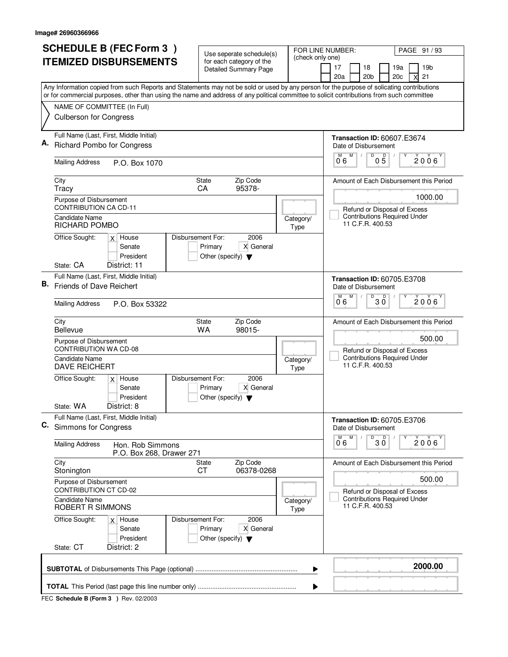|    | <b>SCHEDULE B (FEC Form 3)</b>                                                                                                                                           | Use seperate schedule(s)                                                                  | FOR LINE NUMBER:  | PAGE 91/93                                                                     |
|----|--------------------------------------------------------------------------------------------------------------------------------------------------------------------------|-------------------------------------------------------------------------------------------|-------------------|--------------------------------------------------------------------------------|
|    | <b>ITEMIZED DISBURSEMENTS</b>                                                                                                                                            | for each category of the<br><b>Detailed Summary Page</b>                                  | (check only one)  | 17<br>18<br>19a<br>19 <sub>b</sub><br>20a<br>20 <sub>b</sub><br>20c<br>21<br>x |
|    | Any Information copied from such Reports and Statements may not be sold or used by any person for the purpose of solicating contributions                                |                                                                                           |                   |                                                                                |
|    | or for commercial purposes, other than using the name and address of any political committee to solicit contributions from such committee<br>NAME OF COMMITTEE (In Full) |                                                                                           |                   |                                                                                |
|    | <b>Culberson for Congress</b>                                                                                                                                            |                                                                                           |                   |                                                                                |
|    | Full Name (Last, First, Middle Initial)<br><b>Richard Pombo for Congress</b>                                                                                             |                                                                                           |                   | <b>Transaction ID: 60607.E3674</b><br>Date of Disbursement                     |
|    | <b>Mailing Address</b><br>P.O. Box 1070                                                                                                                                  |                                                                                           |                   | M<br>D<br>$0\overline{5}$<br>M<br>$2006^\circ$<br>06                           |
|    | City<br>Tracy                                                                                                                                                            | State<br>Zip Code<br>95378-<br>CA                                                         |                   | Amount of Each Disbursement this Period                                        |
|    | Purpose of Disbursement<br>CONTRIBUTION CA CD-11                                                                                                                         |                                                                                           |                   | 1000.00<br>Refund or Disposal of Excess                                        |
|    | Candidate Name<br><b>RICHARD POMBO</b>                                                                                                                                   |                                                                                           | Category/<br>Type | <b>Contributions Required Under</b><br>11 C.F.R. 400.53                        |
|    | Office Sought:<br>$x$ House<br>Senate<br>President                                                                                                                       | Disbursement For:<br>2006<br>Primary<br>X General<br>Other (specify) $\blacktriangledown$ |                   |                                                                                |
|    | State: CA<br>District: 11                                                                                                                                                |                                                                                           |                   |                                                                                |
| В. | Full Name (Last, First, Middle Initial)<br>Friends of Dave Reichert                                                                                                      |                                                                                           |                   | <b>Transaction ID: 60705.E3708</b><br>Date of Disbursement                     |
|    | <b>Mailing Address</b><br>P.O. Box 53322                                                                                                                                 |                                                                                           |                   | M<br>M<br>D<br>D<br>$2006^{\circ}$<br>30<br>06                                 |
|    | City<br><b>Bellevue</b>                                                                                                                                                  | Zip Code<br>State<br>WA<br>98015-                                                         |                   | Amount of Each Disbursement this Period                                        |
|    | Purpose of Disbursement<br><b>CONTRIBUTION WA CD-08</b>                                                                                                                  |                                                                                           |                   | 500.00<br>Refund or Disposal of Excess<br><b>Contributions Required Under</b>  |
|    | <b>Candidate Name</b><br><b>DAVE REICHERT</b>                                                                                                                            |                                                                                           | Category/<br>Type | 11 C.F.R. 400.53                                                               |
|    | Office Sought:<br>$x$ House<br>Senate<br>President                                                                                                                       | Disbursement For:<br>2006<br>X General<br>Primary<br>Other (specify) $\blacktriangledown$ |                   |                                                                                |
|    | State: WA<br>District: 8                                                                                                                                                 |                                                                                           |                   |                                                                                |
| C. | Full Name (Last, First, Middle Initial)<br>Simmons for Congress                                                                                                          |                                                                                           |                   | <b>Transaction ID: 60705.E3706</b><br>Date of Disbursement                     |
|    | <b>Mailing Address</b><br>Hon. Rob Simmons<br>P.O. Box 268, Drawer 271                                                                                                   |                                                                                           |                   | D<br>M<br>30<br>2006<br>06                                                     |
|    | City<br>Stonington                                                                                                                                                       | Zip Code<br>State<br>СT<br>06378-0268                                                     |                   | Amount of Each Disbursement this Period                                        |
|    | Purpose of Disbursement<br>CONTRIBUTION CT CD-02                                                                                                                         |                                                                                           |                   | 500.00<br>Refund or Disposal of Excess                                         |
|    | <b>Candidate Name</b><br>ROBERT R SIMMONS                                                                                                                                |                                                                                           | Category/<br>Type | <b>Contributions Required Under</b><br>11 C.F.R. 400.53                        |
|    | Office Sought:<br>$x$ House<br>Senate<br>President                                                                                                                       | Disbursement For:<br>2006<br>Primary<br>X General<br>Other (specify) $\blacktriangledown$ |                   |                                                                                |
|    | State: CT<br>District: 2                                                                                                                                                 |                                                                                           |                   |                                                                                |
|    |                                                                                                                                                                          |                                                                                           | ▶                 | 2000.00                                                                        |
|    |                                                                                                                                                                          |                                                                                           | ▶                 |                                                                                |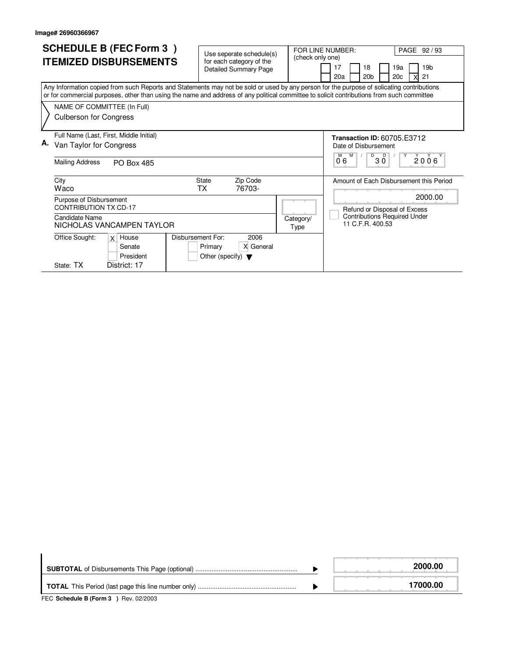| <b>SCHEDULE B (FEC Form 3)</b><br><b>ITEMIZED DISBURSEMENTS</b><br>Any Information copied from such Reports and Statements may not be sold or used by any person for the purpose of solicating contributions<br>or for commercial purposes, other than using the name and address of any political committee to solicit contributions from such committee | Use seperate schedule(s)<br>(check only one)<br>for each category of the<br><b>Detailed Summary Page</b> | FOR LINE NUMBER:<br>PAGE 92 / 93<br>19 <sub>b</sub><br>17<br>18<br>19a<br>20a<br>20 <sub>b</sub><br>20c<br>21                                 |
|-----------------------------------------------------------------------------------------------------------------------------------------------------------------------------------------------------------------------------------------------------------------------------------------------------------------------------------------------------------|----------------------------------------------------------------------------------------------------------|-----------------------------------------------------------------------------------------------------------------------------------------------|
| NAME OF COMMITTEE (In Full)<br><b>Culberson for Congress</b>                                                                                                                                                                                                                                                                                              |                                                                                                          |                                                                                                                                               |
| Full Name (Last, First, Middle Initial)<br>А.<br>Van Taylor for Congress<br><b>Mailing Address</b><br><b>PO Box 485</b>                                                                                                                                                                                                                                   |                                                                                                          | <b>Transaction ID: 60705.E3712</b><br>Date of Disbursement<br>$D$ $D$<br>2006<br>M<br>Y<br>30<br>06                                           |
| City<br>Waco<br>Purpose of Disbursement<br><b>CONTRIBUTION TX CD-17</b><br>Candidate Name<br>NICHOLAS VANCAMPEN TAYLOR                                                                                                                                                                                                                                    | Zip Code<br><b>State</b><br>76703-<br>ТX<br>Category/<br>Type                                            | Amount of Each Disbursement this Period<br>2000.00<br>Refund or Disposal of Excess<br><b>Contributions Required Under</b><br>11 C.F.R. 400.53 |
| Disbursement For:<br>Office Sought:<br>$x$ House<br>Senate<br>President<br>State: TX<br>District: 17                                                                                                                                                                                                                                                      | 2006<br>X General<br>Primary<br>Other (specify) $\blacktriangledown$                                     |                                                                                                                                               |

|                                                                                                          | 2000.00  |
|----------------------------------------------------------------------------------------------------------|----------|
| $FFA$ , $A + I$ , $A + I$ , $B$ , $F$ , $\ldots$ , $A$ , $A$ , $B$ , $\ldots$ , $A \cap A \cap A \cap A$ | 17000.00 |